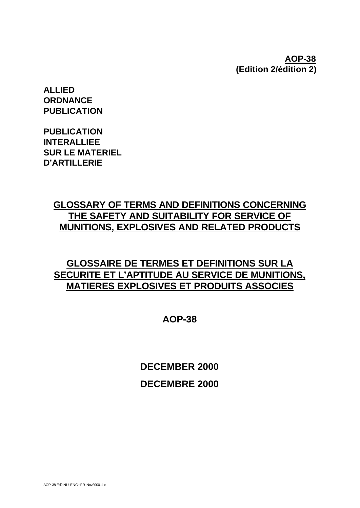# **AOP-38 (Edition 2/édition 2)**

**ALLIED ORDNANCE PUBLICATION**

**PUBLICATION INTERALLIEE SUR LE MATERIEL D'ARTILLERIE**

# **GLOSSARY OF TERMS AND DEFINITIONS CONCERNING THE SAFETY AND SUITABILITY FOR SERVICE OF MUNITIONS, EXPLOSIVES AND RELATED PRODUCTS**

# **GLOSSAIRE DE TERMES ET DEFINITIONS SUR LA SECURITE ET L'APTITUDE AU SERVICE DE MUNITIONS, MATIERES EXPLOSIVES ET PRODUITS ASSOCIES**

**AOP-38**

**DECEMBER 2000 DECEMBRE 2000**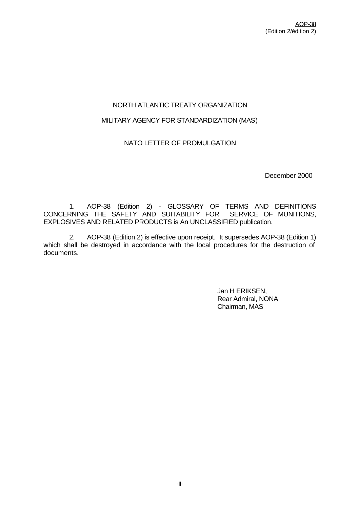# NORTH ATLANTIC TREATY ORGANIZATION

## MILITARY AGENCY FOR STANDARDIZATION (MAS)

# NATO LETTER OF PROMULGATION

December 2000

1. AOP-38 (Edition 2) - GLOSSARY OF TERMS AND DEFINITIONS CONCERNING THE SAFETY AND SUITABILITY FOR SERVICE OF MUNITIONS, EXPLOSIVES AND RELATED PRODUCTS is An UNCLASSIFIED publication.

2. AOP-38 (Edition 2) is effective upon receipt. It supersedes AOP-38 (Edition 1) which shall be destroyed in accordance with the local procedures for the destruction of documents.

> Jan H ERIKSEN, Rear Admiral, NONA Chairman, MAS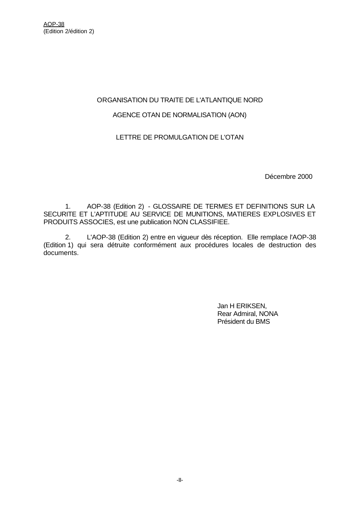## ORGANISATION DU TRAITE DE L'ATLANTIQUE NORD

# AGENCE OTAN DE NORMALISATION (AON)

## LETTRE DE PROMULGATION DE L'OTAN

Décembre 2000

1. AOP-38 (Edition 2) - GLOSSAIRE DE TERMES ET DEFINITIONS SUR LA SECURITE ET L'APTITUDE AU SERVICE DE MUNITIONS, MATIERES EXPLOSIVES ET PRODUITS ASSOCIES, est une publication NON CLASSIFIEE.

2. L'AOP-38 (Edition 2) entre en vigueur dès réception. Elle remplace l'AOP-38 (Edition 1) qui sera détruite conformément aux procédures locales de destruction des documents.

> Jan H ERIKSEN, Rear Admiral, NONA Président du BMS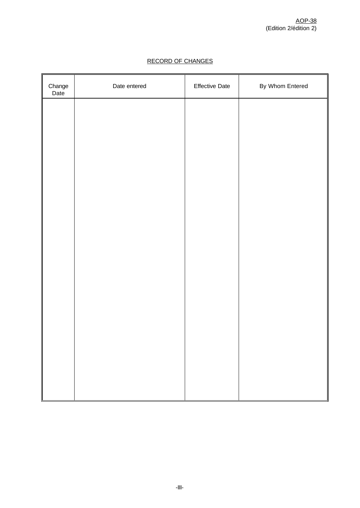| Change<br>Date | Date entered | <b>Effective Date</b> | By Whom Entered |
|----------------|--------------|-----------------------|-----------------|
|                |              |                       |                 |
|                |              |                       |                 |
|                |              |                       |                 |
|                |              |                       |                 |
|                |              |                       |                 |
|                |              |                       |                 |
|                |              |                       |                 |
|                |              |                       |                 |
|                |              |                       |                 |
|                |              |                       |                 |
|                |              |                       |                 |
|                |              |                       |                 |
|                |              |                       |                 |
|                |              |                       |                 |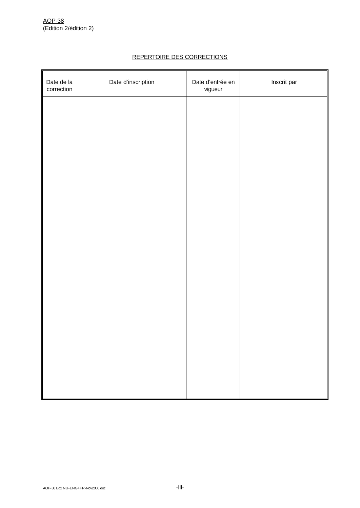## REPERTOIRE DES CORRECTIONS

| Date de la<br>correction | Date d'inscription | Date d'entrée en<br>vigueur | Inscrit par |
|--------------------------|--------------------|-----------------------------|-------------|
|                          |                    |                             |             |
|                          |                    |                             |             |
|                          |                    |                             |             |
|                          |                    |                             |             |
|                          |                    |                             |             |
|                          |                    |                             |             |
|                          |                    |                             |             |
|                          |                    |                             |             |
|                          |                    |                             |             |
|                          |                    |                             |             |
|                          |                    |                             |             |
|                          |                    |                             |             |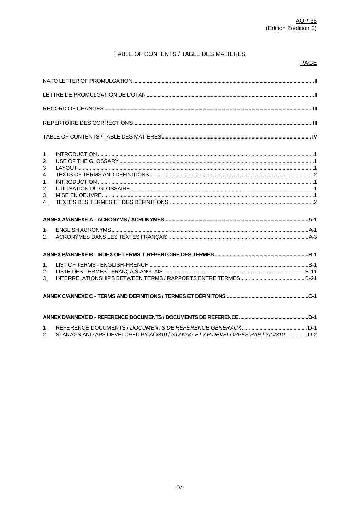# TABLE OF CONTENTS / TABLE DES MATIERES

#### **PAGE**

| 1.<br>2.<br>3<br>$\overline{4}$<br>$\mathbf{1}$ .<br>2.<br>3.<br>4. |  |
|---------------------------------------------------------------------|--|
|                                                                     |  |
|                                                                     |  |
| 1.                                                                  |  |
| 2.                                                                  |  |
|                                                                     |  |
| 1 <sub>1</sub>                                                      |  |
| 2.                                                                  |  |
| 3.                                                                  |  |
|                                                                     |  |
|                                                                     |  |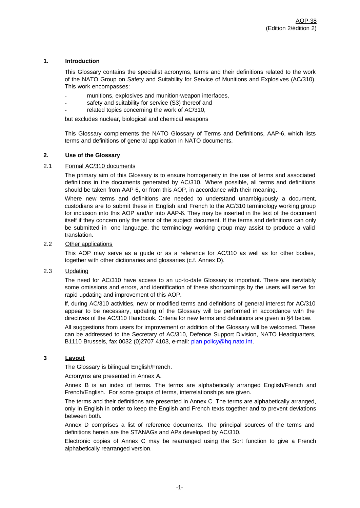#### **1. Introduction**

This Glossary contains the specialist acronyms, terms and their definitions related to the work of the NATO Group on Safety and Suitability for Service of Munitions and Explosives (AC/310). This work encompasses:

- munitions, explosives and munition-weapon interfaces,
- safety and suitability for service (S3) thereof and
- related topics concerning the work of AC/310,

but excludes nuclear, biological and chemical weapons

This Glossary complements the NATO Glossary of Terms and Definitions, AAP-6, which lists terms and definitions of general application in NATO documents.

#### **2. Use of the Glossary**

#### 2.1 Formal AC/310 documents

The primary aim of this Glossary is to ensure homogeneity in the use of terms and associated definitions in the documents generated by AC/310. Where possible, all terms and definitions should be taken from AAP-6, or from this AOP, in accordance with their meaning.

Where new terms and definitions are needed to understand unambiguously a document, custodians are to submit these in English and French to the AC/310 terminology working group for inclusion into this AOP and/or into AAP-6. They may be inserted in the text of the document itself if they concern only the tenor of the subject document. If the terms and definitions can only be submitted in one language, the terminology working group may assist to produce a valid translation.

#### 2.2 Other applications

This AOP may serve as a guide or as a reference for AC/310 as well as for other bodies, together with other dictionaries and glossaries (c.f. Annex D).

#### 2.3 Updating

The need for AC/310 have access to an up-to-date Glossary is important. There are inevitably some omissions and errors, and identification of these shortcomings by the users will serve for rapid updating and improvement of this AOP.

If, during AC/310 activities, new or modified terms and definitions of general interest for AC/310 appear to be necessary, updating of the Glossary will be performed in accordance with the directives of the AC/310 Handbook. Criteria for new terms and definitions are given in §4 below.

All suggestions from users for improvement or addition of the Glossary will be welcomed. These can be addressed to the Secretary of AC/310, Defence Support Division, NATO Headquarters, B1110 Brussels, fax 0032 (0)2707 4103, e-mail: plan.policy@hq.nato.int.

#### **3 Layout**

The Glossary is bilingual English/French.

Acronyms are presented in Annex A.

Annex B is an index of terms. The terms are alphabetically arranged English/French and French/English. For some groups of terms, interrelationships are given.

The terms and their definitions are presented in Annex C. The terms are alphabetically arranged, only in English in order to keep the English and French texts together and to prevent deviations between both.

Annex D comprises a list of reference documents. The principal sources of the terms and definitions herein are the STANAGs and APs developed by AC/310.

Electronic copies of Annex C may be rearranged using the Sort function to give a French alphabetically rearranged version.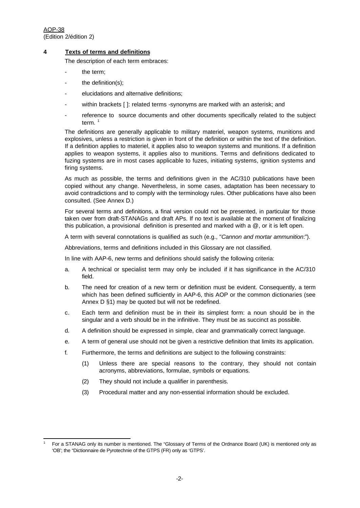AOP-38 (Edition 2/édition 2)

l 1

#### **4 Texts of terms and definitions**

The description of each term embraces:

- the term;
- the definition(s);
- elucidations and alternative definitions;
- within brackets []: related terms -synonyms are marked with an asterisk; and
- reference to source documents and other documents specifically related to the subject term.<sup>1</sup>

The definitions are generally applicable to military materiel, weapon systems, munitions and explosives, unless a restriction is given in front of the definition or within the text of the definition. If a definition applies to materiel, it applies also to weapon systems and munitions. If a definition applies to weapon systems, it applies also to munitions. Terms and definitions dedicated to fuzing systems are in most cases applicable to fuzes, initiating systems, ignition systems and firing systems.

As much as possible, the terms and definitions given in the AC/310 publications have been copied without any change. Nevertheless, in some cases, adaptation has been necessary to avoid contradictions and to comply with the terminology rules. Other publications have also been consulted. (See Annex D.)

For several terms and definitions, a final version could not be presented, in particular for those taken over from draft-STANAGs and draft APs. If no text is available at the moment of finalizing this publication, a provisional definition is presented and marked with a @, or it is left open.

A term with several connotations is qualified as such (e.g., "*Cannon and mortar ammunition*:").

Abbreviations, terms and definitions included in this Glossary are not classified.

In line with AAP-6, new terms and definitions should satisfy the following criteria:

- a. A technical or specialist term may only be included if it has significance in the AC/310 field.
- b. The need for creation of a new term or definition must be evident. Consequently, a term which has been defined sufficiently in AAP-6, this AOP or the common dictionaries (see Annex D §1) may be quoted but will not be redefined.
- c. Each term and definition must be in their its simplest form: a noun should be in the singular and a verb should be in the infinitive. They must be as succinct as possible.
- d. A definition should be expressed in simple, clear and grammatically correct language.
- e. A term of general use should not be given a restrictive definition that limits its application.
- f. Furthermore, the terms and definitions are subject to the following constraints:
	- (1) Unless there are special reasons to the contrary, they should not contain acronyms, abbreviations, formulae, symbols or equations.
	- (2) They should not include a qualifier in parenthesis.
	- (3) Procedural matter and any non-essential information should be excluded.

For a STANAG only its number is mentioned. The "Glossary of Terms of the Ordnance Board (UK) is mentioned only as 'OB'; the "Dictionnaire de Pyrotechnie of the GTPS (FR) only as 'GTPS'.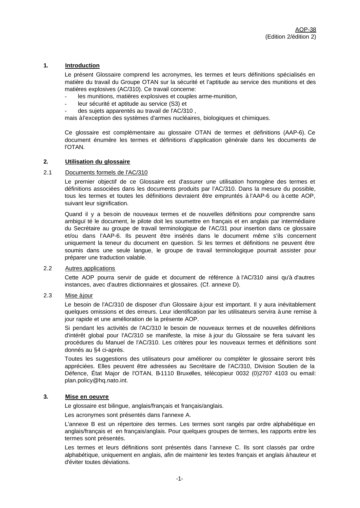#### **1. Introduction**

Le présent Glossaire comprend les acronymes, les termes et leurs définitions spécialisés en matière du travail du Groupe OTAN sur la sécurité et l'aptitude au service des munitions et des matières explosives (AC/310). Ce travail concerne:

- les munitions, matières explosives et couples arme-munition,
- leur sécurité et aptitude au service (S3) et
- des sujets apparentés au travail de l'AC/310,

mais à l'exception des systèmes d'armes nucléaires, biologiques et chimiques.

Ce glossaire est complémentaire au glossaire OTAN de termes et définitions (AAP-6). Ce document énumère les termes et définitions d'application générale dans les documents de l'OTAN.

#### **2. Utilisation du glossaire**

#### 2.1 Documents formels de l'AC/310

Le premier objectif de ce Glossaire est d'assurer une utilisation homogène des termes et définitions associées dans les documents produits par l'AC/310. Dans la mesure du possible, tous les termes et toutes les définitions devraient être empruntés à l'AAP-6 ou à cette AOP, suivant leur signification.

Quand il y a besoin de nouveaux termes et de nouvelles définitions pour comprendre sans ambiquï té le document, le pilote doit les soumettre en français et en anglais par intermédiaire du Secrétaire au groupe de travail terminologique de l'AC/31 pour insertion dans ce glossaire et/ou dans l'AAP-6. Ils peuvent être insérés dans le document même s'ils concernent uniquement la teneur du document en question. Si les termes et définitions ne peuvent être soumis dans une seule langue, le groupe de travail terminologique pourrait assister pour préparer une traduction valable.

#### 2.2 Autres applications

Cette AOP pourra servir de guide et document de référence à l'AC/310 ainsi qu'à d'autres instances, avec d'autres dictionnaires et glossaires. (Cf. annexe D).

### 2.3 Mise à jour

Le besoin de l'AC/310 de disposer d'un Glossaire à jour est important. Il y aura inévitablement quelques omissions et des erreurs. Leur identification par les utilisateurs servira à une remise à jour rapide et une amélioration de la présente AOP.

Si pendant les activités de l'AC/310 le besoin de nouveaux termes et de nouvelles définitions d'intérêt global pour l'AC/310 se manifeste, la mise à jour du Glossaire se fera suivant les procédures du Manuel de l'AC/310. Les critères pour les nouveaux termes et définitions sont donnés au §4 ci-après.

Toutes les suggestions des utilisateurs pour améliorer ou compléter le glossaire seront très appréciées. Elles peuvent être adressées au Secrétaire de l'AC/310, Division Soutien de la Défence, État Major de l'OTAN, B-1110 Bruxelles, télécopieur 0032 (0)2707 4103 ou email: plan.policy@hq.nato.int.

#### **3. Mise en oeuvre**

Le glossaire est bilingue, anglais/français et français/anglais.

Les acronymes sont présentés dans l'annexe A.

L'annexe B est un répertoire des termes. Les termes sont rangés par ordre alphabétique en anglais/français et en français/anglais. Pour quelques groupes de termes, les rapports entre les termes sont présentés.

Les termes et leurs définitions sont présentés dans l'annexe C. Ils sont classés par ordre alphabétique, uniquement en anglais, afin de maintenir les textes français et anglais à hauteur et d'éviter toutes déviations.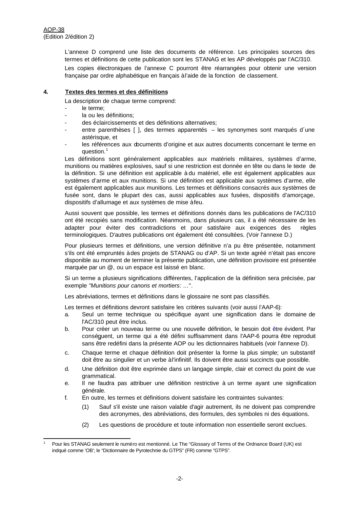l

L'annexe D comprend une liste des documents de référence. Les principales sources des termes et définitions de cette publication sont les STANAG et les AP développés par l'AC/310.

Les copies électroniques de l'annexe C pourront être réarrangées pour obtenir une version française par ordre alphabétique en français à l'aide de la fonction de classement.

#### **4. Textes des termes et des définitions**

La description de chaque terme comprend:

- le terme;
- la ou les définitions;
- des éclaircissements et des définitions alternatives;
- entre parenthèses [ ], des termes apparentés les synonymes sont marqués d'une astérisque, et
- les références aux documents d'origine et aux autres documents concernant le terme en question.<sup>1</sup>

Les définitions sont généralement applicables aux matériels militaires, systèmes d'arme, munitions ou matières explosives, sauf si une restriction est donnée en tête ou dans le texte de la définition. Si une définition est applicable à du matériel, elle est également applicables aux systèmes d'arme et aux munitions. Si une définition est applicable aux systèmes d'arme, elle est également applicables aux munitions. Les termes et définitions consacrés aux systèmes de fusée sont, dans le plupart des cas, aussi applicables aux fusées, dispositifs d'amorçage, dispositifs d'allumage et aux systèmes de mise à feu.

Aussi souvent que possible, les termes et définitions donnés dans les publications de l'AC/310 ont été recopiés sans modification. Néanmoins, dans plusieurs cas, il a été nécessaire de les adapter pour éviter des contradictions et pour satisfaire aux exigences des règles terminologiques. D'autres publications ont également été consultées. (Voir l'annexe D.)

Pour plusieurs termes et définitions, une version définitive n'a pu être présentée, notamment s'ils ont été empruntés à des projets de STANAG ou d'AP. Si un texte agréé n'était pas encore disponible au moment de terminer la présente publication, une définition provisoire est présentée marquée par un @, ou un espace est laissé en blanc.

Si un terme a plusieurs significations différentes, l'application de la définition sera précisée, par exemple *"Munitions pour canons et mortiers: ...*".

Les abréviations, termes et définitions dans le glossaire ne sont pas classifiés.

Les termes et définitions devront satisfaire les critères suivants (voir aussi l'AAP-6):

- a. Seul un terme technique ou spécifique ayant une signification dans le domaine de l'AC/310 peut être inclus.
- b. Pour créer un nouveau terme ou une nouvelle définition, le besoin doit être évident. Par conséquent, un terme qui a été défini suffisamment dans l'AAP-6 pourra être reproduit sans être redéfini dans la présente AOP ou les dictionnaires habituels (voir l'annexe D).
- c. Chaque terme et chaque définition doit présenter la forme la plus simple; un substantif doit être au singulier et un verbe à l'infinitif. Ils doivent être aussi succincts que possible.
- d. Une définition doit être exprimée dans un langage simple, clair et correct du point de vue grammatical.
- e. Il ne faudra pas attribuer une définition restrictive à un terme ayant une signification générale.
- f. En outre, les termes et définitions doivent satisfaire les contraintes suivantes:
	- (1) Sauf s'il existe une raison valable d'agir autrement, ils ne doivent pas comprendre des acronymes, des abréviations, des formules, des symboles ni des équations.
	- (2) Les questions de procédure et toute information non essentielle seront exclues.

Pour les STANAG seulement le numéro est mentionné. Le The "Glossary of Terms of the Ordnance Board (UK) est indqué comme 'OB'; le "Dictionnaire de Pyrotechnie du GTPS" (FR) comme "GTPS".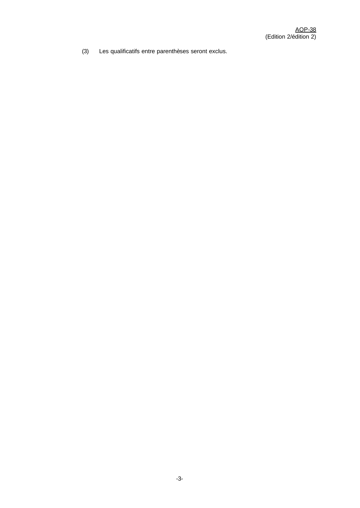(3) Les qualificatifs entre parenthèses seront exclus.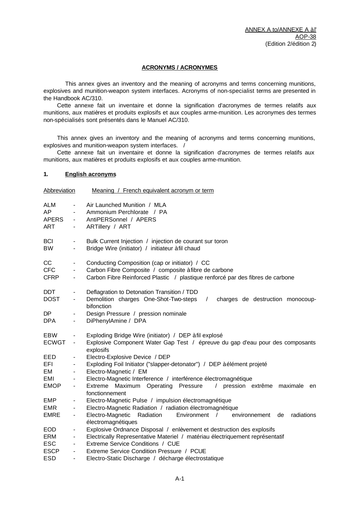#### **ACRONYMS / ACRONYMES**

This annex gives an inventory and the meaning of acronyms and terms concerning munitions, explosives and munition-weapon system interfaces. Acronyms of non-specialist terms are presented in the Handbook AC/310.

Cette annexe fait un inventaire et donne la signification d'acronymes de termes relatifs aux munitions, aux matières et produits explosifs et aux couples arme-munition. Les acronymes des termes non-spécialisés sont présentés dans le Manuel AC/310.

This annex gives an inventory and the meaning of acronyms and terms concerning munitions, explosives and munition-weapon system interfaces. /

Cette annexe fait un inventaire et donne la signification d'acronymes de termes relatifs aux munitions, aux matières et produits explosifs et aux couples arme-munition.

#### **1. English acronyms**

| Abbreviation                     |                                                               | Meaning / French equivalent acronym or term                                                                                                                                               |
|----------------------------------|---------------------------------------------------------------|-------------------------------------------------------------------------------------------------------------------------------------------------------------------------------------------|
| ALM<br>AP<br><b>APERS</b><br>ART | $\blacksquare$<br>$\sim 100$<br>$\sim 100$<br>$\sim$ 10 $\pm$ | Air Launched Munition / MLA<br>Ammonium Perchlorate / PA<br>AntiPERSonnel / APERS<br>ARTillery / ART                                                                                      |
| <b>BCI</b><br><b>BW</b>          | $\qquad \qquad \blacksquare$<br>$\blacksquare$                | Bulk Current Injection / injection de courant sur toron<br>Bridge Wire (initiator) / initiateur à fil chaud                                                                               |
| cc<br><b>CFC</b><br><b>CFRP</b>  | $\blacksquare$<br>$\blacksquare$<br>$\blacksquare$            | Conducting Composition (cap or initiator) / CC<br>Carbon Fibre Composite / composite à fibre de carbone<br>Carbon Fibre Reinforced Plastic / plastique renforcé par des fibres de carbone |
| <b>DDT</b><br><b>DOST</b>        | $\qquad \qquad \blacksquare$<br>$\blacksquare$                | Deflagration to Detonation Transition / TDD<br>Demolition charges One-Shot-Two-steps<br>$\sqrt{2}$<br>charges de destruction monocoup-<br>bifonction                                      |
| DP<br><b>DPA</b>                 | $\blacksquare$<br>$\sim$                                      | Design Pressure / pression nominale<br>DiPhenylAmine / DPA                                                                                                                                |
| EBW<br><b>ECWGT</b>              | $\blacksquare$<br>$\blacksquare$                              | Exploding Bridge Wire (initiator) / DEP à fil explosé<br>Explosive Component Water Gap Test / épreuve du gap d'eau pour des composants<br>explosifs                                       |
| EED                              | $\qquad \qquad \blacksquare$                                  | Electro-Explosive Device / DEP                                                                                                                                                            |
| <b>EFI</b>                       | $\blacksquare$                                                | Exploding Foil Initiator ("slapper-detonator") / DEP à élément projeté                                                                                                                    |
| EM                               | $\overline{\phantom{a}}$                                      | Electro-Magnetic / EM                                                                                                                                                                     |
| EMI                              | $\overline{\phantom{a}}$                                      | Electro-Magnetic Interference / interférence électromagnétique                                                                                                                            |
| <b>EMOP</b>                      | $\blacksquare$                                                | Maximum Operating Pressure<br>pression extrême<br>$\sqrt{2}$<br>Extreme<br>maximale<br>en<br>fonctionnement                                                                               |
| <b>EMP</b>                       | $\overline{\phantom{a}}$                                      | Electro-Magnetic Pulse / impulsion électromagnétique                                                                                                                                      |
| <b>EMR</b>                       | $\blacksquare$                                                | Electro-Magnetic Radiation / radiation électromagnétique                                                                                                                                  |
| <b>EMRE</b>                      | $\blacksquare$                                                | Electro-Magnetic<br>Radiation<br>Environment<br>radiations<br>$\sqrt{ }$<br>de<br>environnement<br>électromagnétiques                                                                     |
| <b>EOD</b>                       | $\blacksquare$                                                | Explosive Ordnance Disposal / enlèvement et destruction des explosifs                                                                                                                     |
| ERM                              | $\blacksquare$                                                | Electrically Representative Materiel / matériau électriquement représentatif                                                                                                              |
| <b>ESC</b>                       | $\blacksquare$                                                | Extreme Service Conditions / CUE                                                                                                                                                          |
| <b>ESCP</b>                      | $\overline{\phantom{a}}$                                      | Extreme Service Condition Pressure / PCUE                                                                                                                                                 |
| <b>ESD</b>                       | $\blacksquare$                                                | Electro-Static Discharge / décharge électrostatique                                                                                                                                       |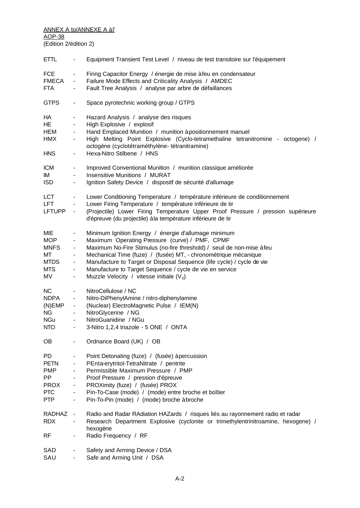#### <u>ANNEX A to/ANNEXE A àI'</u> AOP-38

(Edition 2/édition 2)

| <b>ETTL</b>                                                                      | $\blacksquare$                                                                          | Equipment Transient Test Level / niveau de test transitoire sur l'équipement                                                                                                                                                                                                                                                                                                                                                            |
|----------------------------------------------------------------------------------|-----------------------------------------------------------------------------------------|-----------------------------------------------------------------------------------------------------------------------------------------------------------------------------------------------------------------------------------------------------------------------------------------------------------------------------------------------------------------------------------------------------------------------------------------|
| <b>FCE</b><br><b>FMECA</b><br><b>FTA</b>                                         | $\blacksquare$<br>$\blacksquare$<br>۰                                                   | Firing Capacitor Energy / énergie de mise à feu en condensateur<br>Failure Mode Effects and Criticality Analysis / AMDEC<br>Fault Tree Analysis / analyse par arbre de défaillances                                                                                                                                                                                                                                                     |
| <b>GTPS</b>                                                                      | $\overline{\phantom{a}}$                                                                | Space pyrotechnic working group / GTPS                                                                                                                                                                                                                                                                                                                                                                                                  |
| НA<br>HE<br>HEM<br><b>HMX</b><br><b>HNS</b>                                      | $\overline{\phantom{a}}$<br>$\blacksquare$<br>۰.<br>۰.<br>$\blacksquare$                | Hazard Analysis / analyse des risques<br>High Explosive / explosif<br>Hand Emplaced Munition / munition à positionnement manuel<br>High Melting Point Explosive (Cyclo-tetramethaline tetranitromine - octogene) /<br>octogène (cyclotétraméthylène- tétranitramine)<br>Hexa-Nitro Stilbene / HNS                                                                                                                                       |
| <b>ICM</b><br>IМ<br><b>ISD</b>                                                   | ۰<br>$\blacksquare$<br>$\blacksquare$                                                   | Improved Conventional Munition / munition classique améliorée<br>Insensitive Munitions / MURAT<br>Ignition Safety Device / dispositf de sécurité d'allumage                                                                                                                                                                                                                                                                             |
| <b>LCT</b><br>LFT<br><b>LFTUPP</b>                                               | $\blacksquare$<br>$\blacksquare$<br>$\blacksquare$                                      | Lower Conditioning Temperature / température inférieure de conditionnement<br>Lower Firing Temperature / température inférieure de tir<br>(Projectile) Lower Firing Temperature Upper Proof Pressure / pression supérieure<br>d'épreuve (du projectile) à la température inférieure de tir                                                                                                                                              |
| MIE<br><b>MOP</b><br><b>MNFS</b><br>МT<br><b>MTDS</b><br>MTS<br>MV               | $\blacksquare$<br>$\blacksquare$<br>$\blacksquare$<br>۰.<br>۰.<br>۰<br>$\blacksquare$   | Minimum Ignition Energy / énergie d'allumage minimum<br>Maximum Operating Pressure (curve) / PMF, CPMF<br>Maximum No-Fire Stimulus (no-fire threshold) / seuil de non-mise à feu<br>Mechanical Time (fuze) / (fusée) MT, - chronométrique mécanique<br>Manufacture to Target or Disposal Sequence (life cycle) / cycle de vie<br>Manufacture to Target Sequence / cycle de vie en service<br>Muzzle Velocity / vitesse initiale $(V_0)$ |
| <b>NC</b><br><b>NDPA</b><br>(N)EMP<br>NG<br><b>NGu</b><br><b>NTO</b>             | ۰<br>$\blacksquare$<br>$\blacksquare$<br>$\blacksquare$<br>$\qquad \qquad \blacksquare$ | NitroCellulose / NC<br>Nitro-DiPhenylAmine / nitro-diphenylamine<br>(Nuclear) ElectroMagnetic Pulse / IEM(N)<br>NitroGlycerine / NG<br>NitroGuanidine / NGu<br>3-Nitro 1,2,4 triazole - 5 ONE / ONTA                                                                                                                                                                                                                                    |
| OB.                                                                              |                                                                                         | Ordnance Board (UK) / OB                                                                                                                                                                                                                                                                                                                                                                                                                |
| PD<br><b>PETN</b><br><b>PMP</b><br>PP<br><b>PROX</b><br><b>PTC</b><br><b>PTP</b> | $\blacksquare$                                                                          | Point Detonating (fuze) / (fusée) à percussion<br>PEnta-erytritol-TetraNitrate / pentrite<br>Permissible Maximum Pressure / PMP<br>Proof Pressure / pression d'épreuve<br>PROXimity (fuze) / (fusée) PROX<br>Pin-To-Case (mode) / (mode) entre broche et boîtier<br>Pin-To-Pin (mode) / (mode) broche àbroche                                                                                                                           |
| RADHAZ<br><b>RDX</b><br><b>RF</b>                                                |                                                                                         | Radio and Radar RAdiation HAZards / risques liés au rayonnement radio et radar<br>Research Department Explosive (cyclonite or trimethylentrinitroamine, hexogene) /<br>hexogène<br>Radio Frequency / RF                                                                                                                                                                                                                                 |
| SAD<br>SAU                                                                       |                                                                                         | Safety and Arming Device / DSA<br>Safe and Arming Unit / DSA                                                                                                                                                                                                                                                                                                                                                                            |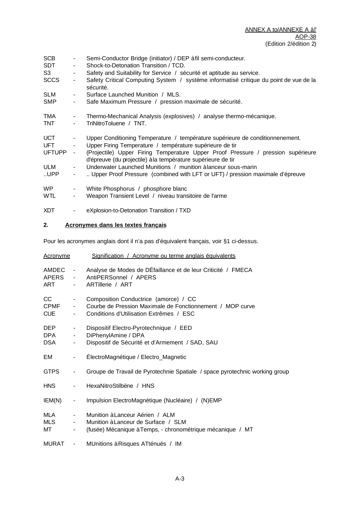| SCB            |                          | Semi-Conductor Bridge (initiator) / DEP à fil semi-conducteur.                                                                                   |
|----------------|--------------------------|--------------------------------------------------------------------------------------------------------------------------------------------------|
| SDT            | $\blacksquare$           | Shock-to-Detonation Transition / TCD.                                                                                                            |
| S <sub>3</sub> | ۰                        | Safety and Suitability for Service / sécurité et aptitude au service.                                                                            |
| <b>SCCS</b>    | $\blacksquare$           | Safety Critical Computing System / système informatisé critique du point de vue de la<br>sécurité.                                               |
| <b>SLM</b>     | ۰.                       | Surface Launched Munition / MLS.                                                                                                                 |
| SMP            |                          | Safe Maximum Pressure / pression maximale de sécurité.                                                                                           |
| TMA            | $\blacksquare$           | Thermo-Mechanical Analysis (explosives) / analyse thermo-mécanique.                                                                              |
| <b>TNT</b>     | $\overline{\phantom{a}}$ | TriNitroToluene / TNT.                                                                                                                           |
| <b>UCT</b>     |                          | Upper Conditioning Temperature / température supérieure de conditionnenement.                                                                    |
| <b>UFT</b>     |                          | Upper Firing Temperature / température supérieure de tir                                                                                         |
| <b>UFTUPP</b>  |                          | (Projectile) Upper Firing Temperature Upper Proof Pressure / pression supérieure<br>d'épreuve (du projectile) à la température supérieure de tir |
| ULM            | $\sim 100$               | Underwater Launched Munitions / munition à lanceur sous-marin                                                                                    |
| UPP            | ٠                        | Upper Proof Pressure (combined with LFT or UFT) / pression maximale d'épreuve                                                                    |
| WP.            | $\blacksquare$           | White Phosphorus / phosphore blanc                                                                                                               |
| <b>WTL</b>     | -                        | Weapon Transient Level / niveau transitoire de l'arme                                                                                            |
| <b>XDT</b>     | ٠                        | eXplosion-to-Detonation Transition / TXD                                                                                                         |

# **2. Acronymes dans les textes français**

Pour les acronymes anglais dont il n'a pas d'équivalent français, voir §1 ci-dessus.

| <b>Acronyme</b>                  |                                                    | Signification / Acronyme ou terme anglais équivalents                                                                                         |
|----------------------------------|----------------------------------------------------|-----------------------------------------------------------------------------------------------------------------------------------------------|
| AMDEC<br>APERS<br>ART            | $\sim$<br>$\sim 100$<br>$\blacksquare$             | Analyse de Modes de DÉfaillance et de leur Criticité / FMECA<br>AntiPERSonnel / APERS<br>ARTillerie / ART                                     |
| CC.<br><b>CPMF</b><br><b>CUE</b> | $\blacksquare$<br>$\sim$<br>$\sim$                 | Composition Conductrice (amorce) / CC<br>Courbe de Pression Maximale de Fonctionnement / MOP curve<br>Conditions d'Utilisation Extrêmes / ESC |
| DEP.<br><b>DPA</b><br>DSA.       | $\blacksquare$<br>$\blacksquare$<br>$\blacksquare$ | Dispositif Electro-Pyrotechnique / EED<br>DiPhenylAmine / DPA<br>Dispositif de Sécurité et d'Armement / SAD, SAU                              |
| EM                               | $\blacksquare$                                     | ÉlectroMagnétique / Electro_Magnetic                                                                                                          |
| <b>GTPS</b>                      | $\frac{1}{2}$                                      | Groupe de Travail de Pyrotechnie Spatiale / space pyrotechnic working group                                                                   |
| HNS.                             | $\blacksquare$                                     | HexaNitroStilbène / HNS                                                                                                                       |
| IEM(N)                           | $\blacksquare$                                     | Impulsion ElectroMagnétique (Nucléaire) / (N)EMP                                                                                              |
| MLA<br>MLS<br>MT                 | $\blacksquare$<br>$\sim 100$<br>$\blacksquare$     | Munition à Lanceur Aérien / ALM<br>Munition à Lanceur de Surface / SLM<br>(fusée) Mécanique à Temps, - chronométrique mécanique / MT          |
| <b>MURAT</b>                     | $\overline{\phantom{a}}$                           | MUnitions à Risques ATténués / IM                                                                                                             |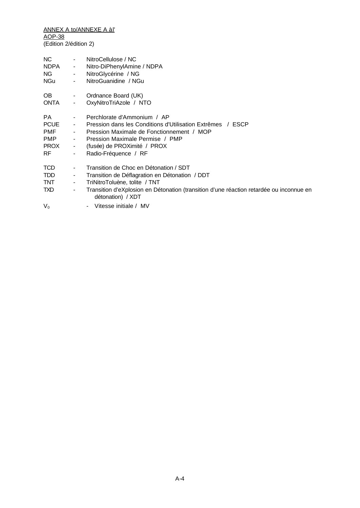| NC.                                     | $\sim 100$                                                   | NitroCellulose / NC                                                                                                                                                                                                                       |
|-----------------------------------------|--------------------------------------------------------------|-------------------------------------------------------------------------------------------------------------------------------------------------------------------------------------------------------------------------------------------|
| <b>NDPA</b>                             | $\sigma_{\rm{max}}$                                          | Nitro-DiPhenylAmine / NDPA                                                                                                                                                                                                                |
| NG.                                     | <b>Contractor</b>                                            | NitroGlycérine / NG                                                                                                                                                                                                                       |
| NGu                                     | $\sim 100$                                                   | NitroGuanidine / NGu                                                                                                                                                                                                                      |
| OB.                                     | $\sim$                                                       | Ordnance Board (UK)                                                                                                                                                                                                                       |
| ONTA                                    | $\blacksquare$                                               | OxyNitroTriAzole / NTO                                                                                                                                                                                                                    |
| PA.                                     | $\sim 100$                                                   | Perchlorate d'Ammonium / AP                                                                                                                                                                                                               |
| <b>PCUE</b>                             | $\sim 100$                                                   | Pression dans les Conditions d'Utilisation Extrêmes / ESCP                                                                                                                                                                                |
| <b>PMF</b>                              | $\sim 100$                                                   | Pression Maximale de Fonctionnement / MOP                                                                                                                                                                                                 |
| <b>PMP</b>                              | $\sim 100$                                                   | Pression Maximale Permise / PMP                                                                                                                                                                                                           |
| <b>PROX</b>                             | $\sigma_{\rm{max}}$                                          | (fusée) de PROXimité / PROX                                                                                                                                                                                                               |
| <b>RF</b>                               | $\blacksquare$                                               | Radio-Fréquence / RF                                                                                                                                                                                                                      |
| <b>TCD</b><br><b>TDD</b><br>TNT.<br>TXD | $\blacksquare$<br>$\sim$<br>$\blacksquare$<br>$\blacksquare$ | Transition de Choc en Détonation / SDT<br>Transition de Déflagration en Détonation / DDT<br>TriNitroToluène, tolite / TNT<br>Transition d'eXplosion en Détonation (transition d'une réaction retardée ou inconnue en<br>détonation) / XDT |
| $V_0$                                   |                                                              | - Vitesse initiale / MV                                                                                                                                                                                                                   |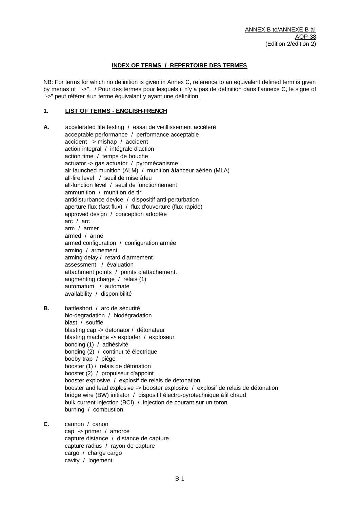#### **INDEX OF TERMS / REPERTOIRE DES TERMES**

NB: For terms for which no definition is given in Annex C, reference to an equivalent defined term is given by menas of "->". / Pour des termes pour lesquels il n'y a pas de définition dans l'annexe C, le signe of "->" peut référer à un terme équivalant y ayant une définition.

#### **1. LIST OF TERMS - ENGLISH-FRENCH**

- **A.** accelerated life testing / essai de vieillissement accéléré acceptable performance / performance acceptable accident -> mishap / accident action integral / intégrale d'action action time / temps de bouche actuator -> gas actuator / pyromécanisme air launched munition (ALM) / munition à lanceur aérien (MLA) all-fire level / seuil de mise à feu all-function level / seuil de fonctionnement ammunition / munition de tir antidisturbance device / dispositif anti-perturbation aperture flux (fast flux) / flux d'ouverture (flux rapide) approved design / conception adoptée arc / arc arm / armer armed / armé armed configuration / configuration armée arming / armement arming delay / retard d'armement assessment / évaluation attachment points / points d'attachement. augmenting charge / relais (1) automatum / automate availability / disponibilité **B.** battleshort / arc de sécurité bio-degradation / biodégradation blast / souffle blasting cap -> detonator / détonateur blasting machine -> exploder / exploseur bonding (1) / adhésivité bonding (2) / continuï té électrique booby trap / piège booster (1) / relais de détonation booster (2) / propulseur d'appoint booster explosive / explosif de relais de détonation booster and lead explosive -> booster explosive / explosif de relais de détonation bridge wire (BW) initiator / dispositif électro-pyrotechnique à fil chaud bulk current injection (BCI) / injection de courant sur un toron burning / combustion **C.** cannon / canon
	- cap -> primer / amorce capture distance / distance de capture capture radius / rayon de capture cargo / charge cargo cavity / logement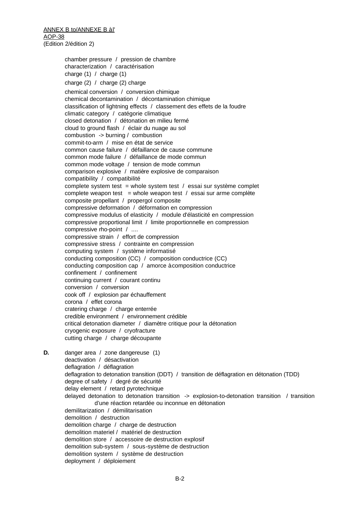chamber pressure / pression de chambre characterization / caractérisation charge  $(1)$  / charge  $(1)$ charge (2) / charge (2) charge chemical conversion / conversion chimique chemical decontamination / décontamination chimique classification of lightning effects / classement des effets de la foudre climatic category / catégorie climatique closed detonation / détonation en milieu fermé cloud to ground flash / éclair du nuage au sol combustion -> burning / combustion commit-to-arm / mise en état de service common cause failure / défaillance de cause commune common mode failure / défaillance de mode commun common mode voltage / tension de mode commun comparison explosive / matière explosive de comparaison compatibility / compatibilité complete system test = whole system test / essai sur système complet complete weapon test = whole weapon test / essai sur arme complète composite propellant / propergol composite compressive deformation / déformation en compression compressive modulus of elasticity / module d'élasticité en compression compressive proportional limit / limite proportionnelle en compression compressive rho-point / .... compressive strain / effort de compression compressive stress / contrainte en compression computing system / système informatisé conducting composition (CC) / composition conductrice (CC) conducting composition cap / amorce à composition conductrice confinement / confinement continuing current / courant continu conversion / conversion cook off / explosion par échauffement corona / effet corona cratering charge / charge enterrée credible environment / environnement crédible critical detonation diameter / diamètre critique pour la détonation cryogenic exposure / cryofracture cutting charge / charge découpante **D.** danger area / zone dangereuse (1)

deactivation / désactivation deflagration / déflagration deflagration to detonation transition (DDT) / transition de déflagration en détonation (TDD) degree of safety / degré de sécurité delay element / retard pyrotechnique delayed detonation to detonation transition -> explosion-to-detonation transition / transition d'une réaction retardée ou inconnue en détonation demilitarization / démilitarisation demolition / destruction demolition charge / charge de destruction demolition materiel / matériel de destruction demolition store / accessoire de destruction explosif demolition sub-system / sous-système de destruction demolition system / système de destruction deployment / déploiement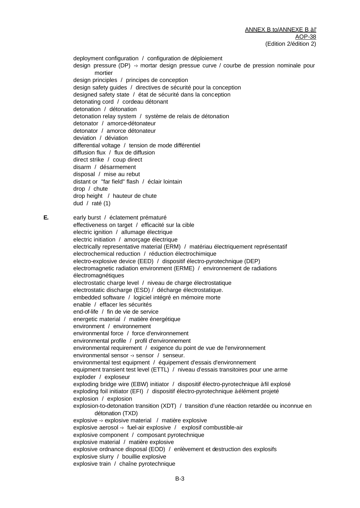deployment configuration / configuration de déploiement design pressure (DP) -› mortar design pressue curve / courbe de pression nominale pour mortier design principles / principes de conception design safety guides / directives de sécurité pour la conception designed safety state / état de sécurité dans la conception detonating cord / cordeau détonant detonation / détonation detonation relay system / système de relais de détonation detonator / amorce-détonateur detonator / amorce détonateur deviation / déviation differential voltage / tension de mode différentiel diffusion flux / flux de diffusion direct strike / coup direct disarm / désarmement disposal / mise au rebut distant or "far field" flash / éclair lointain drop / chute drop height / hauteur de chute dud / raté (1) **E.** early burst / éclatement prématuré effectiveness on target / efficacité sur la cible electric ignition / allumage électrique electric initiation / amorçage électrique electrically representative material (ERM) / matériau électriquement représentatif electrochemical reduction / réduction électrochimique electro-explosive device (EED) / dispositif électro-pyrotechnique (DEP) electromagnetic radiation environment (ERME) / environnement de radiations électromagnétiques electrostatic charge level / niveau de charge électrostatique electrostatic discharge (ESD) / décharge électrostatique. embedded software / logiciel intégré en mémoire morte enable / effacer les sécurités end-of-life / fin de vie de service energetic material / matière énergétique environment / environnement environmental force / force d'environnement environmental profile / profil d'environnement environmental requirement / exigence du point de vue de l'environnement environmental sensor -› sensor / senseur. environmental test equipment / équipement d'essais d'environnement equipment transient test level (ETTL) / niveau d'essais transitoires pour une arme exploder / exploseur exploding bridge wire (EBW) initiator / dispositif électro-pyrotechnique à fil explosé exploding foil initiator (EFI) / dispositif électro-pyrotechnique à élément projeté explosion / explosion explosion-to-detonation transition (XDT) / transition d'une réaction retardée ou inconnue en détonation (TXD) explosive -› explosive material / matière explosive explosive aerosol -› fuel-air explosive / explosif combustible-air explosive component / composant pyrotechnique explosive material / matière explosive explosive ordnance disposal (EOD) / enlèvement et destruction des explosifs explosive slurry / bouillie explosive

explosive train / chaîne pyrotechnique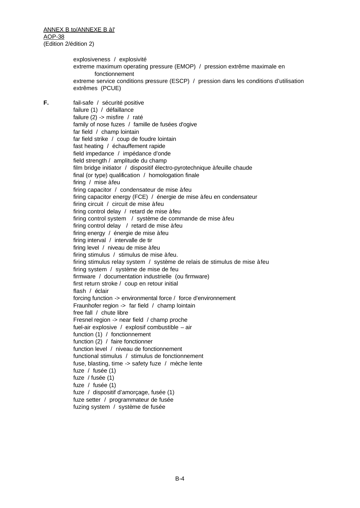explosiveness / explosivité extreme maximum operating pressure (EMOP) / pression extrême maximale en fonctionnement extreme service conditions pressure (ESCP) / pression dans les conditions d'utilisation extrêmes (PCUE)

**F.** fail-safe / sécurité positive failure (1) / défaillance failure (2) -> misfire / raté family of nose fuzes / famille de fusées d'ogive far field / champ lointain far field strike / coup de foudre lointain fast heating / échauffement rapide field impedance / impédance d'onde field strength / amplitude du champ film bridge initiator / dispositif électro-pyrotechnique à feuille chaude final (or type) qualification / homologation finale firing / mise à feu firing capacitor / condensateur de mise à feu firing capacitor energy (FCE) / énergie de mise à feu en condensateur firing circuit / circuit de mise à feu firing control delay / retard de mise à feu firing control system / système de commande de mise à feu firing control delay / retard de mise à feu firing energy / énergie de mise à feu firing interval / intervalle de tir firing level / niveau de mise à feu firing stimulus / stimulus de mise à feu. firing stimulus relay system / système de relais de stimulus de mise à feu firing system / système de mise de feu firmware / documentation industrielle (ou firmware) first return stroke / coup en retour initial flash / éclair forcing function -> environmental force / force d'environnement Fraunhofer region -> far field / champ lointain free fall / chute libre Fresnel region -> near field / champ proche fuel-air explosive / explosif combustible – air function (1) / fonctionnement function (2) / faire fonctionner function level / niveau de fonctionnement functional stimulus / stimulus de fonctionnement fuse, blasting, time -> safety fuze / mèche lente fuze / fusée (1) fuze / fusée (1) fuze / fusée (1) fuze / dispositif d'amorçage, fusée (1) fuze setter / programmateur de fusée fuzing system / système de fusée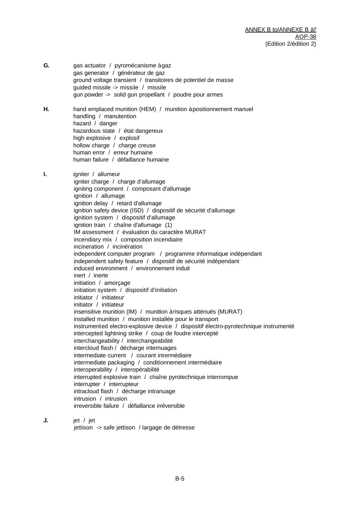- **G.** gas actuator / pyromécanisme à gaz gas generator / générateur de gaz ground voltage transient / transitoires de potentiel de masse guided missile -> missile / missile gun powder -> solid gun propellant / poudre pour armes **H.** hand emplaced munition (HEM) / munition à positionnement manuel handling / manutention hazard / danger hazardous state / état dangereux high explosive / explosif hollow charge / charge creuse human error / erreur humaine human failure / défaillance humaine **I.** igniter / allumeur igniter charge / charge d'allumage igniting component / composant d'allumage ignition / allumage ignition delay / retard d'allumage ignition safety device (ISD) / dispositif de sécurité d'allumage ignition system / dispositif d'allumage ignition train / chaîne d'allumage (1) IM assessment / évaluation du caractère MURAT incendiary mix / composition incendiaire incineration / incinération independent computer program / programme informatique indépendant independent safety feature / dispositif de sécurité indépendant induced environment / environnement induit inert / inerte initiation / amorçage initiation system / dispositif d'initiation initiator / initiateur initiator / initiateur insensitive munition (IM) / munition à risques atténués (MURAT) installed munition / munition installée pour le transport instrumented electro-explosive device / dispositif électro-pyrotechnique instrumenté intercepted lightning strike / coup de foudre intercepté interchangeability / interchangeabilité intercloud flash / décharge internuages intermediate current / courant intermédiaire intermediate packaging / conditionnement intermédiaire interoperability / interopérabilité interrupted explosive train / chaîne pyrotechnique interrompue interrupter / interrupteur intracloud flash / décharge intranuage intrusion / intrusion irreversible failure / défaillance irréversible **J.** jet / jet
	- jettison -> safe jettison / largage de détresse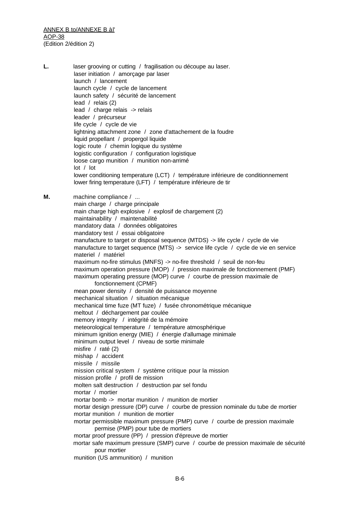L. laser grooving or cutting / fragilisation ou découpe au laser. laser initiation / amorçage par laser launch / lancement launch cycle / cycle de lancement launch safety / sécurité de lancement lead / relais (2) lead / charge relais -> relais leader / précurseur life cycle / cycle de vie lightning attachment zone / zone d'attachement de la foudre liquid propellant / propergol liquide logic route / chemin logique du système logistic configuration / configuration logistique loose cargo munition / munition non-arrimé lot / lot lower conditioning temperature (LCT) / température inférieure de conditionnement lower firing temperature (LFT) / température inférieure de tir **M.** machine compliance / ... main charge / charge principale main charge high explosive / explosif de chargement (2) maintainability / maintenabilité mandatory data / données obligatoires mandatory test / essai obligatoire manufacture to target or disposal sequence (MTDS) -> life cycle / cycle de vie manufacture to target sequence (MTS) -> service life cycle / cycle de vie en service materiel / matériel maximum no-fire stimulus (MNFS) -> no-fire threshold / seuil de non-feu maximum operation pressure (MOP) / pression maximale de fonctionnement (PMF) maximum operating pressure (MOP) curve / courbe de pression maximale de fonctionnement (CPMF) mean power density / densité de puissance moyenne mechanical situation / situation mécanique mechanical time fuze (MT fuze) / fusée chronométrique mécanique meltout / déchargement par coulée memory integrity / intégrité de la mémoire meteorological temperature / température atmosphérique minimum ignition energy (MIE) / énergie d'allumage minimale minimum output level / niveau de sortie minimale misfire / raté (2) mishap / accident missile / missile mission critical system / système critique pour la mission mission profile / profil de mission molten salt destruction / destruction par sel fondu mortar / mortier mortar bomb -> mortar munition / munition de mortier mortar design pressure (DP) curve / courbe de pression nominale du tube de mortier mortar munition / munition de mortier mortar permissible maximum pressure (PMP) curve / courbe de pression maximale permise (PMP) pour tube de mortiers mortar proof pressure (PP) / pression d'épreuve de mortier mortar safe maximum pressure (SMP) curve / courbe de pression maximale de sécurité pour mortier munition (US ammunition) / munition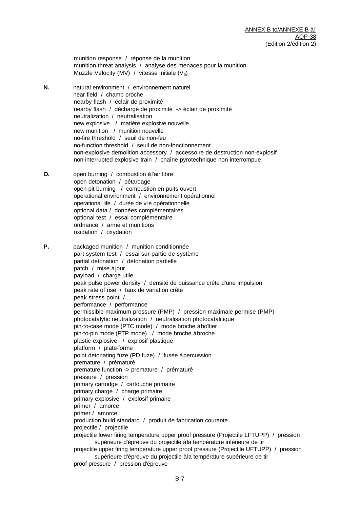munition response / réponse de la munition munition threat analysis / analyse des menaces pour la munition Muzzle Velocity (MV) / vitesse initiale ( $V_0$ )

- **N.** natural environment / environnement naturel near field / champ proche nearby flash / éclair de proximité nearby flash / décharge de proximité -> éclair de proximité neutralization / neutralisation new explosive / matière explosive nouvelle. new munition / munition nouvelle no-fire threshold / seuil de non-feu no-function threshold / seuil de non-fonctionnement non-explosive demolition accessory / accessoire de destruction non-explosif non-interrupted explosive train / chaîne pyrotechnique non interrompue
- **O.** open burning / combustion à l'air libre open detonation / pétardage open-pit burning / combustion en puits ouvert operational environment / environnement opérationnel operational life / durée de vie opérationnelle optional data / données complémentaires optional test / essai complémentaire ordnance / arme et munitions oxidation / oxydation
- **P.** packaged munition / munition conditionnée part system test / essai sur partie de système partial detonation / détonation partielle patch / mise à jour payload / charge utile peak pulse power density / densité de puissance crête d'une impulsion peak rate of rise / taux de variation crête peak stress point / ... performance / performance permissible maximum pressure (PMP) / pression maximale permise (PMP) photocatalytic neutralization / neutralisation photocatalitique pin-to-case mode (PTC mode) / mode broche à boîtier pin-to-pin mode (PTP mode) / mode broche à broche plastic explosive / explosif plastique platform / plate-forme point detonating fuze (PD fuze) / fusée à percussion premature / prématuré premature function -> premature / prématuré pressure / pression primary cartridge / cartouche primaire primary charge / charge primaire primary explosive / explosif primaire primer / amorce primer / amorce production build standard / produit de fabrication courante projectile / projectile projectile lower firing temperature upper proof pressure (Projectile LFTUPP) / pression supérieure d'épreuve du projectile à la température inférieure de tir projectile upper firing temperature upper proof pressure (Projectile UFTUPP) / pression supérieure d'épreuve du projectile à la température supérieure de tir proof pressure / pression d'épreuve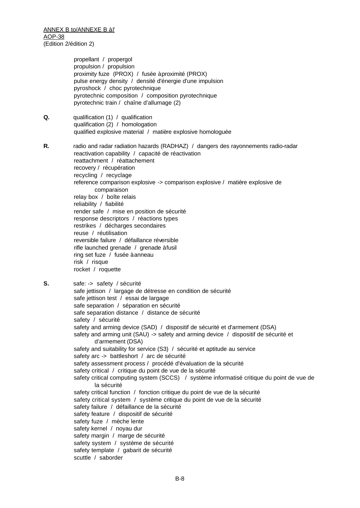> propellant / propergol propulsion / propulsion proximity fuze (PROX) / fusée à proximité (PROX) pulse energy density / densité d'énergie d'une impulsion pyroshock / choc pyrotechnique pyrotechnic composition / composition pyrotechnique pyrotechnic train / chaîne d'allumage (2)

**Q.** qualification (1) / qualification qualification (2) / homologation qualified explosive material / matière explosive homologuée

**R.** radio and radar radiation hazards (RADHAZ) / dangers des rayonnements radio-radar reactivation capability / capacité de réactivation reattachment / réattachement recovery / récupération recycling / recyclage reference comparison explosive -> comparison explosive / matière explosive de comparaison relay box / boîte relais reliability / fiabilité render safe / mise en position de sécurité response descriptors / réactions types restrikes / décharges secondaires reuse / réutilisation reversible failure / défaillance réversible rifle launched grenade / grenade à fusil ring set fuze / fusée à anneau risk / risque rocket / roquette

**S.** safe: -> safety / sécurité safe jettison / largage de détresse en condition de sécurité safe jettison test / essai de largage safe separation / séparation en sécurité safe separation distance / distance de sécurité safety / sécurité safety and arming device (SAD) / dispositif de sécurité et d'armement (DSA) safety and arming unit (SAU) -> safety and arming device / dispositif de sécurité et d'armement (DSA) safety and suitability for service (S3) / sécurité et aptitude au service safety arc -> battleshort / arc de sécurité safety assessment process / procédé d'évaluation de la sécurité safety critical / critique du point de vue de la sécurité safety critical computing system (SCCS) / système informatisé critique du point de vue de la sécurité safety critical function / fonction critique du point de vue de la sécurité safety critical system / système critique du point de vue de la sécurité safety failure / défaillance de la sécurité safety feature / dispositif de sécurité safety fuze / mèche lente safety kernel / noyau dur safety margin / marge de sécurité safety system / système de sécurité safety template / gabarit de sécurité scuttle / saborder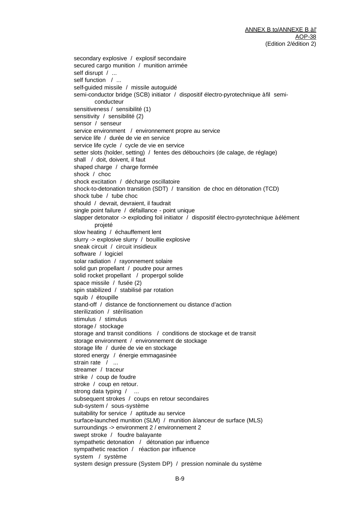secondary explosive / explosif secondaire secured cargo munition / munition arrimée self disrupt / ... self function / ... self-guided missile / missile autoguidé semi-conductor bridge (SCB) initiator / dispositif électro-pyrotechnique à fil semiconducteur sensitiveness / sensibilité (1) sensitivity / sensibilité (2) sensor / senseur service environment / environnement propre au service service life / durée de vie en service service life cycle / cycle de vie en service setter slots (holder, setting) / fentes des débouchoirs (de calage, de réglage) shall / doit, doivent, il faut shaped charge / charge formée shock / choc shock excitation / décharge oscillatoire shock-to-detonation transition (SDT) / transition de choc en détonation (TCD) shock tube / tube choc should / devrait, devraient, il faudrait single point failure / défaillance - point unique slapper detonator -> exploding foil initiator / dispositif électro-pyrotechnique à élément projeté slow heating / échauffement lent slurry -> explosive slurry / bouillie explosive sneak circuit / circuit insidieux software / logiciel solar radiation / rayonnement solaire solid gun propellant / poudre pour armes solid rocket propellant / propergol solide space missile / fusée (2) spin stabilized / stabilisé par rotation squib / étoupille stand-off / distance de fonctionnement ou distance d'action sterilization / stérilisation stimulus / stimulus storage / stockage storage and transit conditions / conditions de stockage et de transit storage environment / environnement de stockage storage life / durée de vie en stockage stored energy / énergie emmagasinée strain rate / ... streamer / traceur strike / coup de foudre stroke / coup en retour. strong data typing / ... subsequent strokes / coups en retour secondaires sub-system / sous-système suitability for service / aptitude au service surface-launched munition (SLM) / munition à lanceur de surface (MLS) surroundings -> environment 2 / environnement 2 swept stroke / foudre balayante sympathetic detonation / détonation par influence sympathetic reaction / réaction par influence system / système system design pressure (System DP) / pression nominale du système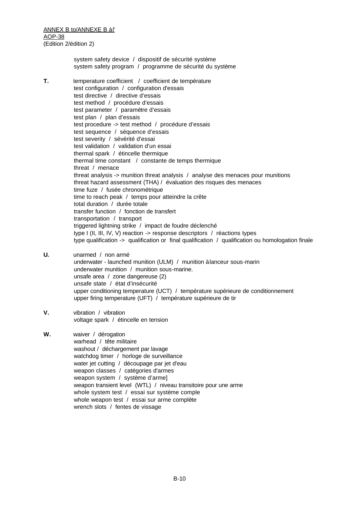> system safety device / dispositif de sécurité système system safety program / programme de sécurité du système

- **T.** temperature coefficient / coefficient de température test configuration / configuration d'essais test directive / directive d'essais test method / procédure d'essais test parameter / paramètre d'essais test plan / plan d'essais test procedure -> test method / procédure d'essais test sequence / séquence d'essais test severity / sévérité d'essai test validation / validation d'un essai thermal spark / étincelle thermique thermal time constant / constante de temps thermique threat / menace threat analysis -> munition threat analysis / analyse des menaces pour munitions threat hazard assessment (THA) / évaluation des risques des menaces time fuze / fusée chronométrique time to reach peak / temps pour atteindre la crête total duration / durée totale transfer function / fonction de transfert transportation / transport triggered lightning strike / impact de foudre déclenché type I (II, III, IV, V) reaction -> response descriptors / réactions types type qualification -> qualification or final qualification / qualification ou homologation finale
- **U.** unarmed / non armé underwater - launched munition (ULM) / munition à lanceur sous-marin underwater munition / munition sous-marine. unsafe area / zone dangereuse (2) unsafe state / état d'insécurité upper conditioning temperature (UCT) / température supérieure de conditionnement upper firing temperature (UFT) / température supérieure de tir
- **V.** vibration / vibration voltage spark / étincelle en tension
- **W.** waiver / dérogation warhead / tête militaire washout / déchargement par lavage watchdog timer / horloge de surveillance water jet cutting / découpage par jet d'eau weapon classes / catégories d'armes weapon system / système d'arme] weapon transient level (WTL) / niveau transitoire pour une arme whole system test / essai sur système comple whole weapon test / essai sur arme complète wrench slots / fentes de vissage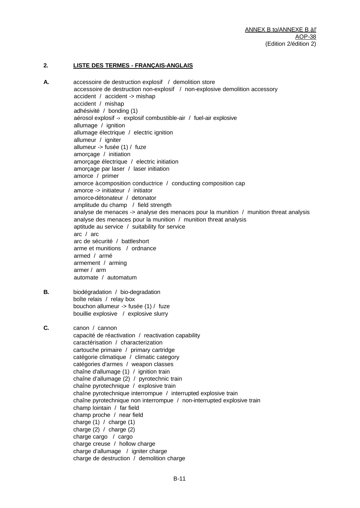#### **2. LISTE DES TERMES - FRANÇAIS-ANGLAIS**

**A.** accessoire de destruction explosif / demolition store accessoire de destruction non-explosif / non-explosive demolition accessory accident / accident -> mishap accident / mishap adhésivité / bonding (1) aérosol explosif -› explosif combustible-air / fuel-air explosive allumage / ignition allumage électrique / electric ignition allumeur / igniter allumeur -> fusée (1) / fuze amorçage / initiation amorçage électrique / electric initiation amorçage par laser / laser initiation amorce / primer amorce à composition conductrice / conducting composition cap amorce -> initiateur / initiator amorce-détonateur / detonator amplitude du champ / field strength analyse de menaces -> analyse des menaces pour la munition / munition threat analysis analyse des menaces pour la munition / munition threat analysis aptitude au service / suitability for service arc / arc arc de sécurité / battleshort arme et munitions / ordnance armed / armé armement / arming armer / arm automate / automatum **B.** biodégradation / bio-degradation boîte relais / relay box bouchon allumeur -> fusée (1) / fuze bouillie explosive / explosive slurry **C.** canon / cannon capacité de réactivation / reactivation capability caractérisation / characterization cartouche primaire / primary cartridge catégorie climatique / climatic category catégories d'armes / weapon classes chaîne d'allumage (1) / ignition train chaîne d'allumage (2) / pyrotechnic train chaîne pyrotechnique / explosive train chaîne pyrotechnique interrompue / interrupted explosive train chaîne pyrotechnique non interrompue / non-interrupted explosive train champ lointain / far field champ proche / near field charge (1) / charge (1) charge (2) / charge (2) charge cargo / cargo charge creuse / hollow charge charge d'allumage / igniter charge charge de destruction / demolition charge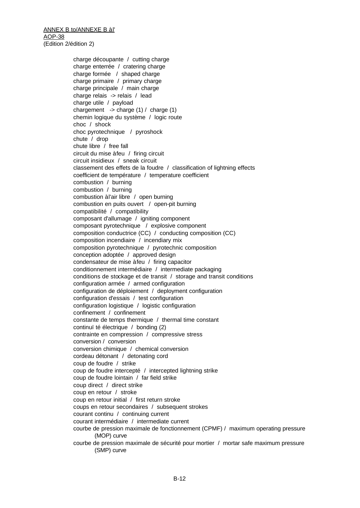> charge découpante / cutting charge charge enterrée / cratering charge charge formée / shaped charge charge primaire / primary charge charge principale / main charge charge relais -> relais / lead charge utile / payload chargement  $\rightarrow$  charge (1) / charge (1) chemin logique du système / logic route choc / shock choc pyrotechnique / pyroshock chute / drop chute libre / free fall circuit du mise à feu / firing circuit circuit insidieux / sneak circuit classement des effets de la foudre / classification of lightning effects coefficient de température / temperature coefficient combustion / burning combustion / burning combustion à l'air libre / open burning combustion en puits ouvert / open-pit burning compatibilité / compatibility composant d'allumage / igniting component composant pyrotechnique / explosive component composition conductrice (CC) / conducting composition (CC) composition incendiaire / incendiary mix composition pyrotechnique / pyrotechnic composition conception adoptée / approved design condensateur de mise à feu / firing capacitor conditionnement intermédiaire / intermediate packaging conditions de stockage et de transit / storage and transit conditions configuration armée / armed configuration configuration de déploiement / deployment configuration configuration d'essais / test configuration configuration logistique / logistic configuration confinement / confinement constante de temps thermique / thermal time constant continuï té électrique / bonding (2) contrainte en compression / compressive stress conversion / conversion conversion chimique / chemical conversion cordeau détonant / detonating cord coup de foudre / strike coup de foudre intercepté / intercepted lightning strike coup de foudre lointain / far field strike coup direct / direct strike coup en retour / stroke coup en retour initial / first return stroke coups en retour secondaires / subsequent strokes courant continu / continuing current courant intermédiaire / intermediate current courbe de pression maximale de fonctionnement (CPMF) / maximum operating pressure (MOP) curve courbe de pression maximale de sécurité pour mortier / mortar safe maximum pressure (SMP) curve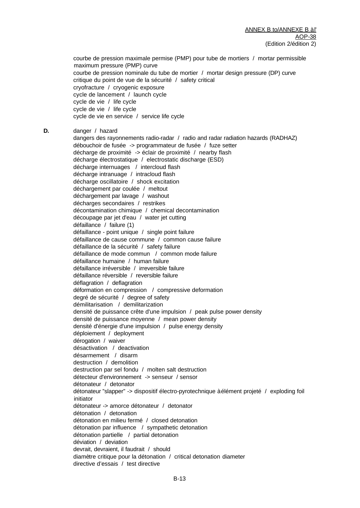courbe de pression maximale permise (PMP) pour tube de mortiers / mortar permissible maximum pressure (PMP) curve courbe de pression nominale du tube de mortier / mortar design pressure (DP) curve critique du point de vue de la sécurité / safety critical cryofracture / cryogenic exposure cycle de lancement / launch cycle cycle de vie / life cycle cycle de vie / life cycle cycle de vie en service / service life cycle

**D.** danger / hazard

dangers des rayonnements radio-radar / radio and radar radiation hazards (RADHAZ) débouchoir de fusée -> programmateur de fusée / fuze setter décharge de proximité -> éclair de proximité / nearby flash décharge électrostatique / electrostatic discharge (ESD) décharge internuages / intercloud flash décharge intranuage / intracloud flash décharge oscillatoire / shock excitation déchargement par coulée / meltout déchargement par lavage / washout décharges secondaires / restrikes décontamination chimique / chemical decontamination découpage par jet d'eau / water jet cutting défaillance / failure (1) défaillance - point unique / single point failure défaillance de cause commune / common cause failure défaillance de la sécurité / safety failure défaillance de mode commun / common mode failure défaillance humaine / human failure défaillance irréversible / irreversible failure défaillance réversible / reversible failure déflagration / deflagration déformation en compression / compressive deformation degré de sécurité / degree of safety démilitarisation / demilitarization densité de puissance crête d'une impulsion / peak pulse power density densité de puissance moyenne / mean power density densité d'énergie d'une impulsion / pulse energy density déploiement / deployment dérogation / waiver désactivation / deactivation désarmement / disarm destruction / demolition destruction par sel fondu / molten salt destruction détecteur d'environnement -> senseur / sensor détonateur / detonator détonateur "slapper" -> dispositif électro-pyrotechnique à élément projeté / exploding foil initiator détonateur -> amorce détonateur / detonator détonation / detonation détonation en milieu fermé / closed detonation détonation par influence / sympathetic detonation détonation partielle / partial detonation déviation / deviation devrait, devraient, il faudrait / should diamètre critique pour la détonation / critical detonation diameter directive d'essais / test directive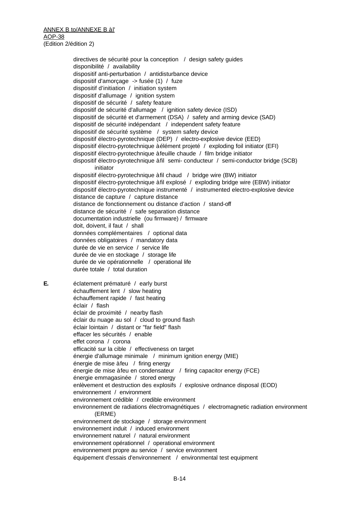directives de sécurité pour la conception / design safety guides disponibilité / availability dispositif anti-perturbation / antidisturbance device dispositif d'amorçage -> fusée (1) / fuze dispositif d'initiation / initiation system dispositif d'allumage / ignition system dispositif de sécurité / safety feature dispositif de sécurité d'allumage / ignition safety device (ISD) dispositif de sécurité et d'armement (DSA) / safety and arming device (SAD) dispositif de sécurité indépendant / independent safety feature dispositif de sécurité système / system safety device dispositif électro-pyrotechnique (DEP) / electro-explosive device (EED) dispositif électro-pyrotechnique à élément projeté / exploding foil initiator (EFI) dispositif électro-pyrotechnique à feuille chaude / film bridge initiator dispositif électro-pyrotechnique à fil semi- conducteur / semi-conductor bridge (SCB) initiator dispositif électro-pyrotechnique à fil chaud / bridge wire (BW) initiator dispositif électro-pyrotechnique à fil explosé / exploding bridge wire (EBW) initiator dispositif électro-pyrotechnique instrumenté / instrumented electro-explosive device distance de capture / capture distance distance de fonctionnement ou distance d'action / stand-off distance de sécurité / safe separation distance documentation industrielle (ou firmware) / firmware doit, doivent, il faut / shall données complémentaires / optional data données obligatoires / mandatory data durée de vie en service / service life durée de vie en stockage / storage life durée de vie opérationnelle / operational life durée totale / total duration **E.** éclatement prématuré / early burst échauffement lent / slow heating échauffement rapide / fast heating éclair / flash éclair de proximité / nearby flash éclair du nuage au sol / cloud to ground flash éclair lointain / distant or "far field" flash effacer les sécurités / enable effet corona / corona efficacité sur la cible / effectiveness on target énergie d'allumage minimale / minimum ignition energy (MIE) énergie de mise à feu / firing energy énergie de mise à feu en condensateur / firing capacitor energy (FCE) énergie emmagasinée / stored energy enlèvement et destruction des explosifs / explosive ordnance disposal (EOD) environnement / environment environnement crédible / credible environment environnement de radiations électromagnétiques / electromagnetic radiation environment (ERME) environnement de stockage / storage environment environnement induit / induced environment environnement naturel / natural environment environnement opérationnel / operational environment environnement propre au service / service environment équipement d'essais d'environnement / environmental test equipment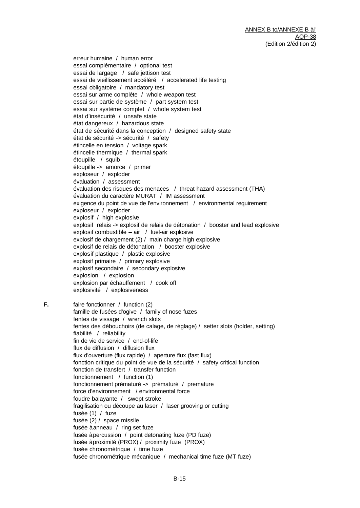erreur humaine / human error essai complémentaire / optional test essai de largage / safe jettison test essai de vieillissement accéléré / accelerated life testing essai obligatoire / mandatory test essai sur arme complète / whole weapon test essai sur partie de système / part system test essai sur système complet / whole system test état d'insécurité / unsafe state état dangereux / hazardous state état de sécurité dans la conception / designed safety state état de sécurité -> sécurité / safety étincelle en tension / voltage spark étincelle thermique / thermal spark étoupille / squib étoupille -> amorce / primer exploseur / exploder évaluation / assessment évaluation des risques des menaces / threat hazard assessment (THA) évaluation du caractère MURAT / IM assessment exigence du point de vue de l'environnement / environmental requirement exploseur / exploder explosif / high explosive explosif relais -> explosif de relais de détonation / booster and lead explosive explosif combustible – air / fuel-air explosive explosif de chargement (2) / main charge high explosive explosif de relais de détonation / booster explosive explosif plastique / plastic explosive explosif primaire / primary explosive explosif secondaire / secondary explosive explosion / explosion explosion par échauffement / cook off explosivité / explosiveness

**F.** faire fonctionner / function (2) famille de fusées d'ogive / family of nose fuzes fentes de vissage / wrench slots fentes des débouchoirs (de calage, de réglage) / setter slots (holder, setting) fiabilité / reliability fin de vie de service / end-of-life flux de diffusion / diffusion flux flux d'ouverture (flux rapide) / aperture flux (fast flux) fonction critique du point de vue de la sécurité / safety critical function fonction de transfert / transfer function fonctionnement / function (1) fonctionnement prématuré -> prématuré / premature force d'environnement / environmental force foudre balayante / swept stroke fragilisation ou découpe au laser / laser grooving or cutting fusée (1) / fuze fusée (2) / space missile fusée à anneau / ring set fuze fusée à percussion / point detonating fuze (PD fuze) fusée à proximité (PROX) / proximity fuze (PROX) fusée chronométrique / time fuze fusée chronométrique mécanique / mechanical time fuze (MT fuze)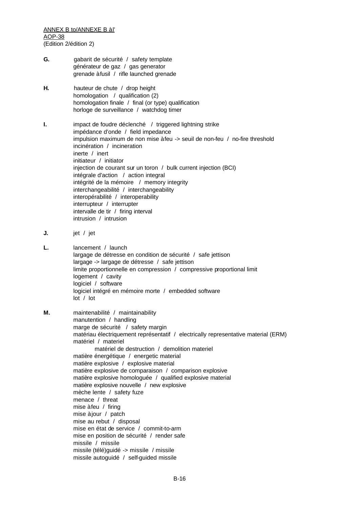- **G.** gabarit de sécurité / safety template générateur de gaz / gas generator grenade à fusil / rifle launched grenade
- **H.** hauteur de chute / drop height homologation / qualification (2) homologation finale / final (or type) qualification horloge de surveillance / watchdog timer
- **I.** impact de foudre déclenché / triggered lightning strike impédance d'onde / field impedance impulsion maximum de non mise à feu -> seuil de non-feu / no-fire threshold incinération / incineration inerte / inert initiateur / initiator injection de courant sur un toron / bulk current injection (BCI) intégrale d'action / action integral intégrité de la mémoire / memory integrity interchangeabilité / interchangeability interopérabilité / interoperability interrupteur / interrupter intervalle de tir / firing interval intrusion / intrusion
- **J.** jet / jet
- **L.** lancement / launch largage de détresse en condition de sécurité / safe jettison largage -> largage de détresse / safe jettison limite proportionnelle en compression / compressive proportional limit logement / cavity logiciel / software logiciel intégré en mémoire morte / embedded software lot / lot
- **M.** maintenabilité / maintainability manutention / handling marge de sécurité / safety margin matériau électriquement représentatif / electrically representative material (ERM) matériel / materiel matériel de destruction / demolition materiel matière énergétique / energetic material matière explosive / explosive material matière explosive de comparaison / comparison explosive matière explosive homologuée / qualified explosive material matière explosive nouvelle / new explosive mèche lente / safety fuze menace / threat mise à feu / firing mise à jour / patch mise au rebut / disposal mise en état de service / commit-to-arm mise en position de sécurité / render safe missile / missile missile (télé)guidé -> missile / missile missile autoguidé / self-guided missile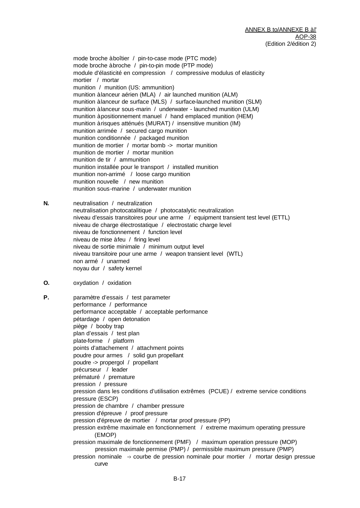mode broche à boîtier / pin-to-case mode (PTC mode) mode broche à broche / pin-to-pin mode (PTP mode) module d'élasticité en compression / compressive modulus of elasticity mortier / mortar munition / munition (US: ammunition) munition à lanceur aérien (MLA) / air launched munition (ALM) munition à lanceur de surface (MLS) / surface-launched munition (SLM) munition à lanceur sous-marin / underwater - launched munition (ULM) munition à positionnement manuel / hand emplaced munition (HEM) munition à risques atténués (MURAT) / insensitive munition (IM) munition arrimée / secured cargo munition munition conditionnée / packaged munition munition de mortier / mortar bomb -> mortar munition munition de mortier / mortar munition munition de tir / ammunition munition installée pour le transport / installed munition munition non-arrimé / loose cargo munition munition nouvelle / new munition munition sous-marine / underwater munition

- **N.** neutralisation / neutralization neutralisation photocatalitique / photocatalytic neutralization niveau d'essais transitoires pour une arme / equipment transient test level (ETTL) niveau de charge électrostatique / electrostatic charge level niveau de fonctionnement / function level niveau de mise à feu / firing level niveau de sortie minimale / minimum output level niveau transitoire pour une arme / weapon transient level (WTL) non armé / unarmed noyau dur / safety kernel
- **O.** oxydation / oxidation

**P.** paramètre d'essais / test parameter performance / performance performance acceptable / acceptable performance pétardage / open detonation piège / booby trap plan d'essais / test plan plate-forme / platform points d'attachement / attachment points poudre pour armes / solid gun propellant poudre -> propergol / propellant précurseur / leader prématuré / premature pression / pressure pression dans les conditions d'utilisation extrêmes (PCUE) / extreme service conditions pressure (ESCP) pression de chambre / chamber pressure pression d'épreuve / proof pressure pression d'épreuve de mortier / mortar proof pressure (PP) pression extrême maximale en fonctionnement / extreme maximum operating pressure (EMOP) pression maximale de fonctionnement (PMF) / maximum operation pressure (MOP) pression maximale permise (PMP) / permissible maximum pressure (PMP) pression nominale -› courbe de pression nominale pour mortier / mortar design pressue curve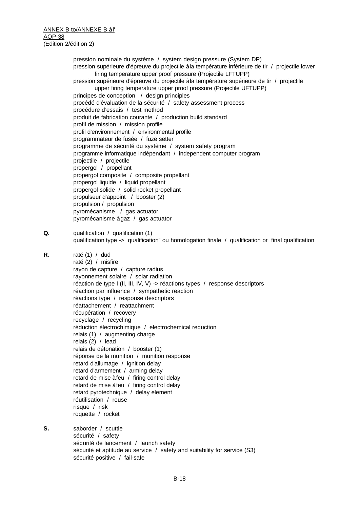pression nominale du système / system design pressure (System DP) pression supérieure d'épreuve du projectile à la température inférieure de tir / projectile lower firing temperature upper proof pressure (Projectile LFTUPP) pression supérieure d'épreuve du projectile à la température supérieure de tir / projectile upper firing temperature upper proof pressure (Projectile UFTUPP) principes de conception / design principles procédé d'évaluation de la sécurité / safety assessment process procédure d'essais / test method produit de fabrication courante / production build standard profil de mission / mission profile profil d'environnement / environmental profile programmateur de fusée / fuze setter programme de sécurité du système / system safety program programme informatique indépendant / independent computer program projectile / projectile propergol / propellant propergol composite / composite propellant propergol liquide / liquid propellant propergol solide / solid rocket propellant propulseur d'appoint / booster (2) propulsion / propulsion pyromécanisme / gas actuator. pyromécanisme à gaz / gas actuator **Q.** qualification / qualification (1) qualification type -> qualification" ou homologation finale / qualification or final qualification **R.** raté (1) / dud raté (2) / misfire rayon de capture / capture radius rayonnement solaire / solar radiation réaction de type I (II, III, IV, V) -> réactions types / response descriptors réaction par influence / sympathetic reaction réactions type / response descriptors réattachement / reattachment récupération / recovery recyclage / recycling réduction électrochimique / electrochemical reduction relais (1) / augmenting charge relais (2) / lead relais de détonation / booster (1) réponse de la munition / munition response retard d'allumage / ignition delay retard d'armement / arming delay retard de mise à feu / firing control delay retard de mise à feu / firing control delay retard pyrotechnique / delay element réutilisation / reuse risque / risk roquette / rocket **S.** saborder / scuttle sécurité / safety sécurité de lancement / launch safety sécurité et aptitude au service / safety and suitability for service (S3)

sécurité positive / fail-safe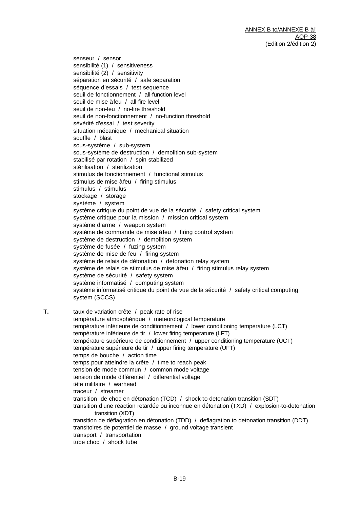senseur / sensor sensibilité (1) / sensitiveness sensibilité (2) / sensitivity séparation en sécurité / safe separation séquence d'essais / test sequence seuil de fonctionnement / all-function level seuil de mise à feu / all-fire level seuil de non-feu / no-fire threshold seuil de non-fonctionnement / no-function threshold sévérité d'essai / test severity situation mécanique / mechanical situation souffle / blast sous-système / sub-system sous-système de destruction / demolition sub-system stabilisé par rotation / spin stabilized stérilisation / sterilization stimulus de fonctionnement / functional stimulus stimulus de mise à feu / firing stimulus stimulus / stimulus stockage / storage système / system système critique du point de vue de la sécurité / safety critical system système critique pour la mission / mission critical system système d'arme / weapon system système de commande de mise à feu / firing control system système de destruction / demolition system système de fusée / fuzing system système de mise de feu / firing system système de relais de détonation / detonation relay system système de relais de stimulus de mise à feu / firing stimulus relay system système de sécurité / safety system système informatisé / computing system système informatisé critique du point de vue de la sécurité / safety critical computing system (SCCS)

**T.** taux de variation crête / peak rate of rise température atmosphérique / meteorological temperature température inférieure de conditionnement / lower conditioning temperature (LCT) température inférieure de tir / lower firing temperature (LFT) température supérieure de conditionnement / upper conditioning temperature (UCT) température supérieure de tir / upper firing temperature (UFT) temps de bouche / action time temps pour atteindre la crête / time to reach peak tension de mode commun / common mode voltage tension de mode différentiel / differential voltage tête militaire / warhead traceur / streamer transition de choc en détonation (TCD) / shock-to-detonation transition (SDT) transition d'une réaction retardée ou inconnue en détonation (TXD) / explosion-to-detonation transition (XDT) transition de déflagration en détonation (TDD) / deflagration to detonation transition (DDT) transitoires de potentiel de masse / ground voltage transient transport / transportation tube choc / shock tube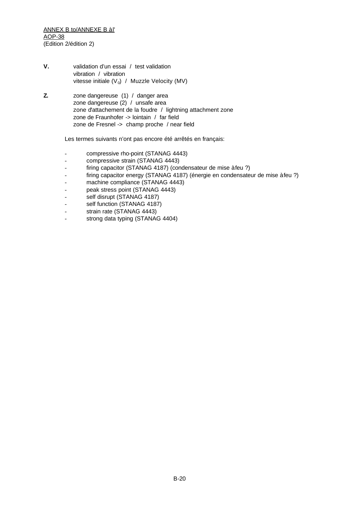ANNEX B to/ANNEXE B à l' AOP-38 (Edition 2/édition 2)

- **V.** validation d'un essai / test validation vibration / vibration vitesse initiale ( $V_0$ ) / Muzzle Velocity (MV)
- **Z.** zone dangereuse (1) / danger area zone dangereuse (2) / unsafe area zone d'attachement de la foudre / lightning attachment zone zone de Fraunhofer -> lointain / far field zone de Fresnel -> champ proche / near field

Les termes suivants n'ont pas encore été arrêtés en français:

- compressive rho-point (STANAG 4443)
- compressive strain (STANAG 4443)
- firing capacitor (STANAG 4187) (condensateur de mise à feu ?)
- firing capacitor energy (STANAG 4187) (énergie en condensateur de mise à feu ?)
- machine compliance (STANAG 4443)
- peak stress point (STANAG 4443)
- self disrupt (STANAG 4187)
- self function (STANAG 4187)
- strain rate (STANAG 4443)
- strong data typing (STANAG 4404)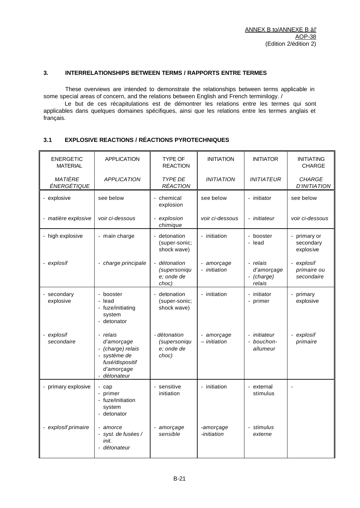#### **3. INTERRELATIONSHIPS BETWEEN TERMS / RAPPORTS ENTRE TERMES**

These overviews are intended to demonstrate the relationships between terms applicable in some special areas of concern, and the relations between English and French terminilogy. /

Le but de ces récapitulations est de démontrer les relations entre les termes qui sont applicables dans quelques domaines spécifiques, ainsi que les relations entre les termes anglais et français.

#### **3.1 EXPLOSIVE REACTIONS / RÉACTIONS PYROTECHNIQUES**

| <b>ENERGETIC</b><br><b>MATERIAL</b> | <b>APPLICATION</b>                                                                                       | TYPE OF<br><b>REACTION</b>                          | <b>INITIATION</b>          | <b>INITIATOR</b>                               | <b>INITIATING</b><br><b>CHARGE</b>    |
|-------------------------------------|----------------------------------------------------------------------------------------------------------|-----------------------------------------------------|----------------------------|------------------------------------------------|---------------------------------------|
| MATIÈRE<br>ÉNERGÉTIQUE              | <b>APPLICATION</b>                                                                                       | <b>TYPE DE</b><br><b>RÉACTION</b>                   | <b>INITIATION</b>          | <b>INITIATEUR</b>                              | <b>CHARGE</b><br><b>D'INITIATION</b>  |
| - explosive                         | see below                                                                                                | - chemical<br>explosion                             | see below                  | - initiator                                    | see below                             |
| - matière explosive                 | voir ci-dessous                                                                                          | - explosion<br>chimique                             | voir ci-dessous            | - initiateur                                   | voir ci-dessous                       |
| - high explosive                    | - main charge                                                                                            | - detonation<br>(super-sonic;<br>shock wave)        | - initiation               | - booster<br>- lead                            | primary or<br>secondary<br>explosive  |
| - explosif                          | - charge principale                                                                                      | - détonation<br>(supersoniqu<br>e; onde de<br>choc) | - amorçage<br>- initiation | - relais<br>d'amorçage<br>- (charge)<br>relais | explosif<br>primaire ou<br>secondaire |
| - secondary<br>explosive            | - booster<br>- lead<br>- fuze/initiating<br>system<br>- detonator                                        | - detonation<br>(super-sonic;<br>shock wave)        | - initiation               | - initiator<br>- primer                        | primary<br>explosive                  |
| - explosif<br>secondaire            | - relais<br>d'amorçage<br>- (charge) relais<br>système de<br>fusé/dispositif<br>d'amorçage<br>détonateur | - détonation<br>(supersoniqu<br>e; onde de<br>choc) | - amorçage<br>- initiation | initiateur<br>- bouchon-<br>allumeur           | explosif<br>primaire                  |
| - primary explosive                 | - cap<br>- primer<br>- fuze/initiation<br>system<br>- detonator                                          | - sensitive<br>initiation                           | - initiation               | - external<br>stimulus                         |                                       |
| - explosif primaire                 | - amorce<br>- syst. de fusées /<br>init.<br>- détonateur                                                 | - amorçage<br>sensible                              | -amorçage<br>-initiation   | - stimulus<br>externe                          |                                       |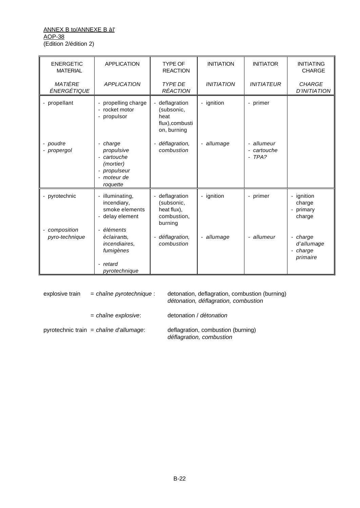#### ANNEX B to/ANNEXE B à l' AOP-38 (Edition 2/édition 2)

| <b>ENERGETIC</b><br><b>MATERIAL</b> | <b>APPLICATION</b>                                                                            | <b>TYPE OF</b><br><b>REACTION</b>                                                      | <b>INITIATION</b> | <b>INITIATOR</b>                     | <b>INITIATING</b><br><b>CHARGE</b>             |
|-------------------------------------|-----------------------------------------------------------------------------------------------|----------------------------------------------------------------------------------------|-------------------|--------------------------------------|------------------------------------------------|
| MATIÈRE<br>ÉNERGÉTIQUE              | <b>APPLICATION</b>                                                                            | <b>TYPE DE</b><br><b>RÉACTION</b>                                                      | <b>INITIATION</b> | <b>INITIATEUR</b>                    | <b>CHARGE</b><br><b>D'INITIATION</b>           |
| - propellant                        | - propelling charge<br>- rocket motor<br>- propulsor                                          | deflagration<br>$\blacksquare$<br>(subsonic,<br>heat<br>flux), combusti<br>on, burning | - ignition        | - primer                             |                                                |
| - poudre<br>- propergol             | - charge<br>propulsive<br>- cartouche<br>(mortier)<br>- propulseur<br>- moteur de<br>roquette | déflagration,<br>$\overline{\phantom{a}}$<br>combustion                                | - allumage        | - allumeur<br>- cartouche<br>$-TPA?$ |                                                |
| - pyrotechnic                       | - illuminating,<br>incendiary,<br>smoke elements<br>- delay element                           | - deflagration<br>(subsonic,<br>heat flux),<br>combustion,<br>burning                  | - ignition        | - primer                             | - ignition<br>charge<br>- primary<br>charge    |
| - composition<br>pyro-technique     | - éléments<br>éclairants,<br>incendiaires,<br>fumigènes<br>- retard<br>pyrotechnique          | - déflagration,<br>combustion                                                          | - allumage        | - allumeur                           | - charge<br>d'allumage<br>- charge<br>primaire |

explosive train = *chaîne pyrotechnique* : detonation, deflagration, combustion (burning) *détonation, déflagration, combustion* = *chaîne explosive*: detonation / *détonation*

pyrotechnic train = *chaîne d'allumage*: deflagration, combustion (burning)

*déflagration, combustion*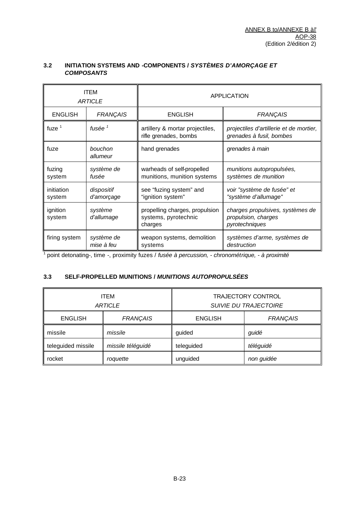|                      | <b>ITEM</b><br><b>ARTICLE</b> |                                                                   | <b>APPLICATION</b>                                                        |
|----------------------|-------------------------------|-------------------------------------------------------------------|---------------------------------------------------------------------------|
| <b>ENGLISH</b>       | <b>FRANÇAIS</b>               | <b>ENGLISH</b>                                                    | <b>FRANÇAIS</b>                                                           |
| fuze $1$             | fusée $^1$                    | artillery & mortar projectiles,<br>rifle grenades, bombs          | projectiles d'artillerie et de mortier,<br>grenades à fusil, bombes       |
| fuze                 | bouchon<br>allumeur           | hand grenades                                                     | grenades à main                                                           |
| fuzing<br>system     | système de<br>fusée           | warheads of self-propelled<br>munitions, munition systems         | munitions autopropulsées,<br>systèmes de munition                         |
| initiation<br>system | dispositif<br>d'amorçage      | see "fuzing system" and<br>"ignition system"                      | voir "système de fusée" et<br>"système d'allumage"                        |
| ignition<br>system   | système<br>d'allumage         | propelling charges, propulsion<br>systems, pyrotechnic<br>charges | charges propulsives, systèmes de<br>propulsion, charges<br>pyrotechniques |
| firing system        | système de<br>mise à feu      | weapon systems, demolition<br>systems                             | systèmes d'arme, systèmes de<br>destruction                               |

### **3.2 INITIATION SYSTEMS AND -COMPONENTS /** *SYSTÈMES D'AMORÇAGE ET COMPOSANTS*

1 point detonating-, time -, proximity fuzes / *fusée à percussion, - chronométrique, - à proximité*

# **3.3 SELF-PROPELLED MUNITIONS /** *MUNITIONS AUTOPROPULSÉES*

|                    | <b>ITEM</b><br><b>ARTICLE</b> |                | <b>TRAJECTORY CONTROL</b><br><b>SUIVIE DU TRAJECTOIRE</b> |
|--------------------|-------------------------------|----------------|-----------------------------------------------------------|
| <b>ENGLISH</b>     | <b>FRANÇAIS</b>               | <b>ENGLISH</b> | <b>FRANÇAIS</b>                                           |
| missile            | missile                       | guided         | guidé                                                     |
| teleguided missile | missile téléguidé             | teleguided     | téléguidé                                                 |
| rocket             | roquette                      | unguided       | non guidée                                                |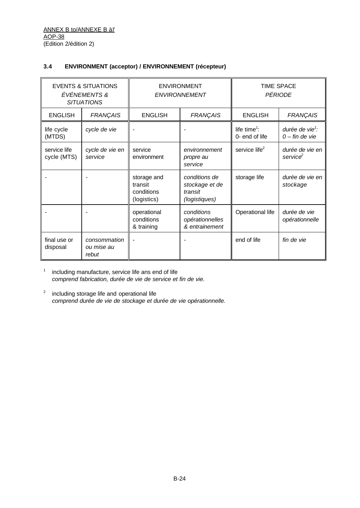### **3.4 ENVIRONMENT (acceptor) / ENVIRONNEMENT (récepteur)**

|                             | <b>EVENTS &amp; SITUATIONS</b><br>ÉVÉNEMENTS &<br><b>SITUATIONS</b> |                                                     | <b>ENVIRONMENT</b><br><b>ENVIRONNEMENT</b>                  | <b>TIME SPACE</b>                          | PÉRIODE                                         |
|-----------------------------|---------------------------------------------------------------------|-----------------------------------------------------|-------------------------------------------------------------|--------------------------------------------|-------------------------------------------------|
| <b>ENGLISH</b>              | <b>FRANÇAIS</b>                                                     | <b>ENGLISH</b>                                      | <b>FRANÇAIS</b>                                             | <b>ENGLISH</b>                             | <b>FRANÇAIS</b>                                 |
| life cycle<br>(MTDS)        | cycle de vie                                                        |                                                     |                                                             | life time <sup>1</sup> :<br>0- end of life | durée de vie <sup>1</sup> :<br>$0$ – fin de vie |
| service life<br>cycle (MTS) | cycle de vie en<br>service                                          | service<br>environment                              | environnement<br>propre au<br>service                       | service life <sup>2</sup>                  | durée de vie en<br>service <sup>2</sup>         |
|                             |                                                                     | storage and<br>transit<br>conditions<br>(logistics) | conditions de<br>stockage et de<br>transit<br>(logistiques) | storage life                               | durée de vie en<br>stockage                     |
|                             |                                                                     | operational<br>conditions<br>& training             | conditions<br>opérationnelles<br>& entrainement             | Operational life                           | durée de vie<br>opérationnelle                  |
| final use or<br>disposal    | consommation<br>ou mise au<br>rebut                                 |                                                     |                                                             | end of life                                | fin de vie                                      |

1 including manufacture, service life ans end of life *comprend fabrication, durée de vie de service et fin de vie.*

 $2^2$  including storage life and operational life *comprend durée de vie de stockage et durée de vie opérationnelle.*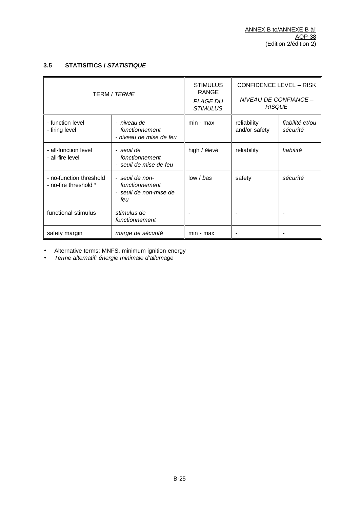# **3.5 STATISITICS /** *STATISTIQUE*

|                                                  | <b>TERM / TERME</b>                                                | <b>STIMULUS</b><br><b>RANGE</b><br><b>PLAGE DU</b><br><b>STIMULUS</b> | <b>CONFIDENCE LEVEL - RISK</b><br>NIVEAU DE CONFIANCE -<br><b>RISQUE</b> |                             |
|--------------------------------------------------|--------------------------------------------------------------------|-----------------------------------------------------------------------|--------------------------------------------------------------------------|-----------------------------|
| - function level<br>- firing level               | - niveau de<br>fonctionnement<br>- niveau de mise de feu           | min - max                                                             | reliability<br>and/or safety                                             | fiabilité et/ou<br>sécurité |
| - all-function level<br>- all-fire level         | - seuil de<br>fonctionnement<br>- seuil de mise de feu             | high / élevé                                                          | reliability                                                              | fiabilité                   |
| - no-function threshold<br>- no-fire threshold * | - seuil de non-<br>fonctionnement<br>- seuil de non-mise de<br>feu | low / bas                                                             | safety                                                                   | sécurité                    |
| functional stimulus                              | stimulus de<br>fonctionnement                                      |                                                                       |                                                                          |                             |
| safety margin                                    | marge de sécurité                                                  | min - max                                                             |                                                                          |                             |

• Alternative terms: MNFS, minimum ignition energy

• *Terme alternatif: énergie minimale d'allumage*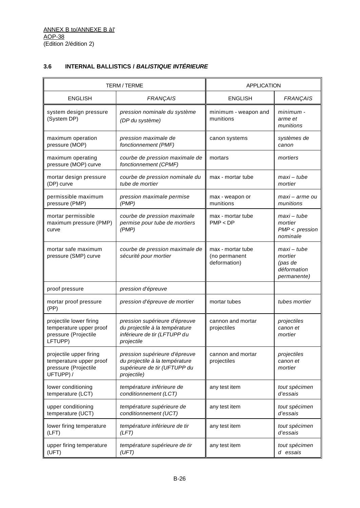# **3.6 INTERNAL BALLISTICS /** *BALISTIQUE INTÉRIEURE*

|                                                                                         | <b>TERM/TERME</b>                                                                                              | <b>APPLICATION</b>                                 |                                                                        |
|-----------------------------------------------------------------------------------------|----------------------------------------------------------------------------------------------------------------|----------------------------------------------------|------------------------------------------------------------------------|
| <b>ENGLISH</b>                                                                          | <b>FRANÇAIS</b>                                                                                                | <b>ENGLISH</b>                                     | <b>FRANÇAIS</b>                                                        |
| system design pressure<br>(System DP)                                                   | pression nominale du système<br>(DP du système)                                                                | minimum - weapon and<br>munitions                  | minimum -<br>arme et<br>munitions                                      |
| maximum operation<br>pressure (MOP)                                                     | pression maximale de<br>fonctionnement (PMF)                                                                   | canon systems                                      | systèmes de<br>canon                                                   |
| maximum operating<br>pressure (MOP) curve                                               | courbe de pression maximale de<br>fonctionnement (CPMF)                                                        | mortars                                            | mortiers                                                               |
| mortar design pressure<br>(DP) curve                                                    | courbe de pression nominale du<br>tube de mortier                                                              | max - mortar tube                                  | maxi – tube<br>mortier                                                 |
| permissible maximum<br>pressure (PMP)                                                   | pression maximale permise<br>(PMP)                                                                             | max - weapon or<br>munitions                       | maxi – arme ou<br>munitions                                            |
| mortar permissible<br>maximum pressure (PMP)<br>curve                                   | courbe de pression maximale<br>permise pour tube de mortiers<br>(PMP)                                          | max - mortar tube<br>PMP < DP                      | maxi – tube<br>mortier<br>$PMP <$ pression<br>nominale                 |
| mortar safe maximum<br>pressure (SMP) curve                                             | courbe de pression maximale de<br>sécurité pour mortier                                                        | max - mortar tube<br>(no permanent<br>deformation) | maxi – tube<br>mortier<br>(pas de<br>déformation<br><i>permanente)</i> |
| proof pressure                                                                          | pression d'épreuve                                                                                             |                                                    |                                                                        |
| mortar proof pressure<br>(PP)                                                           | pression d'épreuve de mortier                                                                                  | mortar tubes                                       | tubes mortier                                                          |
| projectile lower firing<br>temperature upper proof<br>pressure (Projectile<br>LFTUPP)   | pression supérieure d'épreuve<br>du projectile à la température<br>inférieure de tir (LFTUPP du<br>projectile  | cannon and mortar<br>projectiles                   | projectiles<br>canon et<br>mortier                                     |
| projectile upper firing<br>temperature upper proof<br>pressure (Projectile<br>UFTUPP) / | pression supérieure d'épreuve<br>du projectile à la température<br>supérieure de tir (UFTUPP du<br>projectile) | cannon and mortar<br>projectiles                   | projectiles<br>canon et<br>mortier                                     |
| lower conditioning<br>temperature (LCT)                                                 | température inférieure de<br>conditionnement (LCT)                                                             | any test item                                      | tout spécimen<br>d'essais                                              |
| upper conditioning<br>temperature (UCT)                                                 | température supérieure de<br>conditionnement (UCT)                                                             | any test item                                      | tout spécimen<br>d'essais                                              |
| lower firing temperature<br>(LFT)                                                       | température inférieure de tir<br>(LFT)                                                                         | any test item                                      | tout spécimen<br>d'essais                                              |
| upper firing temperature<br>(UFT)                                                       | température supérieure de tir<br>(UFT)                                                                         | any test item                                      | tout spécimen<br>d essais                                              |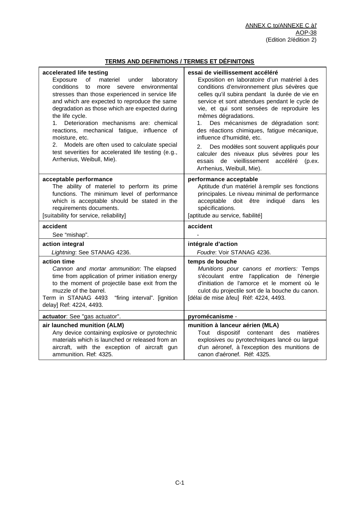# **TERMS AND DEFINITIONS / TERMES ET DÉFINITONS**

| accelerated life testing<br>Exposure<br>of<br>materiel<br>under<br>laboratory<br>conditions<br>environmental<br>to<br>more<br>severe<br>stresses than those experienced in service life<br>and which are expected to reproduce the same<br>degradation as those which are expected during<br>the life cycle.<br>Deterioration mechanisms are: chemical<br>1.<br>reactions, mechanical fatigue, influence of<br>moisture, etc.<br>Models are often used to calculate special<br>2.<br>test severities for accelerated life testing (e.g.,<br>Arrhenius, Weibull, Mie). | essai de vieillissement accéléré<br>Exposition en laboratoire d'un matériel à des<br>conditions d'environnement plus sévères que<br>celles qu'il subira pendant la durée de vie en<br>service et sont attendues pendant le cycle de<br>vie, et qui sont sensées de reproduire les<br>mêmes dégradations.<br>Des mécanismes de dégradation sont:<br>1.<br>des réactions chimiques, fatigue mécanique,<br>influence d'humidité, etc.<br>Des modèles sont souvent appliqués pour<br>2.<br>calculer des niveaux plus sévères pour les<br>de vieillissement accéléré (p.ex.<br>essais<br>Arrhenius, Weibull, Mie). |
|-----------------------------------------------------------------------------------------------------------------------------------------------------------------------------------------------------------------------------------------------------------------------------------------------------------------------------------------------------------------------------------------------------------------------------------------------------------------------------------------------------------------------------------------------------------------------|---------------------------------------------------------------------------------------------------------------------------------------------------------------------------------------------------------------------------------------------------------------------------------------------------------------------------------------------------------------------------------------------------------------------------------------------------------------------------------------------------------------------------------------------------------------------------------------------------------------|
| acceptable performance<br>The ability of materiel to perform its prime<br>functions. The minimum level of performance<br>which is acceptable should be stated in the<br>requirements documents.<br>[suitability for service, reliability]                                                                                                                                                                                                                                                                                                                             | performance acceptable<br>Aptitude d'un matériel à remplir ses fonctions<br>principales. Le niveau minimal de performance<br>acceptable<br>doit être<br>indiqué dans<br>les<br>spécifications.<br>[aptitude au service, fiabilité]                                                                                                                                                                                                                                                                                                                                                                            |
| accident                                                                                                                                                                                                                                                                                                                                                                                                                                                                                                                                                              | accident                                                                                                                                                                                                                                                                                                                                                                                                                                                                                                                                                                                                      |
| See "mishap".                                                                                                                                                                                                                                                                                                                                                                                                                                                                                                                                                         |                                                                                                                                                                                                                                                                                                                                                                                                                                                                                                                                                                                                               |
| action integral                                                                                                                                                                                                                                                                                                                                                                                                                                                                                                                                                       | intégrale d'action                                                                                                                                                                                                                                                                                                                                                                                                                                                                                                                                                                                            |
| Lightning: See STANAG 4236.                                                                                                                                                                                                                                                                                                                                                                                                                                                                                                                                           | Foudre: Voir STANAG 4236.                                                                                                                                                                                                                                                                                                                                                                                                                                                                                                                                                                                     |
| action time<br>Cannon and mortar ammunition: The elapsed<br>time from application of primer initiation energy<br>to the moment of projectile base exit from the<br>muzzle of the barrel.<br>Term in STANAG 4493<br>"firing interval". [ignition<br>delay] Ref: 4224, 4493.                                                                                                                                                                                                                                                                                            | temps de bouche<br>Munitions pour canons et mortiers: Temps<br>s'écoulant entre l'application de l'énergie<br>d'initiation de l'amorce et le moment où le<br>culot du projectile sort de la bouche du canon.<br>[délai de mise à feu] Réf: 4224, 4493.                                                                                                                                                                                                                                                                                                                                                        |
| actuator: See "gas actuator".                                                                                                                                                                                                                                                                                                                                                                                                                                                                                                                                         | pyromécanisme -                                                                                                                                                                                                                                                                                                                                                                                                                                                                                                                                                                                               |
| air launched munition (ALM)<br>Any device containing explosive or pyrotechnic<br>materials which is launched or released from an<br>aircraft, with the exception of aircraft gun<br>ammunition. Ref: 4325.                                                                                                                                                                                                                                                                                                                                                            | munition à lanceur aérien (MLA)<br>contenant des<br>dispositif<br>Tout<br>matières<br>explosives ou pyrotechniques lancé ou largué<br>d'un aéronef, à l'exception des munitions de<br>canon d'aéronef. Réf: 4325.                                                                                                                                                                                                                                                                                                                                                                                             |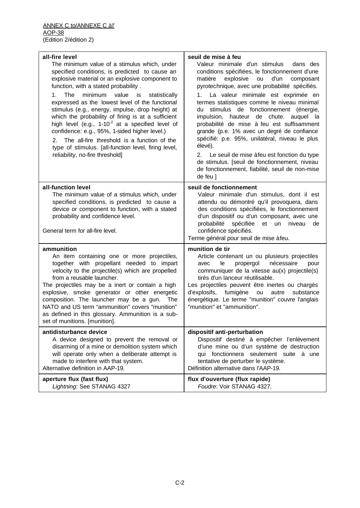| all-fire level<br>The minimum value of a stimulus which, under<br>specified conditions, is predicted to cause an<br>explosive material or an explosive component to<br>function, with a stated probability.<br>The<br>minimum<br>value<br>1.<br>statistically<br>is<br>expressed as the lowest level of the functional<br>stimulus (e.g., energy, impulse, drop height) at<br>which the probability of firing is at a sufficient<br>high level (e.g., $1-10^{-2}$ at a specified level of<br>confidence: e.g., 95%, 1-sided higher level.)<br>The all-fire threshold is a function of the<br>2.<br>type of stimulus. [all-function level, firing level,<br>reliability, no-fire threshold] | seuil de mise à feu<br>Valeur minimale d'un stimulus<br>dans des<br>conditions spécifiées, le fonctionnement d'une<br>matière<br>explosive<br>ou<br>d'un<br>composant<br>pyrotechnique, avec une probabilité spécifiés.<br>1. La valeur minimale est exprimée en<br>termes statistiques comme le niveau minimal<br>stimulus de fonctionnement (énergie,<br>du<br>hauteur de chute. auquel la<br>impulsion,<br>probabilité de mise à feu est suffisamment<br>grande (p.e. 1% avec un degré de confiance<br>spécifié: p.e. 95%, unilatéral, niveau le plus<br>élevé).<br>Le seuil de mise à feu est fonction du type<br>2.<br>de stimulus. [seuil de fonctionnement, niveau<br>de fonctionnement, fiabilité, seuil de non-mise<br>de feu ] |
|--------------------------------------------------------------------------------------------------------------------------------------------------------------------------------------------------------------------------------------------------------------------------------------------------------------------------------------------------------------------------------------------------------------------------------------------------------------------------------------------------------------------------------------------------------------------------------------------------------------------------------------------------------------------------------------------|------------------------------------------------------------------------------------------------------------------------------------------------------------------------------------------------------------------------------------------------------------------------------------------------------------------------------------------------------------------------------------------------------------------------------------------------------------------------------------------------------------------------------------------------------------------------------------------------------------------------------------------------------------------------------------------------------------------------------------------|
| all-function level<br>The minimum value of a stimulus which, under<br>specified conditions, is predicted to cause a<br>device or component to function, with a stated<br>probability and confidence level.<br>General term for all-fire level.                                                                                                                                                                                                                                                                                                                                                                                                                                             | seuil de fonctionnement<br>Valeur minimale d'un stimulus, dont il est<br>attendu ou démontré qu'il provoquera, dans<br>des conditions spécifiées, le fonctionnement<br>d'un dispositif ou d'un composant, avec une<br>probabilité<br>spécifiée et un niveau<br>de<br>confidence spécifiés.<br>Terme général pour seuil de mise àfeu.                                                                                                                                                                                                                                                                                                                                                                                                     |
| ammunition<br>An item containing one or more projectiles,<br>together with propellant needed to impart<br>velocity to the projectile(s) which are propelled<br>from a reusable launcher.<br>The projectiles may be a inert or contain a high<br>explosive, smoke generator or other energetic<br>composition. The launcher may be a gun. The<br>NATO and US term "ammunition" covers "munition"<br>as defined in this glossary. Ammunition is a sub-<br>set of munitions. [munition].                                                                                                                                                                                                      | munition de tir<br>Article contenant un ou plusieurs projectiles<br>nécessaire<br>le<br>propergol<br>avec<br>pour<br>communiquer de la vitesse au(x) projectile(s)<br>tirés d'un lanceur réutilisable.<br>Les projectiles peuvent être inertes ou chargés<br>d'explosifs, fumigène ou<br>autre<br>substance<br>énergétique. Le terme "munition" couvre l'anglais<br>"munition" et "ammunition".                                                                                                                                                                                                                                                                                                                                          |
| antidisturbance device<br>A device designed to prevent the removal or<br>disarming of a mine or demolition system which<br>will operate only when a deliberate attempt is<br>made to interfere with that system.<br>Alternative definition in AAP-19.                                                                                                                                                                                                                                                                                                                                                                                                                                      | dispositif anti-perturbation<br>Dispositif destiné à empêcher l'enlèvement<br>d'une mine ou d'un système de destruction<br>qui fonctionnera seulement suite à une<br>tentative de perturber le système.<br>Définition alternative dans l'AAP-19.                                                                                                                                                                                                                                                                                                                                                                                                                                                                                         |
| aperture flux (fast flux)<br>Lightning: See STANAG 4327                                                                                                                                                                                                                                                                                                                                                                                                                                                                                                                                                                                                                                    | flux d'ouverture (flux rapide)<br>Foudre: Voir STANAG 4327.                                                                                                                                                                                                                                                                                                                                                                                                                                                                                                                                                                                                                                                                              |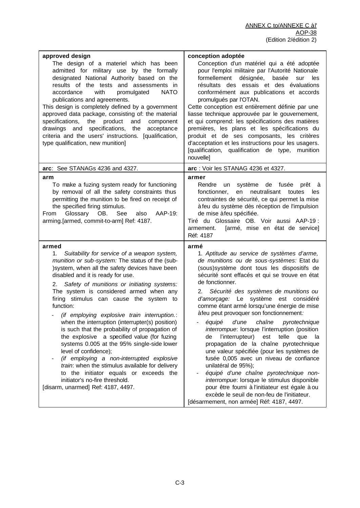| approved design<br>The design of a materiel which has been<br>admitted for military use by the formally<br>designated National Authority based on the<br>results of the tests and assessments in<br>with<br><b>NATO</b><br>accordance<br>promulgated<br>publications and agreements.<br>This design is completely defined by a government<br>approved data package, consisting of: the material<br>product<br>specifications,<br>the<br>and<br>component<br>drawings and specifications,<br>the<br>acceptance<br>criteria and the users' instructions. [qualification,<br>type qualification, new munition]                                                                                                                                                                                                                                              | conception adoptée<br>Conception d'un matériel qui a été adoptée<br>pour l'emploi militaire par l'Autorité Nationale<br>formellement<br>désignée,<br>basée<br>sur<br>les<br>résultats des essais et des évaluations<br>conformément aux publications et accords<br>promulgués par l'OTAN.<br>Cette conception est entièrement définie par une<br>liasse technique approuvée par le gouvernement,<br>et qui comprend: les spécifications des matières<br>premières, les plans et les spécifications du<br>produit et de ses composants, les critères<br>d'acceptation et les instructions pour les usagers.<br>[qualification, qualification de type,<br>munition<br>nouvelle]                                                                                                                                                                                                                                                                              |
|----------------------------------------------------------------------------------------------------------------------------------------------------------------------------------------------------------------------------------------------------------------------------------------------------------------------------------------------------------------------------------------------------------------------------------------------------------------------------------------------------------------------------------------------------------------------------------------------------------------------------------------------------------------------------------------------------------------------------------------------------------------------------------------------------------------------------------------------------------|------------------------------------------------------------------------------------------------------------------------------------------------------------------------------------------------------------------------------------------------------------------------------------------------------------------------------------------------------------------------------------------------------------------------------------------------------------------------------------------------------------------------------------------------------------------------------------------------------------------------------------------------------------------------------------------------------------------------------------------------------------------------------------------------------------------------------------------------------------------------------------------------------------------------------------------------------------|
| arc: See STANAGs 4236 and 4327.                                                                                                                                                                                                                                                                                                                                                                                                                                                                                                                                                                                                                                                                                                                                                                                                                          | arc: Voir les STANAG 4236 et 4327.                                                                                                                                                                                                                                                                                                                                                                                                                                                                                                                                                                                                                                                                                                                                                                                                                                                                                                                         |
| arm<br>To make a fuzing system ready for functioning<br>by removal of all the safety constraints thus<br>permitting the munition to be fired on receipt of<br>the specified firing stimulus.<br>Glossary OB.<br>AAP-19:<br>See<br>also<br>From<br>arming.[armed, commit-to-arm] Ref: 4187.                                                                                                                                                                                                                                                                                                                                                                                                                                                                                                                                                               | armer<br>Rendre<br>système de fusée<br>un<br>prêt<br>- á<br>neutralisant<br>fonctionner,<br>en<br>toutes<br>les<br>contraintes de sécurité, ce qui permet la mise<br>à feu du système dès réception de l'impulsion<br>de mise à feu spécifiée.<br>Tiré du Glossaire OB. Voir aussi AAP-19 :<br>[armé, mise en état de service]<br>armement.<br>Réf: 4187                                                                                                                                                                                                                                                                                                                                                                                                                                                                                                                                                                                                   |
| armed<br>1.<br>Suitability for service of a weapon system,<br>munition or sub-system: The status of the (sub-<br>) system, when all the safety devices have been<br>disabled and it is ready for use.<br>2. Safety of munitions or initiating systems:<br>The system is considered armed when any<br>firing stimulus can cause the system to<br>function:<br>- (if employing explosive train interruption.:<br>when the interruption (interrupter(s) position)<br>is such that the probability of propagation of<br>the explosive a specified value (for fuzing<br>systems 0.005 at the 95% single-side lower<br>level of confidence);<br>(if employing a non-interrupted explosive<br>train: when the stimulus available for delivery<br>to the initiator equals or exceeds the<br>initiator's no-fire threshold.<br>[disarm, unarmed] Ref: 4187, 4497. | armé<br>1. Aptitude au service de systèmes d'arme,<br>de munitions ou de sous-systèmes: Etat du<br>(sous) système dont tous les dispositifs de<br>sécurité sont effacés et qui se trouve en état<br>de fonctionner.<br>Sécurité des systèmes de munitions ou<br>2.<br>d'amorçage: Le système est considéré<br>comme étant armé lorsqu'une énergie de mise<br>àfeu peut provoquer son fonctionnement:<br>d'une<br>chaîne<br>pyrotechnique<br>équipé<br>interrompue: lorsque l'interruption (position<br>l'interrupteur)<br>de<br>est<br>telle<br>que<br>la<br>propagation de la chaîne pyrotechnique<br>une valeur spécifiée (pour les systèmes de<br>fusée 0,005 avec un niveau de confiance<br>unilatéral de 95%);<br>équipé d'une chaîne pyrotechnique non-<br>interrompue: lorsque le stimulus disponible<br>pour être fourni à l'initiateur est égale à ou<br>excède le seuil de non-feu de l'initiateur.<br>[désarmement, non armée] Réf: 4187, 4497. |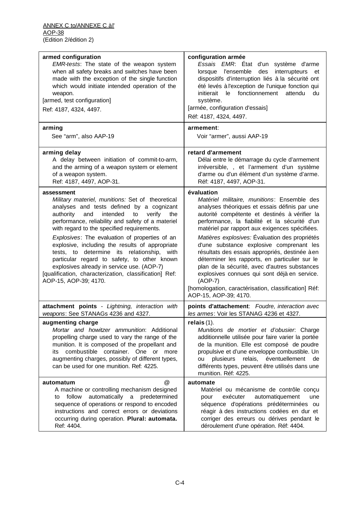| armed configuration<br>EMR-tests: The state of the weapon system<br>when all safety breaks and switches have been<br>made with the exception of the single function<br>which would initiate intended operation of the<br>weapon.<br>[armed, test configuration]<br>Ref: 4187, 4324, 4497.                                                                                                                                                                                                                                                                                                                | configuration armée<br>Essais EMR: Etat d'un système d'arme<br>lorsque l'ensemble des<br>interrupteurs<br>et<br>dispositifs d'interruption liés à la sécurité ont<br>été levés à l'exception de l'unique fonction qui<br>fonctionnement attendu<br>$\mathsf{I}$ e<br>initierait<br>du<br>système.<br>[armée, configuration d'essais]<br>Réf: 4187, 4324, 4497.                                                                                                                                                                                                                                                                                                  |
|----------------------------------------------------------------------------------------------------------------------------------------------------------------------------------------------------------------------------------------------------------------------------------------------------------------------------------------------------------------------------------------------------------------------------------------------------------------------------------------------------------------------------------------------------------------------------------------------------------|-----------------------------------------------------------------------------------------------------------------------------------------------------------------------------------------------------------------------------------------------------------------------------------------------------------------------------------------------------------------------------------------------------------------------------------------------------------------------------------------------------------------------------------------------------------------------------------------------------------------------------------------------------------------|
| arming                                                                                                                                                                                                                                                                                                                                                                                                                                                                                                                                                                                                   | armement:                                                                                                                                                                                                                                                                                                                                                                                                                                                                                                                                                                                                                                                       |
| See "arm", also AAP-19                                                                                                                                                                                                                                                                                                                                                                                                                                                                                                                                                                                   | Voir "armer", aussi AAP-19                                                                                                                                                                                                                                                                                                                                                                                                                                                                                                                                                                                                                                      |
| arming delay                                                                                                                                                                                                                                                                                                                                                                                                                                                                                                                                                                                             | retard d'armement                                                                                                                                                                                                                                                                                                                                                                                                                                                                                                                                                                                                                                               |
| A delay between initiation of commit-to-arm,                                                                                                                                                                                                                                                                                                                                                                                                                                                                                                                                                             | Délai entre le démarrage du cycle d'armement                                                                                                                                                                                                                                                                                                                                                                                                                                                                                                                                                                                                                    |
| and the arming of a weapon system or element                                                                                                                                                                                                                                                                                                                                                                                                                                                                                                                                                             | irréversible, , et l'armement d'un système                                                                                                                                                                                                                                                                                                                                                                                                                                                                                                                                                                                                                      |
| of a weapon system.                                                                                                                                                                                                                                                                                                                                                                                                                                                                                                                                                                                      | d'arme ou d'un élément d'un système d'arme.                                                                                                                                                                                                                                                                                                                                                                                                                                                                                                                                                                                                                     |
| Ref: 4187, 4497, AOP-31.                                                                                                                                                                                                                                                                                                                                                                                                                                                                                                                                                                                 | Réf: 4187, 4497, AOP-31.                                                                                                                                                                                                                                                                                                                                                                                                                                                                                                                                                                                                                                        |
| assessment<br>Military materiel, munitions: Set of theoretical<br>analyses and tests defined by a cognizant<br>authority<br>intended<br>verify<br>and<br>to<br>the<br>performance, reliability and safety of a materiel<br>with regard to the specified requirements.<br>Explosives: The evaluation of properties of an<br>explosive, including the results of appropriate<br>tests, to determine its relationship, with<br>particular regard to safety, to other known<br>explosives already in service use. (AOP-7)<br>[qualification, characterization, classification] Ref:<br>AOP-15, AOP-39; 4170. | évaluation<br>Matériel militaire, munitions: Ensemble des<br>analyses théoriques et essais définis par une<br>autorité compétente et destinés à vérifier la<br>performance, la fiabilité et la sécurité d'un<br>matériel par rapport aux exigences spécifiées.<br>Matières explosives: Évaluation des propriétés<br>d'une substance explosive comprenant les<br>résultats des essais appropriés, destinée à en<br>déterminer les rapports, en particulier sur le<br>plan de la sécurité, avec d'autres substances<br>explosives connues qui sont déjà en service.<br>$(AOP-7)$<br>[homologation, caractérisation, classification] Réf:<br>AOP-15, AOP-39; 4170. |
| attachment points - Lightning, interaction with                                                                                                                                                                                                                                                                                                                                                                                                                                                                                                                                                          | points d'attachement: Foudre, interaction avec                                                                                                                                                                                                                                                                                                                                                                                                                                                                                                                                                                                                                  |
| weapons: See STANAGs 4236 and 4327.                                                                                                                                                                                                                                                                                                                                                                                                                                                                                                                                                                      | les armes: Voir les STANAG 4236 et 4327.                                                                                                                                                                                                                                                                                                                                                                                                                                                                                                                                                                                                                        |
| augmenting charge<br>Mortar and howitzer ammunition: Additional<br>propelling charge used to vary the range of the<br>munition. It is composed of the propellant and<br>combustible container. One or more<br>its<br>augmenting charges, possibly of different types,<br>can be used for one munition. Ref: 4225.                                                                                                                                                                                                                                                                                        | relais(1).<br>Munitions de mortier et d'obusier. Charge<br>additionnelle utilisée pour faire varier la portée<br>de la munition. Elle est composé de poudre<br>propulsive et d'une enveloppe combustible. Un<br>éventuellement<br>plusieurs<br>relais,<br>de<br>ou<br>différents types, peuvent être utilisés dans une<br>munition. Réf: 4225.                                                                                                                                                                                                                                                                                                                  |
| @                                                                                                                                                                                                                                                                                                                                                                                                                                                                                                                                                                                                        | automate                                                                                                                                                                                                                                                                                                                                                                                                                                                                                                                                                                                                                                                        |
| automatum                                                                                                                                                                                                                                                                                                                                                                                                                                                                                                                                                                                                | Matériel ou mécanisme de contrôle conçu                                                                                                                                                                                                                                                                                                                                                                                                                                                                                                                                                                                                                         |
| A machine or controlling mechanism designed                                                                                                                                                                                                                                                                                                                                                                                                                                                                                                                                                              | automatiquement                                                                                                                                                                                                                                                                                                                                                                                                                                                                                                                                                                                                                                                 |
| automatically a predetermined                                                                                                                                                                                                                                                                                                                                                                                                                                                                                                                                                                            | exécuter                                                                                                                                                                                                                                                                                                                                                                                                                                                                                                                                                                                                                                                        |
| follow                                                                                                                                                                                                                                                                                                                                                                                                                                                                                                                                                                                                   | pour                                                                                                                                                                                                                                                                                                                                                                                                                                                                                                                                                                                                                                                            |
| to                                                                                                                                                                                                                                                                                                                                                                                                                                                                                                                                                                                                       | une                                                                                                                                                                                                                                                                                                                                                                                                                                                                                                                                                                                                                                                             |
| sequence of operations or respond to encoded                                                                                                                                                                                                                                                                                                                                                                                                                                                                                                                                                             | séquence d'opérations prédéterminées ou                                                                                                                                                                                                                                                                                                                                                                                                                                                                                                                                                                                                                         |
| instructions and correct errors or deviations                                                                                                                                                                                                                                                                                                                                                                                                                                                                                                                                                            | réagir à des instructions codées en dur et                                                                                                                                                                                                                                                                                                                                                                                                                                                                                                                                                                                                                      |
| occurring during operation. Plural: automata.                                                                                                                                                                                                                                                                                                                                                                                                                                                                                                                                                            | corriger des erreurs ou dérives pendant le                                                                                                                                                                                                                                                                                                                                                                                                                                                                                                                                                                                                                      |
| Ref: 4404.                                                                                                                                                                                                                                                                                                                                                                                                                                                                                                                                                                                               | déroulement d'une opération. Réf: 4404.                                                                                                                                                                                                                                                                                                                                                                                                                                                                                                                                                                                                                         |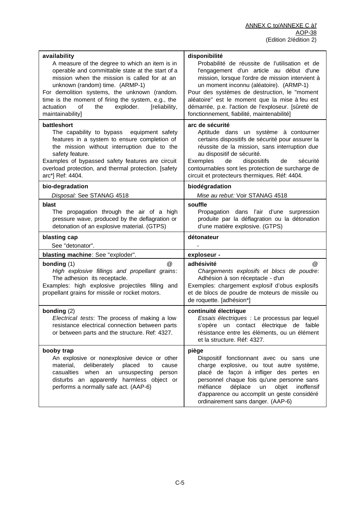| availability<br>A measure of the degree to which an item is in<br>operable and committable state at the start of a<br>mission when the mission is called for at an<br>unknown (random) time. (ARMP-1)<br>For demolition systems, the unknown (random.<br>time is the moment of firing the system, e.g., the<br>exploder.<br>actuation<br>of<br>the<br>[reliability, | disponibilité<br>Probabilité de réussite de l'utilisation et de<br>l'engagement d'un article au début d'une<br>mission, lorsque l'ordre de mission intervient à<br>un moment inconnu (aléatoire). (ARMP-1)<br>Pour des systèmes de destruction, le "moment<br>aléatoire" est le moment que la mise à feu est<br>démarrée, p.e. l'action de l'exploseur. [sûreté de |
|---------------------------------------------------------------------------------------------------------------------------------------------------------------------------------------------------------------------------------------------------------------------------------------------------------------------------------------------------------------------|--------------------------------------------------------------------------------------------------------------------------------------------------------------------------------------------------------------------------------------------------------------------------------------------------------------------------------------------------------------------|
| maintainability]                                                                                                                                                                                                                                                                                                                                                    | fonctionnement, fiabilité, maintenabilité]                                                                                                                                                                                                                                                                                                                         |
| battleshort<br>The capability to bypass equipment safety<br>features in a system to ensure completion of<br>the mission without interruption due to the<br>safety feature.<br>Examples of bypassed safety features are circuit<br>overload protection, and thermal protection. [safety<br>arc*] Ref: 4404.                                                          | arc de sécurité<br>Aptitude dans un système à contourner<br>certains dispositifs de sécurité pour assurer la<br>réussite de la mission, sans interruption due<br>au dispositif de sécurité.<br>Exemples<br>de<br>dispositifs<br>sécurité<br>de<br>contournables sont les protection de surcharge de<br>circuit et protecteurs thermiques. Réf: 4404.               |
| bio-degradation                                                                                                                                                                                                                                                                                                                                                     | biodégradation                                                                                                                                                                                                                                                                                                                                                     |
| Disposal: See STANAG 4518                                                                                                                                                                                                                                                                                                                                           | Mise au rebut: Voir STANAG 4518                                                                                                                                                                                                                                                                                                                                    |
| blast<br>The propagation through the air of a high<br>pressure wave, produced by the deflagration or<br>detonation of an explosive material. (GTPS)                                                                                                                                                                                                                 | souffle<br>Propagation dans l'air d'une surpression<br>produite par la déflagration ou la détonation<br>d'une matière explosive. (GTPS)                                                                                                                                                                                                                            |
|                                                                                                                                                                                                                                                                                                                                                                     |                                                                                                                                                                                                                                                                                                                                                                    |
| blasting cap<br>See "detonator".                                                                                                                                                                                                                                                                                                                                    | détonateur                                                                                                                                                                                                                                                                                                                                                         |
| blasting machine: See "exploder".                                                                                                                                                                                                                                                                                                                                   | exploseur -                                                                                                                                                                                                                                                                                                                                                        |
| bonding (1)<br>$\omega$<br>High explosive fillings and propellant grains:<br>The adhesion its receptacle.<br>Examples: high explosive projectiles filling and<br>propellant grains for missile or rocket motors.                                                                                                                                                    | adhésivité<br>$^{\circledR}$<br>Chargements explosifs et blocs de poudre:<br>Adhésion à son réceptacle - d'un<br>Exemples: chargement explosif d'obus explosifs<br>et de blocs de poudre de moteurs de missile ou<br>de roquette. [adhésion*]                                                                                                                      |
| bonding $(2)$<br>Electrical tests: The process of making a low<br>resistance electrical connection between parts<br>or between parts and the structure. Ref: 4327.                                                                                                                                                                                                  | continuité électrique<br>Essais électriques : Le processus par lequel<br>s'opère un contact électrique de faible<br>résistance entre les éléments, ou un élément<br>et la structure. Réf: 4327.                                                                                                                                                                    |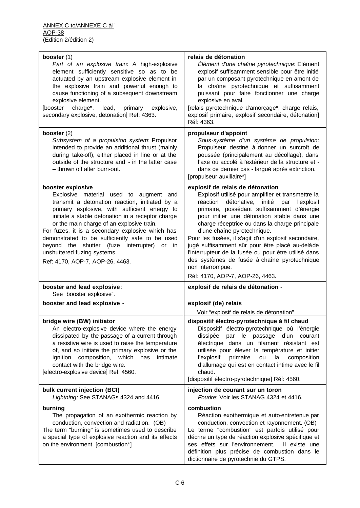| booster (1)<br>Part of an explosive train: A high-explosive<br>element sufficiently sensitive so as to be<br>actuated by an upstream explosive element in<br>the explosive train and powerful enough to<br>cause functioning of a subsequent downstream<br>explosive element.<br>charge*, lead,<br>[booster<br>primary<br>explosive,<br>secondary explosive, detonation] Ref: 4363.                                                                                                     | relais de détonation<br>Élément d'une chaîne pyrotechnique: Elément<br>explosif suffisamment sensible pour être initié<br>par un composant pyrotechnique en amont de<br>la chaîne pyrotechnique et suffisamment<br>puissant pour faire fonctionner une charge<br>explosive en aval.<br>[relais pyrotechnique d'amorçage*, charge relais,<br>explosif primaire, explosif secondaire, détonation]<br>Réf: 4363.                                                                                                                                                                                        |
|-----------------------------------------------------------------------------------------------------------------------------------------------------------------------------------------------------------------------------------------------------------------------------------------------------------------------------------------------------------------------------------------------------------------------------------------------------------------------------------------|------------------------------------------------------------------------------------------------------------------------------------------------------------------------------------------------------------------------------------------------------------------------------------------------------------------------------------------------------------------------------------------------------------------------------------------------------------------------------------------------------------------------------------------------------------------------------------------------------|
| booster (2)<br>Subsystem of a propulsion system: Propulsor<br>intended to provide an additional thrust (mainly<br>during take-off), either placed in line or at the<br>outside of the structure and - in the latter case<br>- thrown off after burn-out.                                                                                                                                                                                                                                | propulseur d'appoint<br>Sous-système d'un système de propulsion:<br>Propulseur destiné à donner un surcroît de<br>poussée (principalement au décollage), dans<br>l'axe ou accolé à l'extérieur de la structure et -<br>dans ce dernier cas - largué après extinction.<br>[propulseur auxiliaire*]                                                                                                                                                                                                                                                                                                    |
| booster explosive<br>Explosive material used to augment and<br>transmit a detonation reaction, initiated by a<br>primary explosive, with sufficient energy to<br>initiate a stable detonation in a receptor charge<br>or the main charge of an explosive train.<br>For fuzes, it is a secondary explosive which has<br>demonstrated to be sufficiently safe to be used<br>beyond the shutter (fuze interrupter) or in<br>unshuttered fuzing systems.<br>Ref: 4170, AOP-7, AOP-26, 4463. | explosif de relais de détonation<br>Explosif utilisé pour amplifier et transmettre la<br>détonative, initié<br>réaction<br>par<br>l'explosif<br>primaire, possédant suffisamment d'énergie<br>pour initier une détonation stable dans une<br>charge réceptrice ou dans la charge principale<br>d'une chaîne pyrotechnique.<br>Pour les fusées, il s'agit d'un explosif secondaire,<br>jugé suffisamment sûr pour être placé au-delàde<br>l'interrupteur de la fusée ou pour être utilisé dans<br>des systèmes de fusée à chaîne pyrotechnique<br>non interrompue.<br>Réf: 4170, AOP-7, AOP-26, 4463. |
| booster and lead explosive:<br>See "booster explosive".                                                                                                                                                                                                                                                                                                                                                                                                                                 | explosif de relais de détonation -                                                                                                                                                                                                                                                                                                                                                                                                                                                                                                                                                                   |
| booster and lead explosive -                                                                                                                                                                                                                                                                                                                                                                                                                                                            | explosif (de) relais                                                                                                                                                                                                                                                                                                                                                                                                                                                                                                                                                                                 |
| bridge wire (BW) initiator<br>An electro-explosive device where the energy<br>dissipated by the passage of a current through<br>a resistive wire is used to raise the temperature<br>of, and so initiate the primary explosive or the<br>ignition composition,<br>which<br>has<br>intimate<br>contact with the bridge wire.<br>[electro-explosive device] Ref: 4560.                                                                                                                    | Voir "explosif de relais de détonation"<br>dispositif électro-pyrotechnique à fil chaud<br>Dispositif électro-pyrotechnique où l'énergie<br>par le passage d'un courant<br>dissipée<br>électrique dans un filament résistant est<br>utilisée pour élever la température et initier<br>primaire<br>la<br>l'explosif<br>ou<br>composition<br>d'allumage qui est en contact intime avec le fil<br>chaud.<br>[dispositif électro-pyrotechnique] Réf: 4560.                                                                                                                                               |
| bulk current injection (BCI)<br>Lightning: See STANAGs 4324 and 4416.                                                                                                                                                                                                                                                                                                                                                                                                                   | injection de courant sur un toron<br>Foudre: Voir les STANAG 4324 et 4416.                                                                                                                                                                                                                                                                                                                                                                                                                                                                                                                           |
| burning<br>The propagation of an exothermic reaction by<br>conduction, convection and radiation. (OB)<br>The term "burning" is sometimes used to describe<br>a special type of explosive reaction and its effects<br>on the environment. [combustion*]                                                                                                                                                                                                                                  | combustion<br>Réaction exothermique et auto-entretenue par<br>conduction, convection et rayonnement. (OB)<br>Le terme "combustion" est parfois utilisé pour<br>décrire un type de réaction explosive spécifique et<br>ses effets sur l'environnement.<br>Il existe une<br>définition plus précise de combustion dans le<br>dictionnaire de pyrotechnie du GTPS.                                                                                                                                                                                                                                      |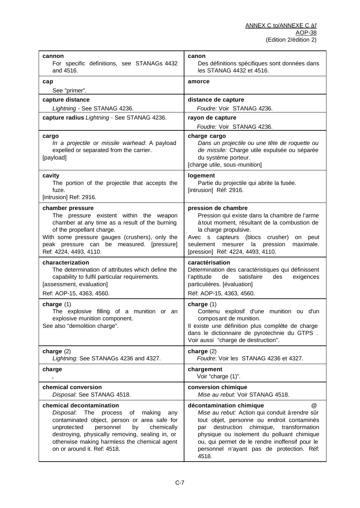| cannon<br>For specific definitions, see STANAGs 4432<br>and 4516.                                                                                                                                                                                                                                             | canon<br>Des définitions spécifiques sont données dans<br>les STANAG 4432 et 4516.                                                                                                                                                                                                                                                                    |
|---------------------------------------------------------------------------------------------------------------------------------------------------------------------------------------------------------------------------------------------------------------------------------------------------------------|-------------------------------------------------------------------------------------------------------------------------------------------------------------------------------------------------------------------------------------------------------------------------------------------------------------------------------------------------------|
| cap<br>See "primer".                                                                                                                                                                                                                                                                                          | amorce                                                                                                                                                                                                                                                                                                                                                |
| capture distance                                                                                                                                                                                                                                                                                              | distance de capture                                                                                                                                                                                                                                                                                                                                   |
| Lightning - See STANAG 4236.                                                                                                                                                                                                                                                                                  | Foudre: Voir STANAG 4236.                                                                                                                                                                                                                                                                                                                             |
| capture radius Lightning - See STANAG 4236.                                                                                                                                                                                                                                                                   | rayon de capture                                                                                                                                                                                                                                                                                                                                      |
|                                                                                                                                                                                                                                                                                                               | Foudre: Voir STANAG 4236.                                                                                                                                                                                                                                                                                                                             |
| cargo<br>In a projectile or missile warhead: A payload<br>expelled or separated from the carrier.<br>[payload]                                                                                                                                                                                                | charge cargo<br>Dans un projectile ou une tête de roquette ou<br>de missile: Charge utile expulsée ou séparée<br>du système porteur.<br>[charge utile, sous-munition]                                                                                                                                                                                 |
| cavity<br>The portion of the projectile that accepts the<br>fuze.<br>[intrusion] Ref: 2916.                                                                                                                                                                                                                   | logement<br>Partie du projectile qui abrite la fusée.<br>[intrusion] Réf: 2916.                                                                                                                                                                                                                                                                       |
| chamber pressure<br>The pressure existent within the weapon<br>chamber at any time as a result of the burning<br>of the propellant charge.<br>With some pressure gauges (crushers), only the<br>peak pressure can be measured. [pressure]<br>Ref: 4224, 4493, 4110.                                           | pression de chambre<br>Pression qui existe dans la chambre de l'arme<br>à tout moment, résultant de la combustion de<br>la charge propulsive.<br>Avec s capteurs (blocs crusher)<br>on peut<br>seulement mesurer la pression<br>maximale.<br>[pression] Réf: 4224, 4493, 4110.                                                                        |
| characterization<br>The determination of attributes which define the<br>capability to fulfil particular requirements.<br>[assessment, evaluation]<br>Ref: AOP-15, 4363, 4560.                                                                                                                                 | caractérisation<br>Détermination des caractéristiques qui définissent<br>l'aptitude<br>de<br>satisfaire<br>des<br>exigences<br>particulières. [évaluation]<br>Réf: AOP-15, 4363, 4560.                                                                                                                                                                |
| charge $(1)$<br>The explosive filling of a munition or an<br>explosive munition component.<br>See also "demolition charge".                                                                                                                                                                                   | charge $(1)$<br>Contenu explosif d'une munition ou d'un<br>composant de munition.<br>Il existe une définition plus complète de charge<br>dans le dictionnaire de pyrotechnie du GTPS.<br>Voir aussi "charge de destruction".                                                                                                                          |
| charge $(2)$<br>Lightning: See STANAGs 4236 and 4327.                                                                                                                                                                                                                                                         | charge $(2)$<br>Foudre: Voir les STANAG 4236 et 4327.                                                                                                                                                                                                                                                                                                 |
| charge                                                                                                                                                                                                                                                                                                        | chargement<br>Voir "charge (1)".                                                                                                                                                                                                                                                                                                                      |
| chemical conversion<br>Disposal: See STANAG 4518.                                                                                                                                                                                                                                                             | conversion chimique<br>Mise au rebut: Voir STANAG 4518.                                                                                                                                                                                                                                                                                               |
| chemical decontamination<br>Disposal: The<br>process<br>of<br>making<br>any<br>contaminated object, person or area safe for<br>unprotected<br>personnel<br>by<br>chemically<br>destroying, physically removing, sealing in, or<br>otherwise making harmless the chemical agent<br>on or around it. Ref: 4518. | décontamination chimique<br>$^{\circledR}$<br>Mise au rebut: Action qui conduit à rendre sûr<br>tout objet, personne ou endroit contaminés<br>destruction<br>chimique,<br>transformation<br>par<br>physique ou isolement du polluant chimique<br>ou, qui permet de le rendre inoffensif pour le<br>personnel n'ayant pas de protection. Réf:<br>4518. |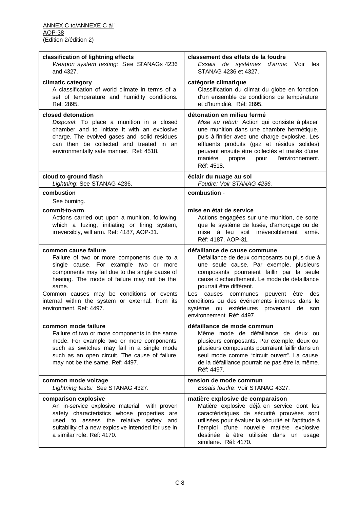| classification of lightning effects<br>Weapon system testing: See STANAGs 4236<br>and 4327.                                                                                                                                                                                                                                                       | classement des effets de la foudre<br>Essais de systèmes d'arme:<br>Voir<br>les<br>STANAG 4236 et 4327.                                                                                                                                                                                                                                                                                                                  |
|---------------------------------------------------------------------------------------------------------------------------------------------------------------------------------------------------------------------------------------------------------------------------------------------------------------------------------------------------|--------------------------------------------------------------------------------------------------------------------------------------------------------------------------------------------------------------------------------------------------------------------------------------------------------------------------------------------------------------------------------------------------------------------------|
| climatic category<br>A classification of world climate in terms of a<br>set of temperature and humidity conditions.<br>Ref: 2895.                                                                                                                                                                                                                 | catégorie climatique<br>Classification du climat du globe en fonction<br>d'un ensemble de conditions de température<br>et d'humidité. Réf: 2895.                                                                                                                                                                                                                                                                         |
| closed detonation<br>Disposal: To place a munition in a closed<br>chamber and to initiate it with an explosive<br>charge. The evolved gases and solid residues<br>can then be collected and treated in an<br>environmentally safe manner. Ref: 4518.                                                                                              | détonation en milieu fermé<br>Mise au rebut: Action qui consiste à placer<br>une munition dans une chambre hermétique,<br>puis à l'initier avec une charge explosive. Les<br>effluents produits (gaz et résidus solides)<br>peuvent ensuite être collectés et traités d'une<br>manière<br>l'environnement.<br>propre<br>pour<br>Réf: 4518.                                                                               |
| cloud to ground flash<br>Lightning: See STANAG 4236.                                                                                                                                                                                                                                                                                              | éclair du nuage au sol<br>Foudre: Voir STANAG 4236.                                                                                                                                                                                                                                                                                                                                                                      |
| combustion                                                                                                                                                                                                                                                                                                                                        | combustion -                                                                                                                                                                                                                                                                                                                                                                                                             |
| See burning.<br>commit-to-arm<br>Actions carried out upon a munition, following<br>which a fuzing, initiating or firing system,<br>irreversibly, will arm. Ref: 4187, AOP-31.                                                                                                                                                                     | mise en état de service<br>Actions engagées sur une munition, de sorte<br>que le système de fusée, d'amorçage ou de<br>mise à feu soit irréversiblement armé.<br>Réf: 4187, AOP-31.                                                                                                                                                                                                                                      |
| common cause failure<br>Failure of two or more components due to a<br>single cause. For example two or more<br>components may fail due to the single cause of<br>heating. The mode of failure may not be the<br>same.<br>Common causes may be conditions or events<br>internal within the system or external, from its<br>environment. Ref: 4497. | défaillance de cause commune<br>Défaillance de deux composants ou plus due à<br>une seule cause. Par exemple, plusieurs<br>composants pourraient faillir par la seule<br>cause d'échauffement. Le mode de défaillance<br>pourrait être différent.<br>Les causes communes peuvent être<br>des<br>conditions ou des événements internes dans le<br>système ou extérieures provenant de<br>son<br>environnement. Réf: 4497. |
| common mode failure<br>Failure of two or more components in the same<br>mode. For example two or more components<br>such as switches may fail in a single mode<br>such as an open circuit. The cause of failure<br>may not be the same. Ref: 4497.                                                                                                | défaillance de mode commun<br>Même mode de défaillance de deux ou<br>plusieurs composants. Par exemple, deux ou<br>plusieurs composants pourraient faillir dans un<br>seul mode comme "circuit ouvert". La cause<br>de la défaillance pourrait ne pas être la même.<br>Réf: 4497.                                                                                                                                        |
| common mode voltage<br>Lightning tests: See STANAG 4327.                                                                                                                                                                                                                                                                                          | tension de mode commun<br>Essais foudre: Voir STANAG 4327.                                                                                                                                                                                                                                                                                                                                                               |
| comparison explosive<br>An in-service explosive material with proven<br>safety characteristics whose properties are<br>used to assess the relative safety and<br>suitability of a new explosive intended for use in<br>a similar role. Ref: 4170.                                                                                                 | matière explosive de comparaison<br>Matière explosive déjà en service dont les<br>caractéristiques de sécurité prouvées sont<br>utilisées pour évaluer la sécurité et l'aptitude à<br>l'emploi d'une nouvelle matière explosive<br>destinée à être utilisée dans un usage<br>similaire. Réf: 4170.                                                                                                                       |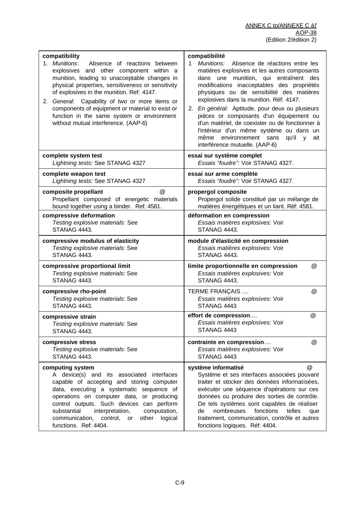| compatibility<br>1. Munitions:<br>Absence of reactions between<br>explosives and other component within a<br>munition, leading to unacceptable changes in<br>physical properties, sensitiveness or sensitivity<br>of explosives in the munition. Ref: 4147.<br>2. General: Capability of two or more items or<br>components of equipment or material to exist or<br>function in the same system or environment<br>without mutual interference. (AAP-6) | compatibilité<br>Munitions:<br>Absence de réactions entre les<br>1<br>matières explosives et les autres composants<br>dans une munition, qui entraînent des<br>modifications inacceptables des propriétés<br>physiques ou de sensibilité des matières<br>explosives dans la munition. Réf: 4147.<br>2. En général: Aptitude, pour deux ou plusieurs<br>pièces or composants d'un équipement ou<br>d'un matériel, de coexister ou de fonctionner à<br>l'intérieur d'un même système ou dans un<br>environnement sans<br>qu'il<br>même<br>ait<br>V<br>interférence mutuelle. (AAP-6) |
|--------------------------------------------------------------------------------------------------------------------------------------------------------------------------------------------------------------------------------------------------------------------------------------------------------------------------------------------------------------------------------------------------------------------------------------------------------|------------------------------------------------------------------------------------------------------------------------------------------------------------------------------------------------------------------------------------------------------------------------------------------------------------------------------------------------------------------------------------------------------------------------------------------------------------------------------------------------------------------------------------------------------------------------------------|
| complete system test<br>Lightning tests: See STANAG 4327                                                                                                                                                                                                                                                                                                                                                                                               | essai sur système complet<br>Essais "foudre": Voir STANAG 4327.                                                                                                                                                                                                                                                                                                                                                                                                                                                                                                                    |
| complete weapon test<br>Lightning tests: See STANAG 4327                                                                                                                                                                                                                                                                                                                                                                                               | essai sur arme complète<br>Essais "foudre": Voir STANAG 4327.                                                                                                                                                                                                                                                                                                                                                                                                                                                                                                                      |
| @<br>composite propellant<br>Propellant composed of energetic materials<br>bound together using a binder. Ref: 4581.                                                                                                                                                                                                                                                                                                                                   | propergol composite<br>Propergol solide constitué par un mélange de<br>matières énergétiques et un liant. Réf: 4581.                                                                                                                                                                                                                                                                                                                                                                                                                                                               |
| compressive deformation<br>Testing explosive materials: See<br>STANAG 4443.                                                                                                                                                                                                                                                                                                                                                                            | déformation en compression<br>Essais matières explosives: Voir<br>STANAG 4443.                                                                                                                                                                                                                                                                                                                                                                                                                                                                                                     |
| compressive modulus of elasticity<br>Testing explosive materials: See<br>STANAG 4443.                                                                                                                                                                                                                                                                                                                                                                  | module d'élasticité en compression<br>Essais matières explosives: Voir<br>STANAG 4443.                                                                                                                                                                                                                                                                                                                                                                                                                                                                                             |
| compressive proportional limit<br>Testing explosive materials: See<br>STANAG 4443.                                                                                                                                                                                                                                                                                                                                                                     | limite proportionnelle en compression<br>@<br>Essais matières explosives: Voir<br>STANAG 4443.                                                                                                                                                                                                                                                                                                                                                                                                                                                                                     |
| compressive rho-point<br>Testing explosive materials: See<br>STANAG 4443.                                                                                                                                                                                                                                                                                                                                                                              | <b>TERME FRANÇAIS </b><br>@<br>Essais matières explosives: Voir<br>STANAG 4443                                                                                                                                                                                                                                                                                                                                                                                                                                                                                                     |
| compressive strain<br>Testing explosive materials: See<br>STANAG 4443.                                                                                                                                                                                                                                                                                                                                                                                 | @<br>effort de compression<br>Essais matières explosives: Voir<br>STANAG 4443                                                                                                                                                                                                                                                                                                                                                                                                                                                                                                      |
| compressive stress<br>Testing explosive materials: See<br>STANAG 4443.                                                                                                                                                                                                                                                                                                                                                                                 | contrainte en compression<br>$^{\circledR}$<br>Essais matières explosives: Voir<br>STANAG 4443                                                                                                                                                                                                                                                                                                                                                                                                                                                                                     |
| computing system<br>A device(s) and its associated interfaces<br>capable of accepting and storing computer<br>data, executing a systematic sequence of<br>operations on computer data, or producing<br>control outputs. Such devices can perform<br>substantial<br>interpretation,<br>computation,<br>communication, control, or<br>other<br>logical<br>functions. Ref: 4404.                                                                          | $^{\textregistered}$<br>système informatisé<br>Système et ses interfaces associées pouvant<br>traiter et stocker des données informatisées,<br>exécuter une séquence d'opérations sur ces<br>données ou produire des sorties de contrôle.<br>De tels systèmes sont capables de réaliser<br>fonctions<br>nombreuses<br>telles<br>de<br>que<br>traitement, communication, contrôle et autres<br>fonctions logiques. Réf: 4404.                                                                                                                                                       |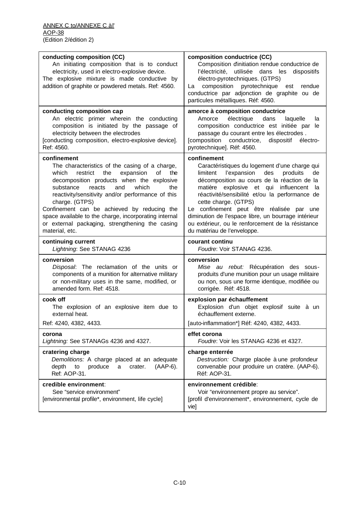| conducting composition (CC)<br>An initiating composition that is to conduct<br>electricity, used in electro-explosive device.<br>The explosive mixture is made conductive by<br>addition of graphite or powdered metals. Ref: 4560.                                                                                                                                                                                                                                | composition conductrice (CC)<br>Composition dinitiation rendue conductrice de<br>l'électricité, utilisée dans les<br>dispositifs<br>électro-pyrotechniques. (GTPS)<br>composition pyrotechnique<br>La<br>est<br>rendue<br>conductrice par adjonction de graphite ou de<br>particules métalliques. Réf: 4560.                                                                                                                                                                    |
|--------------------------------------------------------------------------------------------------------------------------------------------------------------------------------------------------------------------------------------------------------------------------------------------------------------------------------------------------------------------------------------------------------------------------------------------------------------------|---------------------------------------------------------------------------------------------------------------------------------------------------------------------------------------------------------------------------------------------------------------------------------------------------------------------------------------------------------------------------------------------------------------------------------------------------------------------------------|
| conducting composition cap<br>An electric primer wherein the conducting<br>composition is initiated by the passage of<br>electricity between the electrodes<br>[conducting composition, electro-explosive device].<br>Ref: 4560.                                                                                                                                                                                                                                   | amorce à composition conductrice<br>électrique<br>Amorce<br>dans<br>laquelle<br>la<br>composition conductrice est initiée par le<br>passage du courant entre les électrodes.<br>[composition<br>conductrice,<br>dispositif<br>électro-<br>pyrotechnique]. Réf: 4560.                                                                                                                                                                                                            |
| confinement<br>The characteristics of the casing of a charge,<br>expansion<br>which<br>restrict<br>the<br>0f<br>the<br>decomposition products when the explosive<br>reacts<br>which<br>substance<br>and<br>the<br>reactivity/sensitivity and/or performance of this<br>charge. (GTPS)<br>Confinement can be achieved by reducing the<br>space available to the charge, incorporating internal<br>or external packaging, strengthening the casing<br>material, etc. | confinement<br>Caractéristiques du logement d'une charge qui<br>limitent<br>l'expansion<br>des<br>produits<br>de<br>décomposition au cours de la réaction de la<br>matière explosive et qui influencent<br>la<br>réactivité/sensibilité et/ou la performance de<br>cette charge. (GTPS)<br>Le confinement peut être réalisée par une<br>diminution de l'espace libre, un bourrage intérieur<br>ou extérieur, ou le renforcement de la résistance<br>du matériau de l'enveloppe. |
| continuing current<br>Lightning: See STANAG 4236                                                                                                                                                                                                                                                                                                                                                                                                                   | courant continu<br>Foudre: Voir STANAG 4236.                                                                                                                                                                                                                                                                                                                                                                                                                                    |
| conversion<br>Disposal: The reclamation of the units or<br>components of a munition for alternative military<br>or non-military uses in the same, modified, or<br>amended form. Ref: 4518.                                                                                                                                                                                                                                                                         | conversion<br>Mise au rebut: Récupération des sous-<br>produits d'une munition pour un usage militaire<br>ou non, sous une forme identique, modifiée ou<br>corrigée. Réf: 4518.                                                                                                                                                                                                                                                                                                 |
| cook off<br>The explosion of an explosive item due to<br>external heat.<br>Ref: 4240, 4382, 4433.                                                                                                                                                                                                                                                                                                                                                                  | explosion par échauffement<br>Explosion d'un objet explosif suite à un                                                                                                                                                                                                                                                                                                                                                                                                          |
|                                                                                                                                                                                                                                                                                                                                                                                                                                                                    | échauffement externe.                                                                                                                                                                                                                                                                                                                                                                                                                                                           |
| corona<br>Lightning: See STANAGs 4236 and 4327.                                                                                                                                                                                                                                                                                                                                                                                                                    | [auto-inflammation*] Réf: 4240, 4382, 4433.<br>effet corona<br>Foudre: Voir les STANAG 4236 et 4327.                                                                                                                                                                                                                                                                                                                                                                            |
| cratering charge<br>Demolitions: A charge placed at an adequate<br>(AAP-6).<br>depth<br>produce<br>crater.<br>to<br>a<br>Ref: AOP-31.                                                                                                                                                                                                                                                                                                                              | charge enterrée<br>Destruction: Charge placée à une profondeur<br>convenable pour produire un cratère. (AAP-6).<br>Réf: AOP-31.                                                                                                                                                                                                                                                                                                                                                 |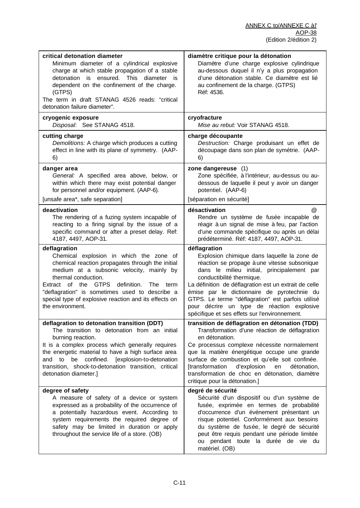| critical detonation diameter<br>Minimum diameter of a cylindrical explosive<br>charge at which stable propagation of a stable<br>detonation is ensured. This diameter is<br>dependent on the confinement of the charge.<br>(GTPS)<br>The term in draft STANAG 4526 reads: "critical<br>detonation failure diameter".                                              | diamètre critique pour la détonation<br>Diamètre d'une charge explosive cylindrique<br>au-dessous duquel il n'y a plus propagation<br>d'une détonation stable. Ce diamètre est lié<br>au confinement de la charge. (GTPS)<br>Réf: 4536.                                                                                                                                                                                                            |
|-------------------------------------------------------------------------------------------------------------------------------------------------------------------------------------------------------------------------------------------------------------------------------------------------------------------------------------------------------------------|----------------------------------------------------------------------------------------------------------------------------------------------------------------------------------------------------------------------------------------------------------------------------------------------------------------------------------------------------------------------------------------------------------------------------------------------------|
| cryogenic exposure<br>Disposal: See STANAG 4518.                                                                                                                                                                                                                                                                                                                  | cryofracture<br>Mise au rebut: Voir STANAG 4518.                                                                                                                                                                                                                                                                                                                                                                                                   |
| cutting charge<br>Demolitions: A charge which produces a cutting<br>effect in line with its plane of symmetry. (AAP-<br>6)                                                                                                                                                                                                                                        | charge découpante<br>Destruction: Charge produisant un effet de<br>découpage dans son plan de symétrie. (AAP-<br>6)                                                                                                                                                                                                                                                                                                                                |
| danger area<br>General: A specified area above, below, or<br>within which there may exist potential danger<br>for personnel and/or equipment. (AAP-6).<br>[unsafe area*, safe separation]                                                                                                                                                                         | zone dangereuse (1)<br>Zone spécifiée, à l'intérieur, au-dessus ou au-<br>dessous de laquelle il peut y avoir un danger<br>potentiel. (AAP-6)<br>[séparation en sécurité]                                                                                                                                                                                                                                                                          |
| deactivation<br>The rendering of a fuzing system incapable of<br>reacting to a firing signal by the issue of a<br>specific command or after a preset delay. Ref:<br>4187, 4497, AOP-31.                                                                                                                                                                           | désactivation<br>$\omega$<br>Rendre un système de fusée incapable de<br>réagir à un signal de mise à feu, par l'action<br>d'une commande spécifique ou après un délai<br>prédéterminé. Réf: 4187, 4497, AOP-31.                                                                                                                                                                                                                                    |
| deflagration<br>Chemical explosion in which the zone of<br>chemical reaction propagates through the initial<br>medium at a subsonic velocity, mainly by<br>thermal conduction.<br>Extract of the GTPS<br>definition.<br>The term<br>"deflagration" is sometimes used to describe a<br>special type of explosive reaction and its effects on<br>the environment.   | déflagration<br>Explosion chimique dans laquelle la zone de<br>réaction se propage à une vitesse subsonique<br>dans le milieu initial, principalement par<br>conductibilité thermique.<br>La définition de déflagration est un extrait de celle<br>émise par le dictionnaire de pyrotechnie du<br>GTPS. Le terme "déflagration" est parfois utilisé<br>pour décrire un type de réaction explosive<br>spécifique et ses effets sur l'environnement. |
| deflagration to detonation transition (DDT)<br>The transition to detonation from an initial<br>burning reaction.<br>It is a complex process which generally requires<br>the energetic material to have a high surface area<br>be confined. [explosion-to-detonation<br>to<br>and<br>transition, shock-to-detonation transition, critical<br>detonation diameter.] | transition de déflagration en détonation (TDD)<br>Transformation d'une réaction de déflagration<br>en détonation.<br>Ce processus complexe nécessite normalement<br>que la matière énergétique occupe une grande<br>surface de combustion et qu'elle soit confinée.<br><b>[transformation</b><br>d'explosion<br>détonation,<br>en<br>transformation de choc en détonation, diamètre<br>critique pour la détonation.]                               |
| degree of safety<br>A measure of safety of a device or system<br>expressed as a probability of the occurrence of<br>a potentially hazardous event. According to<br>system requirements the required degree of<br>safety may be limited in duration or apply<br>throughout the service life of a store. (OB)                                                       | degré de sécurité<br>Sécurité d'un dispositif ou d'un système de<br>fusée, exprimée en termes de probabilité<br>d'occurrence d'un événement présentant un<br>risque potentiel. Conformément aux besoins<br>du système de fusée, le degré de sécurité<br>peut être requis pendant une période limitée<br>ou pendant toute la durée de vie du<br>matériel. (OB)                                                                                      |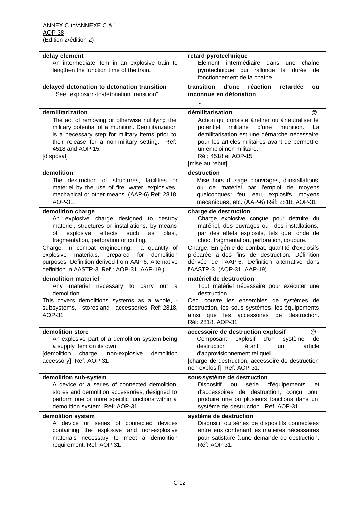| delay element<br>An intermediate item in an explosive train to<br>lengthen the function time of the train.                                                                                                                                                                                                                                                                                                                    | retard pyrotechnique<br>Elément intermédiaire dans<br>une<br>chaîne<br>pyrotechnique qui rallonge<br>la durée de                                                                                                                                                                                                                                                                                        |
|-------------------------------------------------------------------------------------------------------------------------------------------------------------------------------------------------------------------------------------------------------------------------------------------------------------------------------------------------------------------------------------------------------------------------------|---------------------------------------------------------------------------------------------------------------------------------------------------------------------------------------------------------------------------------------------------------------------------------------------------------------------------------------------------------------------------------------------------------|
| delayed detonation to detonation transition<br>See "explosion-to-detonation transition".                                                                                                                                                                                                                                                                                                                                      | fonctionnement de la chaîne.<br>d'une réaction<br>transition<br>retardée<br>ou<br>inconnue en détonation                                                                                                                                                                                                                                                                                                |
| demilitarization<br>The act of removing or otherwise nullifying the<br>military potential of a munition. Demilitarization<br>is a necessary step for military items prior to<br>their release for a non-military setting. Ref:<br>4518 and AOP-15.<br>[disposal]                                                                                                                                                              | démilitarisation<br>$\omega$<br>Action qui consiste à retirer ou à neutraliser le<br>potentiel<br>militaire<br>munition.<br>d'une<br>La<br>démilitarisation est une démarche nécessaire<br>pour les articles militaires avant de permettre<br>un emploi non-militaire.<br>Réf: 4518 et AOP-15.<br>[mise au rebut]                                                                                       |
| demolition<br>The destruction of structures, facilities or<br>materiel by the use of fire, water, explosives,<br>mechanical or other means. (AAP-6) Ref: 2818,<br>AOP-31.                                                                                                                                                                                                                                                     | destruction<br>Mise hors d'usage d'ouvrages, d'installations<br>ou de matériel par l'emploi de moyens<br>quelconques: feu, eau, explosifs, moyens<br>mécaniques, etc. (AAP-6) Réf: 2818, AOP-31                                                                                                                                                                                                         |
| demolition charge<br>explosive charge designed to destroy<br>An<br>materiel, structures or installations, by means<br>explosive<br>effects<br>οf<br>such<br>blast,<br>as<br>fragmentation, perforation or cutting.<br>Charge: In combat engineering, a quantity of<br>materials, prepared for demolition<br>explosive<br>purposes. Definition derived from AAP-6. Alternative<br>definition in AASTP-3. Ref: AOP-31, AAP-19.) | charge de destruction<br>Charge explosive conçue pour détruire du<br>matériel, des ouvrages ou des installations,<br>par des effets explosifs, tels que: onde de<br>choc, fragmentation, perforation, coupure.<br>Charge: En génie de combat, quantité d'explosifs<br>préparée à des fins de destruction. Définition<br>dérivée de l'AAP-6. Définition alternative dans<br>l'AASTP-3. (AOP-31, AAP-19). |
| demolition materiel<br>Any materiel necessary to carry out a<br>demolition.<br>This covers demolitions systems as a whole, -<br>subsystems, - stores and - accessories. Ref: 2818,<br>AOP-31.                                                                                                                                                                                                                                 | matériel de destruction<br>Tout matériel nécessaire pour exécuter une<br>destruction.<br>Ceci couvre les ensembles de systèmes de<br>destruction, les sous-systèmes, les équipements<br>ainsi que les accessoires de destruction.<br>Réf: 2818, AOP-31.                                                                                                                                                 |
| demolition store<br>An explosive part of a demolition system being<br>a supply item on its own.<br>[demolition<br>non-explosive<br>demolition<br>charge,<br>accessory] Ref: AOP-31.                                                                                                                                                                                                                                           | @<br>accessoire de destruction explosif<br>d'un<br>Composant<br>explosif<br>de<br>système<br>destruction<br>étant<br>article<br>un<br>d'approvisionnement tel quel.<br>[charge de destruction, accessoire de destruction<br>non-explosif] Réf: AOP-31.                                                                                                                                                  |
| demolition sub-system<br>A device or a series of connected demolition<br>stores and demolition accessories, designed to<br>perform one or more specific functions within a<br>demolition system. Ref: AOP-31.                                                                                                                                                                                                                 | sous-système de destruction<br>Dispositif<br>ou<br>série<br>d'équipements<br>et<br>d'accessoires de destruction, conçu pour<br>produire une ou plusieurs fonctions dans un<br>système de destruction. Réf: AOP-31.                                                                                                                                                                                      |
| demolition system<br>A device or series of connected devices<br>containing the explosive and non-explosive<br>materials necessary to meet a demolition<br>requirement. Ref: AOP-31.                                                                                                                                                                                                                                           | système de destruction<br>Dispositif ou séries de dispositifs connectées<br>entre eux contenant les matières nécessaires<br>pour satisfaire à une demande de destruction.<br>Réf: AOP-31.                                                                                                                                                                                                               |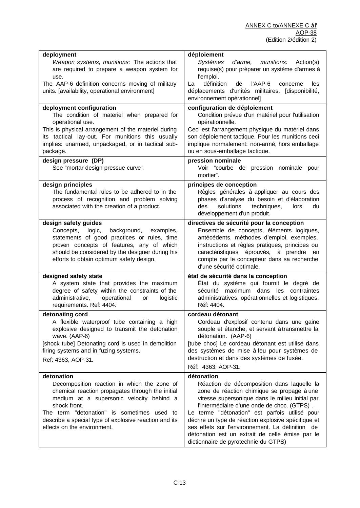| deployment                                                                                  | déploiement                                                                           |
|---------------------------------------------------------------------------------------------|---------------------------------------------------------------------------------------|
| Weapon systems, munitions: The actions that                                                 | Systèmes<br>d'arme, munitions:<br>Action(s)                                           |
| are required to prepare a weapon system for                                                 | requise(s) pour préparer un système d'armes à                                         |
| use.                                                                                        | l'emploi.                                                                             |
| The AAP-6 definition concerns moving of military                                            | définition<br>l'AAP-6<br>La<br>de<br>concerne<br>les                                  |
| units. [availability, operational environment]                                              | déplacements d'unités militaires. [disponibilité,                                     |
|                                                                                             | environnement opérationnel]                                                           |
| deployment configuration                                                                    | configuration de déploiement                                                          |
| The condition of materiel when prepared for                                                 | Condition prévue d'un matériel pour l'utilisation                                     |
| operational use.                                                                            | opérationnelle.                                                                       |
| This is physical arrangement of the materiel during                                         | Ceci est l'arrangement physique du matériel dans                                      |
| its tactical lay-out. For munitions this usually                                            | son déploiement tactique. Pour les munitions ceci                                     |
| implies: unarmed, unpackaged, or in tactical sub-                                           | implique normalement: non-armé, hors emballage                                        |
| package.                                                                                    | ou en sous-emballage tactique.                                                        |
| design pressure (DP)                                                                        | pression nominale                                                                     |
| See "mortar design pressue curve".                                                          | Voir "courbe de pression nominale pour                                                |
|                                                                                             | mortier".                                                                             |
| design principles                                                                           | principes de conception                                                               |
| The fundamental rules to be adhered to in the                                               | Règles générales à appliquer au cours des                                             |
| process of recognition and problem solving                                                  | phases d'analyse du besoin et d'élaboration                                           |
| associated with the creation of a product.                                                  | solutions<br>techniques,<br>des<br>lors<br>du                                         |
|                                                                                             | développement d'un produit.                                                           |
| design safety guides                                                                        | directives de sécurité pour la conception                                             |
| Concepts,<br>logic,<br>background,<br>examples,                                             | Ensemble de concepts, éléments logiques,                                              |
| statements of good practices or rules, time                                                 | antécédents, méthodes d'emploi, exemples,                                             |
| proven concepts of features, any of which                                                   | instructions et règles pratiques, principes ou                                        |
| should be considered by the designer during his<br>efforts to obtain optimum safety design. | caractéristiques éprouvés, à prendre en<br>compte par le concepteur dans sa recherche |
|                                                                                             | d'une sécurité optimale.                                                              |
| designed safety state                                                                       | état de sécurité dans la conception                                                   |
| A system state that provides the maximum                                                    | État du système qui fournit le degré de                                               |
| degree of safety within the constraints of the                                              | sécurité maximum dans les contraintes                                                 |
| administrative,<br>operational<br>logistic<br>or                                            | administratives, opérationnelles et logistiques.                                      |
| requirements. Ref: 4404.                                                                    | Réf: 4404.                                                                            |
| detonating cord                                                                             | cordeau détonant                                                                      |
| A flexible waterproof tube containing a high                                                | Cordeau d'explosif contenu dans une gaine                                             |
| explosive designed to transmit the detonation                                               | souple et étanche, et servant à transmettre la                                        |
| wave. (AAP-6)                                                                               | détonation. (AAP-6)                                                                   |
| [shock tube] Detonating cord is used in demolition                                          | [tube choc] Le cordeau détonant est utilisé dans                                      |
| firing systems and in fuzing systems.                                                       | des systèmes de mise à feu pour systèmes de                                           |
| Ref: 4363, AOP-31.                                                                          | destruction et dans des systèmes de fusée.                                            |
|                                                                                             | Réf: 4363, AOP-31.                                                                    |
| detonation                                                                                  | détonation                                                                            |
| Decomposition reaction in which the zone of                                                 | Réaction de décomposition dans laquelle la                                            |
| chemical reaction propagates through the initial                                            | zone de réaction chimique se propage à une                                            |
| medium at a supersonic velocity behind a                                                    | vitesse supersonique dans le milieu initial par                                       |
| shock front.                                                                                | l'intermédiaire d'une onde de choc. (GTPS).                                           |
| The term "detonation" is sometimes used to                                                  | Le terme "détonation" est parfois utilisé pour                                        |
| describe a special type of explosive reaction and its                                       | décrire un type de réaction explosive spécifique et                                   |
| effects on the environment.                                                                 | ses effets sur l'environnement. La définition de                                      |
|                                                                                             | détonation est un extrait de celle émise par le                                       |
|                                                                                             | dictionnaire de pyrotechnie du GTPS)                                                  |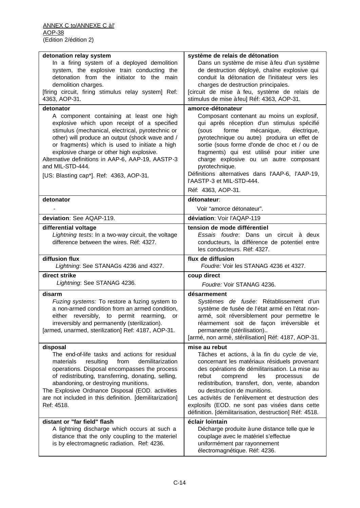| detonation relay system                                                                                                                                                                                                                                                                                                                                                                                           | système de relais de détonation                                                                                                                                                                                                                                                                                                                                                                                                                          |
|-------------------------------------------------------------------------------------------------------------------------------------------------------------------------------------------------------------------------------------------------------------------------------------------------------------------------------------------------------------------------------------------------------------------|----------------------------------------------------------------------------------------------------------------------------------------------------------------------------------------------------------------------------------------------------------------------------------------------------------------------------------------------------------------------------------------------------------------------------------------------------------|
| In a firing system of a deployed demolition<br>system, the explosive train conducting the<br>detonation from the initiator to the main<br>demolition charges.<br>[firing circuit, firing stimulus relay system] Ref:<br>4363, AOP-31.                                                                                                                                                                             | Dans un système de mise à feu d'un système<br>de destruction déployé, chaîne explosive qui<br>conduit la détonation de l'initiateur vers les<br>charges de destruction principales.<br>[circuit de mise à feu, système de relais de<br>stimulus de mise à feu] Réf: 4363, AOP-31.                                                                                                                                                                        |
| detonator                                                                                                                                                                                                                                                                                                                                                                                                         | amorce-détonateur                                                                                                                                                                                                                                                                                                                                                                                                                                        |
| A component containing at least one high<br>explosive which upon receipt of a specified<br>stimulus (mechanical, electrical, pyrotechnic or<br>other) will produce an output (shock wave and /<br>or fragments) which is used to initiate a high<br>explosive charge or other high explosive.<br>Alternative definitions in AAP-6, AAP-19, AASTP-3<br>and MIL-STD-444.<br>[US: Blasting cap*]. Ref: 4363, AOP-31. | Composant contenant au moins un explosif,<br>qui après réception d'un stimulus spécifié<br>mécanique,<br>forme<br>électrique,<br>(sous<br>pyrotechnique ou autre) produira un effet de<br>sortie (sous forme d'onde de choc et / ou de<br>fragments) qui est utilisé pour initier une<br>charge explosive ou un autre composant<br>pyrotechnique.<br>Définitions alternatives dans l'AAP-6, l'AAP-19,<br>l'AASTP-3 et MIL-STD-444.<br>Réf: 4363, AOP-31. |
| detonator                                                                                                                                                                                                                                                                                                                                                                                                         | détonateur:                                                                                                                                                                                                                                                                                                                                                                                                                                              |
|                                                                                                                                                                                                                                                                                                                                                                                                                   | Voir "amorce détonateur".                                                                                                                                                                                                                                                                                                                                                                                                                                |
| deviation: See AQAP-119.                                                                                                                                                                                                                                                                                                                                                                                          | déviation: Voir l'AQAP-119                                                                                                                                                                                                                                                                                                                                                                                                                               |
| differential voltage<br>Lightning tests: In a two-way circuit, the voltage<br>difference between the wires. Réf: 4327.                                                                                                                                                                                                                                                                                            | tension de mode différentiel<br>Essais foudre: Dans un circuit à deux<br>conducteurs, la différence de potentiel entre<br>les conducteurs. Réf: 4327.                                                                                                                                                                                                                                                                                                    |
| diffusion flux<br>Lightning: See STANAGs 4236 and 4327.                                                                                                                                                                                                                                                                                                                                                           | flux de diffusion<br>Foudre: Voir les STANAG 4236 et 4327.                                                                                                                                                                                                                                                                                                                                                                                               |
| direct strike                                                                                                                                                                                                                                                                                                                                                                                                     | coup direct                                                                                                                                                                                                                                                                                                                                                                                                                                              |
| Lightning: See STANAG 4236.                                                                                                                                                                                                                                                                                                                                                                                       | Foudre: Voir STANAG 4236.                                                                                                                                                                                                                                                                                                                                                                                                                                |
| disarm<br>Fuzing systems: To restore a fuzing system to<br>a non-armed condition from an armed condition,<br>either reversibly, to permit rearming,<br>or<br>irreversibly and permanently (sterilization).<br>[armed, unarmed, sterilization] Ref: 4187, AOP-31.                                                                                                                                                  | désarmement<br>Systèmes de fusée: Rétablissement d'un<br>système de fusée de l'état armé en l'état non-<br>armé, soit réversiblement pour permettre le<br>réarmement soit de façon irréversible et<br>permanente (stérilisation)<br>[armé, non armé, stérilisation] Réf: 4187, AOP-31.                                                                                                                                                                   |
| disposal                                                                                                                                                                                                                                                                                                                                                                                                          | mise au rebut                                                                                                                                                                                                                                                                                                                                                                                                                                            |
| The end-of-life tasks and actions for residual<br>demilitarization<br>resulting<br>from<br>materials<br>operations. Disposal encompasses the process                                                                                                                                                                                                                                                              | Tâches et actions, à la fin du cycle de vie,<br>concernant les matériaux résiduels provenant                                                                                                                                                                                                                                                                                                                                                             |
| of redistributing, transferring, donating, selling,<br>abandoning, or destroying munitions.<br>The Explosive Ordnance Disposal (EOD. activities<br>are not included in this definition. [demilitarization]<br>Ref: 4518.                                                                                                                                                                                          | des opérations de démilitarisation. La mise au<br>rebut<br>comprend<br>les<br>processus<br>de<br>redistribution, transfert, don, vente, abandon<br>ou destruction de munitions.<br>Les activités de l'enlèvement et destruction des<br>explosifs (EOD. ne sont pas visées dans cette<br>définition. [démilitarisation, destruction] Réf: 4518.                                                                                                           |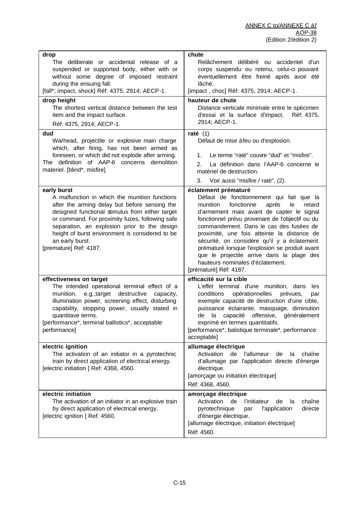| drop                                                                                                                                                                                                                                                                                                                                                                | chute                                                                                                                                                                                                                                                                                                                                                                                                                                                                                                                      |
|---------------------------------------------------------------------------------------------------------------------------------------------------------------------------------------------------------------------------------------------------------------------------------------------------------------------------------------------------------------------|----------------------------------------------------------------------------------------------------------------------------------------------------------------------------------------------------------------------------------------------------------------------------------------------------------------------------------------------------------------------------------------------------------------------------------------------------------------------------------------------------------------------------|
| The deliberate or accidental release of a<br>suspended or supported body, either with or<br>without some degree of imposed restraint<br>during the ensuing fall.<br>[fall*, impact, shock] Réf: 4375, 2914; AECP-1.                                                                                                                                                 | Relâchement délibéré ou accidentel d'un<br>corps suspendu ou retenu, celui-ci pouvant<br>éventuellement être freiné après avoir été<br>lâché.<br>[impact, choc] Réf: 4375, 2914; AECP-1.                                                                                                                                                                                                                                                                                                                                   |
|                                                                                                                                                                                                                                                                                                                                                                     | hauteur de chute                                                                                                                                                                                                                                                                                                                                                                                                                                                                                                           |
| drop height<br>The shortest vertical distance between the test<br>item and the impact surface.<br>Réf: 4375, 2914; AECP-1.                                                                                                                                                                                                                                          | Distance verticale minimale entre le spécimen<br>d'essai et la surface d'impact.<br>Réf: 4375,<br>2914; AECP-1.                                                                                                                                                                                                                                                                                                                                                                                                            |
| dud<br>Warhead, projectile or explosive main charge<br>which, after firing, has not been armed as<br>foreseen, or which did not explode after arming.<br>The definition of AAP-6 concerns demolition<br>materiel. [blind*, misfire]                                                                                                                                 | raté $(1)$<br>Défaut de mise à feu ou d'explosion.<br>Le terme "raté" couvre "dud" et "misfire".<br>1.<br>2.<br>La définition dans l'AAP-6 concerne le<br>matériel de destruction.<br>Voir aussi "misfire / raté". (2).<br>3.                                                                                                                                                                                                                                                                                              |
| early burst<br>A malfunction in which the munition functions<br>after the arming delay but before sensing the<br>designed functional stimulus from either target<br>or command. For proximity fuzes, following safe<br>separation, an explosion prior to the design<br>height of burst environment is considered to be<br>an early burst.<br>[premature] Ref: 4187. | éclatement prématuré<br>Défaut de fonctionnement qui fait que la<br>fonctionne<br>munition<br>après<br>le<br>retard<br>d'armement mais avant de capter le signal<br>fonctionnel prévu provenant de l'objectif ou du<br>commandement. Dans le cas des fusées de<br>proximité, une fois atteinte la distance de<br>sécurité, on considère qu'il y a éclatement<br>prématuré lorsque l'explosion se produit avant<br>que le projectile arrive dans la plage des<br>hauteurs nominales d'éclatement.<br>[prématuré] Réf: 4187. |
| effectiveness on target<br>The intended operational terminal effect of a<br>munition, e.g., target<br>destructive<br>capacity,<br>illumination power, screening effect, disturbing<br>capability, stopping power, usually stated in<br>quantitave terms.<br>[performance*, terminal ballistics*, acceptable<br>performance]                                         | efficacité sur la cible<br>L'effet terminal d'une munition, dans<br>les<br>opérationnelles<br>conditions<br>prévues,<br>par<br>exemple capacité de destruction d'une cible,<br>puissance éclairante, masquage, diminution<br>de la capacité offensive,<br>généralement<br>exprimé en termes quantitatifs.<br>[performance*, balistique terminale*, performance<br>acceptable]                                                                                                                                              |
| electric ignition<br>The activation of an initiator in a pyrotechnic<br>train by direct application of electrical energy.<br>[electric initiation ] Ref: 4368, 4560.                                                                                                                                                                                                | allumage électrique<br>Activation<br>de<br>l'allumeur<br>chaîne<br>de<br>la<br>d'allumage par l'application directe d'énergie<br>électrique.<br>[amorçage ou initiation électrique]<br>Réf: 4368, 4560.                                                                                                                                                                                                                                                                                                                    |
| electric initiation<br>The activation of an initiator in an explosive train<br>by direct application of electrical energy.<br>[electric ignition ] Ref: 4560.                                                                                                                                                                                                       | amorçage électrique<br>Activation<br>chaîne<br>de<br>l'initiateur<br>de<br>la<br>pyrotechnique<br>l'application<br>directe<br>par<br>d'énergie électrique.<br>[allumage électrique, initiation électrique]<br>Réf: 4560.                                                                                                                                                                                                                                                                                                   |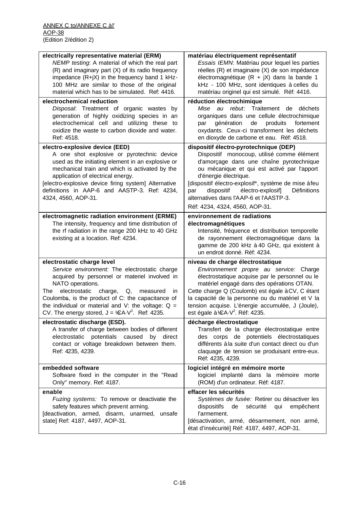| Essais IEMN: Matériau pour lequel les parties<br>NEMP testing: A material of which the real part                                                 |
|--------------------------------------------------------------------------------------------------------------------------------------------------|
|                                                                                                                                                  |
| (R) and imaginary part (X) of its radio frequency<br>réelles (R) et imaginaire (X) de son impédance                                              |
| impedance (R+jX) in the frequency band 1 kHz-<br>électromagnétique ( $R + jX$ ) dans la bande 1                                                  |
| 100 MHz are similar to those of the original<br>kHz - 100 MHz, sont identiques à celles du                                                       |
| material which has to be simulated. Ref: 4416.<br>matériau originel qui est simulé. Réf: 4416.                                                   |
| electrochemical reduction<br>réduction électrochimique                                                                                           |
| Disposal: Treatment of organic wastes by<br>au rebut: Traitement de déchets<br>Mise                                                              |
| generation of highly oxidizing species in an<br>organiques dans une cellule électrochimique                                                      |
| electrochemical cell and utilizing these to<br>produits<br>génération<br>de<br>fortement<br>par                                                  |
| oxidize the waste to carbon dioxide and water.<br>oxydants. Ceux-ci transforment les déchets                                                     |
| Ref: 4518.<br>en dioxyde de carbone et eau. Réf: 4518.                                                                                           |
| electro-explosive device (EED)<br>dispositif électro-pyrotechnique (DEP)                                                                         |
| Dispositif monocoup, utilisé comme élément<br>A one shot explosive or pyrotechnic device                                                         |
| used as the initiating element in an explosive or<br>d'amorçage dans une chaîne pyrotechnique                                                    |
| mechanical train and which is activated by the<br>ou mécanique et qui est activé par l'apport                                                    |
| application of electrical energy.<br>d'énergie électrique.                                                                                       |
| [dispositif électro-explosif*, système de mise à feu<br>[electro-explosive device firing system] Alternative                                     |
| definitions in AAP-6 and AASTP-3. Ref: 4234,<br>électro-explosif]<br>dispositif<br>Définitions<br>par<br>alternatives dans l'AAP-6 et l'AASTP-3. |
| 4324, 4560, AOP-31.                                                                                                                              |
| Réf: 4234, 4324, 4560, AOP-31.                                                                                                                   |
| environnement de radiations<br>electromagnetic radiation environment (ERME)                                                                      |
| The intensity, frequency and time distribution of<br>électromagnétiques                                                                          |
| the rf radiation in the range 200 kHz to 40 GHz<br>Intensité, fréquence et distribution temporelle<br>de rayonnement électromagnétique dans la   |
| existing at a location. Ref: 4234.<br>gamme de 200 kHz à 40 GHz, qui existent à                                                                  |
| un endroit donné. Réf: 4234.                                                                                                                     |
| electrostatic charge level<br>niveau de charge électrostatique                                                                                   |
| Service environment: The electrostatic charge<br>Environnement propre au service: Charge                                                         |
| acquired by personnel or materiel involved in<br>électrostatique acquise par le personnel ou le                                                  |
| NATO operations.<br>matériel engagé dans des opérations OTAN.                                                                                    |
| Cette charge Q (Coulomb) est égale à CV, C étant<br>electrostatic<br>charge,<br>Q,<br>The<br>measured<br>in                                      |
| Coulombs, is the product of C: the capacitance of<br>la capacité de la personne ou du matériel et V la                                           |
| the individual or material and V: the voltage: $Q =$<br>tension acquise. L'énergie accumulée, J (Joule),                                         |
| CV. The energy stored, $J = \frac{1}{2}A \cdot V^2$ . Ref: 4235.<br>est égale à $E A V^2$ . Réf: 4235.                                           |
| electrostatic discharge (ESD).<br>décharge électrostatique                                                                                       |
| A transfer of charge between bodies of different<br>Transfert de la charge électrostatique entre                                                 |
| potentials caused by<br>des corps de potentiels électrostatiques<br>electrostatic<br>direct                                                      |
| différents à la suite d'un contact direct ou d'un<br>contact or voltage breakdown between them.                                                  |
| claquage de tension se produisant entre-eux.<br>Ref: 4235, 4239.                                                                                 |
| Réf: 4235, 4239.                                                                                                                                 |
| embedded software<br>logiciel intégré en mémoire morte                                                                                           |
| logiciel implanté dans la mémoire morte<br>Software fixed in the computer in the "Read                                                           |
|                                                                                                                                                  |
| Only" memory. Ref: 4187.<br>(ROM) d'un ordinateur. Réf: 4187.                                                                                    |
| enable<br>effacer les sécurités                                                                                                                  |
| Fuzing systems: To remove or deactivatie the<br>Systèmes de fusée: Retirer ou désactiver les                                                     |
| safety features which prevent arming.<br>dispositifs de sécurité<br>qui<br>empêchent                                                             |
| [deactivation, armed, disarm, unarmed, unsafe<br>l'armement.<br>state] Ref: 4187, 4497, AOP-31.<br>[désactivation, armé, désarmement, non armé,  |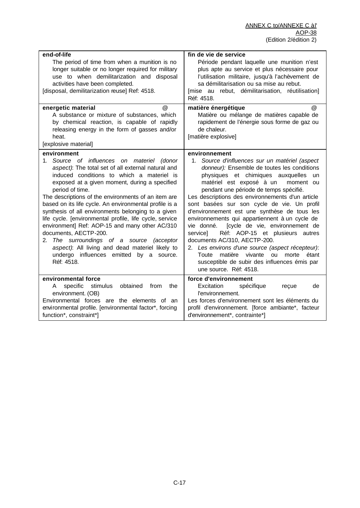| end-of-life                                                                                                                                                                                                                                                                                                                                                                                                                                                                                                                                                                                                                                                                                                      | fin de vie de service                                                                                                                                                                                                                                                                                                                                                                                                                                                                                                                                                                                                                                                                                                                                                    |
|------------------------------------------------------------------------------------------------------------------------------------------------------------------------------------------------------------------------------------------------------------------------------------------------------------------------------------------------------------------------------------------------------------------------------------------------------------------------------------------------------------------------------------------------------------------------------------------------------------------------------------------------------------------------------------------------------------------|--------------------------------------------------------------------------------------------------------------------------------------------------------------------------------------------------------------------------------------------------------------------------------------------------------------------------------------------------------------------------------------------------------------------------------------------------------------------------------------------------------------------------------------------------------------------------------------------------------------------------------------------------------------------------------------------------------------------------------------------------------------------------|
| The period of time from when a munition is no<br>longer suitable or no longer required for military<br>use to when demilitarization and disposal<br>activities have been completed.<br>[disposal, demilitarization reuse] Ref: 4518.                                                                                                                                                                                                                                                                                                                                                                                                                                                                             | Période pendant laquelle une munition n'est<br>plus apte au service et plus nécessaire pour<br>l'utilisation militaire, jusqu'à l'achèvement de<br>sa démilitarisation ou sa mise au rebut.<br>[mise au rebut, démilitarisation, réutilisation]<br>Réf: 4518.                                                                                                                                                                                                                                                                                                                                                                                                                                                                                                            |
| energetic material<br>@<br>A substance or mixture of substances, which<br>by chemical reaction, is capable of rapidly<br>releasing energy in the form of gasses and/or<br>heat.<br>[explosive material]                                                                                                                                                                                                                                                                                                                                                                                                                                                                                                          | matière énergétique<br>$^{\circledR}$<br>Matière ou mélange de matières capable de<br>rapidement de l'énergie sous forme de gaz ou<br>de chaleur.<br>[matière explosive]                                                                                                                                                                                                                                                                                                                                                                                                                                                                                                                                                                                                 |
| environment<br>1. Source of influences on materiel (donor<br>aspect): The total set of all external natural and<br>induced conditions to which a materiel is<br>exposed at a given moment, during a specified<br>period of time.<br>The descriptions of the environments of an item are<br>based on its life cycle. An environmental profile is a<br>synthesis of all environments belonging to a given<br>life cycle. [environmental profile, life cycle, service<br>environment] Ref: AOP-15 and many other AC/310<br>documents, AECTP-200.<br>2. The surroundings of a source<br><i>(acceptor</i><br>aspect): All living and dead materiel likely to<br>undergo influences emitted by a source.<br>Réf: 4518. | environnement<br>Source d'influences sur un matériel (aspect<br>$1_{-}$<br>donneur): Ensemble de toutes les conditions<br>physiques et chimiques auxquelles un<br>matériel est exposé à un<br>moment ou<br>pendant une période de temps spécifié.<br>Les descriptions des environnements d'un article<br>sont basées sur son cycle de vie. Un profil<br>d'environnement est une synthèse de tous les<br>environnements qui appartiennent à un cycle de<br>[cycle de vie, environnement de<br>vie donné.<br>Réf: AOP-15 et plusieurs autres<br>service]<br>documents AC/310, AECTP-200.<br>2. Les environs d'une source (aspect récepteur):<br>matière vivante<br>Toute<br>ou<br>morte<br>étant<br>susceptible de subir des influences émis par<br>une source. Réf: 4518. |
| environmental force<br>specific<br>stimulus<br>obtained<br>from<br>the<br>A<br>environment. (OB)<br>Environmental forces are the elements of an<br>environmental profile. [environmental factor*, forcing<br>function*, constraint*]                                                                                                                                                                                                                                                                                                                                                                                                                                                                             | force d'environnement<br>Excitation<br>spécifique<br>reçue<br>de<br>l'environnement.<br>Les forces d'environnement sont les éléments du<br>profil d'environnement. [force ambiante*, facteur<br>d'environnement*, contrainte*]                                                                                                                                                                                                                                                                                                                                                                                                                                                                                                                                           |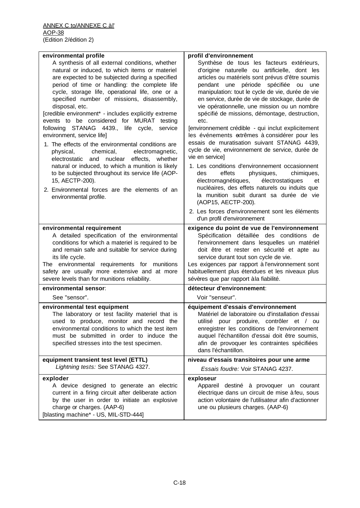| environmental profile                                | profil d'environnement                              |
|------------------------------------------------------|-----------------------------------------------------|
| A synthesis of all external conditions, whether      | Synthèse de tous les facteurs extérieurs,           |
| natural or induced, to which items or materiel       | d'origine naturelle ou artificielle, dont les       |
| are expected to be subjected during a specified      | articles ou matériels sont prévus d'être soumis     |
| period of time or handling: the complete life        | pendant une période spécifiée ou<br>une             |
| cycle, storage life, operational life, one or a      | manipulation: tout le cycle de vie, durée de vie    |
| specified number of missions, disassembly,           | en service, durée de vie de stockage, durée de      |
| disposal, etc.                                       | vie opérationnelle, une mission ou un nombre        |
| [credible environment* - includes explicitly extreme | spécifié de missions, démontage, destruction,       |
| events to be considered for MURAT testing            | etc.                                                |
| following STANAG 4439., life cycle,<br>service       | [environnement crédible - qui inclut explicitement  |
| environment, service life]                           | les événements extrêmes à considérer pour les       |
| 1. The effects of the environmental conditions are   | essais de muratisation suivant STANAG 4439,         |
| physical,<br>chemical,<br>electromagnetic,           | cycle de vie, environnement de service, durée de    |
| electrostatic and nuclear effects, whether           | vie en service]                                     |
| natural or induced, to which a munition is likely    | 1. Les conditions d'environnement occasionnent      |
| to be subjected throughout its service life (AOP-    | effets<br>physiques,<br>chimiques,<br>des           |
| 15, AECTP-200).                                      | électromagnétiques,<br>électrostatiques<br>et       |
| 2. Environmental forces are the elements of an       | nucléaires, des effets naturels ou induits que      |
| environmental profile.                               | la munition subit durant sa durée de vie            |
|                                                      | (AOP15, AECTP-200).                                 |
|                                                      | 2. Les forces d'environnement sont les éléments     |
|                                                      | d'un profil d'environnement                         |
| environmental requirement                            | exigence du point de vue de l'environnement         |
| A detailed specification of the environmental        | Spécification détaillée des conditions de           |
| conditions for which a materiel is required to be    | l'environnement dans lesquelles un matériel         |
| and remain safe and suitable for service during      | doit être et rester en sécurité et apte au          |
| its life cycle.                                      | service durant tout son cycle de vie.               |
| The environmental requirements for munitions         | Les exigences par rapport à l'environnement sont    |
| safety are usually more extensive and at more        | habituellement plus étendues et les niveaux plus    |
| severe levels than for munitions reliability.        | sévères que par rapport à la fiabilité.             |
| environmental sensor:                                | détecteur d'environnement:                          |
| See "sensor".                                        | Voir "senseur".                                     |
| environmental test equipment                         | équipement d'essais d'environnement                 |
| The laboratory or test facility materiel that is     | Matériel de laboratoire ou d'installation d'essai   |
| used to produce, monitor and record the              | utilisé pour produire, contrôler et / ou            |
| environmental conditions to which the test item      | enregistrer les conditions de l'environnement       |
| must be submitted in order to induce the             | auquel l'échantillon d'essai doit être soumis,      |
| specified stresses into the test specimen.           | afin de provoquer les contraintes spécifiées        |
|                                                      | dans l'échantillon.                                 |
| equipment transient test level (ETTL)                | niveau d'essais transitoires pour une arme          |
| Lightning tests: See STANAG 4327.                    | Essais foudre: Voir STANAG 4237.                    |
| exploder                                             | exploseur                                           |
| A device designed to generate an electric            | Appareil destiné à provoquer un courant             |
| current in a firing circuit after deliberate action  | électrique dans un circuit de mise à feu, sous      |
| by the user in order to initiate an explosive        | action volontaire de l'utilisateur afin d'actionner |
| charge or charges. (AAP-6)                           | une ou plusieurs charges. (AAP-6)                   |
| [blasting machine* - US, MIL-STD-444]                |                                                     |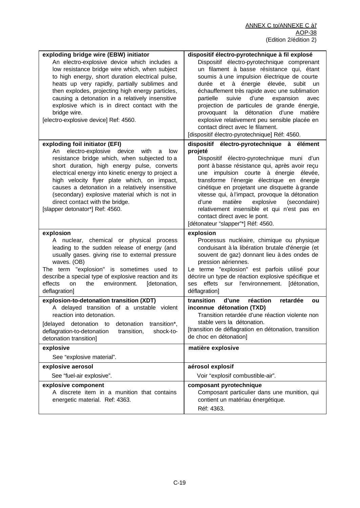| exploding bridge wire (EBW) initiator<br>An electro-explosive device which includes a<br>low resistance bridge wire which, when subject<br>to high energy, short duration electrical pulse,<br>heats up very rapidly, partially sublimes and<br>then explodes, projecting high energy particles,<br>causing a detonation in a relatively insensitive<br>explosive which is in direct contact with the<br>bridge wire.<br>[electro-explosive device] Ref: 4560.         | dispositif électro-pyrotechnique à fil explosé<br>Dispositif électro-pyrotechnique comprenant<br>un filament à basse résistance qui, étant<br>soumis à une impulsion électrique de courte<br>durée et à énergie élevée, subit<br>un<br>échauffement très rapide avec une sublimation<br>suivie<br>d'une<br>partielle<br>expansion<br>avec<br>projection de particules de grande énergie,<br>provoquant la détonation d'une<br>matière<br>explosive relativement peu sensible placée en<br>contact direct avec le filament.<br>[dispositif électro-pyrotechnique] Réf: 4560. |
|------------------------------------------------------------------------------------------------------------------------------------------------------------------------------------------------------------------------------------------------------------------------------------------------------------------------------------------------------------------------------------------------------------------------------------------------------------------------|-----------------------------------------------------------------------------------------------------------------------------------------------------------------------------------------------------------------------------------------------------------------------------------------------------------------------------------------------------------------------------------------------------------------------------------------------------------------------------------------------------------------------------------------------------------------------------|
| exploding foil initiator (EFI)<br>electro-explosive<br>device<br>with<br>An<br>low<br>a<br>resistance bridge which, when subjected to a<br>short duration, high energy pulse, converts<br>electrical energy into kinetic energy to project a<br>high velocity flyer plate which, on impact,<br>causes a detonation in a relatively insensitive<br>(secondary) explosive material which is not in<br>direct contact with the bridge.<br>[slapper detonator*] Ref: 4560. | dispositif électro-pyrotechnique à élément<br>projeté<br>Dispositif électro-pyrotechnique muni d'un<br>pont à basse résistance qui, après avoir reçu<br>impulsion courte à énergie élevée,<br>une<br>transforme l'énergie électrique en énergie<br>cinétique en projetant une disquette à grande<br>vitesse qui, à l'impact, provoque la détonation<br>matière<br>explosive<br>(secondaire)<br>d'une<br>relativement insensible et qui n'est pas en<br>contact direct avec le pont.<br>[détonateur "slapper"*] Réf: 4560.                                                   |
| explosion<br>A nuclear, chemical or physical process<br>leading to the sudden release of energy (and<br>usually gases. giving rise to external pressure<br>waves. (OB)<br>The term "explosion" is sometimes used to<br>describe a special type of explosive reaction and its<br>effects<br>the<br>environment.<br>on<br>[detonation,<br>deflagration]                                                                                                                  | explosion<br>Processus nucléaire, chimique ou physique<br>conduisant à la libération brutale d'énergie (et<br>souvent de gaz) donnant lieu à des ondes de<br>pression aériennes.<br>Le terme "explosion" est parfois utilisé pour<br>décrire un type de réaction explosive spécifique et<br>ses effets sur l'environnement. [détonation,<br>déflagration]                                                                                                                                                                                                                   |
| explosion-to-detonation transition (XDT)<br>A delayed transition of a unstable violent<br>reaction into detonation.<br>[delayed detonation<br>detonation<br>transition*,<br>to<br>deflagration-to-detonation<br>transition,<br>shock-to-<br>detonation transition]                                                                                                                                                                                                     | transition<br>d'une<br>réaction<br>retardée<br>ou<br>inconnue détonation (TXD)<br>Transition retardée d'une réaction violente non<br>stable vers la détonation.<br>[transition de déflagration en détonation, transition<br>de choc en détonation]                                                                                                                                                                                                                                                                                                                          |
| explosive<br>See "explosive material".                                                                                                                                                                                                                                                                                                                                                                                                                                 | matière explosive                                                                                                                                                                                                                                                                                                                                                                                                                                                                                                                                                           |
| explosive aerosol                                                                                                                                                                                                                                                                                                                                                                                                                                                      | aérosol explosif                                                                                                                                                                                                                                                                                                                                                                                                                                                                                                                                                            |
| See "fuel-air explosive".                                                                                                                                                                                                                                                                                                                                                                                                                                              | Voir "explosif combustible-air".                                                                                                                                                                                                                                                                                                                                                                                                                                                                                                                                            |
| explosive component<br>A discrete item in a munition that contains<br>energetic material. Ref: 4363.                                                                                                                                                                                                                                                                                                                                                                   | composant pyrotechnique<br>Composant particulier dans une munition, qui<br>contient un matériau énergétique.                                                                                                                                                                                                                                                                                                                                                                                                                                                                |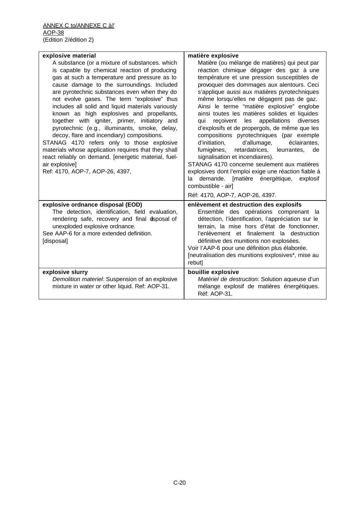| explosive material                                                                                                                                                                                                                                                                                                                                                                                                                                                                                                                                                                                                                                                                                                                                               | matière explosive                                                                                                                                                                                                                                                                                                                                                                                                                                                                                                                                                                                                                                                                                                                                                                                                                                                                      |
|------------------------------------------------------------------------------------------------------------------------------------------------------------------------------------------------------------------------------------------------------------------------------------------------------------------------------------------------------------------------------------------------------------------------------------------------------------------------------------------------------------------------------------------------------------------------------------------------------------------------------------------------------------------------------------------------------------------------------------------------------------------|----------------------------------------------------------------------------------------------------------------------------------------------------------------------------------------------------------------------------------------------------------------------------------------------------------------------------------------------------------------------------------------------------------------------------------------------------------------------------------------------------------------------------------------------------------------------------------------------------------------------------------------------------------------------------------------------------------------------------------------------------------------------------------------------------------------------------------------------------------------------------------------|
| A substance (or a mixture of substances. which<br>is capable by chemical reaction of producing<br>gas at such a temperature and pressure as to<br>cause damage to the surroundings. Included<br>are pyrotechnic substances even when they do<br>not evolve gases. The term "explosive" thus<br>includes all solid and liquid materials variously<br>known as high explosives and propellants,<br>together with igniter, primer, initiatory and<br>pyrotechnic (e.g., illuminants, smoke, delay,<br>decoy, flare and incendiary) compositions.<br>STANAG 4170 refers only to those explosive<br>materials whose application requires that they shall<br>react reliably on demand. [energetic material, fuel-<br>air explosive]<br>Ref: 4170, AOP-7, AOP-26, 4397, | Matière (ou mélange de matières) qui peut par<br>réaction chimique dégager des gaz à une<br>température et une pression susceptibles de<br>provoquer des dommages aux alentours. Ceci<br>s'applique aussi aux matières pyrotechniques<br>même lorsqu'elles ne dégagent pas de gaz.<br>Ainsi le terme "matière explosive" englobe<br>ainsi toutes les matières solides et liquides<br>appellations diverses<br>qui reçoivent les<br>d'explosifs et de propergols, de même que les<br>compositions pyrotechniques (par exemple<br>d'initiation,<br>d'allumage,<br>éclairantes,<br>fumigènes, retardatrices, leurrantes,<br>de<br>signalisation et incendiaires).<br>STANAG 4170 concerne seulement aux matières<br>explosives dont l'emploi exige une réaction fiable à<br>demande.<br>[matière énergétique,<br>la.<br>explosif<br>combustible - air]<br>Réf: 4170, AOP-7, AOP-26, 4397. |
| explosive ordnance disposal (EOD)<br>The detection, identification, field evaluation,<br>rendering safe, recovery and final dsposal of<br>unexploded explosive ordnance.<br>See AAP-6 for a more extended definition.<br>[disposal]                                                                                                                                                                                                                                                                                                                                                                                                                                                                                                                              | enlèvement et destruction des explosifs<br>Ensemble des opérations comprenant la<br>détection, l'identification, l'appréciation sur le<br>terrain, la mise hors d'état de fonctionner,<br>l'enlèvement et finalement la destruction<br>définitive des munitions non explosées.<br>Voir l'AAP-6 pour une définition plus élaborée.<br>[neutralisation des munitions explosives*, mise au<br>rebut]                                                                                                                                                                                                                                                                                                                                                                                                                                                                                      |
| explosive slurry<br>Demolition materiel: Suspension of an explosive<br>mixture in water or other liquid. Ref: AOP-31.                                                                                                                                                                                                                                                                                                                                                                                                                                                                                                                                                                                                                                            | bouillie explosive<br>Matériel de destruction: Solution aqueuse d'un<br>mélange explosif de matières énergétiques.<br>Réf: AOP-31.                                                                                                                                                                                                                                                                                                                                                                                                                                                                                                                                                                                                                                                                                                                                                     |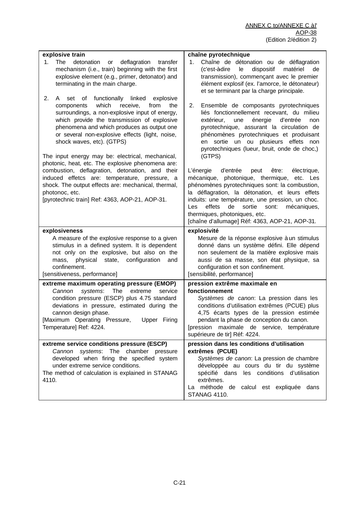| explosive train                                                                                                                                                                                                                                                                                                                                                                                                                                                                                       | chaîne pyrotechnique                                                                                                                                                                                                                                                                                                                                                                               |
|-------------------------------------------------------------------------------------------------------------------------------------------------------------------------------------------------------------------------------------------------------------------------------------------------------------------------------------------------------------------------------------------------------------------------------------------------------------------------------------------------------|----------------------------------------------------------------------------------------------------------------------------------------------------------------------------------------------------------------------------------------------------------------------------------------------------------------------------------------------------------------------------------------------------|
| The<br>detonation<br>deflagration<br>transfer<br>1.<br>or<br>mechanism (i.e., train) beginning with the first<br>explosive element (e.g., primer, detonator) and<br>terminating in the main charge.                                                                                                                                                                                                                                                                                                   | Chaîne de détonation ou de déflagration<br>1.<br>(c'est-àdire<br>le<br>dispositif<br>matériel<br>de<br>transmission), commençant avec le premier<br>élément explosif (ex. l'amorce, le détonateur)<br>et se terminant par la charge principale.                                                                                                                                                    |
| 2.<br>functionally linked<br>of<br>explosive<br>A<br>set<br>which<br>receive,<br>from<br>components<br>the<br>surroundings, a non-explosive input of energy,<br>which provide the transmission of explosive<br>phenomena and which produces as output one<br>or several non-explosive effects (light, noise,<br>shock waves, etc). (GTPS)<br>The input energy may be: electrical, mechanical,<br>photonic, heat, etc. The explosive phenomena are:<br>combustion, deflagration, detonation, and their | 2.<br>Ensemble de composants pyrotechniques<br>liés fonctionnellement recevant, du milieu<br>extérieur,<br>énergie<br>d'entrée<br>une<br>non<br>pyrotechnique, assurant la circulation de<br>phénomènes pyrotechniques et produisant<br>sortie un ou plusieurs effets non<br>en<br>pyrotechniques (lueur, bruit, onde de choc,)<br>(GTPS)<br>L'énergie<br>d'entrée<br>peut<br>être:<br>électrique, |
| induced effetcs are: temperature, pressure, a<br>shock. The output effects are: mechanical, thermal,<br>photonoc, etc.<br>[pyrotechnic train] Ref: 4363, AOP-21, AOP-31.                                                                                                                                                                                                                                                                                                                              | mécanique, photonique, thermique, etc. Les<br>phénomènes pyrotechniques sont: la combustion,<br>la déflagration, la détonation, et leurs effets<br>induits: une température, une pression, un choc.<br>de<br>sortie<br>sont:<br>Les<br>effets<br>mécaniques,<br>thermiques, photoniques, etc.<br>[chaîne d'allumage] Réf: 4363, AOP-21, AOP-31.                                                    |
|                                                                                                                                                                                                                                                                                                                                                                                                                                                                                                       |                                                                                                                                                                                                                                                                                                                                                                                                    |
| explosiveness                                                                                                                                                                                                                                                                                                                                                                                                                                                                                         | explosivité                                                                                                                                                                                                                                                                                                                                                                                        |
| A measure of the explosive response to a given<br>stimulus in a defined system. It is dependent<br>not only on the explosive, but also on the<br>physical state, configuration<br>mass,<br>and                                                                                                                                                                                                                                                                                                        | Mesure de la réponse explosive à un stimulus<br>donné dans un système défini. Elle dépend<br>non seulement de la matière explosive mais<br>aussi de sa masse, son état physique, sa                                                                                                                                                                                                                |
| confinement.<br>[sensitiveness, performance]                                                                                                                                                                                                                                                                                                                                                                                                                                                          | configuration et son confinement.<br>[sensibilité, performance]                                                                                                                                                                                                                                                                                                                                    |
| extreme maximum operating pressure (EMOP)<br>Cannon<br>systems:<br>The<br>extreme<br>service<br>condition pressure (ESCP) plus 4.75 standard<br>deviations in pressure, estimated during the<br>cannon design phase.<br>[Maximum Operating Pressure,<br>Upper Firing<br>Temperature] Ref: 4224.<br>extreme service conditions pressure (ESCP)                                                                                                                                                         | pression extrême maximale en<br>fonctionnement<br>Systèmes de canon: La pression dans les<br>conditions d'utilisation extrêmes (PCUE) plus<br>4,75 écarts types de la pression estimée<br>pendant la phase de conception du canon.<br>[pression maximale de service, température<br>supérieure de tir] Réf: 4224.<br>pression dans les conditions d'utilisation                                    |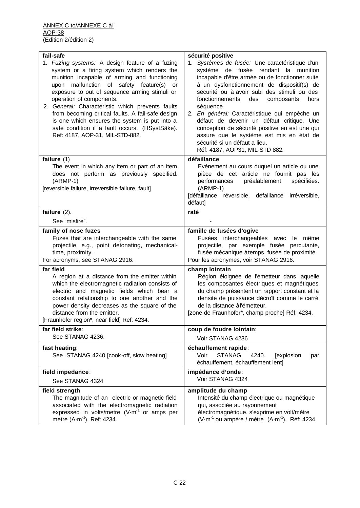| fail-safe<br>1. Fuzing systems: A design feature of a fuzing                                                                                                                                                                                                                                                                                                                                                                                                           | sécurité positive<br>1. Systèmes de fusée: Une caractéristique d'un                                                                                                                                                                                                                                                                                                                                                                                                                                             |
|------------------------------------------------------------------------------------------------------------------------------------------------------------------------------------------------------------------------------------------------------------------------------------------------------------------------------------------------------------------------------------------------------------------------------------------------------------------------|-----------------------------------------------------------------------------------------------------------------------------------------------------------------------------------------------------------------------------------------------------------------------------------------------------------------------------------------------------------------------------------------------------------------------------------------------------------------------------------------------------------------|
| system or a firing system which renders the<br>munition incapable of arming and functioning<br>upon malfunction of safety feature(s)<br>or<br>exposure to out of sequence arming stimuli or<br>operation of components.<br>2. General: Characteristic which prevents faults<br>from becoming critical faults. A fail-safe design<br>is one which ensures the system is put into a<br>safe condition if a fault occurs. (HSystSäke).<br>Ref: 4187, AOP-31, MIL-STD-882. | système de fusée rendant la munition<br>incapable d'être armée ou de fonctionner suite<br>à un dysfonctionnement de dispositif(s) de<br>sécurité ou à avoir subi des stimuli ou des<br>fonctionnements<br>des<br>composants<br>hors<br>séquence.<br>2. En général: Caractéristique qui empêche un<br>défaut de devenir un défaut critique. Une<br>conception de sécurité positive en est une qui<br>assure que le système est mis en état de<br>sécurité si un défaut a lieu.<br>Réf: 4187, AOP31, MIL-STD 882. |
| failure (1)                                                                                                                                                                                                                                                                                                                                                                                                                                                            | défaillance                                                                                                                                                                                                                                                                                                                                                                                                                                                                                                     |
| The event in which any item or part of an item<br>does not perform as previously specified.<br>$(ARMP-1)$<br>[reversible failure, irreversible failure, fault]                                                                                                                                                                                                                                                                                                         | Evénement au cours duquel un article ou une<br>pièce de cet article ne fournit pas les<br>performances<br>préalablement<br>spécifiées.<br>$(ARMP-1)$<br>[défaillance réversible, défaillance irréversible,<br>défaut]                                                                                                                                                                                                                                                                                           |
| failure $(2)$ .                                                                                                                                                                                                                                                                                                                                                                                                                                                        | raté                                                                                                                                                                                                                                                                                                                                                                                                                                                                                                            |
| See "misfire".                                                                                                                                                                                                                                                                                                                                                                                                                                                         |                                                                                                                                                                                                                                                                                                                                                                                                                                                                                                                 |
| family of nose fuzes                                                                                                                                                                                                                                                                                                                                                                                                                                                   | famille de fusées d'ogive                                                                                                                                                                                                                                                                                                                                                                                                                                                                                       |
| Fuzes that are interchangeable with the same<br>projectile, e.g., point detonating, mechanical-<br>time, proximity.<br>For acronyms, see STANAG 2916.                                                                                                                                                                                                                                                                                                                  | Fusées interchangeables avec le même<br>projectile, par exemple fusée percutante,<br>fusée mécanique àtemps, fusée de proximité.<br>Pour les acronymes, voir STANAG 2916.                                                                                                                                                                                                                                                                                                                                       |
| far field                                                                                                                                                                                                                                                                                                                                                                                                                                                              |                                                                                                                                                                                                                                                                                                                                                                                                                                                                                                                 |
| A region at a distance from the emitter within<br>which the electromagnetic radiation consists of<br>electric and magnetic fields which bear a<br>constant relationship to one another and the<br>power density decreases as the square of the<br>distance from the emitter.<br>[Fraunhofer region*, near field] Ref: 4234.                                                                                                                                            | champ lointain<br>Région éloignée de l'émetteur dans laquelle<br>les composantes électriques et magnétiques<br>du champ présentent un rapport constant et la<br>densité de puissance décroît comme le carré<br>de la distance à l'émetteur.<br>[zone de Fraunhofer*, champ proche] Réf: 4234.                                                                                                                                                                                                                   |
| far field strike:                                                                                                                                                                                                                                                                                                                                                                                                                                                      | coup de foudre lointain:                                                                                                                                                                                                                                                                                                                                                                                                                                                                                        |
| See STANAG 4236.                                                                                                                                                                                                                                                                                                                                                                                                                                                       | Voir STANAG 4236                                                                                                                                                                                                                                                                                                                                                                                                                                                                                                |
| fast heating:<br>See STANAG 4240 [cook-off, slow heating]                                                                                                                                                                                                                                                                                                                                                                                                              | échauffement rapide:<br>Voir<br><b>STANAG</b><br>4240.<br>[explosion<br>par<br>échauffement, échauffement lent]                                                                                                                                                                                                                                                                                                                                                                                                 |
| field impedance:                                                                                                                                                                                                                                                                                                                                                                                                                                                       | impédance d'onde:                                                                                                                                                                                                                                                                                                                                                                                                                                                                                               |
| See STANAG 4324                                                                                                                                                                                                                                                                                                                                                                                                                                                        | Voir STANAG 4324                                                                                                                                                                                                                                                                                                                                                                                                                                                                                                |
| field strength                                                                                                                                                                                                                                                                                                                                                                                                                                                         | amplitude du champ                                                                                                                                                                                                                                                                                                                                                                                                                                                                                              |
| The magnitude of an electric or magnetic field<br>associated with the electromagnetic radiation                                                                                                                                                                                                                                                                                                                                                                        | Intensité du champ électrique ou magnétique<br>qui, associée au rayonnement                                                                                                                                                                                                                                                                                                                                                                                                                                     |
| expressed in volts/metre $(V \cdot m^{-1})$ or amps per<br>metre (A-m <sup>-1</sup> ). Ref: 4234.                                                                                                                                                                                                                                                                                                                                                                      | électromagnétique, s'exprime en volt/mètre<br>(V $\cdot$ m <sup>-1</sup> ou ampère / mètre $(A \cdot m^{-1})$ . Réf: 4234.                                                                                                                                                                                                                                                                                                                                                                                      |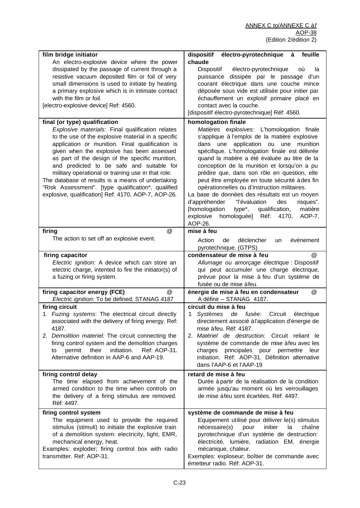| film bridge initiator<br>An electro-explosive device where the power                                                                                                                                                                                                                                                                                                                                                                                                                                                            | électro-pyrotechnique<br>feuille<br>dispositif<br>à<br>chaude                                                                                                                                                                                                                                                                                                                                                                                                                                                                                                                                                                                                                  |
|---------------------------------------------------------------------------------------------------------------------------------------------------------------------------------------------------------------------------------------------------------------------------------------------------------------------------------------------------------------------------------------------------------------------------------------------------------------------------------------------------------------------------------|--------------------------------------------------------------------------------------------------------------------------------------------------------------------------------------------------------------------------------------------------------------------------------------------------------------------------------------------------------------------------------------------------------------------------------------------------------------------------------------------------------------------------------------------------------------------------------------------------------------------------------------------------------------------------------|
| dissipated by the passage of current through a<br>resistive vacuum deposited film or foil of very<br>small dimensions is used to initiate by heating<br>a primary explosive which is in intimate contact                                                                                                                                                                                                                                                                                                                        | Dispositif<br>électro-pyrotechnique<br>οù<br>la<br>puissance dissipée par le passage d'un<br>courant électrique dans une couche mince<br>déposée sous vide est utilisée pour initier par                                                                                                                                                                                                                                                                                                                                                                                                                                                                                       |
| with the film or foil.<br>[electro-explosive device] Ref: 4560.                                                                                                                                                                                                                                                                                                                                                                                                                                                                 | échauffement un explosif primaire placé en<br>contact avec la couche.<br>[dispositif électro-pyrotechnique] Réf: 4560.                                                                                                                                                                                                                                                                                                                                                                                                                                                                                                                                                         |
| final (or type) qualification                                                                                                                                                                                                                                                                                                                                                                                                                                                                                                   | homologation finale                                                                                                                                                                                                                                                                                                                                                                                                                                                                                                                                                                                                                                                            |
| Explosive materials: Final qualification relates<br>to the use of the explosive material in a specific<br>application or munition. Final qualification is<br>given when the explosive has been assessed<br>as part of the design of the specific munition,<br>and predicted to be safe and suitable for<br>military operational or training use in that role.<br>The database of results is a means of undertaking<br>"Risk Assessment". [type qualification*, qualified<br>explosive, qualification] Ref: 4170, AOP-7, AOP-26. | Matières explosives: L'homologation finale<br>s'applique à l'emploi de la matière explosive<br>dans une<br>application ou une<br>munition<br>spécifique. L'homologation finale est délivrée<br>quand la matière a été évaluée au titre de la<br>conception de la munition et lorsqu'on a pu<br>prédire que, dans son rôle en question, elle<br>peut être employée en toute sécurité à des fin<br>opérationnelles ou d'instruction militaires.<br>La base de données des résultats est un moyen<br>d'appréhender<br>"l'évaluation<br>risques".<br>des<br>[homologation<br>type*,<br>qualification,<br>matière<br>explosive<br>homologuée]<br>Réf:<br>4170,<br>AOP-7,<br>AOP-26. |
| @<br>firing<br>The action to set off an explosive event.                                                                                                                                                                                                                                                                                                                                                                                                                                                                        | mise à feu<br>Action<br>de<br>déclencher<br>événement<br>un<br>pyrotechnique. (GTPS)                                                                                                                                                                                                                                                                                                                                                                                                                                                                                                                                                                                           |
| firing capacitor                                                                                                                                                                                                                                                                                                                                                                                                                                                                                                                | condensateur de mise à feu<br>@                                                                                                                                                                                                                                                                                                                                                                                                                                                                                                                                                                                                                                                |
| Electric ignition: A device which can store an<br>electric charge, intented to fire the initiator(s) of<br>a fuzing or firing system.                                                                                                                                                                                                                                                                                                                                                                                           | Allumage ou amorçage électrique : Dispositif<br>qui peut accumuler une charge électrique,<br>prévue pour la mise à feu d'un système de<br>fusée ou de mise à feu.                                                                                                                                                                                                                                                                                                                                                                                                                                                                                                              |
| firing capacitor energy (FCE)<br>@                                                                                                                                                                                                                                                                                                                                                                                                                                                                                              | énergie de mise à feu en condensateur<br>@                                                                                                                                                                                                                                                                                                                                                                                                                                                                                                                                                                                                                                     |
| Electric ignition: To be defined; STANAG 4187                                                                                                                                                                                                                                                                                                                                                                                                                                                                                   | A définir - STANAG 4187.                                                                                                                                                                                                                                                                                                                                                                                                                                                                                                                                                                                                                                                       |
| firing circuit<br>1. Fuzing systems: The electrical circuit directly<br>associated with the delivery of firing energy. Ref:<br>4187.<br>2. Demolition materiel: The circuit connecting the<br>firing control system and the demolition charges<br>initiation.<br>Ref: AOP-31.<br>permit<br>their<br>to<br>Alternative definition in AAP-6 and AAP-19.                                                                                                                                                                           | circuit du mise à feu<br>Circuit<br>Systèmes de fusée:<br>électrique<br>1<br>directement associé à l'application d'énergie de<br>mise à feu. Réf: 4187.<br>2. Matériel de destruction: Circuit reliant le<br>système de commande de mise à feu avec les<br>principales pour permettre<br>charges<br>leur<br>initiation. Réf: AOP-31. Définition alternative<br>dans l'AAP-6 et l'AAP-19                                                                                                                                                                                                                                                                                        |
| firing control delay<br>The time elapsed from achievement of the<br>armed condition to the time when controls on<br>the delivery of a firing stimulus are removed.<br>Réf: 4497.                                                                                                                                                                                                                                                                                                                                                | retard de mise à feu<br>Durée à partir de la réalisation de la condition<br>armée jusqu'au moment où les verrouillages<br>de mise à feu sont écartées. Réf: 4497.                                                                                                                                                                                                                                                                                                                                                                                                                                                                                                              |
| firing control system<br>The equipment used to provide the required<br>stimulus (stimuli) to initiate the explosive train<br>of a demolition system: electricity, light, EMR,<br>mechanical energy, heat.<br>Examples: exploder; firing control box with radio<br>transmitter. Ref: AOP-31.                                                                                                                                                                                                                                     | système de commande de mise à feu<br>Equipement utilisé pour délivrer le(s) stimulus<br>nécessaire(s)<br>initier<br>pour<br>chaîne<br>la<br>pyrotechnique d'un système de destruction:<br>électricité, lumière, radiation EM, énergie<br>mécanique, chaleur.<br>Exemples: exploseur; boîtier de commande avec<br>émetteur radio. Réf: AOP-31.                                                                                                                                                                                                                                                                                                                                  |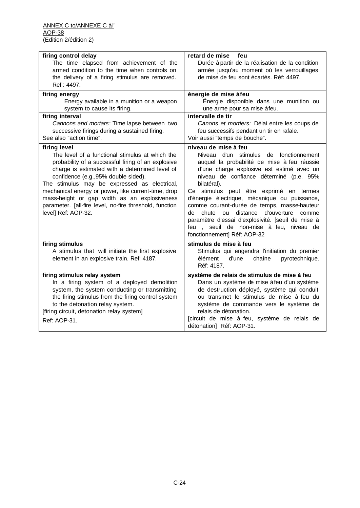| firing control delay                                                                                                                                                                                                                                                                                                                                                                                                                     | retard de mise<br>feu                                                                                                                                                                                                                                                                                                                                                                                                                                                                                                           |
|------------------------------------------------------------------------------------------------------------------------------------------------------------------------------------------------------------------------------------------------------------------------------------------------------------------------------------------------------------------------------------------------------------------------------------------|---------------------------------------------------------------------------------------------------------------------------------------------------------------------------------------------------------------------------------------------------------------------------------------------------------------------------------------------------------------------------------------------------------------------------------------------------------------------------------------------------------------------------------|
| The time elapsed from achievement of the                                                                                                                                                                                                                                                                                                                                                                                                 | Durée à partir de la réalisation de la condition                                                                                                                                                                                                                                                                                                                                                                                                                                                                                |
| armed condition to the time when controls on                                                                                                                                                                                                                                                                                                                                                                                             | armée jusqu'au moment où les verrouillages                                                                                                                                                                                                                                                                                                                                                                                                                                                                                      |
| the delivery of a firing stimulus are removed.                                                                                                                                                                                                                                                                                                                                                                                           | de mise de feu sont écartés. Réf: 4497.                                                                                                                                                                                                                                                                                                                                                                                                                                                                                         |
| Ref: 4497.                                                                                                                                                                                                                                                                                                                                                                                                                               |                                                                                                                                                                                                                                                                                                                                                                                                                                                                                                                                 |
| firing energy                                                                                                                                                                                                                                                                                                                                                                                                                            | énergie de mise àfeu                                                                                                                                                                                                                                                                                                                                                                                                                                                                                                            |
| Energy available in a munition or a weapon<br>system to cause its firing.                                                                                                                                                                                                                                                                                                                                                                | Énergie disponible dans une munition ou<br>une arme pour sa mise à feu.                                                                                                                                                                                                                                                                                                                                                                                                                                                         |
| firing interval                                                                                                                                                                                                                                                                                                                                                                                                                          | intervalle de tir                                                                                                                                                                                                                                                                                                                                                                                                                                                                                                               |
| Cannons and mortars: Time lapse between two                                                                                                                                                                                                                                                                                                                                                                                              | Canons et mortiers: Délai entre les coups de                                                                                                                                                                                                                                                                                                                                                                                                                                                                                    |
| successive firings during a sustained firing.                                                                                                                                                                                                                                                                                                                                                                                            | feu successifs pendant un tir en rafale.                                                                                                                                                                                                                                                                                                                                                                                                                                                                                        |
| See also "action time".                                                                                                                                                                                                                                                                                                                                                                                                                  | Voir aussi "temps de bouche".                                                                                                                                                                                                                                                                                                                                                                                                                                                                                                   |
| firing level                                                                                                                                                                                                                                                                                                                                                                                                                             | niveau de mise à feu                                                                                                                                                                                                                                                                                                                                                                                                                                                                                                            |
| The level of a functional stimulus at which the<br>probability of a successful firing of an explosive<br>charge is estimated with a determined level of<br>confidence (e.g., 95% double sided).<br>The stimulus may be expressed as electrical,<br>mechanical energy or power, like current-time, drop<br>mass-height or gap width as an explosiveness<br>parameter. [all-fire level, no-fire threshold, function<br>level] Ref: AOP-32. | Niveau d'un stimulus de fonctionnement<br>auquel la probabilité de mise à feu réussie<br>d'une charge explosive est estimé avec un<br>niveau de confiance déterminé (p.e. 95%<br>bilatéral).<br>Ce stimulus peut être exprimé en termes<br>d'énergie électrique, mécanique ou puissance,<br>comme courant-durée de temps, masse-hauteur<br>ou<br>distance<br>d'ouverture<br>de<br>chute<br>comme<br>paramètre d'essai d'explosivité. [seuil de mise à<br>feu, seuil de non-mise à feu, niveau de<br>fonctionnement] Réf: AOP-32 |
| firing stimulus                                                                                                                                                                                                                                                                                                                                                                                                                          | stimulus de mise à feu                                                                                                                                                                                                                                                                                                                                                                                                                                                                                                          |
| A stimulus that will initiate the first explosive<br>element in an explosive train. Ref: 4187.                                                                                                                                                                                                                                                                                                                                           | Stimulus qui engendra l'initiation du premier<br>pyrotechnique.<br>élément<br>d'une<br>chaîne<br>Réf: 4187.                                                                                                                                                                                                                                                                                                                                                                                                                     |
|                                                                                                                                                                                                                                                                                                                                                                                                                                          |                                                                                                                                                                                                                                                                                                                                                                                                                                                                                                                                 |
| firing stimulus relay system<br>In a firing system of a deployed demolition<br>system, the system conducting or transmitting<br>the firing stimulus from the firing control system<br>to the detonation relay system.<br>[firing circuit, detonation relay system]<br>Ref: AOP-31.                                                                                                                                                       | système de relais de stimulus de mise à feu<br>Dans un système de mise à feu d'un système<br>de destruction déployé, système qui conduit<br>ou transmet le stimulus de mise à feu du<br>système de commande vers le système de<br>relais de détonation.<br>[circuit de mise à feu, système de relais de                                                                                                                                                                                                                         |
|                                                                                                                                                                                                                                                                                                                                                                                                                                          | détonation] Réf: AOP-31.                                                                                                                                                                                                                                                                                                                                                                                                                                                                                                        |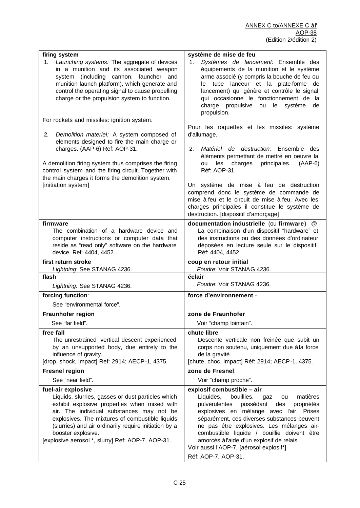| firing system                                                                                                                                                                                                                                                                                                                         | système de mise de feu                                                                                                                                                                                                                                                                                                                                                                                    |
|---------------------------------------------------------------------------------------------------------------------------------------------------------------------------------------------------------------------------------------------------------------------------------------------------------------------------------------|-----------------------------------------------------------------------------------------------------------------------------------------------------------------------------------------------------------------------------------------------------------------------------------------------------------------------------------------------------------------------------------------------------------|
| Launching systems: The aggregate of devices<br>1.<br>in a munition and its associated weapon<br>system (including cannon, launcher and<br>munition launch platform), which generate and<br>control the operating signal to cause propelling<br>charge or the propulsion system to function.                                           | Systèmes de lancement: Ensemble des<br>1.<br>équipements de la munition et le système<br>arme associé (y compris la bouche de feu ou<br>le tube lanceur et la plate-forme de<br>lancement) qui génère et contrôle le signal<br>qui occasionne le fonctionnement de la<br>charge propulsive ou<br>le<br>système<br>de<br>propulsion.                                                                       |
| For rockets and missiles: ignition system.                                                                                                                                                                                                                                                                                            | Pour les roquettes et les missiles: système                                                                                                                                                                                                                                                                                                                                                               |
| Demolition materiel: A system composed of<br>2.<br>elements designed to fire the main charge or<br>charges. (AAP-6) Ref: AOP-31.                                                                                                                                                                                                      | d'allumage.<br>Matériel de destruction: Ensemble des<br>2.<br>éléments permettant de mettre en oeuvre la                                                                                                                                                                                                                                                                                                  |
| A demolition firing system thus comprises the firing<br>control system and the firing circuit. Together with<br>the main charges it forms the demolition system.                                                                                                                                                                      | les<br>charges<br>principales.<br>$(AAP-6)$<br>ou<br>Réf: AOP-31.                                                                                                                                                                                                                                                                                                                                         |
| [initiation system]                                                                                                                                                                                                                                                                                                                   | Un système de mise à feu de destruction<br>comprend donc le système de commande de<br>mise à feu et le circuit de mise à feu. Avec les<br>charges principales il constitue le système de<br>destruction. [dispositif d'amorçage]                                                                                                                                                                          |
| firmware                                                                                                                                                                                                                                                                                                                              | documentation industrielle (ou firmware)<br>$^{\textregistered}$                                                                                                                                                                                                                                                                                                                                          |
| The combination of a hardware device and                                                                                                                                                                                                                                                                                              | La combinaison d'un dispositif "hardware" et                                                                                                                                                                                                                                                                                                                                                              |
| computer instructions or computer data that                                                                                                                                                                                                                                                                                           | des instructions ou des données d'ordinateur                                                                                                                                                                                                                                                                                                                                                              |
| reside as "read only" software on the hardware<br>device. Ref: 4404, 4452.                                                                                                                                                                                                                                                            | déposées en lecture seule sur le dispositif.<br>Réf: 4404, 4452.                                                                                                                                                                                                                                                                                                                                          |
|                                                                                                                                                                                                                                                                                                                                       |                                                                                                                                                                                                                                                                                                                                                                                                           |
| first return stroke<br>Lightning: See STANAG 4236.                                                                                                                                                                                                                                                                                    | coup en retour initial<br>Foudre: Voir STANAG 4236.                                                                                                                                                                                                                                                                                                                                                       |
| flash                                                                                                                                                                                                                                                                                                                                 | éclair                                                                                                                                                                                                                                                                                                                                                                                                    |
| Lightning: See STANAG 4236.                                                                                                                                                                                                                                                                                                           | Foudre: Voir STANAG 4236.                                                                                                                                                                                                                                                                                                                                                                                 |
| forcing function:                                                                                                                                                                                                                                                                                                                     | force d'environnement -                                                                                                                                                                                                                                                                                                                                                                                   |
| See "environmental force".                                                                                                                                                                                                                                                                                                            |                                                                                                                                                                                                                                                                                                                                                                                                           |
| <b>Fraunhofer region</b>                                                                                                                                                                                                                                                                                                              | zone de Fraunhofer                                                                                                                                                                                                                                                                                                                                                                                        |
| See "far field".                                                                                                                                                                                                                                                                                                                      | Voir "champ lointain".                                                                                                                                                                                                                                                                                                                                                                                    |
| free fall                                                                                                                                                                                                                                                                                                                             | chute libre                                                                                                                                                                                                                                                                                                                                                                                               |
| The unrestrained vertical descent experienced                                                                                                                                                                                                                                                                                         | Descente verticale non freinée que subit un                                                                                                                                                                                                                                                                                                                                                               |
| by an unsupported body, due entirely to the<br>influence of gravity.                                                                                                                                                                                                                                                                  | corps non soutenu, uniquement due à la force<br>de la gravité.                                                                                                                                                                                                                                                                                                                                            |
| [drop, shock, impact] Ref: 2914; AECP-1, 4375.                                                                                                                                                                                                                                                                                        | [chute, choc, impact] Réf: 2914; AECP-1, 4375.                                                                                                                                                                                                                                                                                                                                                            |
| <b>Fresnel region</b>                                                                                                                                                                                                                                                                                                                 | zone de Fresnel:                                                                                                                                                                                                                                                                                                                                                                                          |
| See "near field".                                                                                                                                                                                                                                                                                                                     | Voir "champ proche".                                                                                                                                                                                                                                                                                                                                                                                      |
| fuel-air explosive                                                                                                                                                                                                                                                                                                                    | explosif combustible - air                                                                                                                                                                                                                                                                                                                                                                                |
| Liquids, slurries, gasses or dust particles which<br>exhibit explosive properties when mixed with<br>air. The individual substances may not be<br>explosives. The mixtures of combustible liquids<br>(slurries) and air ordinarily require initiation by a<br>booster explosive.<br>[explosive aerosol *, slurry] Ref: AOP-7, AOP-31. | bouillies,<br>matières<br>Liquides,<br>gaz<br>ou<br>pulvérulentes<br>possédant<br>propriétés<br>des<br>explosives en mélange avec l'air. Prises<br>séparément, ces diverses substances peuvent<br>ne pas être explosives. Les mélanges air-<br>combustible liquide / bouillie doivent être<br>amorcés à l'aide d'un explosif de relais.<br>Voir aussi l'AOP-7. [aérosol explosif*]<br>Réf: AOP-7, AOP-31. |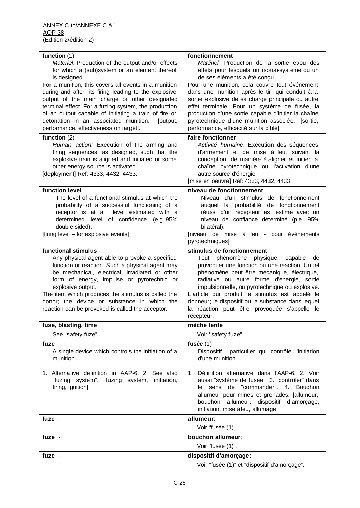| function (1)<br>Materiel: Production of the output and/or effects<br>for which a (sub)system or an element thereof<br>is designed.<br>For a munition, this covers all events in a munition<br>during and after its firing leading to the explosive<br>output of the main charge or other designated<br>terminal effect. For a fuzing system, the production<br>of an output capable of initiating a train of fire or<br>detonation in an associated munition.<br>[output,<br>performance, effectiveness on target]. | fonctionnement<br>Matériel: Production de la sortie et/ou des<br>effets pour lesquels un (sous)-système ou un<br>de ses éléments a été conçu.<br>Pour une munition, cela couvre tout événement<br>dans une munition après le tir, qui conduit à la<br>sortie explosive de sa charge principale ou autre<br>effet terminale. Pour un système de fusée, la<br>production d'une sortie capable d'initier la chaîne<br>pyrotechnique d'une munition associée. [sortie,<br>performance, efficacité sur la cible]. |
|---------------------------------------------------------------------------------------------------------------------------------------------------------------------------------------------------------------------------------------------------------------------------------------------------------------------------------------------------------------------------------------------------------------------------------------------------------------------------------------------------------------------|--------------------------------------------------------------------------------------------------------------------------------------------------------------------------------------------------------------------------------------------------------------------------------------------------------------------------------------------------------------------------------------------------------------------------------------------------------------------------------------------------------------|
| function $(2)$<br>Human action: Execution of the arming and<br>firing sequences, as designed, such that the<br>explosive train is aligned and initiated or some<br>other energy source is activated.<br>[deployment] Ref: 4333, 4432, 4433.                                                                                                                                                                                                                                                                         | faire fonctionner<br>Activité humaine: Exécution des séquences<br>d'armement et de mise à feu, suivant la<br>conception, de manière à aligner et initier la<br>chaîne pyrotechnique ou l'activation d'une<br>autre source d'énergie.<br>[mise en oeuvre] Réf: 4333, 4432, 4433.                                                                                                                                                                                                                              |
| function level<br>The level of a functional stimulus at which the<br>probability of a successful functioning of a<br>receptor is at a level estimated with a<br>determined level of confidence (e.g.,95%<br>double sided).<br>[firing level - for explosive events]                                                                                                                                                                                                                                                 | niveau de fonctionnement<br>Niveau d'un stimulus de fonctionnement<br>auquel la probabilité de fonctionnement<br>réussi d'un récepteur est estimé avec un<br>niveau de confiance déterminé (p.e. 95%<br>bilatéral).<br>[niveau de mise à feu - pour événements<br>pyrotechniques]                                                                                                                                                                                                                            |
| functional stimulus<br>Any physical agent able to provoke a specified<br>function or reaction. Such a physical agent may<br>be mechanical, electrical, irradiated or other<br>form of energy, impulse or pyrotechnic or<br>explosive output.<br>The item which produces the stimulus is called the<br>donor; the device or substance in which the<br>reaction can be provoked is called the acceptor.                                                                                                               | stimulus de fonctionnement<br>Tout phénomène physique, capable de<br>provoquer une fonction ou une réaction. Un tel<br>phénomène peut être mécanique, électrique,<br>radiative ou autre forme d'énergie, sortie<br>impulsionnelle, ou pyrotechnique ou explosive.<br>L'article qui produit le stimulus est appelé le<br>donneur; le dispositif ou la substance dans lequel<br>la réaction peut être provoquée s'appelle le<br>récepteur.                                                                     |
| fuse, blasting, time                                                                                                                                                                                                                                                                                                                                                                                                                                                                                                | mèche lente:                                                                                                                                                                                                                                                                                                                                                                                                                                                                                                 |
| See "safety fuze".                                                                                                                                                                                                                                                                                                                                                                                                                                                                                                  | Voir "safety fuze"                                                                                                                                                                                                                                                                                                                                                                                                                                                                                           |
| fuze<br>A single device which controls the initiation of a<br>munition.                                                                                                                                                                                                                                                                                                                                                                                                                                             | fusée $(1)$<br>Dispositif<br>particulier qui contrôle l'initiation<br>d'une munition.                                                                                                                                                                                                                                                                                                                                                                                                                        |
| 1. Alternative definition in AAP-6. 2. See also<br>"fuzing system". [fuzing system, initiation,<br>firing, ignition]                                                                                                                                                                                                                                                                                                                                                                                                | 1. Définition alternative dans l'AAP-6, 2. Voir<br>aussi "système de fusée. 3. "contrôler" dans<br>"commander", 4.<br>le sens de<br>Bouchon<br>allumeur pour mines et grenades. [allumeur,<br>bouchon allumeur,<br>dispositif d'amorçage,<br>initiation, mise à feu, allumage]                                                                                                                                                                                                                               |
| fuze -                                                                                                                                                                                                                                                                                                                                                                                                                                                                                                              | allumeur:                                                                                                                                                                                                                                                                                                                                                                                                                                                                                                    |
|                                                                                                                                                                                                                                                                                                                                                                                                                                                                                                                     | Voir "fusée (1)".                                                                                                                                                                                                                                                                                                                                                                                                                                                                                            |
| fuze -                                                                                                                                                                                                                                                                                                                                                                                                                                                                                                              | bouchon allumeur:                                                                                                                                                                                                                                                                                                                                                                                                                                                                                            |
|                                                                                                                                                                                                                                                                                                                                                                                                                                                                                                                     | Voir "fusée (1)".                                                                                                                                                                                                                                                                                                                                                                                                                                                                                            |
| fuze -                                                                                                                                                                                                                                                                                                                                                                                                                                                                                                              | dispositif d'amorçage:<br>Voir "fusée (1)" et "dispositif d'amorçage".                                                                                                                                                                                                                                                                                                                                                                                                                                       |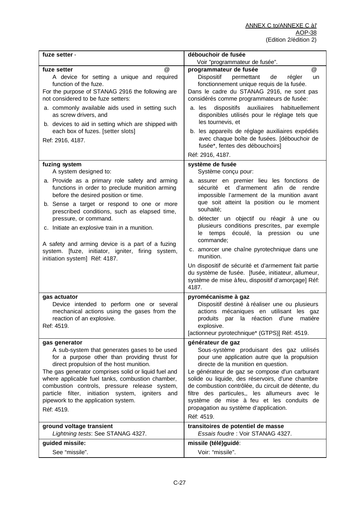| fuze setter -                                                                                                                                                                                                                                                                                                                                                                                                                                                                        | débouchoir de fusée                                                                                                                                                                                                                                                                                                                                                                                                                                                                                                                                                                                                     |
|--------------------------------------------------------------------------------------------------------------------------------------------------------------------------------------------------------------------------------------------------------------------------------------------------------------------------------------------------------------------------------------------------------------------------------------------------------------------------------------|-------------------------------------------------------------------------------------------------------------------------------------------------------------------------------------------------------------------------------------------------------------------------------------------------------------------------------------------------------------------------------------------------------------------------------------------------------------------------------------------------------------------------------------------------------------------------------------------------------------------------|
|                                                                                                                                                                                                                                                                                                                                                                                                                                                                                      | Voir "programmateur de fusée".                                                                                                                                                                                                                                                                                                                                                                                                                                                                                                                                                                                          |
| @<br>fuze setter<br>A device for setting a unique and required<br>function of the fuze.<br>For the purpose of STANAG 2916 the following are<br>not considered to be fuze setters:<br>a. commonly available aids used in setting such<br>as screw drivers, and<br>b. devices to aid in setting which are shipped with<br>each box of fuzes. [setter slots]<br>Ref: 2916, 4187.                                                                                                        | @<br>programmateur de fusée<br>Dispositif<br>permettant<br>de<br>régler<br>un<br>fonctionnement unique requis de la fusée.<br>Dans le cadre du STANAG 2916, ne sont pas<br>considérés comme programmateurs de fusée:<br>dispositifs<br>auxiliaires habituellement<br>a. les<br>disponibles utilisés pour le réglage tels que<br>les tournevis, et<br>b. les appareils de réglage auxiliaires expédiés<br>avec chaque boîte de fusées. [débouchoir de<br>fusée*, fentes des débouchoirs]<br>Réf: 2916, 4187.                                                                                                             |
| fuzing system                                                                                                                                                                                                                                                                                                                                                                                                                                                                        | système de fusée                                                                                                                                                                                                                                                                                                                                                                                                                                                                                                                                                                                                        |
| A system designed to:<br>a. Provide as a primary role safety and arming<br>functions in order to preclude munition arming<br>before the desired position or time.<br>b. Sense a target or respond to one or more<br>prescribed conditions, such as elapsed time,<br>pressure, or command.<br>c. Initiate an explosive train in a munition.<br>A safety and arming device is a part of a fuzing<br>system. [fuze, initiator, igniter, firing system,<br>initiation system] Réf: 4187. | Système conçu pour:<br>a. assurer en premier lieu les fonctions de<br>sécurité et d'armement<br>afin de<br>rendre<br>impossible l'armement de la munition avant<br>que soit atteint la position ou le moment<br>souhaité;<br>b. détecter un objectif ou réagir à une ou<br>plusieurs conditions prescrites, par exemple<br>le temps écoulé, la pression ou<br>une<br>commande;<br>c. amorcer une chaîne pyrotechnique dans une<br>munition.<br>Un dispositif de sécurité et d'armement fait partie<br>du système de fusée. [fusée, initiateur, allumeur,<br>système de mise à feu, dispositif d'amorçage] Réf:<br>4187. |
| gas actuator<br>Device intended to perform one or several<br>mechanical actions using the gases from the<br>reaction of an explosive.<br>Ref: 4519.                                                                                                                                                                                                                                                                                                                                  | pyromécanisme à gaz<br>Dispositif destiné à réaliser une ou plusieurs<br>actions mécaniques en utilisant les gaz<br>produits par la réaction d'une matière<br>explosive.<br>[actionneur pyrotechnique* (GTPS)] Réf: 4519.                                                                                                                                                                                                                                                                                                                                                                                               |
| gas generator<br>A sub-system that generates gases to be used<br>for a purpose other than providing thrust for<br>direct propulsion of the host munition.<br>The gas generator comprises solid or liquid fuel and<br>where applicable fuel tanks, combustion chamber,<br>combustion controls, pressure release system,<br>particle filter, initiation system,<br>igniters<br>and<br>pipework to the application system.<br>Réf: 4519.<br>ground voltage transient                    | générateur de gaz<br>Sous-système produisant des gaz utilisés<br>pour une application autre que la propulsion<br>directe de la munition en question.<br>Le générateur de gaz se compose d'un carburant<br>solide ou liquide, des réservoirs, d'une chambre<br>de combustion contrôlée, du circuit de détente, du<br>filtre des particules,, les allumeurs avec le<br>système de mise à feu et les conduits de<br>propagation au système d'application.<br>Réf: 4519.<br>transitoires de potentiel de masse                                                                                                              |
| Lightning tests: See STANAG 4327.                                                                                                                                                                                                                                                                                                                                                                                                                                                    | Essais foudre: Voir STANAG 4327.                                                                                                                                                                                                                                                                                                                                                                                                                                                                                                                                                                                        |
| guided missile:                                                                                                                                                                                                                                                                                                                                                                                                                                                                      | missile (télé)guidé:                                                                                                                                                                                                                                                                                                                                                                                                                                                                                                                                                                                                    |
| See "missile".                                                                                                                                                                                                                                                                                                                                                                                                                                                                       | Voir: "missile".                                                                                                                                                                                                                                                                                                                                                                                                                                                                                                                                                                                                        |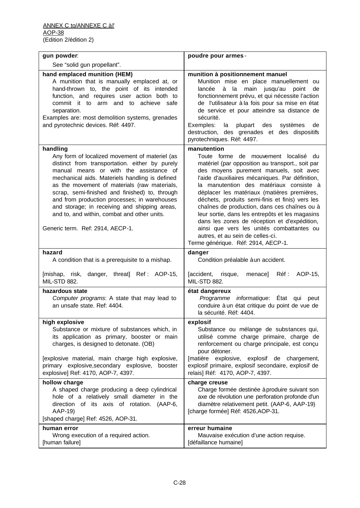| gun powder:                                                                                                                                                                                                                                                                                                                                                                                                                                                                                    | poudre pour armes -                                                                                                                                                                                                                                                                                                                                                                                                                                                                                                                                                                                                           |
|------------------------------------------------------------------------------------------------------------------------------------------------------------------------------------------------------------------------------------------------------------------------------------------------------------------------------------------------------------------------------------------------------------------------------------------------------------------------------------------------|-------------------------------------------------------------------------------------------------------------------------------------------------------------------------------------------------------------------------------------------------------------------------------------------------------------------------------------------------------------------------------------------------------------------------------------------------------------------------------------------------------------------------------------------------------------------------------------------------------------------------------|
| See "solid gun propellant".                                                                                                                                                                                                                                                                                                                                                                                                                                                                    |                                                                                                                                                                                                                                                                                                                                                                                                                                                                                                                                                                                                                               |
| hand emplaced munition (HEM)<br>A munition that is manually emplaced at, or<br>hand-thrown to, the point of its intended<br>function, and requires user action both to<br>commit it to arm and to achieve safe<br>separation.<br>Examples are: most demolition systems, grenades<br>and pyrotechnic devices. Réf: 4497.                                                                                                                                                                        | munition à positionnement manuel<br>Munition mise en place manuellement ou<br>à la main jusqu'au<br>lancée<br>point<br>de<br>fonctionnement prévu, et qui nécessite l'action<br>de l'utilisateur à la fois pour sa mise en état<br>de service et pour atteindre sa distance de<br>sécurité.<br>Exemples:<br>plupart des<br>systèmes<br>la<br>de<br>destruction, des grenades et des dispositifs<br>pyrotechniques. Réf: 4497.                                                                                                                                                                                                 |
| handling<br>Any form of localized movement of materiel (as<br>distinct from transportation. either by purely<br>manual means or with the assistance of<br>mechanical aids. Materiels handling is defined<br>as the movement of materials (raw materials,<br>scrap, semi-finished and finished) to, through<br>and from production processes; in warehouses<br>and storage; in receiving and shipping areas,<br>and to, and within, combat and other units.<br>Generic term. Ref: 2914, AECP-1. | manutention<br>Toute forme de mouvement localisé du<br>matériel (par opposition au transport., soit par<br>des moyens purement manuels, soit avec<br>l'aide d'auxiliaires mécaniques. Par définition,<br>la manutention des matériaux consiste à<br>déplacer les matériaux (matières premières,<br>déchets, produits semi-finis et finis) vers les<br>chaînes de production, dans ces chaînes ou à<br>leur sortie, dans les entrepôts et les magasins<br>dans les zones de réception et d'expédition,<br>ainsi que vers les unités combattantes ou<br>autres, et au sein de celles-ci.<br>Terme générique. Réf: 2914, AECP-1. |
| hazard<br>A condition that is a prerequisite to a mishap.                                                                                                                                                                                                                                                                                                                                                                                                                                      | danger<br>Condition préalable à un accident.                                                                                                                                                                                                                                                                                                                                                                                                                                                                                                                                                                                  |
| [mishap, risk, danger, threat] Ref: AOP-15,<br><b>MIL-STD 882.</b>                                                                                                                                                                                                                                                                                                                                                                                                                             | menace] Réf : AOP-15,<br>[accident, risque,<br><b>MIL-STD 882.</b>                                                                                                                                                                                                                                                                                                                                                                                                                                                                                                                                                            |
| hazardous state<br>Computer programs: A state that may lead to<br>an unsafe state. Ref: 4404.                                                                                                                                                                                                                                                                                                                                                                                                  | état dangereux<br>Programme informatique: État qui peut<br>conduire à un état critique du point de vue de<br>la sécurité. Réf: 4404.                                                                                                                                                                                                                                                                                                                                                                                                                                                                                          |
| high explosive<br>Substance or mixture of substances which, in<br>its application as primary, booster or main<br>charges, is designed to detonate. (OB)<br>[explosive material, main charge high explosive,<br>primary explosive, secondary explosive, booster<br>explosive] Ref: 4170, AOP-7, 4397.                                                                                                                                                                                           | explosif<br>Substance ou mélange de substances qui,<br>utilisé comme charge primaire, charge de<br>renforcement ou charge principale, est conçu<br>pour détoner.<br>[matière explosive, explosif de chargement,<br>explosif primaire, explosif secondaire, explosif de<br>relais] Réf: 4170, AOP-7, 4397.                                                                                                                                                                                                                                                                                                                     |
| hollow charge<br>A shaped charge producing a deep cylindrical<br>hole of a relatively small diameter in the<br>direction of its axis of rotation. (AAP-6,<br>AAP-19)<br>[shaped charge] Ref: 4526, AOP-31.                                                                                                                                                                                                                                                                                     | charge creuse<br>Charge formée destinée à produire suivant son<br>axe de révolution une perforation profonde d'un<br>diamètre relativement petit. (AAP-6, AAP-19)<br>[charge formée] Réf: 4526, AOP-31.                                                                                                                                                                                                                                                                                                                                                                                                                       |
| human error<br>Wrong execution of a required action.<br>[human failure]                                                                                                                                                                                                                                                                                                                                                                                                                        | erreur humaine<br>Mauvaise exécution d'une action requise.<br>[défaillance humaine]                                                                                                                                                                                                                                                                                                                                                                                                                                                                                                                                           |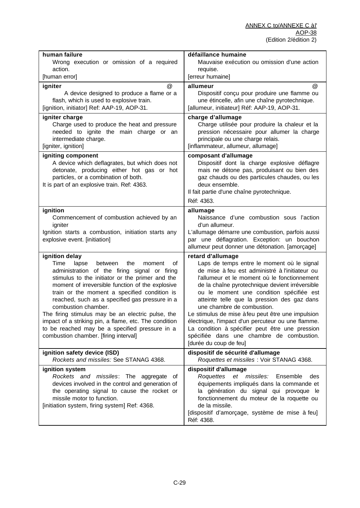| human failure<br>Wrong execution or omission of a required<br>action.<br>[human error]                                                                                                                                                                                                                                                                                                                                                                                                                                                                      | défaillance humaine<br>Mauvaise exécution ou omission d'une action<br>requise.<br>[erreur humaine]                                                                                                                                                                                                                                                                                                                                                                                                                                                                                 |
|-------------------------------------------------------------------------------------------------------------------------------------------------------------------------------------------------------------------------------------------------------------------------------------------------------------------------------------------------------------------------------------------------------------------------------------------------------------------------------------------------------------------------------------------------------------|------------------------------------------------------------------------------------------------------------------------------------------------------------------------------------------------------------------------------------------------------------------------------------------------------------------------------------------------------------------------------------------------------------------------------------------------------------------------------------------------------------------------------------------------------------------------------------|
|                                                                                                                                                                                                                                                                                                                                                                                                                                                                                                                                                             |                                                                                                                                                                                                                                                                                                                                                                                                                                                                                                                                                                                    |
| @<br>igniter<br>A device designed to produce a flame or a<br>flash, which is used to explosive train.<br>[ignition, initiator] Ref: AAP-19, AOP-31.                                                                                                                                                                                                                                                                                                                                                                                                         | @<br>allumeur<br>Dispositif conçu pour produire une flamme ou<br>une étincelle, afin une chaîne pyrotechnique.<br>[allumeur, initiateur] Réf: AAP-19, AOP-31.                                                                                                                                                                                                                                                                                                                                                                                                                      |
| igniter charge<br>Charge used to produce the heat and pressure<br>needed to ignite the main charge or an<br>intermediate charge.<br>[igniter, ignition]                                                                                                                                                                                                                                                                                                                                                                                                     | charge d'allumage<br>Charge utilisée pour produire la chaleur et la<br>pression nécessaire pour allumer la charge<br>principale ou une charge relais.<br>[inflammateur, allumeur, allumage]                                                                                                                                                                                                                                                                                                                                                                                        |
| igniting component<br>A device which deflagrates, but which does not<br>detonate, producing either hot gas or hot<br>particles, or a combination of both.<br>It is part of an explosive train. Ref: 4363.                                                                                                                                                                                                                                                                                                                                                   | composant d'allumage<br>Dispositif dont la charge explosive déflagre<br>mais ne détone pas, produisant ou bien des<br>gaz chauds ou des particules chaudes, ou les<br>deux ensemble.<br>Il fait partie d'une chaîne pyrotechnique.<br>Réf: 4363.                                                                                                                                                                                                                                                                                                                                   |
| ignition<br>Commencement of combustion achieved by an<br>igniter<br>Ignition starts a combustion, initiation starts any<br>explosive event. [initiation]                                                                                                                                                                                                                                                                                                                                                                                                    | allumage<br>Naissance d'une combustion sous l'action<br>d'un allumeur.<br>L'allumage démarre une combustion, parfois aussi<br>par une déflagration. Exception: un bouchon<br>allumeur peut donner une détonation. [amorçage]                                                                                                                                                                                                                                                                                                                                                       |
| ignition delay<br>Time<br>lapse<br>between<br>the<br>οf<br>moment<br>administration of the firing signal or firing<br>stimulus to the initiator or the primer and the<br>moment of irreversible function of the explosive<br>train or the moment a specified condition is<br>reached, such as a specified gas pressure in a<br>combustion chamber.<br>The firing stimulus may be an electric pulse, the<br>impact of a striking pin, a flame, etc. The condition<br>to be reached may be a specified pressure in a<br>combustion chamber. [firing interval] | retard d'allumage<br>Laps de temps entre le moment où le signal<br>de mise à feu est administré à l'initiateur ou<br>l'allumeur et le moment où le fonctionnement<br>de la chaîne pyrotechnique devient irréversible<br>ou le moment une condition spécifiée est<br>atteinte telle que la pression des gaz dans<br>une chambre de combustion.<br>Le stimulus de mise à feu peut être une impulsion<br>électrique, l'impact d'un percuteur ou une flamme.<br>La condition à spécifier peut être une pression<br>spécifiée dans une chambre de combustion.<br>[durée du coup de feu] |
| ignition safety device (ISD)<br>Rockets and missiles: See STANAG 4368.                                                                                                                                                                                                                                                                                                                                                                                                                                                                                      | dispositif de sécurité d'allumage<br>Roquettes et missiles : Voir STANAG 4368.                                                                                                                                                                                                                                                                                                                                                                                                                                                                                                     |
| ignition system<br>Rockets and missiles: The aggregate of<br>devices involved in the control and generation of<br>the operating signal to cause the rocket or<br>missile motor to function.<br>[initiation system, firing system] Ref: 4368.                                                                                                                                                                                                                                                                                                                | dispositif d'allumage<br>et missiles:<br>Roquettes<br>Ensemble<br>des<br>équipements impliqués dans la commande et<br>la génération du signal qui provoque le<br>fonctionnement du moteur de la roquette ou<br>de la missile.<br>[dispositif d'amorçage, système de mise à feu]<br>Réf: 4368.                                                                                                                                                                                                                                                                                      |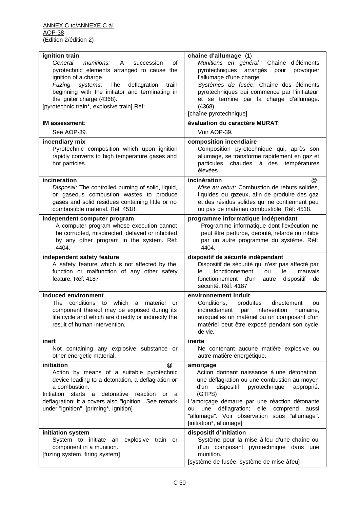| ignition train                                                                                                                                                                                                                                                                                                   | chaîne d'allumage (1)                                                                                                                                                                                                                                                                                                                                        |
|------------------------------------------------------------------------------------------------------------------------------------------------------------------------------------------------------------------------------------------------------------------------------------------------------------------|--------------------------------------------------------------------------------------------------------------------------------------------------------------------------------------------------------------------------------------------------------------------------------------------------------------------------------------------------------------|
| General<br>munitions:<br>A<br>succession<br>οf<br>pyrotechnic elements arranged to cause the<br>ignition of a charge<br>systems:<br>Fuzing<br>The<br>deflagration<br>train<br>beginning with the initiator and terminating in<br>the igniter charge (4368).                                                      | Munitions en général : Chaîne d'éléments<br>pyrotechniques<br>arrangés pour<br>provoquer<br>l'allumage d'une charge.<br>Systèmes de fusée: Chaîne des éléments<br>pyrotechniques qui commence par l'initiateur<br>et se termine par la charge d'allumage.                                                                                                    |
| [pyrotechnic train*, explosive train] Ref:                                                                                                                                                                                                                                                                       | (4368).<br>[chaîne pyrotechnique]                                                                                                                                                                                                                                                                                                                            |
| IM assessment:                                                                                                                                                                                                                                                                                                   | évaluation du caractère MURAT:                                                                                                                                                                                                                                                                                                                               |
| See AOP-39.                                                                                                                                                                                                                                                                                                      | Voir AOP-39.                                                                                                                                                                                                                                                                                                                                                 |
| incendiary mix                                                                                                                                                                                                                                                                                                   | composition incendiaire                                                                                                                                                                                                                                                                                                                                      |
| Pyrotechnic composition which upon ignition<br>rapidly converts to high temperature gases and<br>hot particles.                                                                                                                                                                                                  | Composition pyrotechnique qui, après son<br>allumage, se transforme rapidement en gaz et<br>chaudes à des<br>particules<br>températures<br>élevées.                                                                                                                                                                                                          |
| incineration<br>Disposal: The controlled burning of solid, liquid,<br>or gaseous combustion wastes to produce                                                                                                                                                                                                    | incinération<br>$^{\circledR}$<br>Mise au rebut: Combustion de rebuts solides,<br>liquides ou gazeux, afin de produire des gaz                                                                                                                                                                                                                               |
| gases and solid residues containing little or no<br>combustible material. Réf: 4518.                                                                                                                                                                                                                             | et des résidus solides qui ne contiennent peu<br>ou pas de matériau combustible. Réf: 4518.                                                                                                                                                                                                                                                                  |
| independent computer program                                                                                                                                                                                                                                                                                     | programme informatique indépendant                                                                                                                                                                                                                                                                                                                           |
| A computer program whose execution cannot<br>be corrupted, misdirected, delayed or inhibited<br>by any other program in the system. Réf:<br>4404.                                                                                                                                                                | Programme informatique dont l'exécution ne<br>peut être perturbé, dérouté, retardé ou inhibé<br>par un autre programme du système. Réf:<br>4404.                                                                                                                                                                                                             |
| independent safety feature                                                                                                                                                                                                                                                                                       | dispositif de sécurité indépendant                                                                                                                                                                                                                                                                                                                           |
| A safety feature which is not affected by the<br>function or malfunction of any other safety<br>feature. Réf: 4187                                                                                                                                                                                               | Dispositif de sécurité qui n'est pas affecté par<br>fonctionnement<br>ou<br>le<br>mauvais<br>le.<br>fonctionnement d'un<br>autre<br>dispositif<br>de<br>sécurité. Réf: 4187                                                                                                                                                                                  |
| induced environment                                                                                                                                                                                                                                                                                              | environnement induit                                                                                                                                                                                                                                                                                                                                         |
| which<br>conditions<br>The<br>to<br>materiel<br>a<br>or<br>component thereof may be exposed during its<br>life cycle and which are directly or indirectly the<br>result of human intervention.                                                                                                                   | Conditions,<br>produites<br>directement<br>ou<br>intervention<br>indirectement<br>par<br>humaine,<br>auxquelles un matériel ou un composant d'un<br>matériel peut être exposé pendant son cycle<br>de vie.                                                                                                                                                   |
| inert                                                                                                                                                                                                                                                                                                            | inerte                                                                                                                                                                                                                                                                                                                                                       |
| Not containing any explosive substance or<br>other energetic material.                                                                                                                                                                                                                                           | Ne contenant aucune matière explosive ou<br>autre matière énergétique.                                                                                                                                                                                                                                                                                       |
| @<br>initiation<br>Action by means of a suitable pyrotechnic<br>device leading to a detonation, a deflagration or<br>a combustion.<br><b>Initiation</b><br>starts<br>detonative<br>reaction<br>a -<br>or<br>a<br>deflagration; it a covers also "ignition". See remark<br>under "ignition". [priming*, ignition] | amorçage<br>Action donnant naissance à une détonation,<br>une déflagration ou une combustion au moyen<br>dispositif<br>pyrotechnique<br>d'un<br>approprié.<br>(GTPS)<br>L'amorçage démarre par une réaction détonante<br>déflagration;<br>elle<br>une<br>comprend<br>aussi<br>ou<br>"allumage". Voir observation sous "allumage".<br>[initiation*, allumage] |
| initiation system<br>System to initiate an<br>explosive train or<br>component in a munition.<br>[fuzing system, firing system]                                                                                                                                                                                   | dispositif d'initiation<br>Système pour la mise à feu d'une chaîne ou<br>d'un composant pyrotechnique dans une<br>munition.<br>[système de fusée, système de mise à feu]                                                                                                                                                                                     |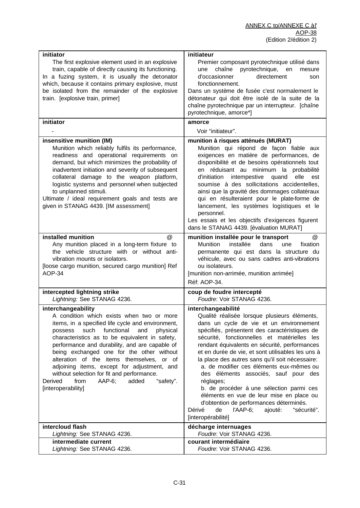| initiator<br>The first explosive element used in an explosive<br>train, capable of directly causing its functioning.<br>In a fuzing system, it is usually the detonator<br>which, because it contains primary explosive, must<br>be isolated from the remainder of the explosive<br>train. [explosive train, primer]                                                                                                                                                                                                                         | initiateur<br>Premier composant pyrotechnique utilisé dans<br>pyrotechnique,<br>chaîne<br>en<br>une<br>mesure<br>d'occasionner<br>directement<br>son<br>fonctionnement.<br>Dans un système de fusée c'est normalement le<br>détonateur qui doit être isolé de la suite de la<br>chaîne pyrotechnique par un interrupteur. [chaîne<br>pyrotechnique, amorce*]                                                                                                                                                                                                                                                                                                                            |
|----------------------------------------------------------------------------------------------------------------------------------------------------------------------------------------------------------------------------------------------------------------------------------------------------------------------------------------------------------------------------------------------------------------------------------------------------------------------------------------------------------------------------------------------|-----------------------------------------------------------------------------------------------------------------------------------------------------------------------------------------------------------------------------------------------------------------------------------------------------------------------------------------------------------------------------------------------------------------------------------------------------------------------------------------------------------------------------------------------------------------------------------------------------------------------------------------------------------------------------------------|
| initiator                                                                                                                                                                                                                                                                                                                                                                                                                                                                                                                                    | amorce                                                                                                                                                                                                                                                                                                                                                                                                                                                                                                                                                                                                                                                                                  |
|                                                                                                                                                                                                                                                                                                                                                                                                                                                                                                                                              | Voir "initiateur".                                                                                                                                                                                                                                                                                                                                                                                                                                                                                                                                                                                                                                                                      |
| insensitive munition (IM)<br>Munition which reliably fulfils its performance,<br>readiness and operational requirements on<br>demand, but which minimizes the probability of<br>inadvertent initiation and severity of subsequent<br>collateral damage to the weapon platform,<br>logistic systems and personnel when subjected<br>to unplanned stimuli.<br>Ultimate / ideal requirement goals and tests are<br>given in STANAG 4439. [IM assessment]                                                                                        | munition à risques atténués (MURAT)<br>Munition qui répond de façon fiable aux<br>exigences en matière de performances, de<br>disponibilité et de besoins opérationnels tout<br>en réduisant au minimum la probabilité<br>d'initiation intempestive quand<br>elle<br>est<br>soumise à des sollicitations accidentelles,<br>ainsi que la gravité des dommages collatéraux<br>qui en résulteraient pour le plate-forme de<br>lancement, les systèmes logistiques et le<br>personnel.<br>Les essais et les objectifs d'exigences figurent<br>dans le STANAG 4439. [évaluation MURAT]                                                                                                       |
| installed munition<br>@<br>Any munition placed in a long-term fixture to<br>the vehicle structure with or without anti-<br>vibration mounts or isolators.<br>[loose cargo munition, secured cargo munition] Ref<br>AOP-34                                                                                                                                                                                                                                                                                                                    | munition installée pour le transport<br>@<br><b>Munition</b><br>installée<br>dans<br>fixation<br>une<br>permanente qui est dans la structure du<br>véhicule, avec ou sans cadres anti-vibrations<br>ou isolateurs.<br>[munition non-arrimée, munition arrimée]<br>Réf: AOP-34.                                                                                                                                                                                                                                                                                                                                                                                                          |
| intercepted lightning strike                                                                                                                                                                                                                                                                                                                                                                                                                                                                                                                 | coup de foudre intercepté                                                                                                                                                                                                                                                                                                                                                                                                                                                                                                                                                                                                                                                               |
| Lightning: See STANAG 4236.                                                                                                                                                                                                                                                                                                                                                                                                                                                                                                                  | Foudre: Voir STANAG 4236.                                                                                                                                                                                                                                                                                                                                                                                                                                                                                                                                                                                                                                                               |
| interchangeability<br>A condition which exists when two or more<br>items, in a specified life cycle and environment,<br>functional<br>possess<br>such<br>and<br>physical<br>characteristics as to be equivalent in safety,<br>performance and durability, and are capable of<br>being exchanged one for the other without<br>alteration of the items themselves, or of<br>adjoining items, except for adjustment, and<br>without selection for fit and performance.<br>from<br>AAP-6;<br>added<br>"safety".<br>Derived<br>[interoperability] | interchangeabilité<br>Qualité réalisée lorsque plusieurs éléments,<br>dans un cycle de vie et un environnement<br>spécifiés, présentent des caractéristiques de<br>sécurité, fonctionnelles et matérielles les<br>rendant équivalents en sécurité, performances<br>et en durée de vie, et sont utilisables les uns à<br>la place des autres sans qu'il soit nécessaire:<br>a. de modifier ces éléments eux-mêmes ou<br>des éléments associés, sauf pour des<br>réglages;<br>b. de procéder à une sélection parmi ces<br>éléments en vue de leur mise en place ou<br>d'obtention de performances déterminés.<br>Dérivé<br>de<br>l'AAP-6;<br>ajouté:<br>"sécurité".<br>[interopérabilité] |
| intercloud flash                                                                                                                                                                                                                                                                                                                                                                                                                                                                                                                             | décharge internuages                                                                                                                                                                                                                                                                                                                                                                                                                                                                                                                                                                                                                                                                    |
| Lightning: See STANAG 4236.                                                                                                                                                                                                                                                                                                                                                                                                                                                                                                                  | Foudre: Voir STANAG 4236.                                                                                                                                                                                                                                                                                                                                                                                                                                                                                                                                                                                                                                                               |
| intermediate current<br>Lightning: See STANAG 4236.                                                                                                                                                                                                                                                                                                                                                                                                                                                                                          | courant intermédiaire<br>Foudre: Voir STANAG 4236.                                                                                                                                                                                                                                                                                                                                                                                                                                                                                                                                                                                                                                      |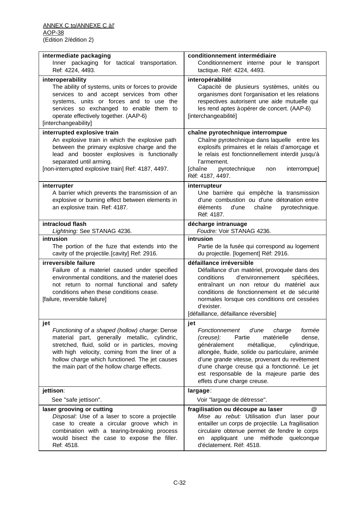| intermediate packaging<br>Inner packaging for tactical transportation.<br>Ref: 4224, 4493.                                                                                                                                                                                                                   | conditionnement intermédiaire<br>Conditionnement interne pour le transport<br>tactique. Réf: 4224, 4493.                                                                                                                                                                                                                                                                         |
|--------------------------------------------------------------------------------------------------------------------------------------------------------------------------------------------------------------------------------------------------------------------------------------------------------------|----------------------------------------------------------------------------------------------------------------------------------------------------------------------------------------------------------------------------------------------------------------------------------------------------------------------------------------------------------------------------------|
|                                                                                                                                                                                                                                                                                                              |                                                                                                                                                                                                                                                                                                                                                                                  |
| interoperability<br>The ability of systems, units or forces to provide<br>services to and accept services from other<br>systems, units or forces and to use the<br>services so exchanged to enable them to<br>operate effectively together. (AAP-6)<br>[interchangeability]                                  | interopérabilité<br>Capacité de plusieurs systèmes, unités ou<br>organismes dont l'organisation et les relations<br>respectives autorisent une aide mutuelle qui<br>les rend aptes à opérer de concert. (AAP-6)<br>[interchangeabilité]                                                                                                                                          |
| interrupted explosive train<br>An explosive train in which the explosive path<br>between the primary explosive charge and the<br>lead and booster explosives is functionally<br>separated until arming.<br>[non-interrupted explosive train] Ref: 4187, 4497.                                                | chaîne pyrotechnique interrompue<br>Chaîne pyrotechnique dans laquelle entre les<br>explosifs primaires et le relais d'amorçage et<br>le relais est fonctionnellement interdit jusqu'à<br>l'armement.<br>[chaîne<br>pyrotechnique<br>interrompue]<br>non<br>Réf: 4187, 4497.                                                                                                     |
| interrupter<br>A barrier which prevents the transmission of an<br>explosive or burning effect between elements in<br>an explosive train. Ref: 4187.                                                                                                                                                          | interrupteur<br>Une barrière qui empêche la transmission<br>d'une combustion ou d'une détonation entre<br>d'une<br>chaîne<br>éléments<br>pyrotechnique.<br>Réf: 4187.                                                                                                                                                                                                            |
| intracloud flash<br>Lightning: See STANAG 4236.                                                                                                                                                                                                                                                              | décharge intranuage<br>Foudre: Voir STANAG 4236.                                                                                                                                                                                                                                                                                                                                 |
| intrusion                                                                                                                                                                                                                                                                                                    | intrusion                                                                                                                                                                                                                                                                                                                                                                        |
| The portion of the fuze that extends into the<br>cavity of the projectile. [cavity] Ref: 2916.                                                                                                                                                                                                               | Partie de la fusée qui correspond au logement<br>du projectile. [logement] Réf: 2916.                                                                                                                                                                                                                                                                                            |
| irreversible failure<br>Failure of a materiel caused under specified<br>environmental conditions, and the materiel does<br>not return to normal functional and safety<br>conditions when these conditions cease.<br>[failure, reversible failure]                                                            | défaillance irréversible<br>Défaillance d'un matériel, provoquée dans des<br>d'environnement<br>conditions<br>spécifiées,<br>entraînant un non retour du matériel aux<br>conditions de fonctionnement et de sécurité<br>normales lorsque ces conditions ont cessées<br>d'exister.<br>[défaillance, défaillance réversible]                                                       |
| jet<br>Functioning of a shaped (hollow) charge: Dense<br>material part, generally metallic, cylindric,<br>stretched, fluid, solid or in particles, moving<br>with high velocity, coming from the liner of a<br>hollow charge which functioned. The jet causes<br>the main part of the hollow charge effects. | jet<br>Fonctionnement<br>d'une<br>formée<br>charge<br>(creuse):<br>Partie<br>matérielle<br>dense,<br>généralement<br>métallique,<br>cylindrique,<br>allongée, fluide, solide ou particulaire, animée<br>d'une grande vitesse, provenant du revêtement<br>d'une charge creuse qui a fonctionné. Le jet<br>est responsable de la majeure partie des<br>effets d'une charge creuse. |
| jettison:                                                                                                                                                                                                                                                                                                    | largage:                                                                                                                                                                                                                                                                                                                                                                         |
| See "safe jettison".                                                                                                                                                                                                                                                                                         | Voir "largage de détresse".                                                                                                                                                                                                                                                                                                                                                      |
| laser grooving or cutting<br>Disposal: Use of a laser to score a projectile<br>case to create a circular groove which in<br>combination with a tearing-breaking process<br>would bisect the case to expose the filler.<br>Ref: 4518.                                                                         | @<br>fragilisation ou découpe au laser<br>Mise au rebut: Utilisation d'un laser pour<br>entailler un corps de projectile. La fragilisation<br>circulaire obtenue permet de fendre le corps<br>appliquant une méthode<br>quelconque<br>en<br>d'éclatement. Réf: 4518.                                                                                                             |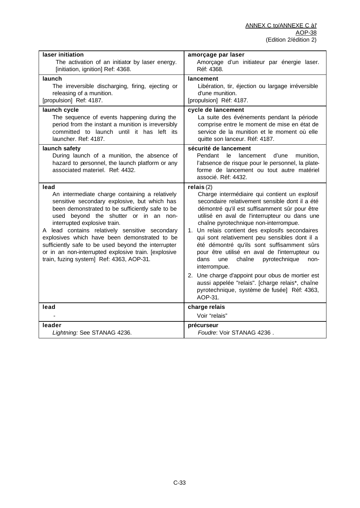| laser initiation                                                                                                                                                                                                                                                                                                                                                                                                                                                                                 | amorçage par laser                                                                                                                                                                                                                                                                                                                                                                                                                                                                                                                                                                                                                                                                             |
|--------------------------------------------------------------------------------------------------------------------------------------------------------------------------------------------------------------------------------------------------------------------------------------------------------------------------------------------------------------------------------------------------------------------------------------------------------------------------------------------------|------------------------------------------------------------------------------------------------------------------------------------------------------------------------------------------------------------------------------------------------------------------------------------------------------------------------------------------------------------------------------------------------------------------------------------------------------------------------------------------------------------------------------------------------------------------------------------------------------------------------------------------------------------------------------------------------|
| The activation of an initiator by laser energy.                                                                                                                                                                                                                                                                                                                                                                                                                                                  | Amorçage d'un initiateur par énergie laser.                                                                                                                                                                                                                                                                                                                                                                                                                                                                                                                                                                                                                                                    |
| [initiation, ignition] Ref: 4368.                                                                                                                                                                                                                                                                                                                                                                                                                                                                | Réf: 4368.                                                                                                                                                                                                                                                                                                                                                                                                                                                                                                                                                                                                                                                                                     |
| launch                                                                                                                                                                                                                                                                                                                                                                                                                                                                                           | lancement                                                                                                                                                                                                                                                                                                                                                                                                                                                                                                                                                                                                                                                                                      |
| The irreversible discharging, firing, ejecting or                                                                                                                                                                                                                                                                                                                                                                                                                                                | Libération, tir, éjection ou largage irréversible                                                                                                                                                                                                                                                                                                                                                                                                                                                                                                                                                                                                                                              |
| releasing of a munition.                                                                                                                                                                                                                                                                                                                                                                                                                                                                         | d'une munition.                                                                                                                                                                                                                                                                                                                                                                                                                                                                                                                                                                                                                                                                                |
| [propulsion] Ref: 4187.                                                                                                                                                                                                                                                                                                                                                                                                                                                                          | [propulsion] Réf: 4187.                                                                                                                                                                                                                                                                                                                                                                                                                                                                                                                                                                                                                                                                        |
| launch cycle                                                                                                                                                                                                                                                                                                                                                                                                                                                                                     | cycle de lancement                                                                                                                                                                                                                                                                                                                                                                                                                                                                                                                                                                                                                                                                             |
| The sequence of events happening during the                                                                                                                                                                                                                                                                                                                                                                                                                                                      | La suite des événements pendant la période                                                                                                                                                                                                                                                                                                                                                                                                                                                                                                                                                                                                                                                     |
| period from the instant a munition is irreversibly                                                                                                                                                                                                                                                                                                                                                                                                                                               | comprise entre le moment de mise en état de                                                                                                                                                                                                                                                                                                                                                                                                                                                                                                                                                                                                                                                    |
| committed to launch until it has left its                                                                                                                                                                                                                                                                                                                                                                                                                                                        | service de la munition et le moment où elle                                                                                                                                                                                                                                                                                                                                                                                                                                                                                                                                                                                                                                                    |
| launcher. Ref: 4187.                                                                                                                                                                                                                                                                                                                                                                                                                                                                             | quitte son lanceur. Réf: 4187.                                                                                                                                                                                                                                                                                                                                                                                                                                                                                                                                                                                                                                                                 |
| launch safety<br>During launch of a munition, the absence of<br>hazard to personnel, the launch platform or any<br>associated materiel. Ref: 4432.                                                                                                                                                                                                                                                                                                                                               | sécurité de lancement<br>Pendant<br>le<br>lancement<br>d'une<br>munition,<br>l'absence de risque pour le personnel, la plate-<br>forme de lancement ou tout autre matériel<br>associé. Réf: 4432.                                                                                                                                                                                                                                                                                                                                                                                                                                                                                              |
| lead<br>An intermediate charge containing a relatively<br>sensitive secondary explosive, but which has<br>been demonstrated to be sufficiently safe to be<br>used beyond the shutter or in an non-<br>interrupted explosive train.<br>A lead contains relatively sensitive secondary<br>explosives which have been demonstrated to be<br>sufficiently safe to be used beyond the interrupter<br>or in an non-interrupted explosive train. [explosive<br>train, fuzing system] Ref: 4363, AOP-31. | relais(2)<br>Charge intermédiaire qui contient un explosif<br>secondaire relativement sensible dont il a été<br>démontré qu'il est suffisamment sûr pour être<br>utilisé en aval de l'interrupteur ou dans une<br>chaîne pyrotechnique non-interrompue.<br>1. Un relais contient des explosifs secondaires<br>qui sont relativement peu sensibles dont il a<br>été démontré qu'ils sont suffisamment sûrs<br>pour être utilisé en aval de l'interrupteur ou<br>dans<br>chaîne<br>pyrotechnique<br>une<br>non-<br>interrompue.<br>2. Une charge d'appoint pour obus de mortier est<br>aussi appelée "relais". [charge relais*, chaîne<br>pyrotechnique, système de fusée] Réf: 4363,<br>AOP-31. |
| lead                                                                                                                                                                                                                                                                                                                                                                                                                                                                                             | charge relais<br>Voir "relais"                                                                                                                                                                                                                                                                                                                                                                                                                                                                                                                                                                                                                                                                 |
| leader                                                                                                                                                                                                                                                                                                                                                                                                                                                                                           | précurseur                                                                                                                                                                                                                                                                                                                                                                                                                                                                                                                                                                                                                                                                                     |
| Lightning: See STANAG 4236.                                                                                                                                                                                                                                                                                                                                                                                                                                                                      | Foudre: Voir STANAG 4236.                                                                                                                                                                                                                                                                                                                                                                                                                                                                                                                                                                                                                                                                      |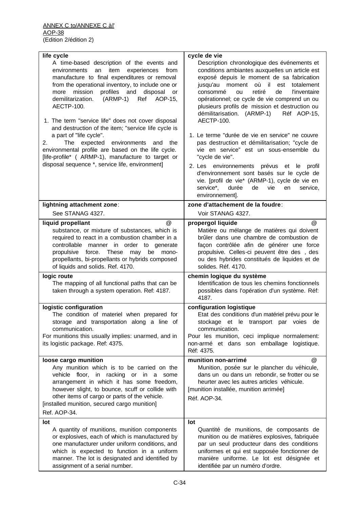| life cycle<br>A time-based description of the events and<br>an<br>item<br>experiences<br>environments<br>from<br>manufacture to final expenditures or removal<br>from the operational inventory, to include one or<br>mission<br>profiles and<br>disposal<br>more<br><b>or</b><br>demilitarization.<br>$(ARMP-1)$<br>Ref AOP-15,<br><b>AECTP-100.</b><br>1. The term "service life" does not cover disposal<br>and destruction of the item; "service life cycle is<br>a part of "life cycle".<br>2.<br>The expected<br>environments<br>and the<br>environmental profile are based on the life cycle.<br>[life-profile* ( ARMP-1), manufacture to target or<br>disposal sequence *, service life, environment] | cycle de vie<br>Description chronologique des événements et<br>conditions ambiantes auxquelles un article est<br>exposé depuis le moment de sa fabrication<br>jusqu'au moment où il est<br>totalement<br>retiré<br>de<br><b>l'inventaire</b><br>consommé<br>ou<br>opérationnel; ce cycle de vie comprend un ou<br>plusieurs profils de mission et destruction ou<br>démilitarisation. (ARMP-1)<br>Réf AOP-15,<br>AECTP-100.<br>1. Le terme "durée de vie en service" ne couvre<br>pas destruction et démilitarisation; "cycle de<br>vie en service" est un sous-ensemble du<br>"cycle de vie".<br>2. Les environnements prévus et le<br>profil<br>d'environnement sont basés sur le cycle de<br>vie. [profil de vie* (ARMP-1), cycle de vie en<br>service*,<br>durée<br>de<br>vie<br>service,<br>en<br>environnement]. |
|---------------------------------------------------------------------------------------------------------------------------------------------------------------------------------------------------------------------------------------------------------------------------------------------------------------------------------------------------------------------------------------------------------------------------------------------------------------------------------------------------------------------------------------------------------------------------------------------------------------------------------------------------------------------------------------------------------------|------------------------------------------------------------------------------------------------------------------------------------------------------------------------------------------------------------------------------------------------------------------------------------------------------------------------------------------------------------------------------------------------------------------------------------------------------------------------------------------------------------------------------------------------------------------------------------------------------------------------------------------------------------------------------------------------------------------------------------------------------------------------------------------------------------------------|
| lightning attachment zone:                                                                                                                                                                                                                                                                                                                                                                                                                                                                                                                                                                                                                                                                                    | zone d'attachement de la foudre:                                                                                                                                                                                                                                                                                                                                                                                                                                                                                                                                                                                                                                                                                                                                                                                       |
| See STANAG 4327.                                                                                                                                                                                                                                                                                                                                                                                                                                                                                                                                                                                                                                                                                              | Voir STANAG 4327.                                                                                                                                                                                                                                                                                                                                                                                                                                                                                                                                                                                                                                                                                                                                                                                                      |
| @<br>liquid propellant<br>substance, or mixture of substances, which is<br>required to react in a combustion chamber in a<br>controllable manner in order to generate<br>propulsive force. These<br>may<br>be<br>mono-<br>propellants, bi-propellants or hybrids composed<br>of liquids and solids. Ref. 4170.                                                                                                                                                                                                                                                                                                                                                                                                | propergol liquide<br>@<br>Matière ou mélange de matières qui doivent<br>brûler dans une chambre de combustion de<br>façon contrôlée afin de générer une force<br>propulsive. Celles-ci peuvent être des, des<br>ou des hybrides constitués de liquides et de<br>solides. Réf. 4170.                                                                                                                                                                                                                                                                                                                                                                                                                                                                                                                                    |
| logic route<br>The mapping of all functional paths that can be<br>taken through a system operation. Ref: 4187.                                                                                                                                                                                                                                                                                                                                                                                                                                                                                                                                                                                                | chemin logique du système<br>Identification de tous les chemins fonctionnels<br>possibles dans l'opération d'un système. Réf:<br>4187.                                                                                                                                                                                                                                                                                                                                                                                                                                                                                                                                                                                                                                                                                 |
| logistic configuration<br>The condition of materiel when prepared for<br>storage and transportation along a line of<br>communication.<br>For munitions this usually implies: unarmed, and in<br>its logistic package. Ref: 4375.                                                                                                                                                                                                                                                                                                                                                                                                                                                                              | configuration logistique<br>Etat des conditions d'un matériel prévu pour le<br>stockage et le transport par voies de<br>communication.<br>Pour les munition, ceci implique normalement:<br>non-armé et dans son emballage logistique.<br>Réf: 4375.                                                                                                                                                                                                                                                                                                                                                                                                                                                                                                                                                                    |
| loose cargo munition<br>Any munition which is to be carried on the<br>vehicle floor, in racking or in a some<br>arrangement in which it has some freedom,<br>however slight, to bounce, scuff or collide with<br>other items of cargo or parts of the vehicle.<br>[installed munition, secured cargo munition]<br>Ref. AOP-34.                                                                                                                                                                                                                                                                                                                                                                                | munition non-arrimé<br>@<br>Munition, posée sur le plancher du véhicule,<br>dans un ou dans un rebondir, se frotter ou se<br>heurter avec les autres articles véhicule.<br>[munition installée, munition arrimée]<br>Réf. AOP-34.                                                                                                                                                                                                                                                                                                                                                                                                                                                                                                                                                                                      |
| lot<br>A quantity of munitions, munition components<br>or explosives, each of which is manufactured by<br>one manufacturer under uniform conditions, and<br>which is expected to function in a uniform<br>manner. The lot is designated and identified by<br>assignment of a serial number.                                                                                                                                                                                                                                                                                                                                                                                                                   | lot<br>Quantité de munitions, de composants de<br>munition ou de matières explosives, fabriquée<br>par un seul producteur dans des conditions<br>uniformes et qui est supposée fonctionner de<br>manière uniforme. Le lot est désignée et<br>identifiée par un numéro d'ordre.                                                                                                                                                                                                                                                                                                                                                                                                                                                                                                                                         |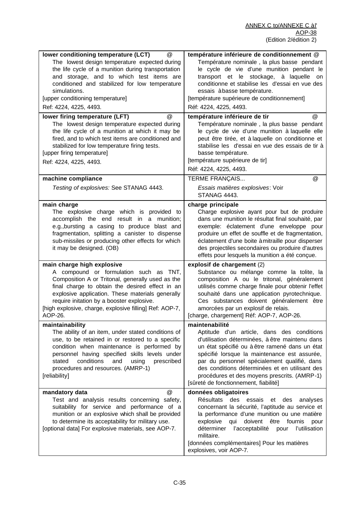| lower conditioning temperature (LCT)<br>@<br>The lowest design temperature expected during<br>the life cycle of a munition during transportation<br>and storage, and to which test items are<br>conditioned and stabilized for low temperature<br>simulations.<br>[upper conditioning temperature]<br>Ref: 4224, 4225, 4493.                       | température inférieure de conditionnement @<br>Température nominale, la plus basse pendant<br>le cycle de vie d'une munition pendant le<br>transport et le stockage, à laquelle<br>on<br>conditionne et stabilise les d'essai en vue des<br>essais à basse température.<br>[température supérieure de conditionnement]<br>Réf: 4224, 4225, 4493.                                                             |
|----------------------------------------------------------------------------------------------------------------------------------------------------------------------------------------------------------------------------------------------------------------------------------------------------------------------------------------------------|--------------------------------------------------------------------------------------------------------------------------------------------------------------------------------------------------------------------------------------------------------------------------------------------------------------------------------------------------------------------------------------------------------------|
| lower firing temperature (LFT)<br>$^{\circledR}$                                                                                                                                                                                                                                                                                                   | température inférieure de tir<br>$^{\circledR}$                                                                                                                                                                                                                                                                                                                                                              |
| The lowest design temperature expected during<br>the life cycle of a munition at which it may be<br>fired, and to which test items are conditioned and<br>stabilized for low temperature firing tests.<br>[upper firing temperature]<br>Ref: 4224, 4225, 4493.                                                                                     | Température nominale, la plus basse pendant<br>le cycle de vie d'une munition à laquelle elle<br>peut être tirée, et à laquelle on conditionne et<br>stabilise les d'essai en vue des essais de tir à<br>basse température.<br>[température supérieure de tir]<br>Réf: 4224, 4225, 4493.                                                                                                                     |
| machine compliance                                                                                                                                                                                                                                                                                                                                 | <b>TERME FRANÇAIS</b><br>@                                                                                                                                                                                                                                                                                                                                                                                   |
| Testing of explosives: See STANAG 4443.                                                                                                                                                                                                                                                                                                            | Essais matières explosives: Voir<br>STANAG 4443.                                                                                                                                                                                                                                                                                                                                                             |
| main charge<br>The explosive charge which is provided to<br>accomplish the end result in a munition;<br>e.g., bursting a casing to produce blast and<br>fragmentation, splitting a canister to dispense<br>sub-missiles or producing other effects for which<br>it may be designed. (OB)                                                           | charge principale<br>Charge explosive ayant pour but de produire<br>dans une munition le résultat final souhaité, par<br>exemple: éclatement d'une enveloppe pour<br>produire un effet de souffle et de fragmentation,<br>éclatement d'une boite à mitraille pour disperser<br>des projectiles secondaires ou produire d'autres<br>effets pour lesquels la munition a été conçue.                            |
| main charge high explosive<br>A compound or formulation such as TNT,<br>Composition A or Tritonal, generally used as the<br>final charge to obtain the desired effect in an<br>explosive application. These materials generally<br>require initation by a booster explosive.<br>[high explosive, charge, explosive filling] Ref: AOP-7,<br>AOP-26. | explosif de chargement (2)<br>Substance ou mélange comme la tolite, la<br>composition A ou le tritonal, généralement<br>utilisés comme charge finale pour obtenir l'effet<br>souhaité dans une application pyrotechnique.<br>Ces substances doivent généralement être<br>amorcées par un explosif de relais.<br>[charge, chargement] Réf: AOP-7, AOP-26.                                                     |
| maintainability<br>The ability of an item, under stated conditions of<br>use, to be retained in or restored to a specific<br>condition when maintenance is performed by<br>personnel having specified skills levels under<br>conditions<br>stated<br>and<br>using<br>prescribed<br>procedures and resources. (AMRP-1)<br>[reliability]             | maintenabilité<br>Aptitude d'un article, dans des conditions<br>d'utilisation déterminées, à être maintenu dans<br>un état spécifié ou à être ramené dans un état<br>spécifié lorsque la maintenance est assurée,<br>par du personnel spécialement qualifié, dans<br>des conditions déterminées et en utilisant des<br>procédures et des moyens prescrits. (AMRP-1)<br>[sûreté de fonctionnement, fiabilité] |
| $^{\circledR}$<br>mandatory data<br>Test and analysis results concerning safety,<br>suitability for service and performance of a<br>munition or an explosive which shall be provided<br>to determine its acceptability for military use.<br>[optional data] For explosive materials, see AOP-7.                                                    | données obligatoires<br>Résultats des essais<br>et des<br>analyses<br>concernant la sécurité, l'aptitude au service et<br>la performance d'une munition ou une matière<br>qui doivent être fournis<br>explosive<br>pour<br>déterminer<br>l'acceptabilité<br>l'utilisation<br>pour<br>militaire.<br>[données complémentaires] Pour les matières<br>explosives, voir AOP-7.                                    |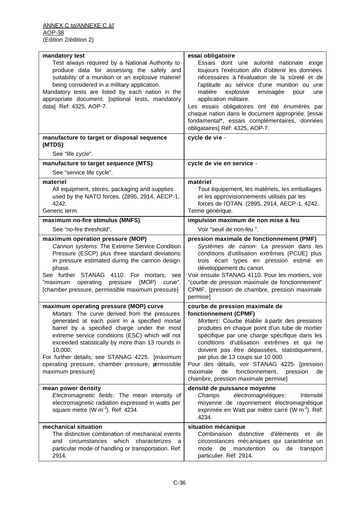| mandatory test<br>Test always required by a National Authority to<br>produce data for assessing the safety and<br>suitability of a munition or an explosive materiel<br>being considered in a military application.<br>Mandatory tests are listed by each nation in the<br>appropriate document. [optional tests, mandatory<br>data] Ref: 4325, AOP-7.                                                                                | essai obligatoire<br>Essais dont une autorité nationale exige<br>toujours l'exécution afin d'obtenir les données<br>nécessaires à l'évaluation de la sûreté et de<br>l'aptitude au service d'une munition ou une<br>matière<br>explosive<br>envisagée<br>pour<br>une<br>application militaire.<br>Les essais obligatoires ont été énumérés par<br>chaque nation dans le document appropriée. [essai<br>fondamental*, essais complémentaires, données<br>obligataires] Réf: 4325, AOP-7.         |
|---------------------------------------------------------------------------------------------------------------------------------------------------------------------------------------------------------------------------------------------------------------------------------------------------------------------------------------------------------------------------------------------------------------------------------------|-------------------------------------------------------------------------------------------------------------------------------------------------------------------------------------------------------------------------------------------------------------------------------------------------------------------------------------------------------------------------------------------------------------------------------------------------------------------------------------------------|
| manufacture to target or disposal sequence<br>(MTDS):                                                                                                                                                                                                                                                                                                                                                                                 | cycle de vie -                                                                                                                                                                                                                                                                                                                                                                                                                                                                                  |
| See "life cycle".                                                                                                                                                                                                                                                                                                                                                                                                                     |                                                                                                                                                                                                                                                                                                                                                                                                                                                                                                 |
| manufacture to target sequence (MTS):                                                                                                                                                                                                                                                                                                                                                                                                 | cycle de vie en service -                                                                                                                                                                                                                                                                                                                                                                                                                                                                       |
| See "service life cycle".                                                                                                                                                                                                                                                                                                                                                                                                             |                                                                                                                                                                                                                                                                                                                                                                                                                                                                                                 |
| materiel<br>All equipment, stores, packaging and supplies<br>used by the NATO forces. (2895, 2914, AECP-1,<br>4242.<br>Generic term.                                                                                                                                                                                                                                                                                                  | matériel<br>Tout équipement, les matériels, les emballages<br>et les approvisionnements utilisés par les<br>forces de l'OTAN. (2895, 2914, AECP-1, 4242.<br>Terme générique.                                                                                                                                                                                                                                                                                                                    |
| maximum no-fire stimulus (MNFS):                                                                                                                                                                                                                                                                                                                                                                                                      | impulsion maximum de non mise à feu:                                                                                                                                                                                                                                                                                                                                                                                                                                                            |
| See "no-fire threshold".                                                                                                                                                                                                                                                                                                                                                                                                              | Voir "seuil de non-feu ".                                                                                                                                                                                                                                                                                                                                                                                                                                                                       |
| maximum operation pressure (MOP)<br>Cannon systems: The Extreme Service Condition<br>Pressure (ESCP) plus three standard deviations<br>in pressure estimated during the cannon design<br>phase.<br>See further STANAG 4110. For mortars, see<br>"maximum operating<br>pressure<br>(MOP)<br>curve".<br>[chamber pressure, permissible maximum pressure]                                                                                | pression maximale de fonctionnement (PMF)<br>Systèmes de canon: La pression dans les<br>conditions d'utilisation extrêmes (PCUE) plus<br>trois écart types en pression estimé en<br>développement du canon.<br>Voir ensuite STANAG 4110. Pour les mortiers, voir<br>"courbe de pression maximale de fonctionnement"<br>CPMF. [pression de chambre, pression maximale<br>permise]                                                                                                                |
| maximum operating pressure (MOP) curve<br>Mortars: The curve derived from the pressures<br>generated at each point in a specified mortar<br>barrel by a specified charge under the most<br>extreme service conditions (ESC) which will not<br>exceeded statistically by more than 13 rounds in<br>10,000.<br>For further details, see STANAG 4225. [maximum<br>operating pressure, chamber pressure, permissible<br>maximum pressure] | courbe de pression maximale de<br>fonctionnement (CPMF)<br>Mortiers: Courbe établie à partir des pressions<br>produites en chaque point d'un tube de mortier<br>spécifique par une charge spécifique dans les<br>conditions d'utilisation extrêmes et qui ne<br>doivent pas être dépassées, statistiquement,<br>par plus de 13 coups sur 10 000.<br>Pour des détails, voir STANAG 4225. [pression<br>fonctionnement,<br>maximale<br>de<br>pression<br>de<br>chambre, pression maximale permise] |
| mean power density<br>Electromagnetic fields: The mean intensity of<br>electromagnetic radiation expressed in watts per<br>square metre $(W \cdot m^{-2})$ . Ref: 4234.                                                                                                                                                                                                                                                               | densité de puissance moyenne<br>électromagnétiques:<br>Intensité<br>Champs<br>moyenne de rayonnement électromagnétique<br>exprimée en Watt par mètre carré (W·m <sup>-2</sup> ). Réf:<br>4234.                                                                                                                                                                                                                                                                                                  |
| mechanical situation<br>The distinctive combination of mechanical events<br>circumstances which<br>characterizes<br>and<br>a<br>particular mode of handling or transportation. Ref:<br>2914.                                                                                                                                                                                                                                          | situation mécanique<br>Combinaison distinctive<br>d'éléments<br>et<br>de<br>circonstances mécaniques qui caractérise un<br>mode<br>de<br>manutention<br>de<br>ou<br>transport<br>particulier. Réf: 2914.                                                                                                                                                                                                                                                                                        |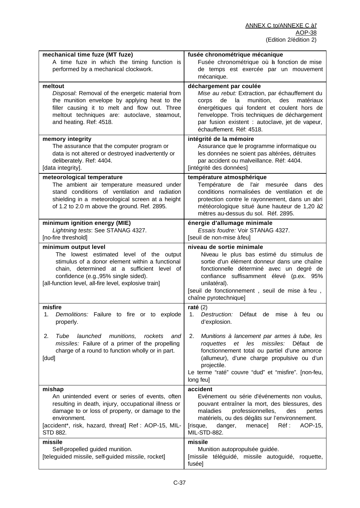| mechanical time fuze (MT fuze)<br>A time fuze in which the timing function is<br>performed by a mechanical clockwork.                                                                                                                                              | fusée chronométrique mécanique<br>Fusée chronométrique où a fonction de mise<br>de temps est exercée par un mouvement<br>mécanique.                                                                                                                                                                            |
|--------------------------------------------------------------------------------------------------------------------------------------------------------------------------------------------------------------------------------------------------------------------|----------------------------------------------------------------------------------------------------------------------------------------------------------------------------------------------------------------------------------------------------------------------------------------------------------------|
| meltout<br>Disposal: Removal of the energetic material from<br>the munition envelope by applying heat to the<br>filler causing it to melt and flow out. Three<br>meltout techniques are: autoclave, steamout,<br>and heating. Ref: 4518.                           | déchargement par coulée<br>Mise au rebut: Extraction, par échauffement du<br>munition,<br>de<br>la<br>des<br>matériaux<br>corps<br>énergétiques qui fondent et coulent hors de<br>l'enveloppe. Trois techniques de déchargement<br>par fusion existent : autoclave, jet de vapeur,<br>échauffement. Réf: 4518. |
| memory integrity<br>The assurance that the computer program or<br>data is not altered or destroyed inadvertently or<br>deliberately. Ref: 4404.<br>[data integrity].                                                                                               | intégrité de la mémoire<br>Assurance que le programme informatique ou<br>les données ne soient pas altérées, détruites<br>par accident ou malveillance. Réf: 4404.<br>[intégrité des données]                                                                                                                  |
| meteorological temperature<br>The ambient air temperature measured under<br>stand conditions of ventilation and radiation<br>shielding in a meteorological screen at a height<br>of 1.2 to 2.0 m above the ground. Ref. 2895.                                      | température atmosphérique<br>Température de l'air mesurée dans<br>des<br>conditions normalisées de ventilation et de<br>protection contre le rayonnement, dans un abri<br>météorologique situé àune hauteur de 1,20 à2<br>mètres au-dessus du sol. Réf. 2895.                                                  |
| minimum ignition energy (MIE)<br>Lightning tests: See STANAG 4327.<br>[no-fire threshold]                                                                                                                                                                          | énergie d'allumage minimale<br>Essais foudre: Voir STANAG 4327.<br>[seuil de non-mise à feu]                                                                                                                                                                                                                   |
| minimum output level<br>The lowest estimated level of the output<br>stimulus of a donor element within a functional<br>chain, determined at a sufficient level of<br>confidence (e.g., 95% single sided).<br>[all-function level, all-fire level, explosive train] | niveau de sortie minimale<br>Niveau le plus bas estimé du stimulus de<br>sortie d'un élément donneur dans une chaîne<br>fonctionnelle déterminé avec un degré de<br>confiance suffisamment élevé (p.ex. 95%<br>unilatéral).<br>[seuil de fonctionnement, seuil de mise à feu,<br>chaîne pyrotechnique]         |
| misfire<br>Demolitions: Failure to fire or to explode<br>1.<br>properly.                                                                                                                                                                                           | raté $(2)$<br>Destruction: Défaut de mise à feu<br>1.<br>ou<br>d'explosion.                                                                                                                                                                                                                                    |
| Tube<br>launched<br>2.<br>munitions,<br>rockets<br>and<br>missiles: Failure of a primer of the propelling<br>charge of a round to function wholly or in part.<br>[dud]                                                                                             | 2.<br>Munitions à lancement par armes à tube, les<br>missiles:<br>et<br>les<br>Défaut<br>roquettes<br>de<br>fonctionnement total ou partiel d'une amorce<br>(allumeur), d'une charge propulsive ou d'un<br>projectile.<br>Le terme "raté" couvre "dud" et "misfire". [non-feu,<br>long feu]                    |
| mishap<br>An unintended event or series of events, often<br>resulting in death, injury, occupational illness or<br>damage to or loss of property, or damage to the<br>environment.<br>[accident*, risk, hazard, threat] Ref: AOP-15, MIL-<br>STD 882.              | accident<br>Evénement ou série d'événements non voulus,<br>pouvant entraîner la mort, des blessures, des<br>professionnelles,<br>maladies<br>des<br>pertes<br>matériels, ou des dégâts sur l'environnement.<br>danger,<br>menace]<br>Réf :<br>AOP-15,<br>[risque,<br>MIL-STD-882.                              |
| missile<br>Self-propelled guided munition.<br>[teleguided missile, self-guided missile, rocket]                                                                                                                                                                    | missile<br>Munition autopropulsée guidée.<br>[missile téléguidé, missile autoguidé, roquette,<br>fusée]                                                                                                                                                                                                        |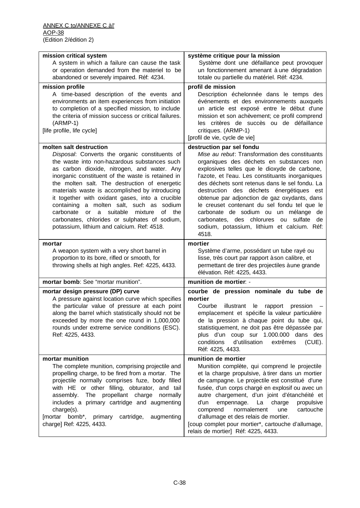| mission critical system<br>A system in which a failure can cause the task<br>or operation demanded from the materiel to be<br>abandoned or severely impaired. Réf: 4234.                                                                                                                                                                                                                                                                                                                                                                                                                | système critique pour la mission<br>Système dont une défaillance peut provoquer<br>un fonctionnement amenant à une dégradation<br>totale ou partielle du matériel. Réf: 4234.                                                                                                                                                                                                                                                                                                                                                                                           |
|-----------------------------------------------------------------------------------------------------------------------------------------------------------------------------------------------------------------------------------------------------------------------------------------------------------------------------------------------------------------------------------------------------------------------------------------------------------------------------------------------------------------------------------------------------------------------------------------|-------------------------------------------------------------------------------------------------------------------------------------------------------------------------------------------------------------------------------------------------------------------------------------------------------------------------------------------------------------------------------------------------------------------------------------------------------------------------------------------------------------------------------------------------------------------------|
| mission profile<br>A time-based description of the events and<br>environments an item experiences from initiation<br>to completion of a specified mission, to include<br>the criteria of mission success or critical failures.<br>$(ARMP-1)$<br>[life profile, life cycle]                                                                                                                                                                                                                                                                                                              | profil de mission<br>Description échelonnée dans le temps des<br>événements et des environnements auxquels<br>un article est exposé entre le début d'une<br>mission et son achèvement; ce profil comprend<br>les critères de succès ou de défaillance<br>critiques. (ARMP-1)<br>[profil de vie, cycle de vie]                                                                                                                                                                                                                                                           |
| molten salt destruction<br>Disposal: Converts the organic constituents of<br>the waste into non-hazardous substances such<br>as carbon dioxide, nitrogen, and water. Any<br>inorganic constituent of the waste is retained in<br>the molten salt. The destruction of energetic<br>materials waste is accomplished by introducing<br>it together with oxidant gases, into a crucible<br>containing a molten salt, such as sodium<br>carbonate<br>a suitable<br>mixture<br>or<br>of<br>the<br>carbonates, chlorides or sulphates of sodium,<br>potassium, lithium and calcium. Ref: 4518. | destruction par sel fondu<br>Mise au rebut: Transformation des constituants<br>organiques des déchets en substances non<br>explosives telles que le dioxyde de carbone,<br>l'azote, et l'eau. Les constituants inorganiques<br>des déchets sont retenus dans le sel fondu. La<br>destruction des déchets énergétiques est<br>obtenue par adjonction de gaz oxydants, dans<br>le creuset contenant du sel fondu tel que le<br>carbonate de sodium ou un mélange de<br>carbonates, des chlorures ou sulfate<br>de<br>sodium, potassium, lithium et calcium. Réf:<br>4518. |
| mortar<br>A weapon system with a very short barrel in<br>proportion to its bore, rifled or smooth, for<br>throwing shells at high angles. Ref: 4225, 4433.                                                                                                                                                                                                                                                                                                                                                                                                                              | mortier<br>Système d'arme, possédant un tube rayé ou<br>lisse, très court par rapport à son calibre, et<br>permettant de tirer des projectiles à une grande<br>élévation. Réf: 4225, 4433.                                                                                                                                                                                                                                                                                                                                                                              |
| mortar bomb: See "mortar munition".                                                                                                                                                                                                                                                                                                                                                                                                                                                                                                                                                     | munition de mortier: -                                                                                                                                                                                                                                                                                                                                                                                                                                                                                                                                                  |
| mortar design pressure (DP) curve<br>A pressure against location curve which specifies<br>the particular value of pressure at each point<br>along the barrel which statistically should not be<br>exceeded by more the one round in 1,000,000<br>rounds under extreme service conditions (ESC).<br>Ref: 4225, 4433.                                                                                                                                                                                                                                                                     | courbe de pression nominale du tube de<br>mortier<br>Courbe<br>illustrant<br>le<br>rapport<br>pression<br>emplacement et spécifie la valeur particulière<br>de la pression à chaque point du tube qui,<br>statistiquement, ne doit pas être dépassée par<br>plus d'un coup sur 1.000.000 dans des<br>conditions<br>d'utilisation<br>extrêmes<br>$(CUE)$ .<br>Réf: 4225, 4433.                                                                                                                                                                                           |
| mortar munition<br>The complete munition, comprising projectile and<br>propelling charge, to be fired from a mortar. The<br>projectile normally comprises fuze, body filled<br>with HE or other filling, obturator, and tail<br>assembly. The propellant charge<br>normally<br>includes a primary cartridge and augmenting<br>charge(s).<br>[mortar bomb*, primary<br>cartridge,<br>augmenting<br>charge] Ref: 4225, 4433.                                                                                                                                                              | munition de mortier<br>Munition complète, qui comprend le projectile<br>et la charge propulsive, à tirer dans un mortier<br>de campagne. Le projectile est constitué d'une<br>fusée, d'un corps chargé en explosif ou avec un<br>autre chargement, d'un joint d'étanchéité et<br>charge<br>d'un<br>empennage. La<br>propulsive<br>normalement<br>cartouche<br>comprend<br>une<br>d'allumage et des relais de mortier.<br>[coup complet pour mortier*, cartouche d'allumage,<br>relais de mortier] Réf: 4225, 4433.                                                      |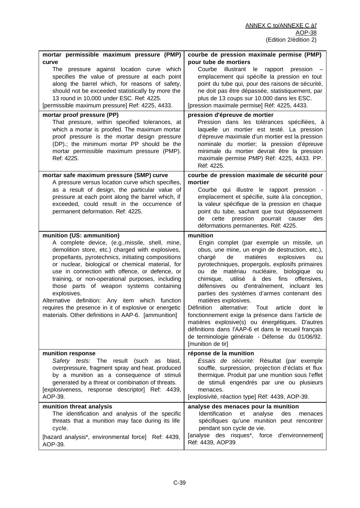| mortar permissible maximum pressure (PMP)                                                                                                                                                                                                                                                                                                                                                                                                                                                                                                                                      | courbe de pression maximale permise (PMP)                                                                                                                                                                                                                                                                                                                                                                                                                                                                                                                                                                                                                                                                                                             |
|--------------------------------------------------------------------------------------------------------------------------------------------------------------------------------------------------------------------------------------------------------------------------------------------------------------------------------------------------------------------------------------------------------------------------------------------------------------------------------------------------------------------------------------------------------------------------------|-------------------------------------------------------------------------------------------------------------------------------------------------------------------------------------------------------------------------------------------------------------------------------------------------------------------------------------------------------------------------------------------------------------------------------------------------------------------------------------------------------------------------------------------------------------------------------------------------------------------------------------------------------------------------------------------------------------------------------------------------------|
| curve<br>The pressure against location curve which<br>specifies the value of pressure at each point<br>along the barrel which, for reasons of safety,<br>should not be exceeded statistically by more the<br>13 round in 10,000 under ESC. Ref: 4225.<br>[permissible maximum pressure] Ref: 4225, 4433.<br>mortar proof pressure (PP)<br>That pressure, within specified tolerances, at                                                                                                                                                                                       | pour tube de mortiers<br>Courbe<br>illustrant le<br>rapport<br>pression<br>emplacement qui spécifie la pression en tout<br>point du tube qui, pour des raisons de sécurité,<br>ne doit pas être dépassée, statistiquement, par<br>plus de 13 coups sur 10.000 dans les ESC.<br>[pression maximale permise] Réf: 4225, 4433.<br>pression d'épreuve de mortier<br>Pression dans les tolérances spécifiées, à                                                                                                                                                                                                                                                                                                                                            |
| which a mortar is proofed. The maximum mortar<br>proof pressure is the mortar design pressure<br>(DP).; the minimum mortar PP should be the<br>mortar permissible maximum pressure (PMP).<br>Ref: 4225.                                                                                                                                                                                                                                                                                                                                                                        | laquelle un mortier est testé. La pression<br>d'épreuve maximale d'un mortier est la pression<br>nominale du mortier; la pression d'épreuve<br>minimale du mortier devrait être la pression<br>maximale permise PMP) Réf: 4225, 4433. PP.<br>Réf: 4225.                                                                                                                                                                                                                                                                                                                                                                                                                                                                                               |
| mortar safe maximum pressure (SMP) curve<br>A pressure versus location curve which specifies,<br>as a result of design, the particular value of<br>pressure at each point along the barrel which, if<br>exceeded, could result in the occurrence of<br>permanent deformation. Ref: 4225.                                                                                                                                                                                                                                                                                       | courbe de pression maximale de sécurité pour<br>mortier<br>Courbe qui illustre le rapport pression -<br>emplacement et spécifie, suite à la conception,<br>la valeur spécifique de la pression en chaque<br>point du tube, sachant que tout dépassement<br>cette<br>pression<br>pourrait causer<br>de<br>des<br>déformations permanentes. Réf: 4225.                                                                                                                                                                                                                                                                                                                                                                                                  |
| munition (US: ammunition)<br>A complete device, (e.g., missile, shell, mine,<br>demolition store, etc.) charged with explosives,<br>propellants, pyrotechnics, initiating compositions<br>or nuclear, biological or chemical material, for<br>use in connection with offence, or defence, or<br>training, or non-operational purposes, including<br>those parts of weapon systems containing<br>explosives.<br>Alternative definition: Any item which function<br>requires the presence in it of explosive or energetic<br>materials. Other definitions in AAP-6. [ammunition] | munition<br>Engin complet (par exemple un missile, un<br>obus, une mine, un engin de destruction, etc.),<br>matières<br>chargé<br>de<br>explosives<br>ou<br>pyrotechniques, propergols, explosifs primaires<br>de matériau nucléaire, biologique<br>ou<br>ou<br>à des fins<br>chimique,<br>utilisé<br>offensives,<br>défensives ou d'entraînement, incluant les<br>parties des systèmes d'armes contenant des<br>matières explosives.<br><b>Définition</b><br>alternative:<br>Tout<br>article<br>dont<br>le.<br>fonctionnement exige la présence dans l'article de<br>matières explosive(s) ou énergétiques. D'autres<br>définitions dans l'AAP-6 et dans le recueil français<br>de terminologie générale - Défense du 01/06/92.<br>[munition de tir] |
| munition response<br>Safety tests: The result (such as blast,<br>overpressure, fragment spray and heat. produced<br>by a munition as a consequence of stimuli<br>generated by a threat or combination of threats.<br>[explosiveness, response descriptor] Ref: 4439,<br>AOP-39.                                                                                                                                                                                                                                                                                                | réponse de la munition<br>Essais de sécurité: Résultat (par exemple<br>souffle, surpression, projection d'éclats et flux<br>thermique. Produit par une munition sous l'effet<br>de stimuli engendrés par une ou plusieurs<br>menaces.<br>[explosivité, réaction type] Réf: 4439, AOP-39.                                                                                                                                                                                                                                                                                                                                                                                                                                                              |
| munition threat analysis<br>The identification and analysis of the specific<br>threats that a munition may face during its life<br>cycle.<br>[hazard analysis*, environmental force] Ref: 4439,<br>AOP-39.                                                                                                                                                                                                                                                                                                                                                                     | analyse des menaces pour la munition<br>Identification<br>et<br>analyse<br>des<br>menaces<br>spécifiques qu'une munition peut rencontrer<br>pendant son cycle de vie.<br>[analyse des risques*, force d'environnement]<br>Réf: 4439, AOP39                                                                                                                                                                                                                                                                                                                                                                                                                                                                                                            |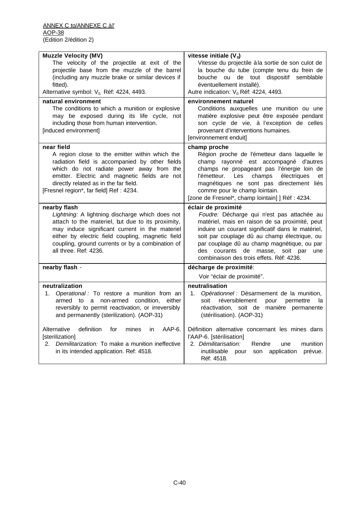| <b>Muzzle Velocity (MV)</b>                                                                           | vitesse initiale $(V_0)$                                                                      |
|-------------------------------------------------------------------------------------------------------|-----------------------------------------------------------------------------------------------|
| The velocity of the projectile at exit of the                                                         | Vitesse du projectile à la sortie de son culot de                                             |
| projectile base from the muzzle of the barrel                                                         | la bouche du tube (compte tenu du frein de                                                    |
| (including any muzzle brake or similar devices if                                                     | bouche ou de tout dispositif<br>semblable                                                     |
| fitted).                                                                                              | éventuellement installé).                                                                     |
| Alternative symbol: V <sub>0.</sub> Réf: 4224, 4493.                                                  | Autre indication: V <sub>0</sub> Réf: 4224, 4493.                                             |
| natural environment<br>The conditions to which a munition or explosive                                | environnement naturel<br>Conditions auxquelles une munition ou une                            |
| may be exposed during its life cycle, not                                                             | matière explosive peut être exposée pendant                                                   |
| including those from human intervention.                                                              | son cycle de vie, à l'exception de celles                                                     |
| [induced environment]                                                                                 | provenant d'interventions humaines.                                                           |
|                                                                                                       | [environnement enduit]                                                                        |
| near field                                                                                            | champ proche                                                                                  |
| A region close to the emitter within which the                                                        | Région proche de l'émetteur dans laquelle le                                                  |
| radiation field is accompanied by other fields                                                        | champ rayonné est accompagné d'autres                                                         |
| which do not radiate power away from the                                                              | champs ne propageant pas l'énergie loin de                                                    |
| emitter. Electric and magnetic fields are not                                                         | Les<br>champs<br>électriques<br>l'émetteur.<br>et                                             |
| directly related as in the far field.                                                                 | magnétiques ne sont pas directement liés                                                      |
| [Fresnel region*, far field] Ref: 4234.                                                               | comme pour le champ lointain.                                                                 |
|                                                                                                       | [zone de Fresnel*, champ lointain] ] Réf : 4234.                                              |
| nearby flash                                                                                          | éclair de proximité                                                                           |
| Lightning: A lightning discharge which does not                                                       | Foudre: Décharge qui n'est pas attachée au                                                    |
| attach to the materiel, but due to its proximity,                                                     | matériel, mais en raison de sa proximité, peut                                                |
| may induce significant current in the materiel                                                        | induire un courant significatif dans le matériel,                                             |
| either by electric field coupling, magnetic field<br>coupling, ground currents or by a combination of | soit par couplage dû au champ électrique, ou<br>par couplage dû au champ magnétique, ou par   |
| all three. Ref: 4236.                                                                                 | des courants de masse, soit par<br>une                                                        |
|                                                                                                       | combinaison des trois effets. Réf: 4236.                                                      |
|                                                                                                       |                                                                                               |
| nearby flash -                                                                                        | décharge de proximité:                                                                        |
|                                                                                                       | Voir "éclair de proximité".                                                                   |
| neutralization                                                                                        | neutralisation                                                                                |
| Operational : To restore a munition from an<br>1.                                                     | Opérationnel : Désarmement de la munition,<br>1.                                              |
| armed to a non-armed condition, either                                                                | réversiblement<br>soit<br>pour<br>permettre<br>la<br>réactivation, soit de manière permanente |
| reversibly to permit reactivation, or irreversibly<br>and permanently (sterilization). (AOP-31)       | (stérilisation). (AOP-31)                                                                     |
|                                                                                                       |                                                                                               |
| Alternative<br>definition<br>AAP-6.<br>for<br>mines<br>in.                                            | Définition alternative concernant les mines dans                                              |
| [sterilization]                                                                                       | l'AAP-6. [stérilisation]                                                                      |
| Demilitarization: To make a munition ineffective<br>2.                                                | 2. Démilitarisation:<br>Rendre<br>munition<br>une                                             |
| in its intended application. Ref: 4518.                                                               | inutilisable<br>son<br>application<br>prévue.<br>pour                                         |
|                                                                                                       | Réf: 4518.                                                                                    |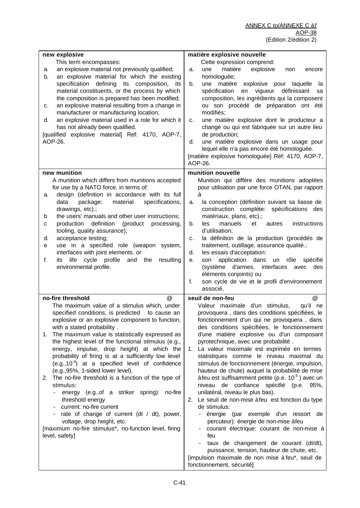| new explosive<br>This term encompasses:<br>an explosive material not previously qualified;<br>а.<br>an explosive material for which the existing<br>b.<br>specification defining its composition,<br>its<br>material constituents, or the process by which<br>the composition is prepared has been modified;<br>an explosive material resulting from a change in<br>с.<br>manufacturer or manufacturing location;<br>an explosive material used in a role for which it<br>d.<br>has not already been qualified.<br>[qualified explosive material] Ref: 4170, AOP-7,<br>AOP-26.                                                                                                                                                                                                                                                                                | matière explosive nouvelle<br>Cette expression comprend:<br>explosive<br>matière<br>une<br>a.<br>non<br>encore<br>homologuée;<br>explosive pour<br>matière<br>b.<br>une<br>laquelle<br>la<br>spécification<br>vigueur<br>définissant<br>en<br>sa<br>composition, les ingrédients qui la composent<br>ou son procédé de préparation ont été<br>modifiés;<br>une matière explosive dont le producteur a<br>c.<br>changé ou qui est fabriquée sur un autre lieu<br>de production;<br>une matière explosive dans un usage pour<br>d.<br>lequel elle n'a pas encore été homologuée.<br>[matière explosive homologuée] Réf: 4170, AOP-7,<br>AOP-26.                                                                                                                                                                                                                                                                                                                                                                                                               |
|---------------------------------------------------------------------------------------------------------------------------------------------------------------------------------------------------------------------------------------------------------------------------------------------------------------------------------------------------------------------------------------------------------------------------------------------------------------------------------------------------------------------------------------------------------------------------------------------------------------------------------------------------------------------------------------------------------------------------------------------------------------------------------------------------------------------------------------------------------------|-------------------------------------------------------------------------------------------------------------------------------------------------------------------------------------------------------------------------------------------------------------------------------------------------------------------------------------------------------------------------------------------------------------------------------------------------------------------------------------------------------------------------------------------------------------------------------------------------------------------------------------------------------------------------------------------------------------------------------------------------------------------------------------------------------------------------------------------------------------------------------------------------------------------------------------------------------------------------------------------------------------------------------------------------------------|
| new munition<br>A munition which differs from munitions accepted<br>for use by a NATO force, in terms of:<br>design (definition in accordance with its full<br>а.<br>data<br>package:<br>material<br>specifications,<br>drawings, etc).;<br>the users' manuals and other user instructions;<br>b<br>(product<br>production<br>definition<br>processing,<br>с<br>tooling, quality assurance);<br>acceptance testing;<br>d.<br>use in a specified role (weapon system,<br>е<br>interfaces with joint elements. or<br>life cycle profile<br>f.<br>and<br>the<br>resulting<br>its<br>environmental profile.                                                                                                                                                                                                                                                       | munition nouvelle<br>Munition qui diffère des munitions adoptées<br>pour utilisation par une force OTAN, par rapport<br>à<br>la conception (définition suivant sa liasse de<br>а.<br>construction complète: spécifications des<br>matériaux, plans, etc).;<br>les<br>manuels<br>et<br>instructions<br>b.<br>autres<br>d'utilisation;<br>la définition de la production (procédés de<br>c.<br>traitement, outillage, assurance qualité.;<br>les essais d'acceptation:<br>d.<br>application dans<br>rôle<br>son<br>un<br>spécifié<br>е.<br>(système d'armes, interfaces<br>des<br>avec<br>éléments conjoints) ou<br>son cycle de vie et le profil d'environnement<br>f.<br>associé.                                                                                                                                                                                                                                                                                                                                                                           |
| no-fire threshold<br>@<br>The maximum value of a stimulus which, under<br>specified conditions, is predicted<br>to cause an<br>explosive or an explosive component to function,<br>with a stated probability.<br>The maximum value is statistically expressed as<br>1.<br>the highest level of the functional stimulus (e.g.,<br>energy, impulse, drop height) at which the<br>probability of firing is at a sufficiently low level<br>$(e.g., 10-6)$ at a specified level of confidence<br>(e.g., 95%, 1-sided lower level).<br>The no-fire threshold is a function of the type of<br>2.<br>stimulus:<br>energy (e.g., of a striker spring): no-fire<br>threshold energy<br>current: no-fire current<br>rate of change of current (dl / dt), power,<br>voltage, drop height, etc.<br>[maximum no-fire stimulus*, no-function level, firing<br>level, safety] | $^{\circledR}$<br>seuil de non-feu<br>Valeur maximale d'un stimulus,<br>qu'il ne<br>provoquera, dans des conditions spécifiées, le<br>fonctionnement d'un qui ne provoquera, dans<br>des conditions spécifiées, le fonctionnement<br>d'une matière explosive ou d'un composant<br>pyrotechnique, avec une probabilité.<br>La valeur maximale est exprimée en termes<br>1.<br>statistiques comme le niveau maximal du<br>stimulus de fonctionnement (énergie, impulsion,<br>hauteur de chute) auquel la probabilité de mise<br>à feu est suffisamment petite (p.e. $10^{-6}$ ) avec un<br>niveau de confiance spécifié (p.e. 95%,<br>unilatéral, niveau le plus bas).<br>Le seuil de non-mise à feu est fonction du type<br>2.<br>de stimulus:<br>énergie (par exemple d'un ressort de<br>percuteur): énergie de non-mise à feu<br>courant électrique: courant de non-mise à<br>feu<br>taux de changement de courant (dl/dt),<br>puissance, tension, hauteur de chute, etc.<br>[impulsion maximale de non mise à feu*, seuil de<br>fonctionnement, sécurité] |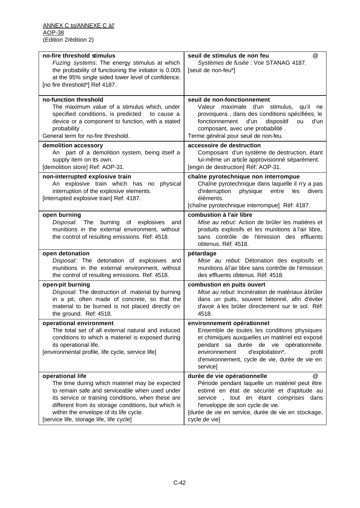| no-fire threshold stimulus<br>Fuzing systems: The energy stimulus at which<br>the probability of functioning the initiator is 0.005<br>at the 95% single sided lower level of confidence.<br>[no fire threshold*] Ref 4187.                                                                                             | seuil de stimulus de non feu<br>@<br>Systèmes de fusée : Voir STANAG 4187.<br>[seuil de non-feu*]                                                                                                                                                                                      |
|-------------------------------------------------------------------------------------------------------------------------------------------------------------------------------------------------------------------------------------------------------------------------------------------------------------------------|----------------------------------------------------------------------------------------------------------------------------------------------------------------------------------------------------------------------------------------------------------------------------------------|
| no-function threshold<br>The maximum value of a stimulus which, under<br>specified conditions, is predicted<br>to cause a<br>device or a component to function, with a stated<br>probability.<br>General term for no-fire threshold.                                                                                    | seuil de non-fonctionnement<br>Valeur maximale d'un stimulus,<br>qu'il<br>ne<br>provoquera, dans des conditions spécifiées, le<br>fonctionnement<br>d'un<br>dispositif<br>d'un<br>ou<br>composant, avec une probabilité.<br>Terme général pour seuil de non-feu.                       |
| demolition accessory<br>An part of a demolition system, being itself a<br>supply item on its own.<br>[demolition store] Ref: AOP-31.                                                                                                                                                                                    | accessoire de destruction<br>Composant d'un système de destruction, étant<br>lui-même un article approvisionné séparément.<br>[engin de destruction] Réf: AOP-31.                                                                                                                      |
| non-interrupted explosive train<br>An explosive train which has no<br>physical<br>interruption of the explosive elements.<br>[interrupted explosive train] Ref: 4187.                                                                                                                                                   | chaîne pyrotechnique non interrompue<br>Chaîne pyrotechnique dans laquelle il n'y a pas<br>d'interruption<br>physique<br>entre<br>les<br>divers<br>éléments.<br>[chaîne pyrotechnique interrompue] Réf: 4187.                                                                          |
| open burning<br>Disposal: The<br>burning<br>of explosives<br>and<br>munitions in the external environment, without<br>the control of resulting emissions. Ref: 4518.                                                                                                                                                    | combustion à l'air libre<br>Mise au rebut: Action de brûler les matières et<br>produits explosifs et les munitions à l'air libre,<br>sans contrôle de l'émission des effluents<br>obtenus. Réf: 4518.                                                                                  |
| open detonation<br>Disposal: The detonation of explosives and<br>munitions in the external environment, without<br>the control of resulting emissions. Ref: 4518.                                                                                                                                                       | pétardage<br>Mise au rebut: Détonation des explosifs et<br>munitions à l'air libre sans contrôle de l'émission<br>des effluents obtenus. Réf: 4518.                                                                                                                                    |
| open-pit burning<br>Disposal: The destruction of material by burning<br>in a pit, often made of concrete, so that the<br>material to be burned is not placed directly on<br>the ground. Ref: 4518.                                                                                                                      | combustion en puits ouvert<br>Mise au rebut: Incinération de matériaux àbrûler<br>dans un puits, souvent bétonné, afin d'éviter<br>d'avoir à les brûler directement sur le sol. Réf:<br>4518.                                                                                          |
| operational environment<br>The total set of all external natural and induced<br>conditions to which a materiel is exposed during<br>its operational life.<br>[environmental profile, life cycle, service life]                                                                                                          | environnement opérationnel<br>Ensemble de toutes les conditions physiques<br>et chimiques auxquelles un matériel est exposé<br>pendant sa durée de vie opérationnelle.<br>d'exploitation*,<br>environnement<br>profil<br>d'environnement, cycle de vie, durée de vie en<br>service]    |
| operational life<br>The time during which materiel may be expected<br>to remain safe and serviceable when used under<br>its service or training conditions, when these are<br>different from its storage conditions, but which is<br>within the envelope of its life cycle.<br>[service life, storage life, life cycle] | durée de vie opérationnelle<br>@<br>Période pendant laquelle un matériel peut être<br>estimé en état de sécurité et d'aptitude au<br>service, tout en étant comprises dans<br>l'enveloppe de son cycle de vie.<br>[durée de vie en service, durée de vie en stockage,<br>cycle de vie] |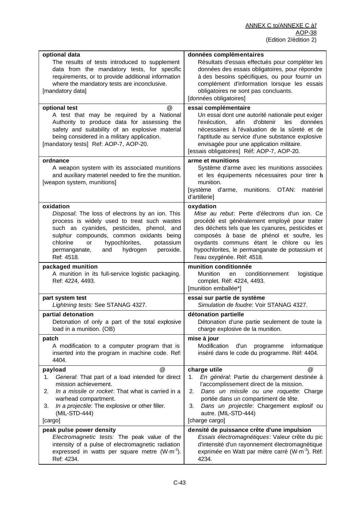| optional data                                                                                                                                                                                                                                                                                                  | données complémentaires                                                                                                                                                                                                                                                                                                   |
|----------------------------------------------------------------------------------------------------------------------------------------------------------------------------------------------------------------------------------------------------------------------------------------------------------------|---------------------------------------------------------------------------------------------------------------------------------------------------------------------------------------------------------------------------------------------------------------------------------------------------------------------------|
| The results of tests introduced to supplement<br>data from the mandatory tests, for specific<br>requirements, or to provide additional information<br>where the mandatory tests are inconclusive.<br>[mandatory data]                                                                                          | Résultats d'essais effectués pour compléter les<br>données des essais obligatoires, pour répondre<br>à des besoins spécifiques, ou pour fournir un<br>complément d'information lorsque les essais<br>obligatoires ne sont pas concluants.<br>[données obligatoires]                                                       |
| optional test<br>@                                                                                                                                                                                                                                                                                             | essai complémentaire                                                                                                                                                                                                                                                                                                      |
| A test that may be required by a National<br>Authority to produce data for assessing the<br>safety and suitability of an explosive material<br>being considered in a military application.<br>[mandatory tests] Ref: AOP-7, AOP-20.                                                                            | Un essai dont une autorité nationale peut exiger<br>afin<br>d'obtenir<br>l'exécution,<br>les<br>données<br>nécessaires à l'évaluation de la sûreté et de<br>l'aptitude au service d'une substance explosive<br>envisagée pour une application militaire.<br>[essais obligatoires] Réf: AOP-7, AOP-20.                     |
| ordnance                                                                                                                                                                                                                                                                                                       | arme et munitions                                                                                                                                                                                                                                                                                                         |
| A weapon system with its associated munitions<br>and auxiliary materiel needed to fire the munition.<br>[weapon system, munitions]                                                                                                                                                                             | Système d'arme avec les munitions associées<br>et les équipements nécessaires pour tirer a<br>munition.<br>[système d'arme, munitions. OTAN:<br>matériel<br>d'artillerie]                                                                                                                                                 |
| oxidation                                                                                                                                                                                                                                                                                                      | oxydation                                                                                                                                                                                                                                                                                                                 |
| Disposal: The loss of electrons by an ion. This<br>process is widely used to treat such wastes<br>such as cyanides, pesticides, phenol, and<br>sulphur compounds, common oxidants being<br>hypochlorites,<br>chlorine<br><b>or</b><br>potassium<br>hydrogen<br>peroxide.<br>permanganate,<br>and<br>Ref: 4518. | Mise au rebut: Perte d'électrons d'un ion. Ce<br>procédé est généralement employé pour traiter<br>des déchets tels que les cyanures, pesticides et<br>composés à base de phénol et soufre, les<br>oxydants communs étant le chlore ou les<br>hypochlorites, le permanganate de potassium et<br>l'eau oxygénée. Réf: 4518. |
| packaged munition                                                                                                                                                                                                                                                                                              | munition conditionnée                                                                                                                                                                                                                                                                                                     |
| A munition in its full-service logistic packaging.<br>Ref: 4224, 4493.                                                                                                                                                                                                                                         | conditionnement<br>logistique<br>Munition<br>en<br>complet. Réf: 4224, 4493.<br>[munition emballée*]                                                                                                                                                                                                                      |
| part system test<br>Lightning tests: See STANAG 4327.                                                                                                                                                                                                                                                          | essai sur partie de système<br>Simulation de foudre: Voir STANAG 4327.                                                                                                                                                                                                                                                    |
| partial detonation<br>Detonation of only a part of the total explosive<br>load in a munition. (OB)                                                                                                                                                                                                             | détonation partielle<br>Détonation d'une partie seulement de toute la<br>charge explosive de la munition.                                                                                                                                                                                                                 |
| patch                                                                                                                                                                                                                                                                                                          | mise à jour                                                                                                                                                                                                                                                                                                               |
| A modification to a computer program that is<br>inserted into the program in machine code. Ref:<br>4404.                                                                                                                                                                                                       | Modification<br>informatique<br>d'un<br>programme<br>inséré dans le code du programme. Réf: 4404.                                                                                                                                                                                                                         |
| @<br>payload                                                                                                                                                                                                                                                                                                   | charge utile<br>@                                                                                                                                                                                                                                                                                                         |
| General: That part of a load intended for direct<br>1.<br>mission achievement.                                                                                                                                                                                                                                 | En général: Partie du chargement destinée à<br>1.<br>l'accomplissement direct de la mission.                                                                                                                                                                                                                              |
| In a missile or rocket: That what is carried in a<br>2.                                                                                                                                                                                                                                                        | Dans un missile ou une roquette. Charge<br>2.                                                                                                                                                                                                                                                                             |
| warhead compartment.                                                                                                                                                                                                                                                                                           | portée dans un compartiment de tête.<br>3.                                                                                                                                                                                                                                                                                |
| In a projectile: The explosive or other filler.<br>3.<br>(MIL-STD-444)                                                                                                                                                                                                                                         | Dans un projectile: Chargement explosif ou<br>autre. (MIL-STD-444)                                                                                                                                                                                                                                                        |
| [cargo]                                                                                                                                                                                                                                                                                                        | [charge cargo]                                                                                                                                                                                                                                                                                                            |
| peak pulse power density                                                                                                                                                                                                                                                                                       | densité de puissance crête d'une impulsion                                                                                                                                                                                                                                                                                |
| Electromagnetic tests: The peak value of the<br>intensity of a pulse of electromagnetic radiation                                                                                                                                                                                                              | Essais électromagnétiques: Valeur crête du pic<br>d'intensité d'un rayonnement électromagnétique                                                                                                                                                                                                                          |
| expressed in watts per square metre $(W \cdot m^{-2})$ .<br>Ref: 4234.                                                                                                                                                                                                                                         | exprimée en Watt par mètre carré (W·m <sup>-2</sup> ). Réf:<br>4234.                                                                                                                                                                                                                                                      |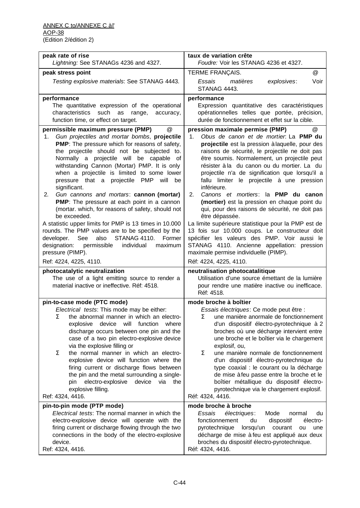| peak rate of rise<br>Lightning: See STANAGs 4236 and 4327.                                                                                                                                                                                                                                                                                                                                                                                                                                                                                                                                                                                                                                                                                                                                                                                                               | taux de variation crête<br>Foudre: Voir les STANAG 4236 et 4327.                                                                                                                                                                                                                                                                                                                                                                                                                                                                                                                                                                                                                                                                                                                                                                                     |
|--------------------------------------------------------------------------------------------------------------------------------------------------------------------------------------------------------------------------------------------------------------------------------------------------------------------------------------------------------------------------------------------------------------------------------------------------------------------------------------------------------------------------------------------------------------------------------------------------------------------------------------------------------------------------------------------------------------------------------------------------------------------------------------------------------------------------------------------------------------------------|------------------------------------------------------------------------------------------------------------------------------------------------------------------------------------------------------------------------------------------------------------------------------------------------------------------------------------------------------------------------------------------------------------------------------------------------------------------------------------------------------------------------------------------------------------------------------------------------------------------------------------------------------------------------------------------------------------------------------------------------------------------------------------------------------------------------------------------------------|
| peak stress point                                                                                                                                                                                                                                                                                                                                                                                                                                                                                                                                                                                                                                                                                                                                                                                                                                                        | TERME FRANÇAIS.<br>@                                                                                                                                                                                                                                                                                                                                                                                                                                                                                                                                                                                                                                                                                                                                                                                                                                 |
| Testing explosive materials: See STANAG 4443.                                                                                                                                                                                                                                                                                                                                                                                                                                                                                                                                                                                                                                                                                                                                                                                                                            | Voir<br>Essais<br>matières<br>explosives:<br>STANAG 4443.                                                                                                                                                                                                                                                                                                                                                                                                                                                                                                                                                                                                                                                                                                                                                                                            |
| performance<br>The quantitative expression of the operational<br>such<br>characteristics<br>as<br>range,<br>accuracy,<br>function time, or effect on target.                                                                                                                                                                                                                                                                                                                                                                                                                                                                                                                                                                                                                                                                                                             | performance<br>Expression quantitative des caractéristiques<br>opérationnelles telles que portée, précision,<br>durée de fonctionnement et effet sur la cible.                                                                                                                                                                                                                                                                                                                                                                                                                                                                                                                                                                                                                                                                                       |
| permissible maximum pressure (PMP)<br>@<br>Gun projectiles and mortar bombs, projectile<br>1.<br><b>PMP</b> : The pressure which for reasons of safety,<br>the projectile should not be subjected to.<br>Normally a projectile will be capable of<br>withstanding Cannon (Mortar) PMP. It is only<br>when a projectile is limited to some lower<br>pressure that a projectile PMP<br>will<br>be<br>significant.<br>Gun cannons and mortars: cannon (mortar)<br>2.<br>PMP: The pressure at each point in a cannon<br>(mortar. which, for reasons of safety, should not<br>be exceeded.<br>A statistic upper limits for PMP is 13 times in 10.000<br>rounds. The PMP values are to be specified by the<br>See<br>also<br><b>STANAG 4110.</b><br>Former<br>developer.<br>designation:<br>permissible<br>individual<br>maximum<br>pressure (PIMP).<br>Ref: 4224, 4225, 4110. | pression maximale permise (PMP)<br>@<br>Obus de canon et de mortier. La PMP du<br>1.<br>projectile est la pression à laquelle, pour des<br>raisons de sécurité, le projectile ne doit pas<br>être soumis. Normalement, un projectile peut<br>résister à la du canon ou du mortier. La du<br>projectile n'a de signification que lorsqu'il a<br>fallu limiter le projectile à une pression<br>inférieure.<br>Canons et mortiers: la PMP du canon<br>2.<br>(mortier) est la pression en chaque point du<br>qui, pour des raisons de sécurité, ne doit pas<br>être dépassée.<br>La limite supérieure statistique pour la PMP est de<br>13 fois sur 10.000 coups. Le constructeur doit<br>spécifier les valeurs des PMP. Voir aussi le<br>STANAG 4110. Ancienne appellation: pression<br>maximale permise individuelle (PIMP).<br>Réf: 4224, 4225, 4110. |
| photocatalytic neutralization<br>The use of a light emitting source to render a<br>material inactive or ineffective. Réf: 4518.                                                                                                                                                                                                                                                                                                                                                                                                                                                                                                                                                                                                                                                                                                                                          | neutralisation photocatalitique<br>Utilisation d'une source émettant de la lumière<br>pour rendre une matière inactive ou inefficace.<br>Réf: 4518.                                                                                                                                                                                                                                                                                                                                                                                                                                                                                                                                                                                                                                                                                                  |
| pin-to-case mode (PTC mode)<br>Electrical tests: This mode may be either:<br>Σ<br>the abnormal manner in which an electro-<br>explosive device will function where<br>discharge occurs between one pin and the<br>case of a two pin electro-explosive device<br>via the explosive filling or<br>Σ<br>the normal manner in which an electro-<br>explosive device will function where the<br>firing current or discharge flows between<br>the pin and the metal surrounding a single-<br>pin electro-explosive device<br>via<br>the<br>explosive filling.<br>Ref: 4324, 4416.                                                                                                                                                                                                                                                                                              | mode broche à boîtier<br>Essais électriques: Ce mode peut être :<br>Σ<br>une manière anormale de fonctionnement<br>d'un dispositif électro-pyrotechnique à 2<br>broches où une décharge intervient entre<br>une broche et le boîtier via le chargement<br>explosif, ou,<br>Σ<br>une manière normale de fonctionnement<br>d'un dispositif électro-pyrotechnique du<br>type coaxial : le courant ou la décharge<br>de mise à feu passe entre la broche et le<br>boîtier métallique du dispositif électro-<br>pyrotechnique via le chargement explosif.<br>Réf: 4324, 4416.                                                                                                                                                                                                                                                                             |
| pin-to-pin mode (PTP mode)<br>Electrical tests: The normal manner in which the<br>electro-explosive device will operate with the<br>firing current or discharge flowing through the two<br>connections in the body of the electro-explosive<br>device.<br>Ref: 4324, 4416.                                                                                                                                                                                                                                                                                                                                                                                                                                                                                                                                                                                               | mode broche à broche<br>Essais<br>électriques:<br>Mode<br>du<br>normal<br>fonctionnement<br>dispositif<br>électro-<br>du<br>pyrotechnique<br>lorsqu'un<br>courant<br>une<br>ou<br>décharge de mise à feu est appliqué aux deux<br>broches du dispositif électro-pyrotechnique.<br>Réf: 4324, 4416.                                                                                                                                                                                                                                                                                                                                                                                                                                                                                                                                                   |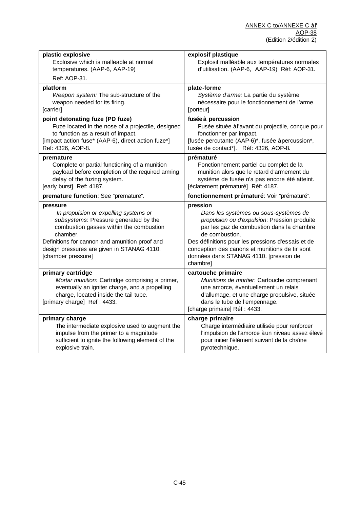| plastic explosive<br>Explosive which is malleable at normal<br>temperatures. (AAP-6, AAP-19)<br>Ref: AOP-31.                                                                                                                                                | explosif plastique<br>Explosif malléable aux températures normales<br>d'utilisation. (AAP-6, AAP-19) Réf: AOP-31.                                                                                                                                                                                                 |
|-------------------------------------------------------------------------------------------------------------------------------------------------------------------------------------------------------------------------------------------------------------|-------------------------------------------------------------------------------------------------------------------------------------------------------------------------------------------------------------------------------------------------------------------------------------------------------------------|
| platform<br>Weapon system: The sub-structure of the<br>weapon needed for its firing.<br>[carrier]                                                                                                                                                           | plate-forme<br>Système d'arme: La partie du système<br>nécessaire pour le fonctionnement de l'arme.<br>[porteur]                                                                                                                                                                                                  |
| point detonating fuze (PD fuze)<br>Fuze located in the nose of a projectile, designed<br>to function as a result of impact.<br>[impact action fuse* (AAP-6), direct action fuze*]<br>Ref: 4326, AOP-8.                                                      | fusée à percussion<br>Fusée située àl'avant du projectile, conçue pour<br>fonctionner par impact.<br>[fusée percutante (AAP-6)*, fusée àpercussion*,<br>fusée de contact*]. Réf: 4326, AOP-8.                                                                                                                     |
| premature<br>Complete or partial functioning of a munition<br>payload before completion of the required arming<br>delay of the fuzing system.<br>[early burst] Ref: 4187.                                                                                   | prématuré<br>Fonctionnement partiel ou complet de la<br>munition alors que le retard d'armement du<br>système de fusée n'a pas encore été atteint.<br>[éclatement prématuré] Réf: 4187.                                                                                                                           |
| premature function: See "premature".                                                                                                                                                                                                                        | fonctionnement prématuré: Voir "prématuré".                                                                                                                                                                                                                                                                       |
| pressure                                                                                                                                                                                                                                                    | pression                                                                                                                                                                                                                                                                                                          |
| In propulsion or expelling systems or<br>subsystems: Pressure generated by the<br>combustion gasses within the combustion<br>chamber.<br>Definitions for cannon and amunition proof and<br>design pressures are given in STANAG 4110.<br>[chamber pressure] | Dans les systèmes ou sous-systèmes de<br>propulsion ou d'expulsion: Pression produite<br>par les gaz de combustion dans la chambre<br>de combustion.<br>Des définitions pour les pressions d'essais et de<br>conception des canons et munitions de tir sont<br>données dans STANAG 4110. [pression de<br>chambre] |
| primary cartridge<br>Mortar munition: Cartridge comprising a primer,<br>eventually an igniter charge, and a propelling<br>charge, located inside the tail tube.<br>[primary charge] Ref: 4433.                                                              | cartouche primaire<br>Munitions de mortier. Cartouche comprenant<br>une amorce, éventuellement un relais<br>d'allumage, et une charge propulsive, située<br>dans le tube de l'empennage.<br>[charge primaire] Réf : 4433.                                                                                         |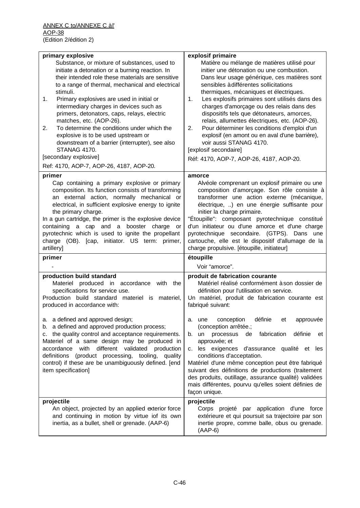| primary explosive<br>Substance, or mixture of substances, used to<br>initiate a detonation or a burning reaction. In<br>their intended role these materials are sensitive<br>to a range of thermal, mechanical and electrical                                                                                                                                                                                                                                                    | explosif primaire<br>Matière ou mélange de matières utilisé pour<br>initier une détonation ou une combustion.<br>Dans leur usage générique, ces matières sont<br>sensibles à différentes sollicitations                                                                                                                                                                                                                                                                                                  |
|----------------------------------------------------------------------------------------------------------------------------------------------------------------------------------------------------------------------------------------------------------------------------------------------------------------------------------------------------------------------------------------------------------------------------------------------------------------------------------|----------------------------------------------------------------------------------------------------------------------------------------------------------------------------------------------------------------------------------------------------------------------------------------------------------------------------------------------------------------------------------------------------------------------------------------------------------------------------------------------------------|
| stimuli.<br>Primary explosives are used in initial or<br>1.<br>intermediary charges in devices such as<br>primers, detonators, caps, relays, electric<br>matches, etc. (AOP-26).<br>To determine the conditions under which the<br>2.<br>explosive is to be used upstream or<br>downstream of a barrier (interrupter), see also<br><b>STANAG 4170.</b>                                                                                                                           | thermiques, mécaniques et électriques.<br>Les explosifs primaires sont utilisés dans des<br>1.<br>charges d'amorçage ou des relais dans des<br>dispositifs tels que détonateurs, amorces,<br>relais, allumettes électriques, etc. (AOP-26).<br>Pour déterminer les conditions d'emploi d'un<br>2.<br>explosif (en amont ou en aval d'une barrière),<br>voir aussi STANAG 4170.<br>[explosif secondaire]                                                                                                  |
| [secondary explosive]<br>Ref: 4170, AOP-7, AOP-26, 4187, AOP-20.                                                                                                                                                                                                                                                                                                                                                                                                                 | Réf: 4170, AOP-7, AOP-26, 4187, AOP-20.                                                                                                                                                                                                                                                                                                                                                                                                                                                                  |
| primer<br>Cap containing a primary explosive or primary<br>composition. Its function consists of transforming<br>an external action, normally mechanical or<br>electrical, in sufficient explosive energy to ignite<br>the primary charge.<br>In a gun cartridge, the primer is the explosive device<br>containing a cap and a booster charge or<br>pyrotechnic which is used to ignite the propellant<br>charge (OB). [cap, initiator. US term: primer,<br>artillery]<br>primer | amorce<br>Alvéole comprenant un explosif primaire ou une<br>composition d'amorçage. Son rôle consiste à<br>transformer une action externe (mécanique,<br>électrique, ) en une énergie suffisante pour<br>initier la charge primaire.<br>"Étoupille": composant pyrotechnique constitué<br>d'un initiateur ou d'une amorce et d'une charge<br>pyrotechnique secondaire. (GTPS). Dans une<br>cartouche, elle est le dispositif d'allumage de la<br>charge propulsive. [étoupille, initiateur]<br>étoupille |
|                                                                                                                                                                                                                                                                                                                                                                                                                                                                                  | Voir "amorce".                                                                                                                                                                                                                                                                                                                                                                                                                                                                                           |
| production build standard<br>Materiel produced in accordance<br>with<br>the<br>specifications for service use.<br>Production build standard materiel is materiel,<br>produced in accordance with:                                                                                                                                                                                                                                                                                | produit de fabrication courante<br>Matériel réalisé conformément à son dossier de<br>définition pour l'utilisation en service.<br>Un matériel, produit de fabrication courante est<br>fabriqué suivant:                                                                                                                                                                                                                                                                                                  |
| a. a defined and approved design;<br>b. a defined and approved production process;<br>c. the quality control and acceptance requirements.<br>Materiel of a same design may be produced in<br>accordance with different validated production<br>definitions (product processing, tooling, quality<br>control) if these are be unambiguously defined. [end<br>item specification]                                                                                                  | définie<br>conception<br>et<br>approuvée<br>a. une<br>(conception arrêtée.;<br>b. un<br>processus<br>de fabrication<br>définie<br>et<br>approuvée; et<br>c. les exigences d'assurance qualité et les<br>conditions d'acceptation.<br>Matériel d'une même conception peut être fabriqué<br>suivant des définitions de productions (traitement<br>des produits, outillage, assurance qualité) validées<br>mais différentes, pourvu qu'elles soient définies de<br>façon unique.                            |
| projectile<br>An object, projected by an applied exterior force<br>and continuing in motion by virtue iof its own<br>inertia, as a bullet, shell or grenade. (AAP-6)                                                                                                                                                                                                                                                                                                             | projectile<br>Corps projeté par application d'une force<br>extérieure et qui poursuit sa trajectoire par son<br>inertie propre, comme balle, obus ou grenade.<br>$(AAP-6)$                                                                                                                                                                                                                                                                                                                               |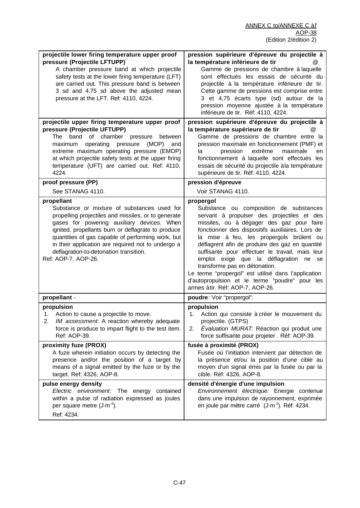| projectile lower firing temperature upper proof<br>pressure (Projectile LFTUPP)<br>A chamber pressure band at which projectile                                                                                                                                                                                                                                                                   | pression supérieure d'épreuve du projectile à<br>la température inférieure de tir<br>Gamme de pressions de chambre à laquelle                                                                                                                                                                                                                                                                                                                                                                                                                                               |
|--------------------------------------------------------------------------------------------------------------------------------------------------------------------------------------------------------------------------------------------------------------------------------------------------------------------------------------------------------------------------------------------------|-----------------------------------------------------------------------------------------------------------------------------------------------------------------------------------------------------------------------------------------------------------------------------------------------------------------------------------------------------------------------------------------------------------------------------------------------------------------------------------------------------------------------------------------------------------------------------|
| safety tests at the lower firing temperature (LFT)<br>are carried out. This pressure band is between<br>3 sd and 4.75 sd above the adjusted mean<br>pressure at the LFT. Ref: 4110, 4224.                                                                                                                                                                                                        | sont effectués les essais de sécurité du<br>projectile à la température inférieure de tir.<br>Cette gamme de pressions est comprise entre<br>3 et 4,75 écarts type (sd) autour de la<br>pression moyenne ajustée à la température<br>inférieure de tir. Réf: 4110, 4224.                                                                                                                                                                                                                                                                                                    |
| projectile upper firing temperature upper proof                                                                                                                                                                                                                                                                                                                                                  | pression supérieure d'épreuve du projectile à                                                                                                                                                                                                                                                                                                                                                                                                                                                                                                                               |
| pressure (Projectile UFTUPP)<br>band of chamber<br>The<br>pressure between<br>operating pressure<br>(MOP)<br>maximum<br>and<br>extreme maximum operating pressure (EMOP)<br>at which projectile safety tests at the upper firing<br>temperature (UFT) are carried out. Ref: 4110,<br>4224.                                                                                                       | la température supérieure de tir<br>$^{(a)}$<br>Gamme de pressions de chambre entre la<br>pression maximale en fonctionnement (PMF) et<br>pression<br>extrême<br>maximale<br>la<br>en<br>fonctionnement à laquelle sont effectués les<br>essais de sécurité du projectile à la température<br>supérieure de tir. Réf: 4110, 4224.                                                                                                                                                                                                                                           |
| proof pressure (PP)                                                                                                                                                                                                                                                                                                                                                                              | pression d'épreuve                                                                                                                                                                                                                                                                                                                                                                                                                                                                                                                                                          |
| See STANAG 4110.                                                                                                                                                                                                                                                                                                                                                                                 | Voir STANAG 4110.                                                                                                                                                                                                                                                                                                                                                                                                                                                                                                                                                           |
| propellant<br>Substance or mixture of substances used for<br>propelling projectiles and missiles, or to generate<br>gases for powering auxiliary devices. When<br>ignited, propellants burn or deflagrate to produce<br>quantities of gas capable of performing work, but<br>in their application are required not to undergo a<br>deflagration-to-detonation transition.<br>Ref: AOP-7, AOP-26. | propergol<br>Substance ou composition de substances<br>servant à propulser des projectiles et des<br>missiles, ou à dégager des gaz pour faire<br>fonctionner des dispositifs auxiliaires. Lors de<br>la mise à feu, les propergols brûlent ou<br>déflagrent afin de produire des gaz en quantité<br>suffisante pour effectuer le travail, mais leur<br>emploi exige que la déflagration ne se<br>transforme pas en détonation.<br>Le terme "propergol" est utilisé dans l'application<br>d'autopropulsion et le terme "poudre" pour les<br>armes àtir. Réf: AOP-7, AOP-26. |
| propellant -                                                                                                                                                                                                                                                                                                                                                                                     | poudre: Voir "propergol".                                                                                                                                                                                                                                                                                                                                                                                                                                                                                                                                                   |
| propulsion<br>Action to cause a projectile to move.<br>1.<br>IM assessment: A reaction whereby adequate<br>force is produce to impart flight to the test item.<br>Ref: AOP-39.                                                                                                                                                                                                                   | propulsion<br>Action qui consiste à créer le mouvement du<br>1.<br>projectile. (GTPS)<br>Évaluation MURAT: Réaction qui produit une<br>2.<br>force suffisante pour projeter . Réf: AOP-39.                                                                                                                                                                                                                                                                                                                                                                                  |
| proximity fuze (PROX)<br>A fuze wherein initiation occurs by detecting the<br>presence and/or the position of a target by<br>means of a signal emitted by the fuze or by the<br>target. Ref: 4326, AOP-8.                                                                                                                                                                                        | fusée à proximité (PROX)<br>Fusée où l'initiation intervient par détection de<br>la présence et/ou la position d'une cible au<br>moyen d'un signal émis par la fusée ou par la<br>cible. Réf: 4326, AOP-8.                                                                                                                                                                                                                                                                                                                                                                  |
| pulse energy density<br>Electric environment: The energy contained<br>within a pulse of radiation expressed as joules<br>per square metre $(J \cdot m^{-2})$ .<br>Ref: 4234.                                                                                                                                                                                                                     | densité d'énergie d'une impulsion<br>Environnement électrique: Energie contenue<br>dans une impulsion de rayonnement, exprimée<br>en joule par mètre carré (J·m <sup>-2</sup> ). Réf: 4234.                                                                                                                                                                                                                                                                                                                                                                                 |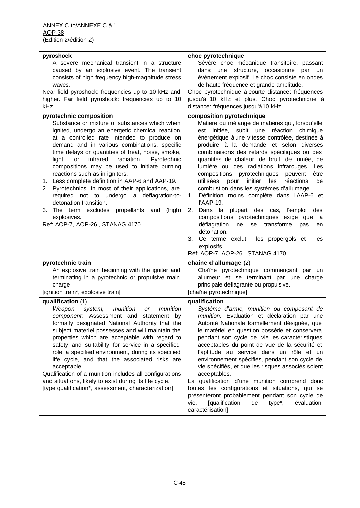| pyroshock                                                                                                 | choc pyrotechnique                                                                                 |
|-----------------------------------------------------------------------------------------------------------|----------------------------------------------------------------------------------------------------|
| A severe mechanical transient in a structure                                                              | Sévère choc mécanique transitoire, passant                                                         |
| caused by an explosive event. The transient                                                               | dans une structure, occasionné<br>par un                                                           |
| consists of high frequency high-magnitude stress                                                          | événement explosif. Le choc consiste en ondes                                                      |
| waves.                                                                                                    | de haute fréquence et grande amplitude.                                                            |
| Near field pyroshock: frequencies up to 10 kHz and                                                        | Choc pyrotechnique à courte distance: fréquences                                                   |
| higher. Far field pyroshock: frequencies up to 10<br>kHz.                                                 | jusqu'à 10 kHz et plus. Choc pyrotechnique à<br>distance: fréquences jusqu'à 10 kHz.               |
|                                                                                                           |                                                                                                    |
| pyrotechnic composition<br>Substance or mixture of substances which when                                  | composition pyrotechnique<br>Matière ou mélange de matières qui, lorsqu'elle                       |
| ignited, undergo an energetic chemical reaction                                                           | est initiée, subit une réaction chimique                                                           |
| at a controlled rate intended to produce on                                                               | énergétique à une vitesse contrôlée, destinée à                                                    |
| demand and in various combinations, specific                                                              | produire à la demande et selon diverses                                                            |
| time delays or quantities of heat, noise, smoke,<br>infrared<br>light,<br>radiation.<br>Pyrotechnic<br>or | combinaisons des retards spécifiques ou des<br>quantités de chaleur, de bruit, de fumée, de        |
| compositions may be used to initiate burning                                                              | lumière ou des radiations infrarouges. Les                                                         |
| reactions such as in igniters.                                                                            | compositions pyrotechniques peuvent<br>être                                                        |
| 1. Less complete definition in AAP-6 and AAP-19.                                                          | initier<br>utilisées<br>pour<br>les<br>réactions<br>de                                             |
| 2. Pyrotechnics, in most of their applications, are                                                       | combustion dans les systèmes d'allumage.                                                           |
| required not to undergo a deflagration-to-<br>detonation transition.                                      | Définition moins complète dans l'AAP-6 et<br>1.<br>l'AAP-19.                                       |
| 3. The term excludes propellants and<br>(high)                                                            | 2.<br>Dans la plupart des cas, l'emploi des                                                        |
| explosives.                                                                                               | compositions pyrotechniques exige que<br>la                                                        |
| Ref: AOP-7, AOP-26, STANAG 4170.                                                                          | déflagration<br>ne<br>se transforme<br>pas<br>en                                                   |
|                                                                                                           | détonation.                                                                                        |
|                                                                                                           | les propergols et<br>3.<br>Ce terme exclut<br>les                                                  |
|                                                                                                           | explosifs.<br>Réf: AOP-7, AOP-26, STANAG 4170.                                                     |
| pyrotechnic train                                                                                         | chaîne d'allumage (2)                                                                              |
| An explosive train beginning with the igniter and                                                         | Chaîne pyrotechnique commençant par un                                                             |
| terminating in a pyrotechnic or propulsive main                                                           | allumeur et se terminant par une charge                                                            |
| charge.                                                                                                   | principale déflagrante ou propulsive.                                                              |
| [ignition train*, explosive train]                                                                        | [chaîne pyrotechnique]                                                                             |
| qualification (1)                                                                                         | qualification                                                                                      |
| Weapon<br>system, munition or<br>munition                                                                 | Système d'arme, munition ou composant de                                                           |
| component: Assessment and statement by                                                                    | munition: Évaluation et déclaration par une                                                        |
| formally designated National Authority that the                                                           | Autorité Nationale formellement désignée, que                                                      |
| subject materiel possesses and will maintain the                                                          | le matériel en question possède et conservera                                                      |
| properties which are acceptable with regard to                                                            | pendant son cycle de vie les caractéristiques                                                      |
| safety and suitability for service in a specified                                                         | acceptables du point de vue de la sécurité et                                                      |
| role, a specified environment, during its specified                                                       | l'aptitude au service dans un rôle et un                                                           |
| life cycle, and that the associated risks are                                                             | environnement spécifiés, pendant son cycle de<br>vie spécifiés, et que les risques associés soient |
| acceptable.<br>Qualification of a munition includes all configurations                                    | acceptables.                                                                                       |
| and situations, likely to exist during its life cycle.                                                    | La qualification d'une munition comprend donc                                                      |
| [type qualification*, assessment, characterization]                                                       | toutes les configurations et situations, qui se                                                    |
|                                                                                                           | présenteront probablement pendant son cycle de                                                     |
|                                                                                                           | <b>[qualification</b><br>vie.<br>de<br>type <sup>*</sup> ,<br>évaluation,                          |
|                                                                                                           | caractérisation]                                                                                   |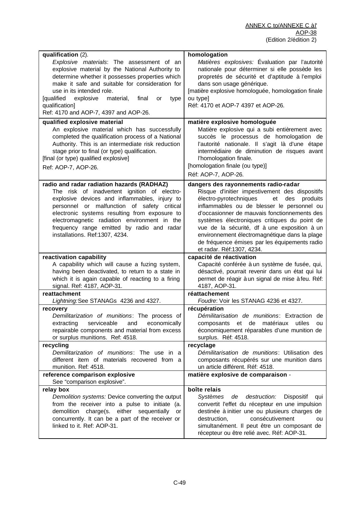| qualification (2).<br>homologation                                                                                                                                |          |
|-------------------------------------------------------------------------------------------------------------------------------------------------------------------|----------|
| Explosive materials: The assessment of an<br>Matières explosives: Évaluation par l'autorité                                                                       |          |
| nationale pour déterminer si elle possède les<br>explosive material by the National Authority to                                                                  |          |
| determine whether it possesses properties which<br>propretés de sécurité et d'aptitude à l'emploi                                                                 |          |
| make it safe and suitable for consideration for<br>dans son usage générique.                                                                                      |          |
| [matière explosive homologuée, homologation finale<br>use in its intended role.                                                                                   |          |
| <b>[qualified</b><br>explosive<br>ou type]<br>material,<br>final<br>or<br>type                                                                                    |          |
| qualification]<br>Réf: 4170 et AOP-7 4397 et AOP-26.                                                                                                              |          |
| Ref: 4170 and AOP-7, 4397 and AOP-26.                                                                                                                             |          |
| matière explosive homologuée<br>qualified explosive material                                                                                                      |          |
| An explosive material which has successfully<br>Matière explosive qui a subi entièrement avec                                                                     |          |
| completed the qualification process of a National<br>succès le processus de homologation de                                                                       |          |
| Authority. This is an intermediate risk reduction<br>l'autorité nationale. Il s'agit là d'une étape                                                               |          |
| intermédiaire de diminution de risques avant<br>stage prior to final (or type) qualification.                                                                     |          |
| l'homologation finale.                                                                                                                                            |          |
| [final (or type) qualified explosive]                                                                                                                             |          |
| [homologation finale (ou type)]<br>Ref: AOP-7, AOP-26.                                                                                                            |          |
| Réf: AOP-7, AOP-26.                                                                                                                                               |          |
| radio and radar radiation hazards (RADHAZ)<br>dangers des rayonnements radio-radar                                                                                |          |
| The risk of inadvertent ignition of electro-<br>Risque d'initier impestivement des dispositifs                                                                    |          |
| explosive devices and inflammables, injury to<br>des<br>électro-pyrotechniques<br>et                                                                              | produits |
| personnel or malfunction of safety critical<br>inflammables ou de blesser le personnel ou                                                                         |          |
| electronic systems resulting from exposure to<br>d'occasionner de mauvais fonctionnements des                                                                     |          |
| electromagnetic radiation environment in the<br>systèmes électroniques critiques du point de                                                                      |          |
| frequency range emitted by radio and radar<br>vue de la sécurité, df à une exposition à un                                                                        |          |
| environnement électromagnétique dans la plage<br>installations. Ref:1307, 4234.                                                                                   |          |
| de fréquence émises par les équipements radio                                                                                                                     |          |
| et radar. Réf:1307, 4234.                                                                                                                                         |          |
| reactivation capability<br>capacité de réactivation                                                                                                               |          |
| A capability which will cause a fuzing system,<br>Capacité conférée à un système de fusée, qui,                                                                   |          |
| having been deactivated, to return to a state in<br>désactivé, pourrait revenir dans un état qui lui                                                              |          |
| which it is again capable of reacting to a firing<br>permet de réagir à un signal de mise à feu. Réf:                                                             |          |
| signal. Ref: 4187, AOP-31.<br>4187, AOP-31.                                                                                                                       |          |
| reattachment<br>réattachement                                                                                                                                     |          |
| Lightning: See STANAGs 4236 and 4327.<br>Foudre: Voir les STANAG 4236 et 4327.                                                                                    |          |
| récupération<br>recovery                                                                                                                                          |          |
| Démilitarisation de munitions: Extraction de<br>Demilitarization of munitions: The process of                                                                     |          |
| serviceable<br>and<br>composants et de matériaux utiles<br>extracting<br>economically                                                                             | ou       |
| repairable components and material from excess<br>économiquement réparables d'une munition de                                                                     |          |
| or surplus munitions. Ref: 4518.<br>surplus. Réf: 4518.<br>recycling<br>recyclage                                                                                 |          |
| Demilitarization of munitions: The use in a<br>Démilitarisation de munitions: Utilisation des                                                                     |          |
| different item of materials recovered from a<br>composants récupérés sur une munition dans                                                                        |          |
| munition. Ref: 4518.                                                                                                                                              |          |
| un article différent. Réf: 4518.<br>reference comparison explosive<br>matière explosive de comparaison -                                                          |          |
| See "comparison explosive".                                                                                                                                       |          |
| boîte relais<br>relay box                                                                                                                                         |          |
|                                                                                                                                                                   |          |
| Systèmes<br>de                                                                                                                                                    | qui      |
| destruction: Dispositif<br>Demolition systems: Device converting the output                                                                                       |          |
| from the receiver into a pulse to initiate (a.<br>convertit l'effet du récepteur en une impulsion<br>or                                                           |          |
| demolition charge(s. either sequentially<br>destinée à initier une ou plusieurs charges de                                                                        | ou       |
| consécutivement<br>concurrently. It can be a part of the receiver or<br>destruction,<br>linked to it. Ref: AOP-31.<br>simultanément. Il peut être un composant de |          |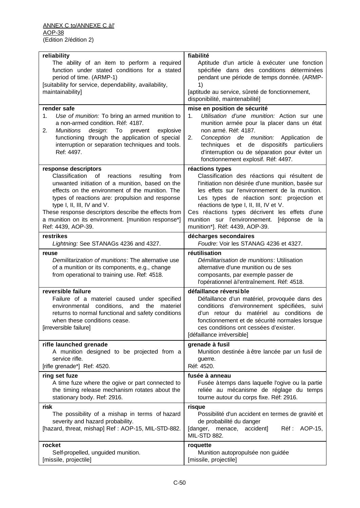| reliability                                                                                                                                                                                                                                                                                                                                                                                                | fiabilité                                                                                                                                                                                                                                                                                                                                                                                           |
|------------------------------------------------------------------------------------------------------------------------------------------------------------------------------------------------------------------------------------------------------------------------------------------------------------------------------------------------------------------------------------------------------------|-----------------------------------------------------------------------------------------------------------------------------------------------------------------------------------------------------------------------------------------------------------------------------------------------------------------------------------------------------------------------------------------------------|
| The ability of an item to perform a required                                                                                                                                                                                                                                                                                                                                                               | Aptitude d'un article à exécuter une fonction                                                                                                                                                                                                                                                                                                                                                       |
| function under stated conditions for a stated                                                                                                                                                                                                                                                                                                                                                              | spécifiée dans des conditions déterminées                                                                                                                                                                                                                                                                                                                                                           |
| period of time. (ARMP-1)                                                                                                                                                                                                                                                                                                                                                                                   | pendant une période de temps donnée. (ARMP-                                                                                                                                                                                                                                                                                                                                                         |
| [suitability for service, dependability, availability,                                                                                                                                                                                                                                                                                                                                                     | 1)                                                                                                                                                                                                                                                                                                                                                                                                  |
| maintainability]                                                                                                                                                                                                                                                                                                                                                                                           | [aptitude au service, sûreté de fonctionnement,                                                                                                                                                                                                                                                                                                                                                     |
|                                                                                                                                                                                                                                                                                                                                                                                                            | disponibilité, maintenabilité]                                                                                                                                                                                                                                                                                                                                                                      |
| render safe                                                                                                                                                                                                                                                                                                                                                                                                | mise en position de sécurité                                                                                                                                                                                                                                                                                                                                                                        |
| Use of munition: To bring an armed munition to                                                                                                                                                                                                                                                                                                                                                             | Utilisation d'une munition: Action sur une                                                                                                                                                                                                                                                                                                                                                          |
| 1.                                                                                                                                                                                                                                                                                                                                                                                                         | 1.                                                                                                                                                                                                                                                                                                                                                                                                  |
| a non-armed condition. Réf: 4187.                                                                                                                                                                                                                                                                                                                                                                          | munition armée pour la placer dans un état                                                                                                                                                                                                                                                                                                                                                          |
| design:                                                                                                                                                                                                                                                                                                                                                                                                    | non armé. Réf: 4187.                                                                                                                                                                                                                                                                                                                                                                                |
| 2.                                                                                                                                                                                                                                                                                                                                                                                                         | 2.                                                                                                                                                                                                                                                                                                                                                                                                  |
| <b>Munitions</b>                                                                                                                                                                                                                                                                                                                                                                                           | Conception de munition: Application                                                                                                                                                                                                                                                                                                                                                                 |
| To                                                                                                                                                                                                                                                                                                                                                                                                         | de                                                                                                                                                                                                                                                                                                                                                                                                  |
| prevent                                                                                                                                                                                                                                                                                                                                                                                                    | techniques                                                                                                                                                                                                                                                                                                                                                                                          |
| explosive                                                                                                                                                                                                                                                                                                                                                                                                  | et de                                                                                                                                                                                                                                                                                                                                                                                               |
| functioning through the application of special                                                                                                                                                                                                                                                                                                                                                             | dispositifs particuliers                                                                                                                                                                                                                                                                                                                                                                            |
| interruption or separation techniques and tools.                                                                                                                                                                                                                                                                                                                                                           | d'interruption ou de séparation pour éviter un                                                                                                                                                                                                                                                                                                                                                      |
| Ref: 4497.                                                                                                                                                                                                                                                                                                                                                                                                 | fonctionnement explosif. Réf: 4497.                                                                                                                                                                                                                                                                                                                                                                 |
| response descriptors<br>Classification<br>of<br>reactions<br>resulting<br>from<br>unwanted initiation of a munition, based on the<br>effects on the environment of the munition. The<br>types of reactions are: propulsion and response<br>type I, II, III, IV and V.<br>These response descriptors describe the effects from<br>a munition on its environment. [munition response*]<br>Ref: 4439, AOP-39. | réactions types<br>Classification des réactions qui résultent de<br>l'initiation non désirée d'une munition, basée sur<br>les effets sur l'environnement de la munition.<br>Les types de réaction sont: projection et<br>réactions de type I, II, III, IV et V.<br>Ces réactions types décrivent les effets d'une<br>munition sur l'environnement. [réponse de la<br>munition*]. Réf: 4439, AOP-39. |
| restrikes                                                                                                                                                                                                                                                                                                                                                                                                  | décharges secondaires                                                                                                                                                                                                                                                                                                                                                                               |
| Lightning: See STANAGs 4236 and 4327.                                                                                                                                                                                                                                                                                                                                                                      | Foudre: Voir les STANAG 4236 et 4327.                                                                                                                                                                                                                                                                                                                                                               |
| reuse<br>Demilitarization of munitions: The alternative use<br>of a munition or its components, e.g., change<br>from operational to training use. Ref: 4518.                                                                                                                                                                                                                                               | réutilisation<br>Démilitarisation de munitions: Utilisation<br>alternative d'une munition ou de ses<br>composants, par exemple passer de<br>l'opérationnel à l'entraînement. Réf: 4518.                                                                                                                                                                                                             |
| reversible failure                                                                                                                                                                                                                                                                                                                                                                                         | défaillance réversible                                                                                                                                                                                                                                                                                                                                                                              |
| Failure of a materiel caused under specified                                                                                                                                                                                                                                                                                                                                                               | Défaillance d'un matériel, provoquée dans des                                                                                                                                                                                                                                                                                                                                                       |
| environmental conditions, and the                                                                                                                                                                                                                                                                                                                                                                          | conditions d'environnement spécifiées, suivi                                                                                                                                                                                                                                                                                                                                                        |
| materiel                                                                                                                                                                                                                                                                                                                                                                                                   | d'un retour du matériel au conditions de                                                                                                                                                                                                                                                                                                                                                            |
| returns to normal functional and safety conditions                                                                                                                                                                                                                                                                                                                                                         | fonctionnement et de sécurité normales lorsque                                                                                                                                                                                                                                                                                                                                                      |
| when these conditions cease.                                                                                                                                                                                                                                                                                                                                                                               | ces conditions ont cessées d'exister.                                                                                                                                                                                                                                                                                                                                                               |
| [irreversible failure]                                                                                                                                                                                                                                                                                                                                                                                     | [défaillance irréversible]                                                                                                                                                                                                                                                                                                                                                                          |
| rifle launched grenade                                                                                                                                                                                                                                                                                                                                                                                     | grenade à fusil                                                                                                                                                                                                                                                                                                                                                                                     |
| A munition designed to be projected from a                                                                                                                                                                                                                                                                                                                                                                 | Munition destinée à être lancée par un fusil de                                                                                                                                                                                                                                                                                                                                                     |
| service rifle.                                                                                                                                                                                                                                                                                                                                                                                             | guerre.                                                                                                                                                                                                                                                                                                                                                                                             |
| [rifle grenade*] Ref: 4520.                                                                                                                                                                                                                                                                                                                                                                                | Réf: 4520.                                                                                                                                                                                                                                                                                                                                                                                          |
| ring set fuze                                                                                                                                                                                                                                                                                                                                                                                              | fusée à anneau                                                                                                                                                                                                                                                                                                                                                                                      |
| A time fuze where the ogive or part connected to                                                                                                                                                                                                                                                                                                                                                           | Fusée à temps dans laquelle l'ogive ou la partie                                                                                                                                                                                                                                                                                                                                                    |
| the timing release mechanism rotates about the                                                                                                                                                                                                                                                                                                                                                             | reliée au mécanisme de réglage du temps                                                                                                                                                                                                                                                                                                                                                             |
| stationary body. Ref: 2916.                                                                                                                                                                                                                                                                                                                                                                                | tourne autour du corps fixe. Réf: 2916.                                                                                                                                                                                                                                                                                                                                                             |
| risk<br>The possibility of a mishap in terms of hazard<br>severity and hazard probability.<br>[hazard, threat, mishap] Ref: AOP-15, MIL-STD-882.                                                                                                                                                                                                                                                           | risque<br>Possibilité d'un accident en termes de gravité et<br>de probabilité du danger<br>[danger, menace, accident]<br>AOP-15,<br>Réf :<br>MIL-STD 882.                                                                                                                                                                                                                                           |
| rocket                                                                                                                                                                                                                                                                                                                                                                                                     | roquette                                                                                                                                                                                                                                                                                                                                                                                            |
| Self-propelled, unguided munition.                                                                                                                                                                                                                                                                                                                                                                         | Munition autopropulsée non guidée                                                                                                                                                                                                                                                                                                                                                                   |
| [missile, projectile]                                                                                                                                                                                                                                                                                                                                                                                      | [missile, projectile]                                                                                                                                                                                                                                                                                                                                                                               |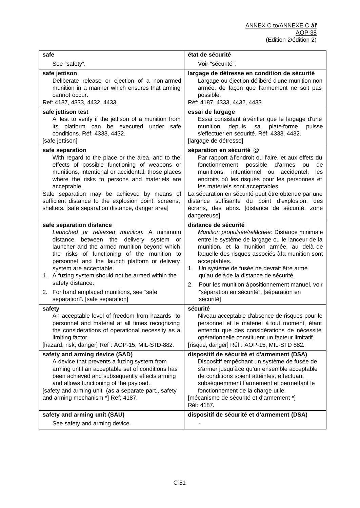| safe                                                                                                                                                                                                                                                                                                                                                                                                                                              | état de sécurité                                                                                                                                                                                                                                                                                                                                                                                                                                     |
|---------------------------------------------------------------------------------------------------------------------------------------------------------------------------------------------------------------------------------------------------------------------------------------------------------------------------------------------------------------------------------------------------------------------------------------------------|------------------------------------------------------------------------------------------------------------------------------------------------------------------------------------------------------------------------------------------------------------------------------------------------------------------------------------------------------------------------------------------------------------------------------------------------------|
| See "safety".                                                                                                                                                                                                                                                                                                                                                                                                                                     | Voir "sécurité".                                                                                                                                                                                                                                                                                                                                                                                                                                     |
| safe jettison<br>Deliberate release or ejection of a non-armed<br>munition in a manner which ensures that arming<br>cannot occur.<br>Ref: 4187, 4333, 4432, 4433.                                                                                                                                                                                                                                                                                 | largage de détresse en condition de sécurité<br>Largage ou éjection délibéré d'une munition non<br>armée, de façon que l'armement ne soit pas<br>possible.<br>Réf: 4187, 4333, 4432, 4433.                                                                                                                                                                                                                                                           |
| safe jettison test<br>A test to verify if the jettison of a munition from<br>its platform can be executed under safe<br>conditions. Réf: 4333, 4432.<br>[safe jettison]                                                                                                                                                                                                                                                                           | essai de largage<br>Essai consistant à vérifier que le largage d'une<br>depuis<br>plate-forme<br>munition<br>sa<br>puisse<br>s'effectuer en sécurité. Réf: 4333, 4432.<br>[largage de détresse]                                                                                                                                                                                                                                                      |
| safe separation<br>With regard to the place or the area, and to the<br>effects of possible functioning of weapons or<br>munitions, intentional or accidental, those places<br>where the risks to persons and materiels are<br>acceptable.<br>Safe separation may be achieved by means of<br>sufficient distance to the explosion point, screens,<br>shelters. [safe separation distance, danger area]                                             | séparation en sécurité @<br>Par rapport à l'endroit ou l'aire, et aux effets du<br>fonctionnement<br>possible<br>d'armes<br>de<br>ou<br>munitions, intentionnel ou accidentel,<br>les<br>endroits où les risques pour les personnes et<br>les matériels sont acceptables.<br>La séparation en sécurité peut être obtenue par une<br>distance suffisante du point d'explosion, des<br>écrans, des abris. [distance de sécurité, zone<br>dangereuse]   |
| safe separation distance<br>Launched or released munition: A minimum<br>distance between the delivery system or<br>launcher and the armed munition beyond which<br>the risks of functioning of the munition to<br>personnel and the launch platform or delivery<br>system are acceptable.<br>1. A fuzing system should not be armed within the<br>safety distance.<br>2. For hand emplaced munitions, see "safe<br>separation". [safe separation] | distance de sécurité<br>Munition propulsée/relâchée: Distance minimale<br>entre le système de largage ou le lanceur de la<br>munition, et la munition armée, au delà de<br>laquelle des risques associés à la munition sont<br>acceptables.<br>1. Un système de fusée ne devrait être armé<br>qu'au delàde la distance de sécurité.<br>Pour les munition àpositionnement manuel, voir<br>2.<br>"séparation en sécurité". [séparation en<br>sécurité] |
| safety<br>An acceptable level of freedom from hazards to<br>personnel and material at all times recognizing<br>the considerations of operational necessity as a<br>limiting factor.<br>[hazard, risk, danger] Ref: AOP-15, MIL-STD-882.                                                                                                                                                                                                           | sécurité<br>Niveau acceptable d'absence de risques pour le<br>personnel et le matériel à tout moment, étant<br>entendu que des considérations de nécessité<br>opérationnelle constituent un facteur limitatif.<br>[risque, danger] Réf : AOP-15, MIL-STD 882.                                                                                                                                                                                        |
| safety and arming device (SAD)<br>A device that prevents a fuzing system from<br>arming until an acceptable set of conditions has<br>been achieved and subsequently effects arming<br>and allows functioning of the payload.<br>[safety and arming unit (as a separate part., safety<br>and arming mechanism *] Ref: 4187.                                                                                                                        | dispositif de sécurité et d'armement (DSA)<br>Dispositif empêchant un système de fusée de<br>s'armer jusqu'àce qu'un ensemble acceptable<br>de conditions soient atteintes, effectuant<br>subséquemment l'armement et permettant le<br>fonctionnement de la charge utile.<br>[mécanisme de sécurité et d'armement *]<br>Réf: 4187.                                                                                                                   |
| safety and arming unit (SAU)<br>See safety and arming device.                                                                                                                                                                                                                                                                                                                                                                                     | dispositif de sécurité et d'armement (DSA)                                                                                                                                                                                                                                                                                                                                                                                                           |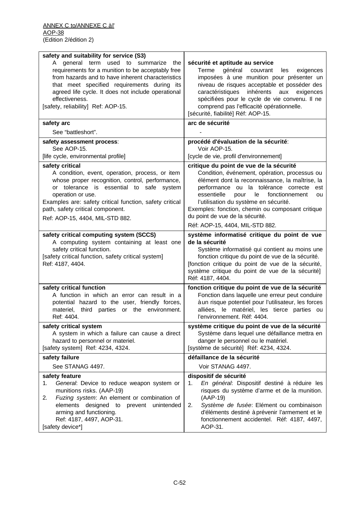| safety and suitability for service (S3)<br>A general term used to summarize the<br>requirements for a munition to be acceptably free<br>from hazards and to have inherent characteristics<br>that meet specified requirements during its<br>agreed life cycle. It does not include operational<br>effectiveness.<br>[safety, reliability] Ref: AOP-15.<br>safety arc | sécurité et aptitude au service<br>Terme<br>général<br>couvrant<br>les<br>exigences<br>imposées à une munition pour présenter un<br>niveau de risques acceptable et posséder des<br>caractéristiques inhérents aux<br>exigences<br>spécifiées pour le cycle de vie convenu. Il ne<br>comprend pas l'efficacité opérationnelle.<br>[sécurité, fiabilité] Réf: AOP-15.<br>arc de sécurité                            |
|----------------------------------------------------------------------------------------------------------------------------------------------------------------------------------------------------------------------------------------------------------------------------------------------------------------------------------------------------------------------|--------------------------------------------------------------------------------------------------------------------------------------------------------------------------------------------------------------------------------------------------------------------------------------------------------------------------------------------------------------------------------------------------------------------|
| See "battleshort".                                                                                                                                                                                                                                                                                                                                                   |                                                                                                                                                                                                                                                                                                                                                                                                                    |
| safety assessment process:<br>See AOP-15.<br>[life cycle, environmental profile]                                                                                                                                                                                                                                                                                     | procédé d'évaluation de la sécurité:<br>Voir AOP-15.<br>[cycle de vie, profil d'environnement]                                                                                                                                                                                                                                                                                                                     |
| safety critical<br>A condition, event, operation, process, or item<br>whose proper recognition, control, performance,<br>or tolerance is essential to safe system<br>operation or use.<br>Examples are: safety critical function, safety critical<br>path, safety critical component.<br>Ref: AOP-15, 4404, MIL-STD 882.                                             | critique du point de vue de la sécurité<br>Condition, événement, opération, processus ou<br>élément dont la reconnaissance, la maîtrise, la<br>performance ou la tolérance correcte<br>est<br>essentielle<br>pour<br>le<br>fonctionnement<br>ou<br>l'utilisation du système en sécurité.<br>Exemples: fonction, chemin ou composant critique<br>du point de vue de la sécurité.<br>Réf: AOP-15, 4404, MIL-STD 882. |
| safety critical computing system (SCCS)<br>A computing system containing at least one<br>safety critical function.<br>[safety critical function, safety critical system]<br>Ref: 4187, 4404.                                                                                                                                                                         | système informatisé critique du point de vue<br>de la sécurité<br>Système informatisé qui contient au moins une<br>fonction critique du point de vue de la sécurité.<br>[fonction critique du point de vue de la sécurité,<br>système critique du point de vue de la sécurité]<br>Réf: 4187, 4404.                                                                                                                 |
| safety critical function<br>A function in which an error can result in a<br>potential hazard to the user, friendly forces,<br>materiel, third parties or the environment.<br>Ref: 4404.                                                                                                                                                                              | fonction critique du point de vue de la sécurité<br>Fonction dans laquelle une erreur peut conduire<br>à un risque potentiel pour l'utilisateur, les forces<br>alliées, le matériel, les tierce parties ou<br>l'environnement. Réf: 4404.                                                                                                                                                                          |
| safety critical system<br>A system in which a failure can cause a direct<br>hazard to personnel or materiel.<br>[safety system] Ref: 4234, 4324.                                                                                                                                                                                                                     | système critique du point de vue de la sécurité<br>Système dans lequel une défaillance mettra en<br>danger le personnel ou le matériel.<br>[système de sécurité] Réf: 4234, 4324.                                                                                                                                                                                                                                  |
| safety failure<br>See STANAG 4497.                                                                                                                                                                                                                                                                                                                                   | défaillance de la sécurité<br>Voir STANAG 4497.                                                                                                                                                                                                                                                                                                                                                                    |
| safety feature<br>General: Device to reduce weapon system or<br>1.<br>munitions risks. (AAP-19)<br>Fuzing system: An element or combination of<br>2.<br>elements designed to<br>prevent unintended<br>arming and functioning.<br>Ref: 4187, 4497, AOP-31.<br>[safety device*]                                                                                        | dispositif de sécurité<br>En général: Dispositif destiné à réduire les<br>1.<br>risques du système d'arme et de la munition.<br>$(AAP-19)$<br>Système de fusée: Elément ou combinaison<br>2.<br>d'éléments destiné à prévenir l'armement et le<br>fonctionnement accidentel. Réf: 4187, 4497,<br>AOP-31.                                                                                                           |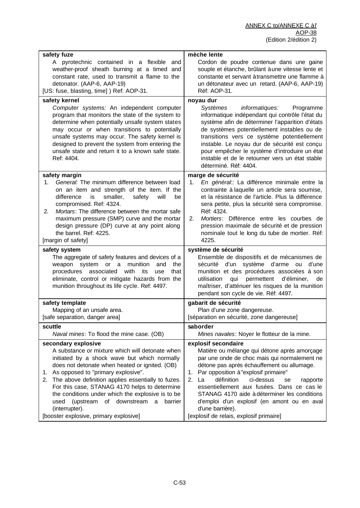| safety fuze                                                                                                                                                                                                                                                                                                                                                                                                    | mèche lente                                                                                                                                                                                                                                                                                                                                                                                                                           |
|----------------------------------------------------------------------------------------------------------------------------------------------------------------------------------------------------------------------------------------------------------------------------------------------------------------------------------------------------------------------------------------------------------------|---------------------------------------------------------------------------------------------------------------------------------------------------------------------------------------------------------------------------------------------------------------------------------------------------------------------------------------------------------------------------------------------------------------------------------------|
| A pyrotechnic contained in a flexible<br>and<br>weather-proof sheath burning at a timed and<br>constant rate, used to transmit a flame to the<br>detonator. (AAP-6, AAP-19)<br>[US: fuse, blasting, time] ) Ref: AOP-31.                                                                                                                                                                                       | Cordon de poudre contenue dans une gaine<br>souple et étanche, brûlant à une vitesse lente et<br>constante et servant àtransmettre une flamme à<br>un détonateur avec un retard. (AAP-6, AAP-19)<br>Réf: AOP-31.                                                                                                                                                                                                                      |
| safety kernel<br>Computer systems: An independent computer<br>program that monitors the state of the system to<br>determine when potentially unsafe system states<br>may occur or when transitions to potentially<br>unsafe systems may occur. The safety kernel is<br>designed to prevent the system from entering the<br>unsafe state and return it to a known safe state.<br>Ref: 4404.                     | noyau dur<br>Systèmes<br>informatiques:<br>Programme<br>informatique indépendant qui contrôle l'état du<br>système afin de déterminer l'apparition d'états<br>de systèmes potentiellement instables ou de<br>transitions vers ce système potentiellement<br>instable. Le noyau dur de sécurité est conçu<br>pour empêcher le système d'introduire un état<br>instable et de le retourner vers un état stable<br>déterminé. Réf: 4404. |
| safety margin<br>General: The minimum difference between load<br>1.<br>on an item and strength of the item. If the<br>will<br>difference<br>is<br>smaller,<br>safety<br>be<br>compromised. Ref: 4324.<br>Mortars: The difference between the mortar safe<br>2.<br>maximum pressure (SMP) curve and the mortar<br>design pressure (DP) curve at any point along<br>the barrel. Ref: 4225.<br>[margin of safety] | marge de sécurité<br>En général: La différence minimale entre la<br>1.<br>contrainte à laquelle un article sera soumise,<br>et la résistance de l'article. Plus la différence<br>sera petite, plus la sécurité sera compromise.<br>Réf: 4324.<br>Mortiers: Différence entre les courbes de<br>2.<br>pression maximale de sécurité et de pression<br>nominale tout le long du tube de mortier. Réf:<br>4225.                           |
| safety system                                                                                                                                                                                                                                                                                                                                                                                                  | système de sécurité                                                                                                                                                                                                                                                                                                                                                                                                                   |
| The aggregate of safety features and devices of a                                                                                                                                                                                                                                                                                                                                                              | Ensemble de dispositifs et de mécanismes de                                                                                                                                                                                                                                                                                                                                                                                           |
| weapon system or a                                                                                                                                                                                                                                                                                                                                                                                             | d'un système d'arme ou                                                                                                                                                                                                                                                                                                                                                                                                                |
| munition                                                                                                                                                                                                                                                                                                                                                                                                       | sécurité                                                                                                                                                                                                                                                                                                                                                                                                                              |
| and                                                                                                                                                                                                                                                                                                                                                                                                            | d'une                                                                                                                                                                                                                                                                                                                                                                                                                                 |
| the                                                                                                                                                                                                                                                                                                                                                                                                            | munition et des procédures associées à son                                                                                                                                                                                                                                                                                                                                                                                            |
| with                                                                                                                                                                                                                                                                                                                                                                                                           | permettent                                                                                                                                                                                                                                                                                                                                                                                                                            |
| procedures associated                                                                                                                                                                                                                                                                                                                                                                                          | d'éliminer,                                                                                                                                                                                                                                                                                                                                                                                                                           |
| its                                                                                                                                                                                                                                                                                                                                                                                                            | utilisation                                                                                                                                                                                                                                                                                                                                                                                                                           |
| use                                                                                                                                                                                                                                                                                                                                                                                                            | qui                                                                                                                                                                                                                                                                                                                                                                                                                                   |
| that                                                                                                                                                                                                                                                                                                                                                                                                           | de                                                                                                                                                                                                                                                                                                                                                                                                                                    |
| eliminate, control or mitigate hazards from the                                                                                                                                                                                                                                                                                                                                                                | maîtriser, d'atténuer les risques de la munition                                                                                                                                                                                                                                                                                                                                                                                      |
| munition throughout its life cycle. Ref: 4497.                                                                                                                                                                                                                                                                                                                                                                 | pendant son cycle de vie. Réf: 4497.                                                                                                                                                                                                                                                                                                                                                                                                  |
| safety template                                                                                                                                                                                                                                                                                                                                                                                                | gabarit de sécurité                                                                                                                                                                                                                                                                                                                                                                                                                   |
| Mapping of an unsafe area.                                                                                                                                                                                                                                                                                                                                                                                     | Plan d'une zone dangereuse.                                                                                                                                                                                                                                                                                                                                                                                                           |
| [safe separation, danger area]                                                                                                                                                                                                                                                                                                                                                                                 | [séparation en sécurité, zone dangereuse]                                                                                                                                                                                                                                                                                                                                                                                             |
| scuttle                                                                                                                                                                                                                                                                                                                                                                                                        | saborder                                                                                                                                                                                                                                                                                                                                                                                                                              |
| Naval mines: To flood the mine case. (OB)                                                                                                                                                                                                                                                                                                                                                                      | Mines navales: Noyer le flotteur de la mine.                                                                                                                                                                                                                                                                                                                                                                                          |
| secondary explosive                                                                                                                                                                                                                                                                                                                                                                                            | explosif secondaire                                                                                                                                                                                                                                                                                                                                                                                                                   |
| A substance or mixture which will detonate when                                                                                                                                                                                                                                                                                                                                                                | Matière ou mélange qui détone après amorçage                                                                                                                                                                                                                                                                                                                                                                                          |
| initiated by a shock wave but which normally                                                                                                                                                                                                                                                                                                                                                                   | par une onde de choc mais qui normalement ne                                                                                                                                                                                                                                                                                                                                                                                          |
| does not detonate when heated or ignited. (OB)                                                                                                                                                                                                                                                                                                                                                                 | détone pas après échauffement ou allumage.                                                                                                                                                                                                                                                                                                                                                                                            |
| As opposed to "primary explosive".                                                                                                                                                                                                                                                                                                                                                                             | Par opposition à "explosif primaire"                                                                                                                                                                                                                                                                                                                                                                                                  |
| 1.                                                                                                                                                                                                                                                                                                                                                                                                             | 1.                                                                                                                                                                                                                                                                                                                                                                                                                                    |
| The above definition applies essentially to fuzes.                                                                                                                                                                                                                                                                                                                                                             | définition                                                                                                                                                                                                                                                                                                                                                                                                                            |
| 2.                                                                                                                                                                                                                                                                                                                                                                                                             | 2.                                                                                                                                                                                                                                                                                                                                                                                                                                    |
| For this case, STANAG 4170 helps to determine                                                                                                                                                                                                                                                                                                                                                                  | La                                                                                                                                                                                                                                                                                                                                                                                                                                    |
| the conditions under which the explosive is to be                                                                                                                                                                                                                                                                                                                                                              | ci-dessus                                                                                                                                                                                                                                                                                                                                                                                                                             |
| (upstream                                                                                                                                                                                                                                                                                                                                                                                                      | se                                                                                                                                                                                                                                                                                                                                                                                                                                    |
| of downstream                                                                                                                                                                                                                                                                                                                                                                                                  | rapporte                                                                                                                                                                                                                                                                                                                                                                                                                              |
| barrier                                                                                                                                                                                                                                                                                                                                                                                                        | essentiellement aux fusées. Dans ce cas le                                                                                                                                                                                                                                                                                                                                                                                            |
| used                                                                                                                                                                                                                                                                                                                                                                                                           | STANAG 4170 aide à déterminer les conditions                                                                                                                                                                                                                                                                                                                                                                                          |
| a                                                                                                                                                                                                                                                                                                                                                                                                              | d'emploi d'un explosif (en amont ou en aval                                                                                                                                                                                                                                                                                                                                                                                           |
| (interrupter).                                                                                                                                                                                                                                                                                                                                                                                                 | d'une barrière).                                                                                                                                                                                                                                                                                                                                                                                                                      |
| [booster explosive, primary explosive]                                                                                                                                                                                                                                                                                                                                                                         | [explosif de relais, explosif primaire]                                                                                                                                                                                                                                                                                                                                                                                               |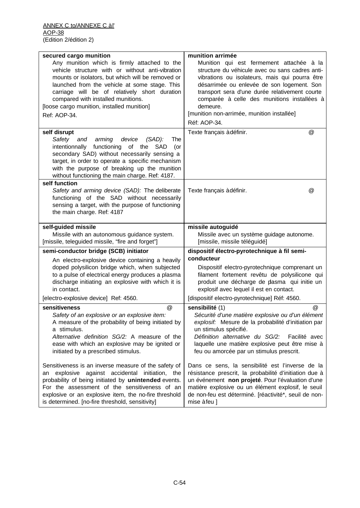| secured cargo munition<br>Any munition which is firmly attached to the<br>vehicle structure with or without anti-vibration<br>mounts or isolators, but which will be removed or<br>launched from the vehicle at some stage. This<br>carriage will be of relatively short duration<br>compared with installed munitions.<br>[loose cargo munition, installed munition]<br>Ref: AOP-34. | munition arrimée<br>Munition qui est fermement attachée à la<br>structure du véhicule avec ou sans cadres anti-<br>vibrations ou isolateurs, mais qui pourra être<br>désarrimée ou enlevée de son logement. Son<br>transport sera d'une durée relativement courte<br>comparée à celle des munitions installées à<br>demeure.<br>[munition non-arrimée, munition installée] |
|---------------------------------------------------------------------------------------------------------------------------------------------------------------------------------------------------------------------------------------------------------------------------------------------------------------------------------------------------------------------------------------|----------------------------------------------------------------------------------------------------------------------------------------------------------------------------------------------------------------------------------------------------------------------------------------------------------------------------------------------------------------------------|
|                                                                                                                                                                                                                                                                                                                                                                                       | Réf: AOP-34.                                                                                                                                                                                                                                                                                                                                                               |
| self disrupt<br>Safety<br>arming<br>device<br>$(SAD)$ :<br>and<br>The<br>intentionnally<br>functioning<br>of the<br><b>SAD</b><br>(or<br>secondary SAD) without necessarily sensing a<br>target, in order to operate a specific mechanism<br>with the purpose of breaking up the munition<br>without functioning the main charge. Ref: 4187.<br>self function                         | @<br>Texte français à définir.                                                                                                                                                                                                                                                                                                                                             |
| Safety and arming device (SAD): The deliberate<br>functioning of the SAD without necessarily<br>sensing a target, with the purpose of functioning<br>the main charge. Ref: 4187                                                                                                                                                                                                       | @<br>Texte français à définir.                                                                                                                                                                                                                                                                                                                                             |
| self-guided missile<br>Missile with an autonomous guidance system.<br>[missile, teleguided missile, "fire and forget"]                                                                                                                                                                                                                                                                | missile autoguidé<br>Missile avec un système guidage autonome.<br>[missile, missile téléguidé]                                                                                                                                                                                                                                                                             |
| semi-conductor bridge (SCB) initiator<br>An electro-explosive device containing a heavily<br>doped polysilicon bridge which, when subjected<br>to a pulse of electrical energy produces a plasma<br>discharge initiating an explosive with which it is<br>in contact.                                                                                                                 | dispositif électro-pyrotechnique à fil semi-<br>conducteur<br>Dispositif electro-pyrotechnique comprenant un<br>filament fortement revêtu de polysilicone qui<br>produit une décharge de pasma qui initie un<br>explosif avec lequel il est en contact.                                                                                                                    |
| [electro-explosive device] Ref: 4560.                                                                                                                                                                                                                                                                                                                                                 | [dispositif electro-pyrotechnique] Réf: 4560.                                                                                                                                                                                                                                                                                                                              |
| @<br>sensitiveness<br>Safety of an explosive or an explosive item:<br>A measure of the probability of being initiated by<br>a stimulus.<br>Alternative definition SG/2: A measure of the<br>ease with which an explosive may be ignited or<br>initiated by a prescribed stimulus.                                                                                                     | sensibilité (1)<br>$\omega$<br>Sécurité d'une matière explosive ou d'un élément<br>explosif: Mesure de la probabilité d'initiation par<br>un stimulus spécifié.<br>Définition alternative du SG/2:<br>Facilité avec<br>laquelle une matière explosive peut être mise à<br>feu ou amorcée par un stimulus prescrit.                                                         |
| Sensitiveness is an inverse measure of the safety of<br>explosive against accidental initiation, the<br>an<br>probability of being initiated by unintended events.<br>For the assessment of the sensitiveness of an<br>explosive or an explosive item, the no-fire threshold<br>is determined. [no-fire threshold, sensitivity]                                                       | Dans ce sens, la sensibilité est l'inverse de la<br>résistance prescrit, la probabilité d'initiation due à<br>un événement non projeté. Pour l'évaluation d'une<br>matière explosive ou un élément explosif, le seuil<br>de non-feu est déterminé. [réactivité*, seuil de non-<br>mise à feu ]                                                                             |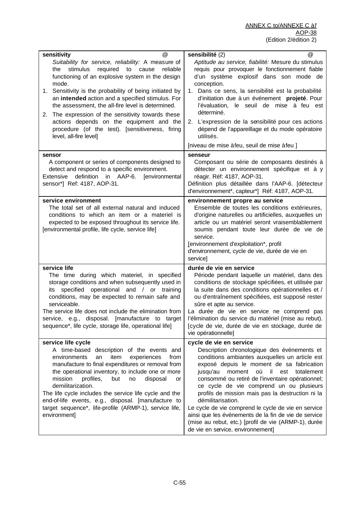| sensitivity<br>@                                                                                                                                                                                                                                                                                                                                                                                                                                                                                                             | sensibilité (2)<br>@                                                                                                                                                                                                                                                                                                                                                                                                                                                                                                                                                                                                  |
|------------------------------------------------------------------------------------------------------------------------------------------------------------------------------------------------------------------------------------------------------------------------------------------------------------------------------------------------------------------------------------------------------------------------------------------------------------------------------------------------------------------------------|-----------------------------------------------------------------------------------------------------------------------------------------------------------------------------------------------------------------------------------------------------------------------------------------------------------------------------------------------------------------------------------------------------------------------------------------------------------------------------------------------------------------------------------------------------------------------------------------------------------------------|
| Suitability for service, reliability: A measure of<br>stimulus<br>required<br>to cause<br>the<br>reliable<br>functioning of an explosive system in the design<br>mode.<br>1. Sensitivity is the probability of being initiated by<br>an intended action and a specified stimulus. For<br>the assessment, the all-fire level is determined.<br>The expression of the sensitivity towards these<br>2.<br>actions depends on the equipment and the<br>procedure (of the test). [sensitiveness, firing<br>level, all-fire level] | Aptitude au service, fiabilité: Mesure du stimulus<br>requis pour provoquer le fonctionnement fiable<br>d'un système explosif dans son mode de<br>conception.<br>1. Dans ce sens, la sensibilité est la probabilité<br>d'initiation due à un événement projeté. Pour<br>l'évaluation, le seuil de mise à feu est<br>déterminé.<br>2. L'expression de la sensibilité pour ces actions<br>dépend de l'appareillage et du mode opératoire<br>utilisés.<br>[niveau de mise à feu, seuil de mise à feu ]                                                                                                                   |
| sensor<br>A component or series of components designed to<br>detect and respond to a specific environment.<br>definition in AAP-6.<br>[environmental<br>Extensive<br>sensor*] Ref: 4187, AOP-31.                                                                                                                                                                                                                                                                                                                             | senseur<br>Composant ou série de composants destinés à<br>détecter un environnement spécifique et à y<br>réagir. Réf: 4187, AOP-31.<br>Définition plus détaillée dans l'AAP-6. [détecteur<br>d'environnement*, capteur*] Réf: 4187, AOP-31.                                                                                                                                                                                                                                                                                                                                                                           |
| service environment<br>The total set of all external natural and induced<br>conditions to which an item or a materiel is<br>expected to be exposed throughout its service life.<br>[environmental profile, life cycle, service life]                                                                                                                                                                                                                                                                                         | environnement propre au service<br>Ensemble de toutes les conditions extérieures,<br>d'origine naturelles ou artificielles, auxquelles un<br>article ou un matériel seront vraisemblablement<br>soumis pendant toute leur durée de vie de<br>service.<br>[environnement d'exploitation*, profil<br>d'environnement, cycle de vie, durée de vie en<br>service]                                                                                                                                                                                                                                                         |
| service life<br>The time during which materiel, in specified<br>storage conditions and when subsequently used in<br>specified operational and / or training<br>its<br>conditions, may be expected to remain safe and<br>serviceable.<br>The service life does not include the elimination from<br>service, e.g., disposal. [manufacture to target<br>sequence*, life cycle, storage life, operational life]                                                                                                                  | durée de vie en service<br>Période pendant laquelle un matériel, dans des<br>conditions de stockage spécifiées, et utilisée par<br>la suite dans des conditions opérationnelles et /<br>ou d'entraînement spécifiées, est supposé rester<br>sûre et apte au service.<br>La durée de vie en service ne comprend pas<br>l'élimination du service du matériel (mise au rebut).<br>[cycle de vie, durée de vie en stockage, durée de<br>vie opérationnelle]                                                                                                                                                               |
| service life cycle<br>A time-based description of the events and<br>environments<br>item<br>experiences<br>an<br>from<br>manufacture to final expenditures or removal from<br>the operational inventory, to include one or more<br>mission<br>profiles,<br>but<br>disposal<br>no<br>or<br>demilitarization.<br>The life cycle includes the service life cycle and the<br>end-of-life events, e.g., disposal. [manufacture to<br>target sequence*, life-profile (ARMP-1), service life,<br>environment]                       | cycle de vie en service<br>Description chronologique des événements et<br>conditions ambiantes auxquelles un article est<br>exposé depuis le moment de sa fabrication<br>moment<br>où<br>$-$ il<br>est<br>jusqu'au<br>totalement<br>consommé ou retiré de l'inventaire opérationnel;<br>ce cycle de vie comprend un ou plusieurs<br>profils de mission mais pas la destruction ni la<br>démilitarisation.<br>Le cycle de vie comprend le cycle de vie en service<br>ainsi que les événements de la fin de vie de service<br>(mise au rebut, etc.) [profil de vie (ARMP-1), durée<br>de vie en service, environnement] |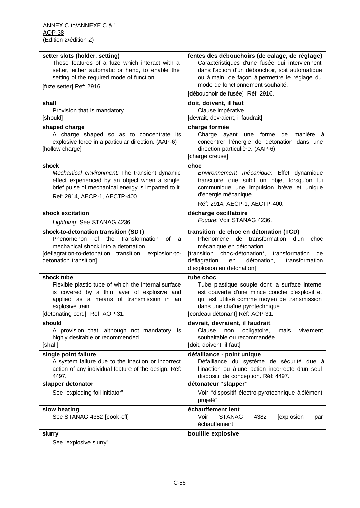| setter slots (holder, setting)<br>Those features of a fuze which interact with a<br>setter, either automatic or hand, to enable the<br>setting of the required mode of function.<br>[fuze setter] Ref: 2916.        | fentes des débouchoirs (de calage, de réglage)<br>Caractéristiques d'une fusée qui interviennent<br>dans l'action d'un débouchoir, soit automatique<br>ou à main, de façon à permettre le réglage du<br>mode de fonctionnement souhaité.<br>[débouchoir de fusée] Réf: 2916. |
|---------------------------------------------------------------------------------------------------------------------------------------------------------------------------------------------------------------------|------------------------------------------------------------------------------------------------------------------------------------------------------------------------------------------------------------------------------------------------------------------------------|
| shall<br>Provision that is mandatory.<br>[should]                                                                                                                                                                   | doit, doivent, il faut<br>Clause impérative.<br>[devrait, devraient, il faudrait]                                                                                                                                                                                            |
| shaped charge<br>A charge shaped so as to concentrate its<br>explosive force in a particular direction. (AAP-6)<br>[hollow charge]                                                                                  | charge formée<br>Charge ayant une forme de manière à<br>concentrer l'énergie de détonation dans une<br>direction particulière. (AAP-6)<br>[charge creuse]                                                                                                                    |
| shock<br>Mechanical environment: The transient dynamic<br>effect experienced by an object when a single<br>brief pulse of mechanical energy is imparted to it.<br>Ref: 2914, AECP-1, AECTP-400.                     | choc<br>Environnement mécanique: Effet dynamique<br>transitoire que subit un objet lorsqu'on lui<br>communique une impulsion brève et unique<br>d'énergie mécanique.<br>Réf: 2914, AECP-1, AECTP-400.                                                                        |
| shock excitation<br>Lightning: See STANAG 4236.                                                                                                                                                                     | décharge oscillatoire<br>Foudre: Voir STANAG 4236.                                                                                                                                                                                                                           |
| shock-to-detonation transition (SDT)<br>Phenomenon<br>the<br>transformation<br>οf<br>of a<br>mechanical shock into a detonation.<br>[deflagration-to-detonation transition, explosion-to-<br>detonation transition] | transition de choc en détonation (TCD)<br>Phénomène de transformation d'un<br>choc<br>mécanique en détonation.<br>[transition choc-détonation*, transformation<br>de<br>déflagration<br>détonation,<br>transformation<br>en<br>d'explosion en détonation]                    |
| shock tube<br>Flexible plastic tube of which the internal surface<br>is covered by a thin layer of explosive and<br>applied as a means of transmission in an<br>explosive train.<br>[detonating cord] Ref: AOP-31.  | tube choc<br>Tube plastique souple dont la surface interne<br>est couverte d'une mince couche d'explosif et<br>qui est utilisé comme moyen de transmission<br>dans une chaîne pyrotechnique.<br>[cordeau détonant] Réf: AOP-31.                                              |
| should<br>A provision that, although not mandatory, is<br>highly desirable or recommended.<br>[shall]                                                                                                               | devrait, devraient, il faudrait<br>Clause<br>obligatoire,<br>non<br>mais<br>vivement<br>souhaitable ou recommandée.<br>[doit, doivent, il faut]                                                                                                                              |
| single point failure<br>A system failure due to the inaction or incorrect<br>action of any individual feature of the design. Réf:<br>4497.                                                                          | défaillance - point unique<br>Défaillance du système de sécurité due à<br>l'inaction ou à une action incorrecte d'un seul<br>dispositif de conception. Réf: 4497.                                                                                                            |
| slapper detonator                                                                                                                                                                                                   | détonateur "slapper"                                                                                                                                                                                                                                                         |
| See "exploding foil initiator"                                                                                                                                                                                      | Voir "dispositif électro-pyrotechnique à élément<br>projeté".                                                                                                                                                                                                                |
| slow heating<br>See STANAG 4382 [cook-off]                                                                                                                                                                          | échauffement lent<br><b>STANAG</b><br>Voir<br>4382<br>[explosion<br>par<br>échauffement]                                                                                                                                                                                     |
| slurry<br>See "explosive slurry".                                                                                                                                                                                   | bouillie explosive                                                                                                                                                                                                                                                           |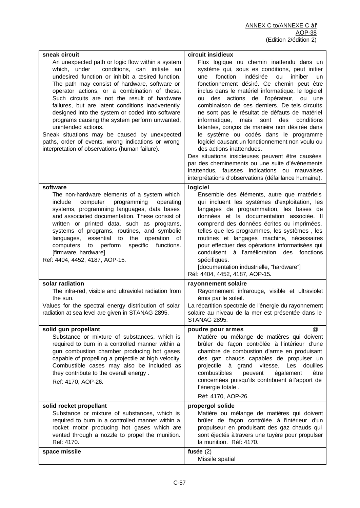| sneak circuit<br>An unexpected path or logic flow within a system<br>which, under<br>conditions, can initiate an<br>undesired function or inhibit a desired function.<br>The path may consist of hardware, software or<br>operator actions, or a combination of these.<br>Such circuits are not the result of hardware<br>failures, but are latent conditions inadvertently<br>designed into the system or coded into software<br>programs causing the system perform unwanted,<br>unintended actions.<br>Sneak situations may be caused by unexpected<br>paths, order of events, wrong indications or wrong<br>interpretation of observations (human failure). | circuit insidieux<br>Flux logique ou chemin inattendu dans un<br>système qui, sous es conditions, peut initier<br>fonction<br>indésirée<br>ou<br>inhiber<br>une<br>un<br>fonctionnement désiré. Ce chemin peut être<br>inclus dans le matériel informatique, le logiciel<br>des actions de l'opérateur, ou une<br>ou<br>combinaison de ces derniers. De tels circuits<br>ne sont pas le résultat de défauts de matériel<br>informatique,<br>mais<br>sont des<br>conditions<br>latentes, conçus de manière non désirée dans<br>le système ou codés dans le programme<br>logiciel causant un fonctionnement non voulu ou<br>des actions inattendues.<br>Des situations insidieuses peuvent être causées<br>par des cheminements ou une suite d'événements<br>inattendus, fausses indications ou mauvaises<br>interprétations d'observations (défaillance humaine). |
|-----------------------------------------------------------------------------------------------------------------------------------------------------------------------------------------------------------------------------------------------------------------------------------------------------------------------------------------------------------------------------------------------------------------------------------------------------------------------------------------------------------------------------------------------------------------------------------------------------------------------------------------------------------------|------------------------------------------------------------------------------------------------------------------------------------------------------------------------------------------------------------------------------------------------------------------------------------------------------------------------------------------------------------------------------------------------------------------------------------------------------------------------------------------------------------------------------------------------------------------------------------------------------------------------------------------------------------------------------------------------------------------------------------------------------------------------------------------------------------------------------------------------------------------|
| software<br>The non-hardware elements of a system which<br>include<br>computer<br>programming<br>operating<br>systems, programming languages, data bases<br>and associated documentation. These consist of<br>written or printed data, such as programs,<br>systems of programs, routines, and symbolic<br>essential<br>the<br>operation<br>languages,<br>to<br>of<br>computers<br>perform<br>specific<br>functions.<br>to<br>[firmware, hardware]<br>Ref: 4404, 4452, 4187, AOP-15.                                                                                                                                                                            | logiciel<br>Ensemble des éléments, autre que matériels<br>qui incluent les systèmes d'exploitation, les<br>langages de programmation, les bases de<br>données et la documentation associée. Il<br>comprend des données écrites ou imprimées,<br>telles que les programmes, les systèmes, les<br>routines et langages machine, nécessaires<br>pour effectuer des opérations informatisées qui<br>conduisent à l'amélioration des<br>fonctions<br>spécifiques.<br>[documentation industrielle, "hardware"]<br>Réf: 4404, 4452, 4187, AOP-15.                                                                                                                                                                                                                                                                                                                       |
| solar radiation<br>The infra-red, visible and ultraviolet radiation from<br>the sun.<br>Values for the spectral energy distribution of solar<br>radiation at sea level are given in STANAG 2895.                                                                                                                                                                                                                                                                                                                                                                                                                                                                | rayonnement solaire<br>Rayonnement infrarouge, visible et ultraviolet<br>émis par le soleil.<br>La répartition spectrale de l'énergie du rayonnement<br>solaire au niveau de la mer est présentée dans le<br><b>STANAG 2895.</b>                                                                                                                                                                                                                                                                                                                                                                                                                                                                                                                                                                                                                                 |
| solid gun propellant<br>Substance or mixture of substances, which is<br>required to burn in a controlled manner within a<br>gun combustion chamber producing hot gases<br>capable of propelling a projectile at high velocity.<br>Combustible cases may also be included as<br>they contribute to the overall energy.<br>Ref: 4170, AOP-26.                                                                                                                                                                                                                                                                                                                     | $^{\circledR}$<br>poudre pour armes<br>Matière ou mélange de matières qui doivent<br>brûler de façon contrôlée à l'intérieur d'une<br>chambre de combustion d'arme en produisant<br>des gaz chauds capables de propulser un<br>projectile<br>à grand vitesse. Les<br>douilles<br>combustibles<br>peuvent<br>également<br>être<br>concernées puisqu'ils contribuent à l'apport de<br>l'énergie totale.<br>Réf: 4170, AOP-26.                                                                                                                                                                                                                                                                                                                                                                                                                                      |
| solid rocket propellant<br>Substance or mixture of substances, which is<br>required to burn in a controlled manner within a<br>rocket motor producing hot gases which are<br>vented through a nozzle to propel the munition.<br>Ref: 4170.                                                                                                                                                                                                                                                                                                                                                                                                                      | propergol solide<br>Matière ou mélange de matières qui doivent<br>brûler de façon contrôlée à l'intérieur d'un<br>propulseur en produisant des gaz chauds qui<br>sont éjectés à travers une tuyère pour propulser<br>la munition. Réf: 4170.                                                                                                                                                                                                                                                                                                                                                                                                                                                                                                                                                                                                                     |
| space missile                                                                                                                                                                                                                                                                                                                                                                                                                                                                                                                                                                                                                                                   | fusée $(2)$<br>Missile spatial                                                                                                                                                                                                                                                                                                                                                                                                                                                                                                                                                                                                                                                                                                                                                                                                                                   |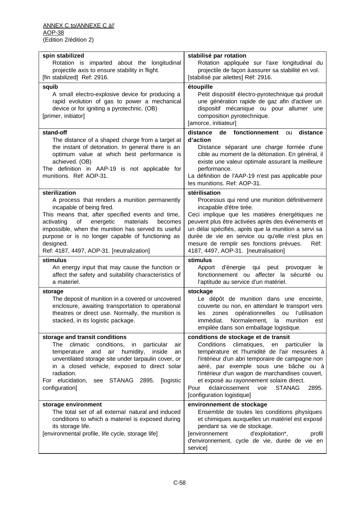| spin stabilized<br>Rotation is imparted about the longitudinal<br>projectile axis to ensure stability in flight.<br>[fin stabilized] Ref: 2916.                                                                                                                                                                                                                                 | stabilisé par rotation<br>Rotation appliquée sur l'axe longitudinal du<br>projectile de façon à assurer sa stabilité en vol.<br>[stabilisé par ailettes] Réf: 2916.                                                                                                                                                                                                                                                                   |
|---------------------------------------------------------------------------------------------------------------------------------------------------------------------------------------------------------------------------------------------------------------------------------------------------------------------------------------------------------------------------------|---------------------------------------------------------------------------------------------------------------------------------------------------------------------------------------------------------------------------------------------------------------------------------------------------------------------------------------------------------------------------------------------------------------------------------------|
| squib<br>A small electro-explosive device for producing a<br>rapid evolution of gas to power a mechanical<br>device or for igniting a pyrotechnic. (OB)<br>[primer, initiator]                                                                                                                                                                                                  | étoupille<br>Petit dispositif électro-pyrotechnique qui produit<br>une génération rapide de gaz afin d'activer un<br>dispositif mécanique ou pour allumer une<br>composition pyrotechnique.<br>[amorce, initiateur]                                                                                                                                                                                                                   |
| stand-off<br>The distance of a shaped charge from a target at<br>the instant of detonation. In general there is an<br>optimum value at which best performance is<br>achieved. (OB)<br>The definition in AAP-19 is not applicable for<br>munitions. Ref: AOP-31.                                                                                                                 | distance<br>de fonctionnement<br>distance<br>ou<br>d'action<br>Distance séparant une charge formée d'une<br>cible au moment de la détonation. En général, il<br>existe une valeur optimale assurant la meilleure<br>performance.<br>La définition de l'AAP-19 n'est pas applicable pour<br>les munitions. Ref: AOP-31.                                                                                                                |
| sterilization<br>A process that renders a munition permanently<br>incapable of being fired.<br>This means that, after specified events and time,<br>activating<br>of<br>energetic<br>materials<br>becomes<br>impossible, when the munition has served its useful<br>purpose or is no longer capable of functioning as<br>designed.<br>Ref: 4187, 4497, AOP-31. [neutralization] | stérilisation<br>Processus qui rend une munition définitivement<br>incapable d'être tirée.<br>Ceci implique que les matières énergétiques ne<br>peuvent plus être activées après des événements et<br>un délai spécifiés, après que la munition a servi sa<br>durée de vie en service ou qu'elle n'est plus en<br>mesure de remplir ses fonctions prévues.<br>Réf:<br>4187, 4497, AOP-31. [neutralisation]                            |
| stimulus<br>An energy input that may cause the function or<br>affect the safety and suitability characteristics of<br>a materiel.                                                                                                                                                                                                                                               | stimulus<br>Apport d'énergie qui<br>peut<br>provoquer<br>le<br>fonctionnement ou affecter la sécurité<br><b>ou</b><br>l'aptitude au service d'un matériel.                                                                                                                                                                                                                                                                            |
| storage<br>The deposit of munition in a covered or uncovered<br>enclosure, awaiting transportation to operational<br>theatres or direct use. Normally, the munition is<br>stacked, in its logistic package                                                                                                                                                                      | stockage<br>Le dépôt de munition dans une enceinte,<br>couverte ou non, en attendant le transport vers<br>opérationnelles<br>ou l'utilisation<br>zones<br>les<br>immédiat. Normalement, la munition est<br>empilée dans son emballage logistique.                                                                                                                                                                                     |
| storage and transit conditions<br>climatic<br>The<br>conditions,<br>particular<br>in<br>air<br>air<br>humidity,<br>temperature<br>and<br>inside<br>an<br>unventilated storage site under tarpaulin cover, or<br>in a closed vehicle, exposed to direct solar<br>radiation.<br>elucidation,<br>see STANAG 2895.<br>[logistic<br>For<br>configuration]                            | conditions de stockage et de transit<br>climatiques,<br>Conditions<br>en<br>particulier<br>la<br>température et l'humidité de l'air mesurées à<br>l'intérieur d'un abri temporaire de campagne non<br>aéré, par exemple sous une bâche ou à<br>l'intérieur d'un wagon de marchandises couvert,<br>et exposé au rayonnement solaire direct.<br>éclaircissement<br><b>STANAG</b><br>voir<br>2895.<br>Pour<br>[configuration logistique] |
| storage environment<br>The total set of all external natural and induced<br>conditions to which a materiel is exposed during<br>its storage life.<br>[environmental profile, life cycle, storage life]                                                                                                                                                                          | environnement de stockage<br>Ensemble de toutes les conditions physiques<br>et chimiques auxquelles un matériel est exposé<br>pendant sa vie de stockage.<br>[environnement<br>d'exploitation*,<br>profil<br>d'environnement, cycle de vie, durée de vie en<br>service]                                                                                                                                                               |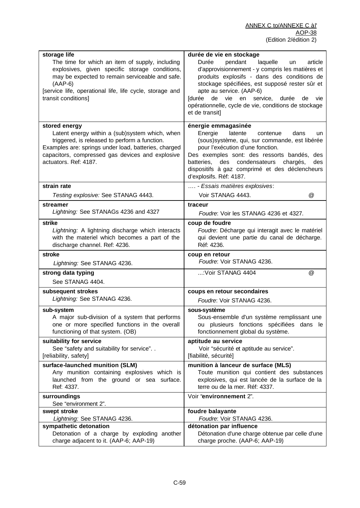| storage life<br>The time for which an item of supply, including<br>explosives, given specific storage conditions,<br>may be expected to remain serviceable and safe.<br>$(AAP-6)$<br>[service life, operational life, life cycle, storage and<br>transit conditions] | durée de vie en stockage<br>pendant<br>Durée<br>laquelle<br>article<br>un<br>d'approvisionnement - y compris les matières et<br>produits explosifs - dans des conditions de<br>stockage spécifiées, est supposé rester sûr et<br>apte au service. (AAP-6)<br>[durée de vie en service, durée<br>de vie<br>opérationnelle, cycle de vie, conditions de stockage<br>et de transit] |
|----------------------------------------------------------------------------------------------------------------------------------------------------------------------------------------------------------------------------------------------------------------------|----------------------------------------------------------------------------------------------------------------------------------------------------------------------------------------------------------------------------------------------------------------------------------------------------------------------------------------------------------------------------------|
| stored energy<br>Latent energy within a (sub) system which, when<br>triggered, is released to perform a function.<br>Examples are: springs under load, batteries, charged<br>capacitors, compressed gas devices and explosive<br>actuators. Ref: 4187.               | énergie emmagasinée<br>Energie<br>latente<br>contenue<br>dans<br>un<br>(sous) système, qui, sur commande, est libérée<br>pour l'exécution d'une fonction.<br>Des exemples sont: des ressorts bandés, des<br>des condensateurs<br>batteries,<br>chargés,<br>des<br>dispositifs à gaz comprimé et des déclencheurs<br>d'explosifs. Réf: 4187.                                      |
| strain rate                                                                                                                                                                                                                                                          | - Essais matières explosives:                                                                                                                                                                                                                                                                                                                                                    |
| Testing explosive: See STANAG 4443.                                                                                                                                                                                                                                  | Voir STANAG 4443.<br>$^{\textregistered}$                                                                                                                                                                                                                                                                                                                                        |
| streamer                                                                                                                                                                                                                                                             | traceur                                                                                                                                                                                                                                                                                                                                                                          |
| Lightning: See STANAGs 4236 and 4327                                                                                                                                                                                                                                 | Foudre: Voir les STANAG 4236 et 4327.                                                                                                                                                                                                                                                                                                                                            |
| strike                                                                                                                                                                                                                                                               | coup de foudre                                                                                                                                                                                                                                                                                                                                                                   |
| Lightning: A lightning discharge which interacts                                                                                                                                                                                                                     | Foudre: Décharge qui interagit avec le matériel                                                                                                                                                                                                                                                                                                                                  |
| with the materiel which becomes a part of the                                                                                                                                                                                                                        | qui devient une partie du canal de décharge.                                                                                                                                                                                                                                                                                                                                     |
| discharge channel. Ref: 4236.                                                                                                                                                                                                                                        | Réf: 4236.                                                                                                                                                                                                                                                                                                                                                                       |
| stroke                                                                                                                                                                                                                                                               | coup en retour                                                                                                                                                                                                                                                                                                                                                                   |
| Lightning: See STANAG 4236.                                                                                                                                                                                                                                          | Foudre: Voir STANAG 4236.                                                                                                                                                                                                                                                                                                                                                        |
| strong data typing                                                                                                                                                                                                                                                   | : Voir STANAG 4404                                                                                                                                                                                                                                                                                                                                                               |
| See STANAG 4404.                                                                                                                                                                                                                                                     | @                                                                                                                                                                                                                                                                                                                                                                                |
| subsequent strokes                                                                                                                                                                                                                                                   | coups en retour secondaires                                                                                                                                                                                                                                                                                                                                                      |
| Lightning: See STANAG 4236.                                                                                                                                                                                                                                          | Foudre: Voir STANAG 4236.                                                                                                                                                                                                                                                                                                                                                        |
| sub-system                                                                                                                                                                                                                                                           | sous-système                                                                                                                                                                                                                                                                                                                                                                     |
| A major sub-division of a system that performs                                                                                                                                                                                                                       | Sous-ensemble d'un système remplissant une                                                                                                                                                                                                                                                                                                                                       |
| one or more specified functions in the overall                                                                                                                                                                                                                       | ou plusieurs fonctions spécifiées dans le                                                                                                                                                                                                                                                                                                                                        |
| functioning of that system. (OB)                                                                                                                                                                                                                                     | fonctionnement global du système.                                                                                                                                                                                                                                                                                                                                                |
| suitability for service                                                                                                                                                                                                                                              | aptitude au service                                                                                                                                                                                                                                                                                                                                                              |
| See "safety and suitability for service"                                                                                                                                                                                                                             | Voir "sécurité et aptitude au service".                                                                                                                                                                                                                                                                                                                                          |
| [reliability, safety]                                                                                                                                                                                                                                                | [fiabilité, sécurité]                                                                                                                                                                                                                                                                                                                                                            |
| surface-launched munition (SLM)                                                                                                                                                                                                                                      | munition à lanceur de surface (MLS)                                                                                                                                                                                                                                                                                                                                              |
| Any munition containing explosives which is                                                                                                                                                                                                                          | Toute munition qui contient des substances                                                                                                                                                                                                                                                                                                                                       |
| launched from the ground or sea surface.                                                                                                                                                                                                                             | explosives, qui est lancée de la surface de la                                                                                                                                                                                                                                                                                                                                   |
| Ref: 4337.                                                                                                                                                                                                                                                           | terre ou de la mer. Réf: 4337.                                                                                                                                                                                                                                                                                                                                                   |
| surroundings<br>See "environment 2".                                                                                                                                                                                                                                 | Voir "environnement 2".                                                                                                                                                                                                                                                                                                                                                          |
| swept stroke                                                                                                                                                                                                                                                         | foudre balayante                                                                                                                                                                                                                                                                                                                                                                 |
| Lightning: See STANAG 4236.                                                                                                                                                                                                                                          | Foudre: Voir STANAG 4236.                                                                                                                                                                                                                                                                                                                                                        |
| sympathetic detonation                                                                                                                                                                                                                                               | détonation par influence                                                                                                                                                                                                                                                                                                                                                         |
| Detonation of a charge by exploding another                                                                                                                                                                                                                          | Détonation d'une charge obtenue par celle d'une                                                                                                                                                                                                                                                                                                                                  |
| charge adjacent to it. (AAP-6; AAP-19)                                                                                                                                                                                                                               | charge proche. (AAP-6; AAP-19)                                                                                                                                                                                                                                                                                                                                                   |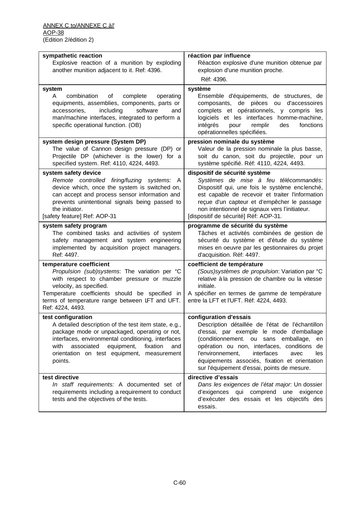| sympathetic reaction<br>Explosive reaction of a munition by exploding<br>another munition adjacent to it. Ref: 4396.                                                                                                                                                                              | réaction par influence<br>Réaction explosive d'une munition obtenue par<br>explosion d'une munition proche.<br>Réf: 4396.                                                                                                                                                                                                                                            |
|---------------------------------------------------------------------------------------------------------------------------------------------------------------------------------------------------------------------------------------------------------------------------------------------------|----------------------------------------------------------------------------------------------------------------------------------------------------------------------------------------------------------------------------------------------------------------------------------------------------------------------------------------------------------------------|
| system<br>combination<br>of<br>complete<br>operating<br>A<br>equipments, assemblies, components, parts or<br>including<br>software<br>accessories,<br>and<br>man/machine interfaces, integrated to perform a<br>specific operational function. (OB)                                               | système<br>Ensemble d'équipements, de structures, de<br>composants, de pièces ou d'accessoires<br>complets et opérationnels, y compris les<br>logiciels et les interfaces homme-machine,<br>fonctions<br>intégrés<br>pour<br>remplir<br>des<br>opérationnelles spécifiées.                                                                                           |
| system design pressure (System DP)<br>The value of Cannon design pressure (DP) or<br>Projectile DP (whichever is the lower) for a<br>specified system. Ref: 4110, 4224, 4493.                                                                                                                     | pression nominale du système<br>Valeur de la pression nominale la plus basse,<br>soit du canon, soit du projectile, pour un<br>système spécifié. Réf: 4110, 4224, 4493.                                                                                                                                                                                              |
| system safety device<br>Remote controlled firing/fuzing systems: A<br>device which, once the system is switched on,<br>can accept and process sensor information and<br>prevents unintentional signals being passed to<br>the initiator.<br>[safety feature] Ref: AOP-31                          | dispositif de sécurité système<br>Systèmes de mise à feu télécommandés:<br>Dispositif qui, une fois le système enclenché,<br>est capable de recevoir et traiter l'information<br>reçue d'un capteur et d'empêcher le passage<br>non intentionnel de signaux vers l'initiateur.<br>[dispositif de sécurité] Réf: AOP-31.                                              |
| system safety program<br>The combined tasks and activities of system<br>safety management and system engineering<br>implemented by acquisition project managers.<br>Ref: 4497.                                                                                                                    | programme de sécurité du système<br>Tâches et activités combinées de gestion de<br>sécurité du système et d'étude du système<br>mises en oeuvre par les gestionnaires du projet<br>d'acquisition. Réf: 4497.                                                                                                                                                         |
| temperature coefficient<br>Propulsion (sub)systems: The variation per °C<br>with respect to chamber pressure or muzzle<br>velocity, as specified.<br>Temperature coefficients should be specified in<br>terms of temperature range between LFT and UFT.<br>Ref: 4224, 4493.                       | coefficient de température<br>(Sous) systèmes de propulsion: Variation par °C<br>relative à la pression de chambre ou la vitesse<br>initiale.<br>A spécifier en termes de gamme de température<br>entre la LFT et l'UFT. Réf: 4224, 4493.                                                                                                                            |
| test configuration<br>A detailed description of the test item state, e.g.,<br>package mode or unpackaged, operating or not,<br>interfaces, environmental conditioning, interfaces<br>associated<br>equipment,<br>with<br>fixation<br>and<br>orientation on test equipment, measurement<br>points. | configuration d'essais<br>Description détaillée de l'état de l'échantillon<br>d'essai, par exemple le mode d'emballage<br>(conditionnement. ou sans emballage,<br>en<br>opération ou non, interfaces, conditions de<br>l'environnement,<br>interfaces<br>avec<br>les<br>équipements associés, fixation et orientation<br>sur l'équipement d'essai, points de mesure. |
| test directive<br>In staff requirements: A documented set of<br>requirements including a requirement to conduct<br>tests and the objectives of the tests.                                                                                                                                         | directive d'essais<br>Dans les exigences de l'état major. Un dossier<br>d'exigences qui comprend une exigence<br>d'exécuter des essais et les objectifs des<br>essais.                                                                                                                                                                                               |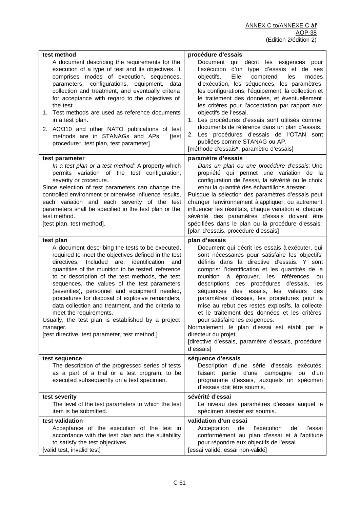| test method<br>A document describing the requirements for the<br>execution of a type of test and its objectives. It<br>comprises modes of execution, sequences,<br>parameters, configurations, equipment,<br>data<br>collection and treatment, and eventually criteria<br>for acceptance with regard to the objectives of<br>the test.<br>Test methods are used as reference documents<br>1.<br>in a test plan.<br>2. AC/310 and other NATO publications of test<br>methods are in STANAGs and APs.<br>[test<br>procedure*, test plan, test parameter]                                                                                            | procédure d'essais<br>Document qui décrit les exigences<br>pour<br>d'un type d'essais et de ses<br>l'exécution<br>Elle<br>objectifs.<br>comprend<br>les<br>modes<br>d'exécution, les séquences, les paramètres,<br>les configurations, l'équipement, la collection et<br>le traitement des données, et éventuellement<br>les critères pour l'acceptation par rapport aux<br>objectifs de l'essai.<br>1. Les procédures d'essais sont utilisés comme<br>documents de référence dans un plan d'essais.<br>2. Les procédures d'essais de l'OTAN sont<br>publiées comme STANAG ou AP.<br>[méthode d'essais*, paramètre d'essais]                                                                                 |
|---------------------------------------------------------------------------------------------------------------------------------------------------------------------------------------------------------------------------------------------------------------------------------------------------------------------------------------------------------------------------------------------------------------------------------------------------------------------------------------------------------------------------------------------------------------------------------------------------------------------------------------------------|--------------------------------------------------------------------------------------------------------------------------------------------------------------------------------------------------------------------------------------------------------------------------------------------------------------------------------------------------------------------------------------------------------------------------------------------------------------------------------------------------------------------------------------------------------------------------------------------------------------------------------------------------------------------------------------------------------------|
| test parameter<br>In a test plan or a test method: A property which<br>permits variation of the test configuration,<br>severity or procedure.<br>Since selection of test parameters can change the<br>controlled environment or otherwise influence results,<br>each variation and each severity of the test<br>parameters shall be specified in the test plan or the<br>test method.<br>[test plan, test method].                                                                                                                                                                                                                                | paramètre d'essais<br>Dans un plan ou une procédure d'essais: Une<br>propriété qui permet une variation de la<br>configuration de l'essai, la sévérité ou le choix<br>et/ou la quantité des échantillons à tester.<br>Puisque la sélection des paramètres d'essais peut<br>changer lenvironnement à appliquer, ou autrement<br>influencer les résultats, chaque variation et chaque<br>sévérité des paramètres d'essais doivent être<br>spécifiées dans le plan ou la procédure d'essais.<br>[plan d'essais, procédure d'essais]                                                                                                                                                                             |
| test plan<br>A document describing the tests to be executed,<br>required to meet the objectives defined in the test<br>Included<br>identification<br>directives.<br>are:<br>and<br>quantities of the munition to be tested, reference<br>to or description of the test methods, the test<br>sequences, the values of the test parameters<br>(severities), personnel and equipment needed,<br>procedures for disposal of explosive remainders,<br>data collection and treatment, and the criteria to<br>meet the requirements.<br>Usually, the test plan is established by a project<br>manager.<br>[test directive, test parameter, test method.] | plan d'essais<br>Document qui décrit les essais à exécuter, qui<br>sont nécessaires pour satisfaire les objectifs<br>définis dans la directive d'essais. Y sont<br>compris: l'identification et les quantités de la<br>munition<br>à éprouver,<br>les références<br>ou<br>des procédures d'essais,<br>descriptions<br>les<br>essais, les valeurs<br>séquences<br>des<br>des<br>paramètres d'essais, les procédures pour la<br>mise au rebut des restes explosifs, la collecte<br>et le traitement des données et les critères<br>pour satisfaire les exigences.<br>Normalement, le plan d'essai est établi par le<br>directeur du projet.<br>[directive d'essais, paramètre d'essais, procédure<br>d'essais] |
| test sequence<br>The description of the progressed series of tests<br>as a part of a trial or a test program, to be<br>executed subsequently on a test specimen.                                                                                                                                                                                                                                                                                                                                                                                                                                                                                  | séquence d'essais<br>Description d'une série d'essais<br>exécutés,<br>faisant partie d'une campagne<br>d'un<br>ou<br>programme d'essais, auxquels un spécimen<br>d'essais doit être soumis.                                                                                                                                                                                                                                                                                                                                                                                                                                                                                                                  |
| test severity<br>The level of the test parameters to which the test<br>item is be submitted.                                                                                                                                                                                                                                                                                                                                                                                                                                                                                                                                                      | sévérité d'essai<br>Le niveau des paramètres d'essais auquel le<br>spécimen à tester est soumis.                                                                                                                                                                                                                                                                                                                                                                                                                                                                                                                                                                                                             |
| test validation<br>Acceptance of the execution of the test in<br>accordance with the test plan and the suitability<br>to satisfy the test objectives.<br>[valid test, invalid test]                                                                                                                                                                                                                                                                                                                                                                                                                                                               | validation d'un essai<br>l'exécution<br>Acceptation<br>de<br>l'essai<br>de<br>conformément au plan d'essai et à l'aptitude<br>pour répondre aux objectifs de l'essai.<br>[essai validé, essai non-validé]                                                                                                                                                                                                                                                                                                                                                                                                                                                                                                    |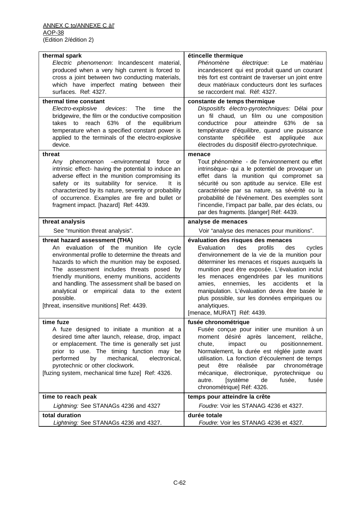| thermal spark                                                                                                                                                                                                                                                                                                                                                                                                                                    | étincelle thermique                                                                                                                                                                                                                                                                                                                                                                                                                                                                         |
|--------------------------------------------------------------------------------------------------------------------------------------------------------------------------------------------------------------------------------------------------------------------------------------------------------------------------------------------------------------------------------------------------------------------------------------------------|---------------------------------------------------------------------------------------------------------------------------------------------------------------------------------------------------------------------------------------------------------------------------------------------------------------------------------------------------------------------------------------------------------------------------------------------------------------------------------------------|
| Electric phenomenon: Incandescent material,<br>produced when a very high current is forced to<br>cross a joint between two conducting materials,<br>which have imperfect mating between their<br>surfaces. Ref: 4327.                                                                                                                                                                                                                            | Phénomène<br>électrique:<br>Le<br>matériau<br>incandescent qui est produit quand un courant<br>très fort est contraint de traverser un joint entre<br>deux matériaux conducteurs dont les surfaces<br>se raccordent mal. Réf: 4327.                                                                                                                                                                                                                                                         |
| thermal time constant                                                                                                                                                                                                                                                                                                                                                                                                                            | constante de temps thermique                                                                                                                                                                                                                                                                                                                                                                                                                                                                |
| Electro-explosive<br>devices:<br>The<br>time<br>the<br>bridgewire, the film or the conductive composition<br>reach 63% of the<br>takes to<br>equilibrium<br>temperature when a specified constant power is<br>applied to the terminals of the electro-explosive<br>device.                                                                                                                                                                       | Dispositifs électro-pyrotechniques: Délai pour<br>un fil chaud, un film ou une composition<br>atteindre<br>63%<br>conductrice<br>pour<br>de<br>sa<br>température d'équilibre, quand une puissance<br>spécifiée<br>est<br>constante<br>appliquée<br>aux<br>électrodes du dispositif électro-pyrotechnique.                                                                                                                                                                                   |
| threat<br>phenomenon<br>-environmental force<br>Any<br>or                                                                                                                                                                                                                                                                                                                                                                                        | menace<br>Tout phénomène - de l'environnement ou effet                                                                                                                                                                                                                                                                                                                                                                                                                                      |
| intrinsic effect- having the potential to induce an<br>adverse effect in the munition compromising its<br>safety or its suitability for service.<br>It is<br>characterized by its nature, severity or probability<br>of occurrence. Examples are fire and bullet or<br>fragment impact. [hazard] Ref: 4439.                                                                                                                                      | intrinsèque- qui a le potentiel de provoquer un<br>effet dans la munition qui compromet sa<br>sécurité ou son aptitude au service. Elle est<br>caractérisée par sa nature, sa sévérité ou la<br>probabilité de l'événement. Des exemples sont<br>l'incendie, l'impact par balle, par des éclats, ou<br>par des fragments. [danger] Réf: 4439.                                                                                                                                               |
| threat analysis                                                                                                                                                                                                                                                                                                                                                                                                                                  | analyse de menaces                                                                                                                                                                                                                                                                                                                                                                                                                                                                          |
| See "munition threat analysis".                                                                                                                                                                                                                                                                                                                                                                                                                  | Voir "analyse des menaces pour munitions".                                                                                                                                                                                                                                                                                                                                                                                                                                                  |
| threat hazard assessment (THA)<br>evaluation of the munition life<br>An<br>cycle<br>environmental profile to determine the threats and<br>hazards to which the munition may be exposed.<br>The assessment includes threats posed by<br>friendly munitions, enemy munitions, accidents<br>and handling. The assessment shall be based on<br>analytical or empirical data to the extent<br>possible.<br>[threat, insensitive munitions] Ref: 4439. | évaluation des risques des menaces<br>profils<br>Evaluation<br>des<br>des<br>cycles<br>d'environnement de la vie de la munition pour<br>déterminer les menaces et risques auxquels la<br>munition peut être exposée. L'évaluation inclut<br>les menaces engendrées par les munitions<br>amies,<br>ennemies,<br>les<br>accidents<br>et<br>la<br>manipulation. L'évaluation devra être basée le<br>plus possible, sur les données empiriques ou<br>analytiques.<br>[menace, MURAT] Réf: 4439. |
| time fuze                                                                                                                                                                                                                                                                                                                                                                                                                                        | fusée chronométrique                                                                                                                                                                                                                                                                                                                                                                                                                                                                        |
| A fuze designed to initiate a munition at a<br>desired time after launch, release, drop, impact<br>or emplacement. The time is generally set just<br>prior to use. The timing function may be<br>mechanical,<br>electronical,<br>performed<br>by<br>pyrotechnic or other clockwork.<br>[fuzing system, mechanical time fuze] Ref: 4326.                                                                                                          | Fusée conçue pour initier une munition à un<br>moment désiré après lancement, relâche,<br>impact<br>positionnement.<br>chute,<br>ou<br>Normalement, la durée est réglée juste avant<br>utilisation. La fonction d'écoulement de temps<br>chronométrage<br>réalisée<br>par<br>peut<br>être<br>mécanique, électronique, pyrotechnique ou<br>[système<br>de<br>fusée,<br>autre.<br>fusée<br>chronométrique] Réf: 4326.                                                                         |
| time to reach peak                                                                                                                                                                                                                                                                                                                                                                                                                               | temps pour atteindre la crête                                                                                                                                                                                                                                                                                                                                                                                                                                                               |
|                                                                                                                                                                                                                                                                                                                                                                                                                                                  |                                                                                                                                                                                                                                                                                                                                                                                                                                                                                             |
| Lightning: See STANAGs 4236 and 4327                                                                                                                                                                                                                                                                                                                                                                                                             | Foudre: Voir les STANAG 4236 et 4327.                                                                                                                                                                                                                                                                                                                                                                                                                                                       |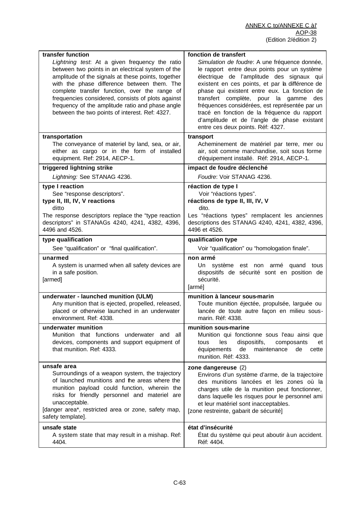| transfer function<br>Lightning test. At a given frequency the ratio<br>between two points in an electrical system of the<br>amplitude of the signals at these points, together<br>with the phase difference between them. The<br>complete transfer function, over the range of<br>frequencies considered, consists of plots against<br>frequency of the amplitude ratio and phase angle | fonction de transfert<br>Simulation de foudre: A une fréquence donnée,<br>le rapport entre deux points pour un système<br>électrique de l'amplitude des signaux qui<br>existent en ces points, et par la différence de<br>phase qui existent entre eux. La fonction de<br>transfert complète, pour la gamme des<br>fréquences considérées, est représentée par un |
|-----------------------------------------------------------------------------------------------------------------------------------------------------------------------------------------------------------------------------------------------------------------------------------------------------------------------------------------------------------------------------------------|-------------------------------------------------------------------------------------------------------------------------------------------------------------------------------------------------------------------------------------------------------------------------------------------------------------------------------------------------------------------|
| between the two points of interest. Ref: 4327.                                                                                                                                                                                                                                                                                                                                          | tracé en fonction de la fréquence du rapport<br>d'amplitude et de l'angle de phase existant<br>entre ces deux points. Réf: 4327.                                                                                                                                                                                                                                  |
| transportation<br>The conveyance of materiel by land, sea, or air,<br>either as cargo or in the form of installed<br>equipment. Ref: 2914, AECP-1.                                                                                                                                                                                                                                      | transport<br>Acheminement de matériel par terre, mer ou<br>air, soit comme marchandise, soit sous forme<br>d'équipement installé. Réf: 2914, AECP-1.                                                                                                                                                                                                              |
| triggered lightning strike                                                                                                                                                                                                                                                                                                                                                              | impact de foudre déclenché                                                                                                                                                                                                                                                                                                                                        |
| Lightning: See STANAG 4236.                                                                                                                                                                                                                                                                                                                                                             | Foudre: Voir STANAG 4236.                                                                                                                                                                                                                                                                                                                                         |
| type I reaction<br>See "response descriptors".<br>type II, III, IV, V reactions<br>ditto<br>The response descriptors replace the "type reaction"<br>descriptors" in STANAGs 4240, 4241, 4382, 4396,<br>4496 and 4526.                                                                                                                                                                   | réaction de type l<br>Voir "réactions types".<br>réactions de type II, III, IV, V<br>dito.<br>Les "réactions types" remplacent les anciennes<br>descriptions des STANAG 4240, 4241, 4382, 4396,<br>4496 et 4526.                                                                                                                                                  |
| type qualification                                                                                                                                                                                                                                                                                                                                                                      | qualification type                                                                                                                                                                                                                                                                                                                                                |
| See "qualification" or "final qualification".                                                                                                                                                                                                                                                                                                                                           | Voir "qualification" ou "homologation finale".                                                                                                                                                                                                                                                                                                                    |
| unarmed<br>A system is unarmed when all safety devices are<br>in a safe position.<br>[armed]                                                                                                                                                                                                                                                                                            | non armé<br>Un système est non armé quand tous<br>dispositifs de sécurité sont en position de<br>sécurité.<br>[armé]                                                                                                                                                                                                                                              |
| underwater - launched munition (ULM)<br>Any munition that is ejected, propelled, released,<br>placed or otherwise launched in an underwater<br>environment. Ref: 4338.                                                                                                                                                                                                                  | munition à lanceur sous-marin<br>Toute munition éjectée, propulsée, larguée ou<br>lancée de toute autre façon en milieu sous-<br>marin. Réf: 4338.                                                                                                                                                                                                                |
| underwater munition<br>Munition that functions underwater and all<br>devices, components and support equipment of<br>that munition. Ref: 4333.                                                                                                                                                                                                                                          | munition sous-marine<br>Munition qui fonctionne sous l'eau ainsi que<br>dispositifs,<br>les<br>tous<br>composants<br>et<br>de<br>maintenance<br>équipements<br>de<br>cette<br>munition. Réf: 4333.                                                                                                                                                                |
| unsafe area<br>Surroundings of a weapon system, the trajectory<br>of launched munitions and the areas where the<br>munition payload could function, wherein the<br>risks for friendly personnel and materiel are<br>unacceptable.<br>[danger area*, restricted area or zone, safety map,<br>safety template].                                                                           | zone dangereuse (2)<br>Environs d'un système d'arme, de la trajectoire<br>des munitions lancées et les zones où la<br>charges utile de la munition peut fonctionner,<br>dans laquelle les risques pour le personnel ami<br>et leur matériel sont inacceptables.<br>[zone restreinte, gabarit de sécurité]                                                         |
| unsafe state<br>A system state that may result in a mishap. Ref:<br>4404.                                                                                                                                                                                                                                                                                                               | état d'insécurité<br>État du système qui peut aboutir à un accident.<br>Réf: 4404.                                                                                                                                                                                                                                                                                |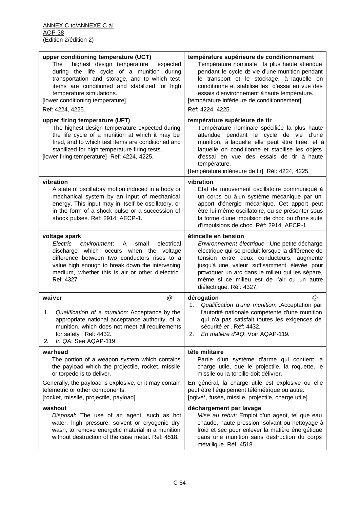| upper conditioning temperature (UCT)<br>highest design temperature<br>The<br>expected<br>during the life cycle of a munition during<br>transportation and storage, and to which test<br>items are conditioned and stabilized for high<br>temperature simulations.<br>[lower conditioning temperature]<br>Ref: 4224, 4225. | température supérieure de conditionnement<br>Température nominale, la plus haute attendue<br>pendant le cycle de vie d'une munition pendant<br>le transport et le stockage, à laquelle on<br>conditionne et stabilise les d'essai en vue des<br>essais d'environnement à haute température.<br>[température inférieure de conditionnement]<br>Réf: 4224, 4225. |
|---------------------------------------------------------------------------------------------------------------------------------------------------------------------------------------------------------------------------------------------------------------------------------------------------------------------------|----------------------------------------------------------------------------------------------------------------------------------------------------------------------------------------------------------------------------------------------------------------------------------------------------------------------------------------------------------------|
| upper firing temperature (UFT)<br>The highest design temperature expected during<br>the life cycle of a munition at which it may be<br>fired, and to which test items are conditioned and<br>stabilized for high temperature firing tests.<br>[lower firing temperature] Ref: 4224, 4225.                                 | température supérieure de tir<br>Température nominale spécifiée la plus haute<br>attendue pendant le cycle de vie d'une<br>munition, à laquelle elle peut être tirée, et à<br>laquelle on conditionne et stabilise les objets<br>d'essai en vue des essais de tir à haute<br>température.<br>[température inférieure de tir] Réf: 4224, 4225.                  |
| vibration<br>A state of oscillatory motion induced in a body or<br>mechanical system by an input of mechanical<br>energy. This input may in itself be oscillatory, or<br>in the form of a shock pulse or a succession of<br>shock pulses. Ref: 2914, AECP-1.                                                              | vibration<br>Etat de mouvement oscillatoire communiqué à<br>un corps ou à un système mécanique par un<br>apport d'énergie mécanique. Cet apport peut<br>être lui-même oscillatoire, ou se présenter sous<br>la forme d'une impulsion de choc ou d'une suite<br>d'impulsions de choc. Réf: 2914, AECP-1.                                                        |
| voltage spark<br>Electric<br>environment:<br>electrical<br>A<br>small<br>discharge which occurs when the voltage<br>difference between two conductors rises to a<br>value high enough to break down the intervening<br>medium, whether this is air or other dielectric.<br>Ref: 4327.                                     | étincelle en tension<br>Environnement électrique : Une petite décharge<br>électrique qui se produit lorsque la différence de<br>tension entre deux conducteurs, augmente<br>jusqu'à une valeur suffisamment élevée pour<br>provoquer un arc dans le milieu qui les sépare,<br>même si ce milieu est de l'air ou un autre<br>diélectrique. Réf: 4327.           |
| @<br>waiver<br>Qualification of a munition: Acceptance by the<br>1.<br>appropriate national acceptance authority, of a<br>munition, which does not meet all requirements<br>for safety . Ref: 4432.<br>In QA: See AQAP-119<br>2.                                                                                          | @<br>dérogation<br>1.<br>Qualification d'une munition: . Acceptation par<br>l'autorité nationale compétente d'une munition<br>qui n'a pas satisfait toutes les exigences de<br>sécurité et . Réf: 4432.<br>En matière d'AQ: Voir AQAP-119.<br>2.                                                                                                               |
| warhead<br>The portion of a weapon system which contains<br>the payload which the projectile, rocket, missile<br>or torpedo is to deliver.                                                                                                                                                                                | tête militaire<br>Partie d'un système d'arme qui contient la<br>charge utile, que le projectile, la roquette, le<br>missile ou la torpille doit délivrer.                                                                                                                                                                                                      |
| Generally, the payload is explosive, or it may contain<br>telemetric or other components.<br>[rocket, missile, projectile, payload]                                                                                                                                                                                       | En général, la charge utile est explosive ou elle<br>peut être l'équipement télémétrique ou autre.<br>[ogive*, fusée, missile, projectile, charge utile]                                                                                                                                                                                                       |
| washout<br>Disposal: The use of an agent, such as hot<br>water, high pressure, solvent or cryogenic dry<br>wash, to remove energetic material in a munition<br>without destruction of the case metal. Ref: 4518.                                                                                                          | déchargement par lavage<br>Mise au rebut: Emploi d'un agent, tel que eau<br>chaude, haute pression, solvant ou nettoyage à<br>froid et sec pour enlever la matière énergétique<br>dans une munition sans destruction du corps<br>métallique. Réf: 4518.                                                                                                        |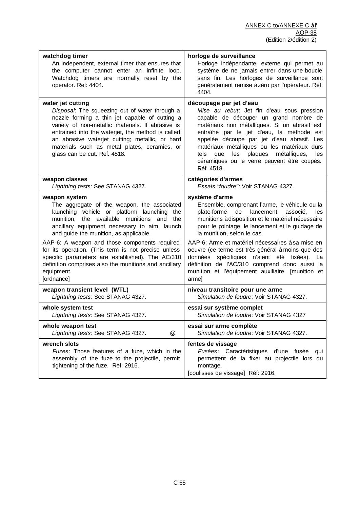| watchdog timer<br>An independent, external timer that ensures that<br>the computer cannot enter an infinite loop.<br>Watchdog timers are normally reset by the<br>operator. Ref: 4404.                                                                                                                                                                                                                                                                                     | horloge de surveillance<br>Horloge indépendante, externe qui permet au<br>système de ne jamais entrer dans une boucle<br>sans fin. Les horloges de surveillance sont<br>généralement remise à zéro par l'opérateur. Réf:<br>4404.                                                                                                                                                                                                                                    |
|----------------------------------------------------------------------------------------------------------------------------------------------------------------------------------------------------------------------------------------------------------------------------------------------------------------------------------------------------------------------------------------------------------------------------------------------------------------------------|----------------------------------------------------------------------------------------------------------------------------------------------------------------------------------------------------------------------------------------------------------------------------------------------------------------------------------------------------------------------------------------------------------------------------------------------------------------------|
| water jet cutting<br>Disposal: The squeezing out of water through a<br>nozzle forming a thin jet capable of cutting a<br>variety of non-metallic materials. If abrasive is<br>entrained into the waterjet, the method is called<br>an abrasive waterjet cutting; metallic, or hard<br>materials such as metal plates, ceramics, or<br>glass can be cut. Ref. 4518.                                                                                                         | découpage par jet d'eau<br>Mise au rebut: Jet fin d'eau sous pression<br>capable de découper un grand nombre de<br>matériaux non métalliques. Si un abrasif est<br>entraîné par le jet d'eau, la méthode est<br>appelée découpe par jet d'eau abrasif. Les<br>matériaux métalliques ou les matériaux durs<br>les plaques<br>tels<br>métalliques,<br>les<br>que<br>céramiques ou le verre peuvent être coupés.<br>Réf. 4518.                                          |
| weapon classes<br>Lightning tests: See STANAG 4327.                                                                                                                                                                                                                                                                                                                                                                                                                        | catégories d'armes<br>Essais "foudre": Voir STANAG 4327.                                                                                                                                                                                                                                                                                                                                                                                                             |
| weapon system<br>The aggregate of the weapon, the associated<br>launching vehicle or platform launching the<br>munition, the available munitions and<br>the<br>ancillary equipment necessary to aim, launch<br>and guide the munition, as applicable.<br>AAP-6: A weapon and those components required<br>for its operation. (This term is not precise unless<br>specific parameters are established). The AC/310<br>definition comprises also the munitions and ancillary | système d'arme<br>Ensemble, comprenant l'arme, le véhicule ou la<br>plate-forme<br>lancement<br>de<br>associé,<br>les<br>munitions à disposition et le matériel nécessaire<br>pour le pointage, le lancement et le guidage de<br>la munition, selon le cas.<br>AAP-6: Arme et matériel nécessaires à sa mise en<br>oeuvre (ce terme est très général à moins que des<br>données spécifiques n'aient été fixées). La<br>définition de l'AC/310 comprend donc aussi la |
| equipment.<br>[ordnance]                                                                                                                                                                                                                                                                                                                                                                                                                                                   | munition et l'équipement auxiliaire. [munition et<br>arme]                                                                                                                                                                                                                                                                                                                                                                                                           |
| weapon transient level (WTL)<br>Lightning tests: See STANAG 4327.                                                                                                                                                                                                                                                                                                                                                                                                          | niveau transitoire pour une arme<br>Simulation de foudre: Voir STANAG 4327.                                                                                                                                                                                                                                                                                                                                                                                          |
| whole system test<br>Lightning tests: See STANAG 4327.                                                                                                                                                                                                                                                                                                                                                                                                                     | essai sur système complet<br>Simulation de foudre: Voir STANAG 4327                                                                                                                                                                                                                                                                                                                                                                                                  |
| whole weapon test<br>Lightning tests: See STANAG 4327.<br>@                                                                                                                                                                                                                                                                                                                                                                                                                | essai sur arme complète<br>Simulation de foudre: Voir STANAG 4327.                                                                                                                                                                                                                                                                                                                                                                                                   |
| wrench slots<br>Fuzes: Those features of a fuze, which in the<br>assembly of the fuze to the projectile, permit<br>tightening of the fuze. Ref: 2916.                                                                                                                                                                                                                                                                                                                      | fentes de vissage<br>Fusées: Caractéristiques d'une fusée<br>qui<br>permettent de la fixer au projectile lors du<br>montage.<br>[coulisses de vissage] Réf: 2916.                                                                                                                                                                                                                                                                                                    |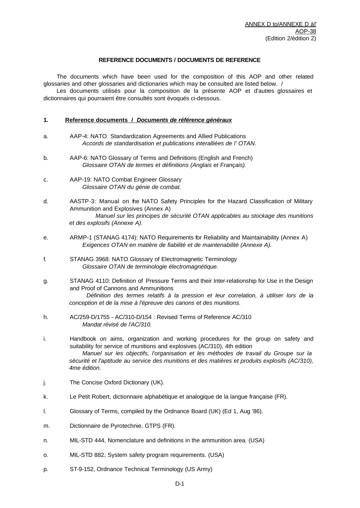## **REFERENCE DOCUMENTS / DOCUMENTS DE REFERENCE**

The documents which have been used for the composition of this AOP and other related glossaries and other glossaries and dictionaries which may be consulted are listed below. /

Les documents utilisés pour la composition de la présente AOP et d'autres glossaires et dictionnaires qui pourraient être consultés sont évoqués ci-dessous.

## **1. Reference documents /** *Documents de référence généraux*

- a. AAP-4: NATO Standardization Agreements and Allied Publications *Accords de standardisation et publications interalliées de l' OTAN.*
- b. AAP-6: NATO Glossary of Terms and Definitions (English and French) *Glossaire OTAN de termes et définitions (Anglais et Français).*
- c. AAP-19: NATO Combat Engineer Glossary *Glossaire OTAN du génie de combat.*
- d. AASTP-3: Manual on the NATO Safety Principles for the Hazard Classification of Military Ammunition and Explosives (Annex A) *Manuel sur les principes de sécurité OTAN applicables au stockage des munitions et des explosifs (Annexe A).*
- e. ARMP-1 (STANAG 4174): NATO Requirements for Reliability and Maintainability (Annex A) *Exigences OTAN en matière de fiabilité et de maintenabilité (Annexe A).*
- f. STANAG 3968: NATO Glossary of Electromagnetic Terminology *Glossaire OTAN de terminologie électromagnétique.*
- g. STANAG 4110: Definition of Pressure Terms and their Inter-relationship for Use in the Design and Proof of Cannons and Ammunitions *Définition des termes relatifs à la pression et leur correlation, à utiliser lors de la conception et de la mise à l'épreuve des canons et des munitions.*
- h. AC/259-D/1755 AC/310-D/154 : Revised Terms of Reference AC/310 *Mandat révisé de l'AC/310.*
- i. Handbook on aims, organization and working procedures for the group on safety and suitability for service of munitions and explosives (AC/310), 4th edition *Manuel sur les objectifs, l'organisation et les méthodes de travail du Groupe sur la*  sécurité et l'aptitude au service des munitions et des matières et produits explosifs (AC/310), *4me édition.*
- j. The Concise Oxford Dictionary (UK).
- k. Le Petit Robert, dictionnaire alphabétique et analogique de la langue française (FR).
- l. Glossary of Terms, compiled by the Ordnance Board (UK) (Ed 1, Aug '86).
- m. Dictionnaire de Pyrotechnie, GTPS (FR).
- n. MIL-STD 444, Nomenclature and definitions in the ammunition area. (USA)
- o. MIL-STD 882, System safety program requirements. (USA)
- p. ST-9-152, Ordnance Technical Terminology (US Army)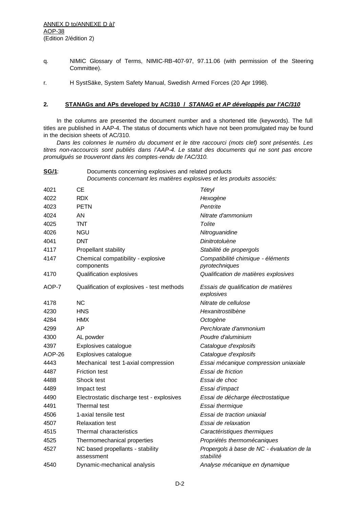ANNEX D to/ANNEXE D à l' AOP-38 (Edition 2/édition 2)

- q. NIMIC Glossary of Terms, NIMIC-RB-407-97, 97.11.06 (with permission of the Steering Committee).
- r. H SystSäke, System Safety Manual, Swedish Armed Forces (20 Apr 1998).

## **2. STANAGs and APs developed by AC/310 /** *STANAG et AP développés par l'AC/310*

In the columns are presented the document number and a shortened title (keywords). The full titles are published in AAP-4. The status of documents which have not been promulgated may be found in the decision sheets of AC/310.

*Dans les colonnes le numéro du document et le titre raccourci (mots clef) sont présentés. Les titres non-raccourcis sont publiés dans l'AAP-4. Le statut des documents qui ne sont pas encore promulgués se trouveront dans les comptes-rendu de l'AC/310.*

| <u>SG/1:</u> | Documents concerning explosives and related products<br>Documents concernant les matières explosives et les produits associés: |  |
|--------------|--------------------------------------------------------------------------------------------------------------------------------|--|
| 1001         | $-1$                                                                                                                           |  |

| 4021   | CЕ                                               | Tétryl                                                  |
|--------|--------------------------------------------------|---------------------------------------------------------|
| 4022   | <b>RDX</b>                                       | Hexogène                                                |
| 4023   | <b>PETN</b>                                      | Pentrite                                                |
| 4024   | AN                                               | Nitrate d'ammonium                                      |
| 4025   | <b>TNT</b>                                       | Tolite                                                  |
| 4026   | <b>NGU</b>                                       | Nitroguanidine                                          |
| 4041   | <b>DNT</b>                                       | Dinitrotoluène                                          |
| 4117   | Propellant stability                             | Stabilité de propergols                                 |
| 4147   | Chemical compatibility - explosive<br>components | Compatibilité chimique - éléments<br>pyrotechniques     |
| 4170   | Qualification explosives                         | Qualification de matières explosives                    |
| AOP-7  | Qualification of explosives - test methods       | Essais de qualification de matières<br>explosives       |
| 4178   | <b>NC</b>                                        | Nitrate de cellulose                                    |
| 4230   | <b>HNS</b>                                       | Hexanitrostilbène                                       |
| 4284   | <b>HMX</b>                                       | Octogène                                                |
| 4299   | AP                                               | Perchlorate d'ammonium                                  |
| 4300   | AL powder                                        | Poudre d'aluminium                                      |
| 4397   | Explosives catalogue                             | Catalogue d'explosifs                                   |
| AOP-26 | Explosives catalogue                             | Catalogue d'explosifs                                   |
| 4443   | Mechanical test 1-axial compression              | Essai mécanique compression uniaxiale                   |
| 4487   | <b>Friction test</b>                             | Essai de friction                                       |
| 4488   | Shock test                                       | Essai de choc                                           |
| 4489   | Impact test                                      | Essai d'impact                                          |
| 4490   | Electrostatic discharge test - explosives        | Essai de décharge électrostatique                       |
| 4491   | Thermal test                                     | Essai thermique                                         |
| 4506   | 1-axial tensile test                             | Essai de traction uniaxial                              |
| 4507   | <b>Relaxation test</b>                           | Essai de relaxation                                     |
| 4515   | Thermal characteristics                          | Caractéristiques thermiques                             |
| 4525   | Thermomechanical properties                      | Propriétés thermomécaniques                             |
| 4527   | NC based propellants - stability<br>assessment   | Propergols à base de NC - évaluation de la<br>stabilité |
| 4540   | Dynamic-mechanical analysis                      | Analyse mécanique en dynamique                          |
|        |                                                  |                                                         |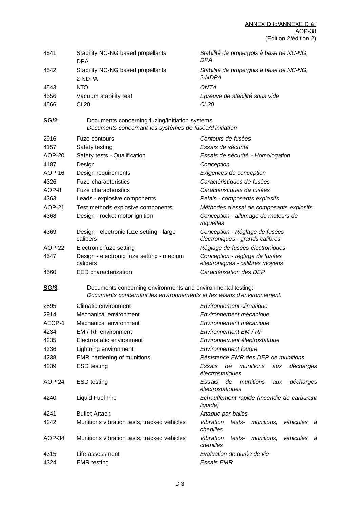| 4541          | Stability NC-NG based propellants<br><b>DPA</b>                                                                                        | Stabilité de propergols à base de NC-NG,<br><b>DPA</b>            |  |
|---------------|----------------------------------------------------------------------------------------------------------------------------------------|-------------------------------------------------------------------|--|
| 4542          | Stability NC-NG based propellants<br>2-NDPA                                                                                            | Stabilité de propergols à base de NC-NG,<br>2-NDPA                |  |
| 4543          | <b>NTO</b>                                                                                                                             | <b>ONTA</b>                                                       |  |
| 4556          | Vacuum stability test                                                                                                                  | Épreuve de stabilité sous vide                                    |  |
| 4566          | <b>CL20</b>                                                                                                                            | CL <sub>20</sub>                                                  |  |
| <u>SG/2:</u>  | Documents concerning fuzing/initiation systems<br>Documents concernant les systèmes de fusée/d'initiation                              |                                                                   |  |
| 2916          | Fuze contours                                                                                                                          | Contours de fusées                                                |  |
| 4157          | Safety testing                                                                                                                         | Essais de sécurité                                                |  |
| AOP-20        | Safety tests - Qualification                                                                                                           | Essais de sécurité - Homologation                                 |  |
| 4187          | Design                                                                                                                                 | Conception                                                        |  |
| AOP-16        | Design requirements                                                                                                                    | Exigences de conception                                           |  |
| 4326          | <b>Fuze characteristics</b>                                                                                                            | Caractéristiques de fusées                                        |  |
| AOP-8         | <b>Fuze characteristics</b>                                                                                                            | Caractéristiques de fusées                                        |  |
| 4363          | Leads - explosive components                                                                                                           | Relais - composants explosifs                                     |  |
| <b>AOP-21</b> | Test methods explosive components                                                                                                      | Méthodes d'essai de composants explosifs                          |  |
| 4368          | Design - rocket motor ignition                                                                                                         | Conception - allumage de moteurs de<br>roquettes                  |  |
| 4369          | Design - electronic fuze setting - large<br>calibers                                                                                   | Conception - Réglage de fusées<br>électroniques - grands calibres |  |
| AOP-22        | Electronic fuze setting                                                                                                                | Réglage de fusées électroniques                                   |  |
| 4547          | Design - electronic fuze setting - medium<br>calibers                                                                                  | Conception - réglage de fusées<br>électroniques - calibres moyens |  |
| 4560          | EED characterization                                                                                                                   | Caractérisation des DEP                                           |  |
| <u>SG/3:</u>  | Documents concerning environments and environmental testing:<br>Documents concernant les environnements et les essais d'environnement: |                                                                   |  |
| 2895          | Climatic environment                                                                                                                   | Environnement climatique                                          |  |
| 2914          | Mechanical environment                                                                                                                 | Environnement mécanique                                           |  |
| AECP-1        | Mechanical environment                                                                                                                 | Environnement mécanique                                           |  |
| 4234          | EM / RF environment                                                                                                                    | Environnement EM / RF                                             |  |
| 4235          | Electrostatic environment                                                                                                              | Environnement électrostatique                                     |  |
| 4236          | Lightning environment                                                                                                                  | <b>Environnement foudre</b>                                       |  |
| 4238          | EMR hardening of munitions                                                                                                             | Résistance EMR des DEP de munitions                               |  |
| 4239          | <b>ESD</b> testing                                                                                                                     | Essais<br>de<br>munitions<br>décharges<br>aux<br>électrostatiques |  |
| AOP-24        | <b>ESD</b> testing                                                                                                                     | Essais<br>de<br>munitions<br>décharges<br>aux<br>électrostatiques |  |
| 4240          | <b>Liquid Fuel Fire</b>                                                                                                                | Echauffement rapide (Incendie de carburant<br>liquide)            |  |
| 4241          | <b>Bullet Attack</b>                                                                                                                   | Attaque par balles                                                |  |
| 4242          | Munitions vibration tests, tracked vehicles                                                                                            | Vibration<br>tests- munitions,<br>véhicules<br>à<br>chenilles     |  |
| AOP-34        | Munitions vibration tests, tracked vehicles                                                                                            | Vibration<br>véhicules<br>tests- munitions,<br>à<br>chenilles     |  |
| 4315          | Life assessment                                                                                                                        | Évaluation de durée de vie                                        |  |
| 4324          | <b>EMR</b> testing                                                                                                                     | <b>Essais EMR</b>                                                 |  |
|               |                                                                                                                                        |                                                                   |  |